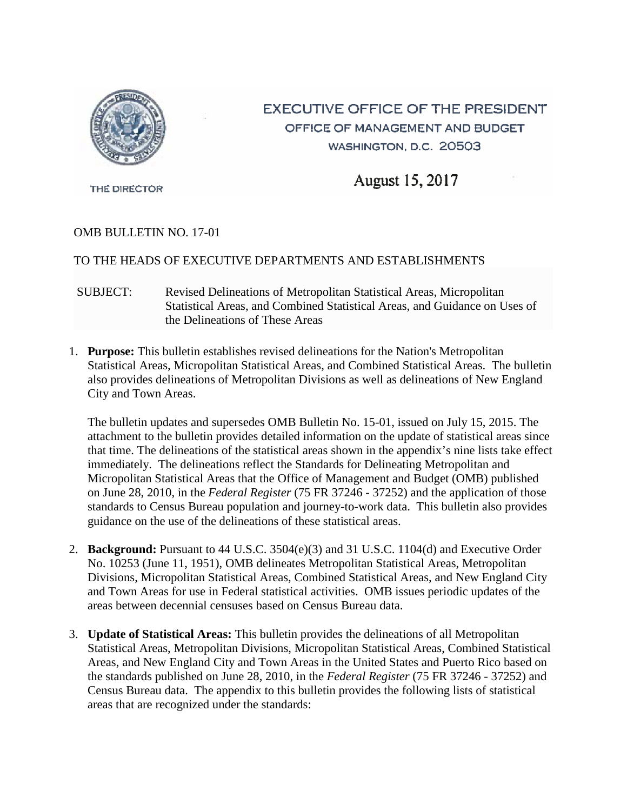

# **EXECUTIVE OFFICE OF THE PRESIDENT** OFFICE OF MANAGEMENT AND BUDGET WASHINGTON, D.C. 20503

August 15, 2017

THE DIRECTOR

# OMB BULLETIN NO. 17-01

# TO THE HEADS OF EXECUTIVE DEPARTMENTS AND ESTABLISHMENTS

- SUBJECT: Revised Delineations of Metropolitan Statistical Areas, Micropolitan Statistical Areas, and Combined Statistical Areas, and Guidance on Uses of the Delineations of These Areas
- 1. **Purpose:** This bulletin establishes revised delineations for the Nation's Metropolitan Statistical Areas, Micropolitan Statistical Areas, and Combined Statistical Areas. The bulletin also provides delineations of Metropolitan Divisions as well as delineations of New England City and Town Areas.

The bulletin updates and supersedes OMB Bulletin No. 15-01, issued on July 15, 2015. The attachment to the bulletin provides detailed information on the update of statistical areas since that time. The delineations of the statistical areas shown in the appendix's nine lists take effect immediately. The delineations reflect the Standards for Delineating Metropolitan and Micropolitan Statistical Areas that the Office of Management and Budget (OMB) published on June 28, 2010, in the *Federal Register* (75 FR 37246 - 37252) and the application of those standards to Census Bureau population and journey-to-work data. This bulletin also provides guidance on the use of the delineations of these statistical areas.

- 2. **Background:** Pursuant to 44 U.S.C. 3504(e)(3) and 31 U.S.C. 1104(d) and Executive Order No. 10253 (June 11, 1951), OMB delineates Metropolitan Statistical Areas, Metropolitan Divisions, Micropolitan Statistical Areas, Combined Statistical Areas, and New England City and Town Areas for use in Federal statistical activities. OMB issues periodic updates of the areas between decennial censuses based on Census Bureau data.
- 3. **Update of Statistical Areas:** This bulletin provides the delineations of all Metropolitan Statistical Areas, Metropolitan Divisions, Micropolitan Statistical Areas, Combined Statistical Areas, and New England City and Town Areas in the United States and Puerto Rico based on the standards published on June 28, 2010, in the *Federal Register* (75 FR 37246 - 37252) and Census Bureau data. The appendix to this bulletin provides the following lists of statistical areas that are recognized under the standards: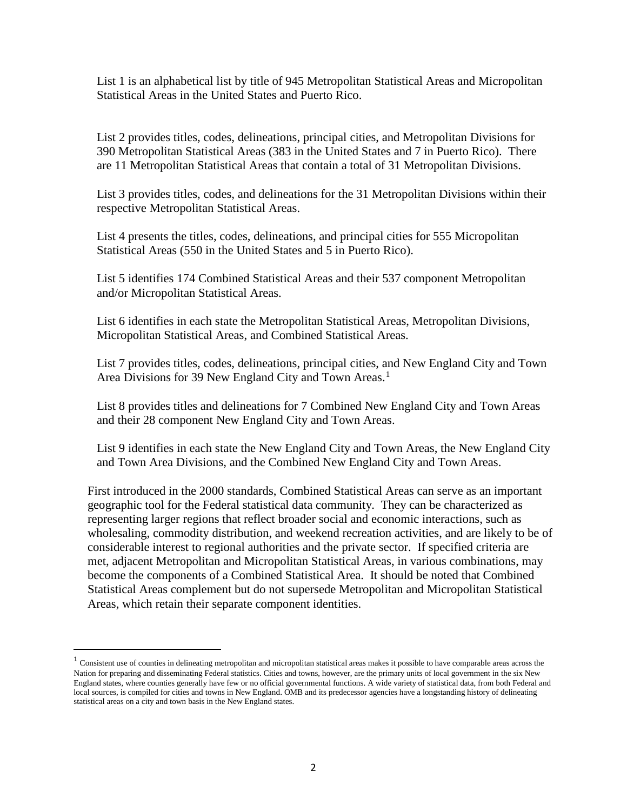List 1 is an alphabetical list by title of 945 Metropolitan Statistical Areas and Micropolitan Statistical Areas in the United States and Puerto Rico.

List 2 provides titles, codes, delineations, principal cities, and Metropolitan Divisions for 390 Metropolitan Statistical Areas (383 in the United States and 7 in Puerto Rico). There are 11 Metropolitan Statistical Areas that contain a total of 31 Metropolitan Divisions.

List 3 provides titles, codes, and delineations for the 31 Metropolitan Divisions within their respective Metropolitan Statistical Areas.

List 4 presents the titles, codes, delineations, and principal cities for 555 Micropolitan Statistical Areas (550 in the United States and 5 in Puerto Rico).

List 5 identifies 174 Combined Statistical Areas and their 537 component Metropolitan and/or Micropolitan Statistical Areas.

List 6 identifies in each state the Metropolitan Statistical Areas, Metropolitan Divisions, Micropolitan Statistical Areas, and Combined Statistical Areas.

List 7 provides titles, codes, delineations, principal cities, and New England City and Town Area Divisions for 39 New England City and Town Areas.<sup>[1](#page-1-0)</sup>

List 8 provides titles and delineations for 7 Combined New England City and Town Areas and their 28 component New England City and Town Areas.

List 9 identifies in each state the New England City and Town Areas, the New England City and Town Area Divisions, and the Combined New England City and Town Areas.

First introduced in the 2000 standards, Combined Statistical Areas can serve as an important geographic tool for the Federal statistical data community. They can be characterized as representing larger regions that reflect broader social and economic interactions, such as wholesaling, commodity distribution, and weekend recreation activities, and are likely to be of considerable interest to regional authorities and the private sector. If specified criteria are met, adjacent Metropolitan and Micropolitan Statistical Areas, in various combinations, may become the components of a Combined Statistical Area. It should be noted that Combined Statistical Areas complement but do not supersede Metropolitan and Micropolitan Statistical Areas, which retain their separate component identities.

<span id="page-1-0"></span><sup>&</sup>lt;sup>1</sup> Consistent use of counties in delineating metropolitan and micropolitan statistical areas makes it possible to have comparable areas across the Nation for preparing and disseminating Federal statistics. Cities and towns, however, are the primary units of local government in the six New England states, where counties generally have few or no official governmental functions. A wide variety of statistical data, from both Federal and local sources, is compiled for cities and towns in New England. OMB and its predecessor agencies have a longstanding history of delineating statistical areas on a city and town basis in the New England states.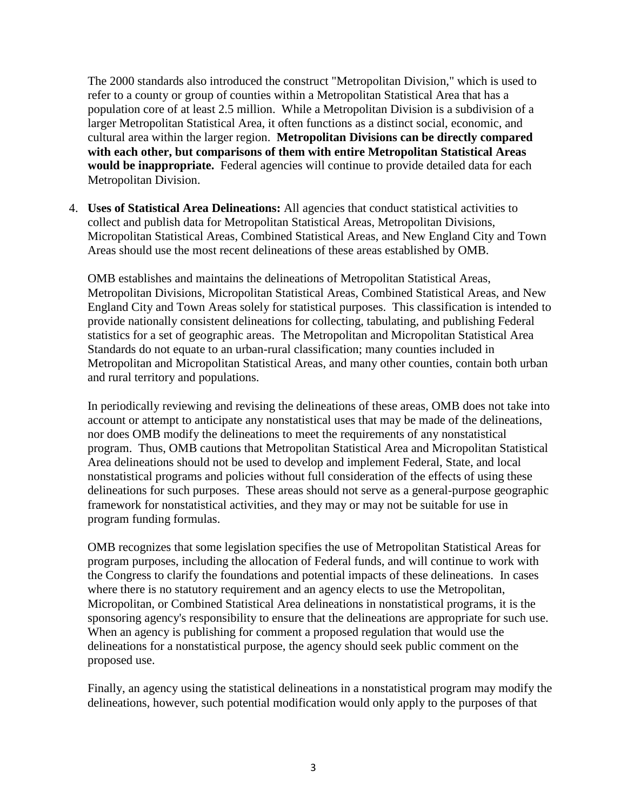The 2000 standards also introduced the construct "Metropolitan Division," which is used to refer to a county or group of counties within a Metropolitan Statistical Area that has a population core of at least 2.5 million. While a Metropolitan Division is a subdivision of a larger Metropolitan Statistical Area, it often functions as a distinct social, economic, and cultural area within the larger region. **Metropolitan Divisions can be directly compared with each other, but comparisons of them with entire Metropolitan Statistical Areas would be inappropriate.** Federal agencies will continue to provide detailed data for each Metropolitan Division.

4. **Uses of Statistical Area Delineations:** All agencies that conduct statistical activities to collect and publish data for Metropolitan Statistical Areas, Metropolitan Divisions, Micropolitan Statistical Areas, Combined Statistical Areas, and New England City and Town Areas should use the most recent delineations of these areas established by OMB.

OMB establishes and maintains the delineations of Metropolitan Statistical Areas, Metropolitan Divisions, Micropolitan Statistical Areas, Combined Statistical Areas, and New England City and Town Areas solely for statistical purposes. This classification is intended to provide nationally consistent delineations for collecting, tabulating, and publishing Federal statistics for a set of geographic areas. The Metropolitan and Micropolitan Statistical Area Standards do not equate to an urban-rural classification; many counties included in Metropolitan and Micropolitan Statistical Areas, and many other counties, contain both urban and rural territory and populations.

In periodically reviewing and revising the delineations of these areas, OMB does not take into account or attempt to anticipate any nonstatistical uses that may be made of the delineations, nor does OMB modify the delineations to meet the requirements of any nonstatistical program. Thus, OMB cautions that Metropolitan Statistical Area and Micropolitan Statistical Area delineations should not be used to develop and implement Federal, State, and local nonstatistical programs and policies without full consideration of the effects of using these delineations for such purposes. These areas should not serve as a general-purpose geographic framework for nonstatistical activities, and they may or may not be suitable for use in program funding formulas.

OMB recognizes that some legislation specifies the use of Metropolitan Statistical Areas for program purposes, including the allocation of Federal funds, and will continue to work with the Congress to clarify the foundations and potential impacts of these delineations. In cases where there is no statutory requirement and an agency elects to use the Metropolitan, Micropolitan, or Combined Statistical Area delineations in nonstatistical programs, it is the sponsoring agency's responsibility to ensure that the delineations are appropriate for such use. When an agency is publishing for comment a proposed regulation that would use the delineations for a nonstatistical purpose, the agency should seek public comment on the proposed use.

Finally, an agency using the statistical delineations in a nonstatistical program may modify the delineations, however, such potential modification would only apply to the purposes of that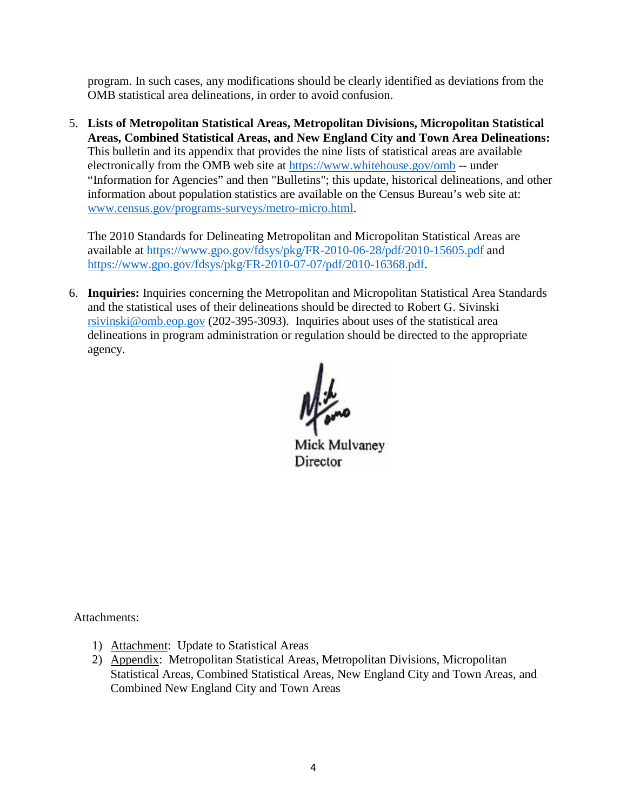program. In such cases, any modifications should be clearly identified as deviations from the OMB statistical area delineations, in order to avoid confusion.

5. **Lists of Metropolitan Statistical Areas, Metropolitan Divisions, Micropolitan Statistical Areas, Combined Statistical Areas, and New England City and Town Area Delineations:** This bulletin and its appendix that provides the nine lists of statistical areas are available electronically from the OMB web site at<https://www.whitehouse.gov/omb> -- under "Information for Agencies" and then "Bulletins"; this update, historical delineations, and other information about population statistics are available on the Census Bureau's web site at: [www.census.gov/programs-surveys/metro-micro.html.](http://www.census.gov/programs-surveys/metro-micro.html)

The 2010 Standards for Delineating Metropolitan and Micropolitan Statistical Areas are available at<https://www.gpo.gov/fdsys/pkg/FR-2010-06-28/pdf/2010-15605.pdf>and [https://www.gpo.gov/fdsys/pkg/FR-2010-07-07/pdf/2010-16368.pdf.](https://www.gpo.gov/fdsys/pkg/FR-2010-07-07/pdf/2010-16368.pdf)

6. **Inquiries:** Inquiries concerning the Metropolitan and Micropolitan Statistical Area Standards and the statistical uses of their delineations should be directed to Robert G. Sivinski [rsivinski@omb.eop.gov](mailto:rsivinski@omb.eop.gov) (202-395-3093). Inquiries about uses of the statistical area delineations in program administration or regulation should be directed to the appropriate agency.

Mick Mulvaney Director

Attachments:

- 1) Attachment: Update to Statistical Areas
- 2) Appendix: Metropolitan Statistical Areas, Metropolitan Divisions, Micropolitan Statistical Areas, Combined Statistical Areas, New England City and Town Areas, and Combined New England City and Town Areas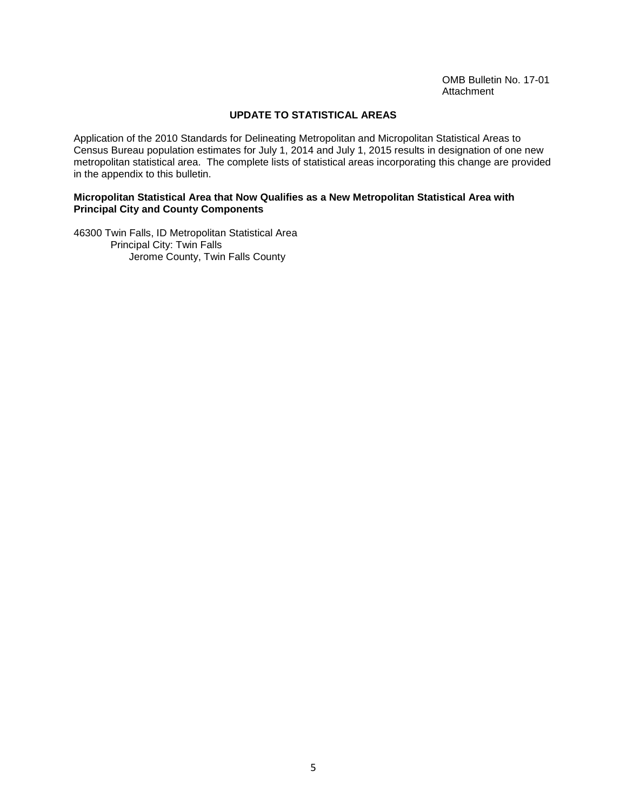#### **UPDATE TO STATISTICAL AREAS**

Application of the 2010 Standards for Delineating Metropolitan and Micropolitan Statistical Areas to Census Bureau population estimates for July 1, 2014 and July 1, 2015 results in designation of one new metropolitan statistical area. The complete lists of statistical areas incorporating this change are provided in the appendix to this bulletin.

#### **Micropolitan Statistical Area that Now Qualifies as a New Metropolitan Statistical Area with Principal City and County Components**

46300 Twin Falls, ID Metropolitan Statistical Area Principal City: Twin Falls Jerome County, Twin Falls County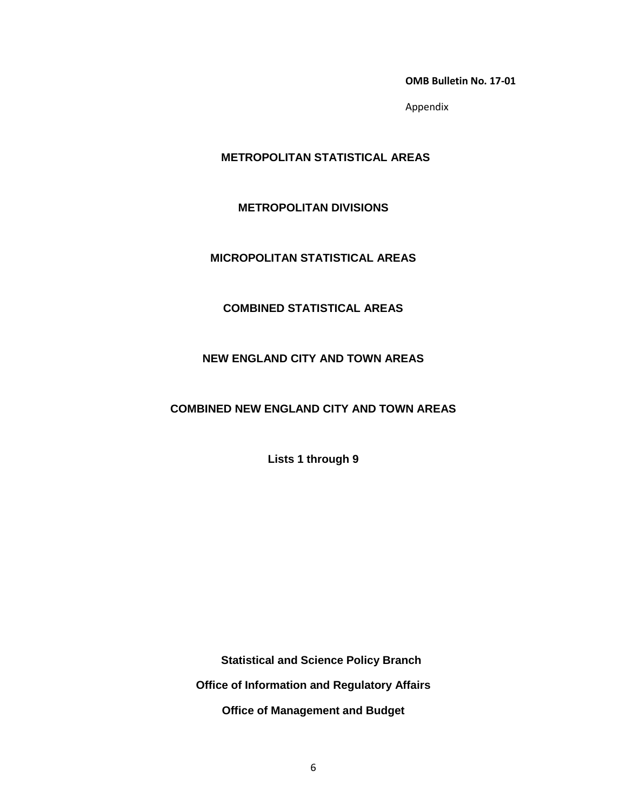**OMB Bulletin No. 17-01**

Appendix

# **METROPOLITAN STATISTICAL AREAS**

#### **METROPOLITAN DIVISIONS**

#### **MICROPOLITAN STATISTICAL AREAS**

# **COMBINED STATISTICAL AREAS**

#### **NEW ENGLAND CITY AND TOWN AREAS**

# **COMBINED NEW ENGLAND CITY AND TOWN AREAS**

**Lists 1 through 9**

 **Statistical and Science Policy Branch Office of Information and Regulatory Affairs Office of Management and Budget**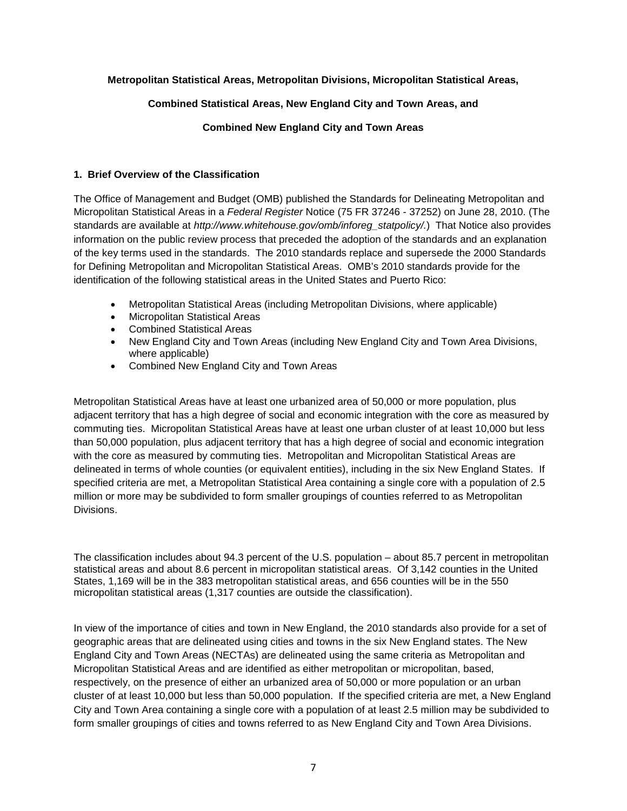#### **Metropolitan Statistical Areas, Metropolitan Divisions, Micropolitan Statistical Areas,**

#### **Combined Statistical Areas, New England City and Town Areas, and**

#### **Combined New England City and Town Areas**

#### **1. Brief Overview of the Classification**

The Office of Management and Budget (OMB) published the Standards for Delineating Metropolitan and Micropolitan Statistical Areas in a *Federal Register* Notice (75 FR 37246 - 37252) on June 28, 2010. (The standards are available at *http://www.whitehouse.gov/omb/inforeg\_statpolicy/.*) That Notice also provides information on the public review process that preceded the adoption of the standards and an explanation of the key terms used in the standards. The 2010 standards replace and supersede the 2000 Standards for Defining Metropolitan and Micropolitan Statistical Areas. OMB's 2010 standards provide for the identification of the following statistical areas in the United States and Puerto Rico:

- Metropolitan Statistical Areas (including Metropolitan Divisions, where applicable)
- Micropolitan Statistical Areas
- Combined Statistical Areas
- New England City and Town Areas (including New England City and Town Area Divisions, where applicable)
- Combined New England City and Town Areas

Metropolitan Statistical Areas have at least one urbanized area of 50,000 or more population, plus adjacent territory that has a high degree of social and economic integration with the core as measured by commuting ties. Micropolitan Statistical Areas have at least one urban cluster of at least 10,000 but less than 50,000 population, plus adjacent territory that has a high degree of social and economic integration with the core as measured by commuting ties. Metropolitan and Micropolitan Statistical Areas are delineated in terms of whole counties (or equivalent entities), including in the six New England States. If specified criteria are met, a Metropolitan Statistical Area containing a single core with a population of 2.5 million or more may be subdivided to form smaller groupings of counties referred to as Metropolitan Divisions.

The classification includes about 94.3 percent of the U.S. population – about 85.7 percent in metropolitan statistical areas and about 8.6 percent in micropolitan statistical areas. Of 3,142 counties in the United States, 1,169 will be in the 383 metropolitan statistical areas, and 656 counties will be in the 550 micropolitan statistical areas (1,317 counties are outside the classification).

In view of the importance of cities and town in New England, the 2010 standards also provide for a set of geographic areas that are delineated using cities and towns in the six New England states. The New England City and Town Areas (NECTAs) are delineated using the same criteria as Metropolitan and Micropolitan Statistical Areas and are identified as either metropolitan or micropolitan, based, respectively, on the presence of either an urbanized area of 50,000 or more population or an urban cluster of at least 10,000 but less than 50,000 population. If the specified criteria are met, a New England City and Town Area containing a single core with a population of at least 2.5 million may be subdivided to form smaller groupings of cities and towns referred to as New England City and Town Area Divisions.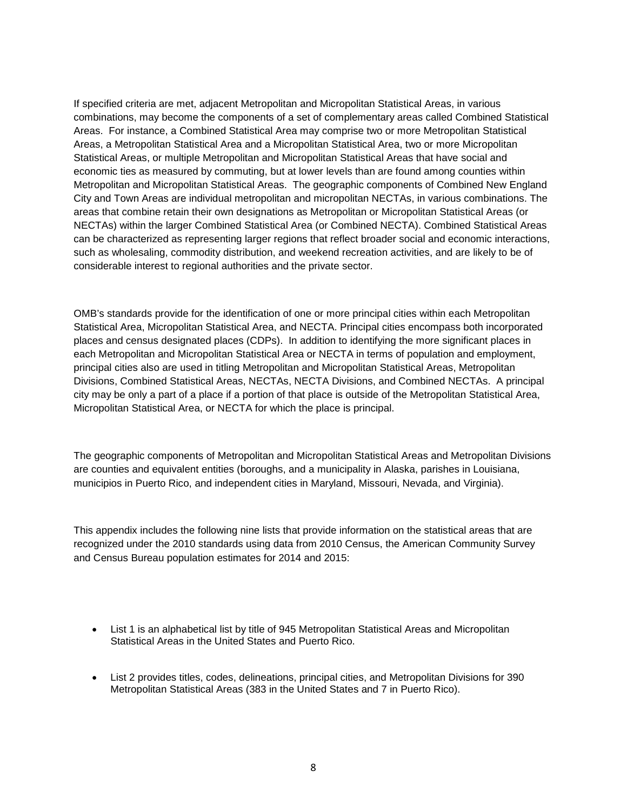If specified criteria are met, adjacent Metropolitan and Micropolitan Statistical Areas, in various combinations, may become the components of a set of complementary areas called Combined Statistical Areas. For instance, a Combined Statistical Area may comprise two or more Metropolitan Statistical Areas, a Metropolitan Statistical Area and a Micropolitan Statistical Area, two or more Micropolitan Statistical Areas, or multiple Metropolitan and Micropolitan Statistical Areas that have social and economic ties as measured by commuting, but at lower levels than are found among counties within Metropolitan and Micropolitan Statistical Areas. The geographic components of Combined New England City and Town Areas are individual metropolitan and micropolitan NECTAs, in various combinations. The areas that combine retain their own designations as Metropolitan or Micropolitan Statistical Areas (or NECTAs) within the larger Combined Statistical Area (or Combined NECTA). Combined Statistical Areas can be characterized as representing larger regions that reflect broader social and economic interactions, such as wholesaling, commodity distribution, and weekend recreation activities, and are likely to be of considerable interest to regional authorities and the private sector.

OMB's standards provide for the identification of one or more principal cities within each Metropolitan Statistical Area, Micropolitan Statistical Area, and NECTA. Principal cities encompass both incorporated places and census designated places (CDPs). In addition to identifying the more significant places in each Metropolitan and Micropolitan Statistical Area or NECTA in terms of population and employment, principal cities also are used in titling Metropolitan and Micropolitan Statistical Areas, Metropolitan Divisions, Combined Statistical Areas, NECTAs, NECTA Divisions, and Combined NECTAs. A principal city may be only a part of a place if a portion of that place is outside of the Metropolitan Statistical Area, Micropolitan Statistical Area, or NECTA for which the place is principal.

The geographic components of Metropolitan and Micropolitan Statistical Areas and Metropolitan Divisions are counties and equivalent entities (boroughs, and a municipality in Alaska, parishes in Louisiana, municipios in Puerto Rico, and independent cities in Maryland, Missouri, Nevada, and Virginia).

This appendix includes the following nine lists that provide information on the statistical areas that are recognized under the 2010 standards using data from 2010 Census, the American Community Survey and Census Bureau population estimates for 2014 and 2015:

- List 1 is an alphabetical list by title of 945 Metropolitan Statistical Areas and Micropolitan Statistical Areas in the United States and Puerto Rico.
- List 2 provides titles, codes, delineations, principal cities, and Metropolitan Divisions for 390 Metropolitan Statistical Areas (383 in the United States and 7 in Puerto Rico).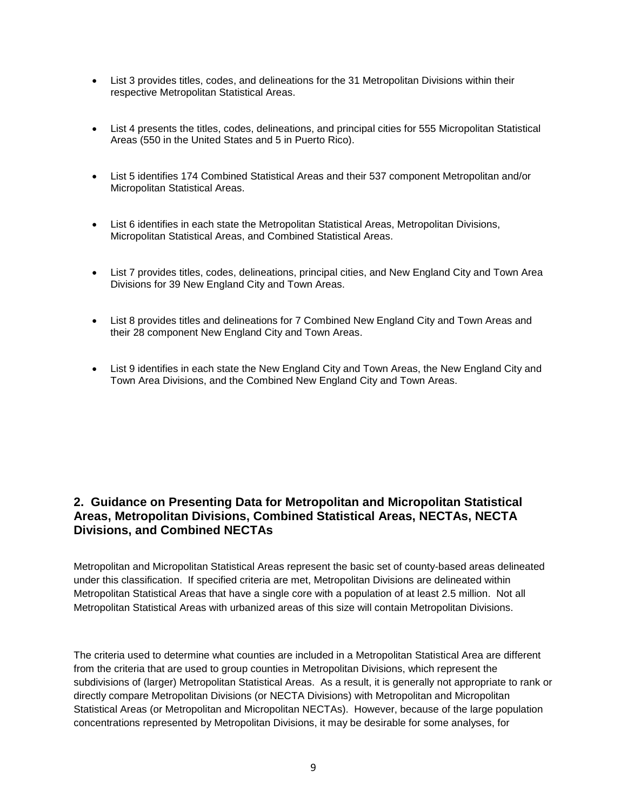- List 3 provides titles, codes, and delineations for the 31 Metropolitan Divisions within their respective Metropolitan Statistical Areas.
- List 4 presents the titles, codes, delineations, and principal cities for 555 Micropolitan Statistical Areas (550 in the United States and 5 in Puerto Rico).
- List 5 identifies 174 Combined Statistical Areas and their 537 component Metropolitan and/or Micropolitan Statistical Areas.
- List 6 identifies in each state the Metropolitan Statistical Areas, Metropolitan Divisions, Micropolitan Statistical Areas, and Combined Statistical Areas.
- List 7 provides titles, codes, delineations, principal cities, and New England City and Town Area Divisions for 39 New England City and Town Areas.
- List 8 provides titles and delineations for 7 Combined New England City and Town Areas and their 28 component New England City and Town Areas.
- List 9 identifies in each state the New England City and Town Areas, the New England City and Town Area Divisions, and the Combined New England City and Town Areas.

# **2. Guidance on Presenting Data for Metropolitan and Micropolitan Statistical Areas, Metropolitan Divisions, Combined Statistical Areas, NECTAs, NECTA Divisions, and Combined NECTAs**

Metropolitan and Micropolitan Statistical Areas represent the basic set of county-based areas delineated under this classification. If specified criteria are met, Metropolitan Divisions are delineated within Metropolitan Statistical Areas that have a single core with a population of at least 2.5 million. Not all Metropolitan Statistical Areas with urbanized areas of this size will contain Metropolitan Divisions.

The criteria used to determine what counties are included in a Metropolitan Statistical Area are different from the criteria that are used to group counties in Metropolitan Divisions, which represent the subdivisions of (larger) Metropolitan Statistical Areas. As a result, it is generally not appropriate to rank or directly compare Metropolitan Divisions (or NECTA Divisions) with Metropolitan and Micropolitan Statistical Areas (or Metropolitan and Micropolitan NECTAs). However, because of the large population concentrations represented by Metropolitan Divisions, it may be desirable for some analyses, for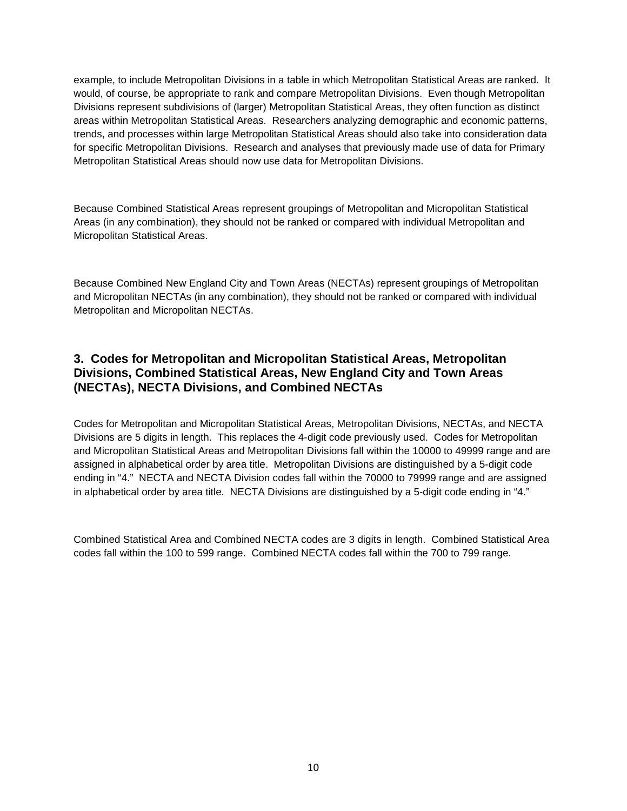example, to include Metropolitan Divisions in a table in which Metropolitan Statistical Areas are ranked. It would, of course, be appropriate to rank and compare Metropolitan Divisions. Even though Metropolitan Divisions represent subdivisions of (larger) Metropolitan Statistical Areas, they often function as distinct areas within Metropolitan Statistical Areas. Researchers analyzing demographic and economic patterns, trends, and processes within large Metropolitan Statistical Areas should also take into consideration data for specific Metropolitan Divisions. Research and analyses that previously made use of data for Primary Metropolitan Statistical Areas should now use data for Metropolitan Divisions.

Because Combined Statistical Areas represent groupings of Metropolitan and Micropolitan Statistical Areas (in any combination), they should not be ranked or compared with individual Metropolitan and Micropolitan Statistical Areas.

Because Combined New England City and Town Areas (NECTAs) represent groupings of Metropolitan and Micropolitan NECTAs (in any combination), they should not be ranked or compared with individual Metropolitan and Micropolitan NECTAs.

# **3. Codes for Metropolitan and Micropolitan Statistical Areas, Metropolitan Divisions, Combined Statistical Areas, New England City and Town Areas (NECTAs), NECTA Divisions, and Combined NECTAs**

Codes for Metropolitan and Micropolitan Statistical Areas, Metropolitan Divisions, NECTAs, and NECTA Divisions are 5 digits in length. This replaces the 4-digit code previously used. Codes for Metropolitan and Micropolitan Statistical Areas and Metropolitan Divisions fall within the 10000 to 49999 range and are assigned in alphabetical order by area title. Metropolitan Divisions are distinguished by a 5-digit code ending in "4." NECTA and NECTA Division codes fall within the 70000 to 79999 range and are assigned in alphabetical order by area title. NECTA Divisions are distinguished by a 5-digit code ending in "4."

Combined Statistical Area and Combined NECTA codes are 3 digits in length. Combined Statistical Area codes fall within the 100 to 599 range. Combined NECTA codes fall within the 700 to 799 range.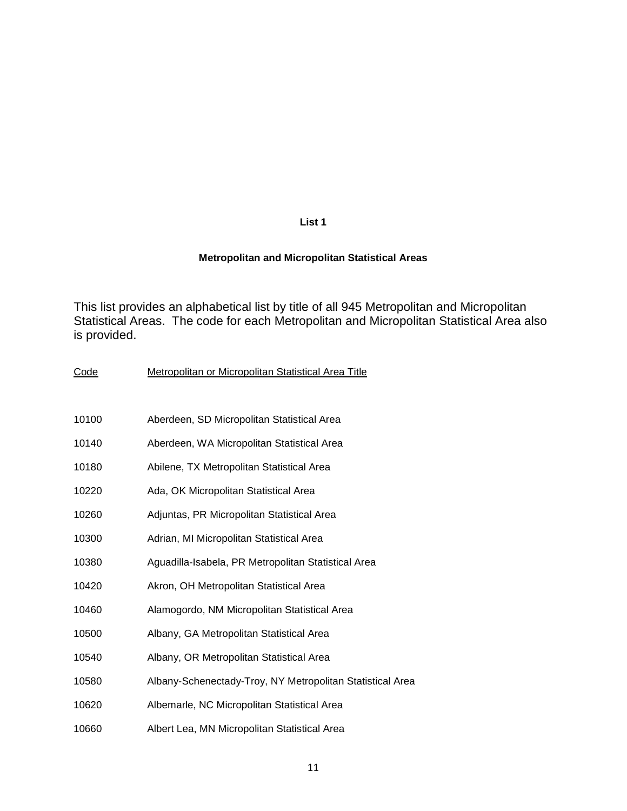# **List 1**

## **Metropolitan and Micropolitan Statistical Areas**

This list provides an alphabetical list by title of all 945 Metropolitan and Micropolitan Statistical Areas. The code for each Metropolitan and Micropolitan Statistical Area also is provided.

| Code  | Metropolitan or Micropolitan Statistical Area Title       |
|-------|-----------------------------------------------------------|
|       |                                                           |
| 10100 | Aberdeen, SD Micropolitan Statistical Area                |
| 10140 | Aberdeen, WA Micropolitan Statistical Area                |
| 10180 | Abilene, TX Metropolitan Statistical Area                 |
| 10220 | Ada, OK Micropolitan Statistical Area                     |
| 10260 | Adjuntas, PR Micropolitan Statistical Area                |
| 10300 | Adrian, MI Micropolitan Statistical Area                  |
| 10380 | Aguadilla-Isabela, PR Metropolitan Statistical Area       |
| 10420 | Akron, OH Metropolitan Statistical Area                   |
| 10460 | Alamogordo, NM Micropolitan Statistical Area              |
| 10500 | Albany, GA Metropolitan Statistical Area                  |
| 10540 | Albany, OR Metropolitan Statistical Area                  |
| 10580 | Albany-Schenectady-Troy, NY Metropolitan Statistical Area |
| 10620 | Albemarle, NC Micropolitan Statistical Area               |
| 10660 | Albert Lea, MN Micropolitan Statistical Area              |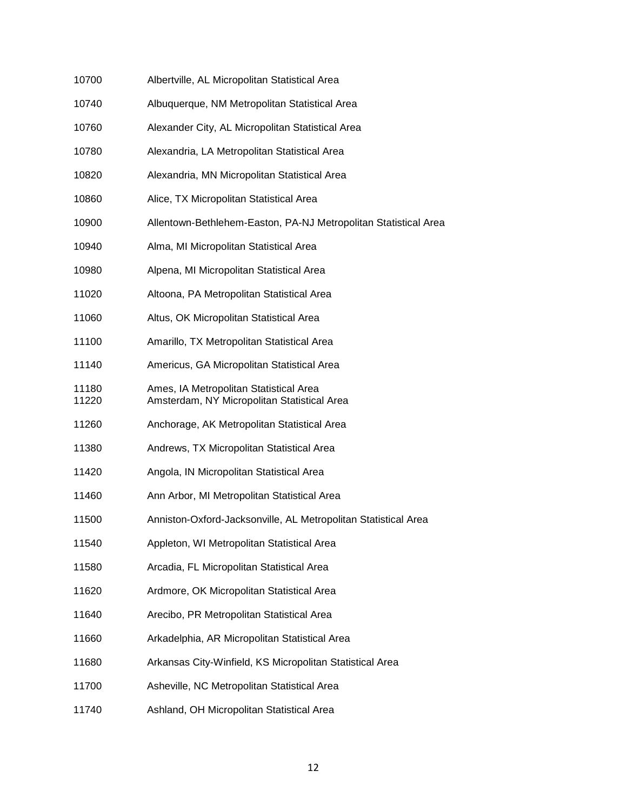| 10700          | Albertville, AL Micropolitan Statistical Area                                         |
|----------------|---------------------------------------------------------------------------------------|
| 10740          | Albuquerque, NM Metropolitan Statistical Area                                         |
| 10760          | Alexander City, AL Micropolitan Statistical Area                                      |
| 10780          | Alexandria, LA Metropolitan Statistical Area                                          |
| 10820          | Alexandria, MN Micropolitan Statistical Area                                          |
| 10860          | Alice, TX Micropolitan Statistical Area                                               |
| 10900          | Allentown-Bethlehem-Easton, PA-NJ Metropolitan Statistical Area                       |
| 10940          | Alma, MI Micropolitan Statistical Area                                                |
| 10980          | Alpena, MI Micropolitan Statistical Area                                              |
| 11020          | Altoona, PA Metropolitan Statistical Area                                             |
| 11060          | Altus, OK Micropolitan Statistical Area                                               |
| 11100          | Amarillo, TX Metropolitan Statistical Area                                            |
| 11140          | Americus, GA Micropolitan Statistical Area                                            |
| 11180<br>11220 | Ames, IA Metropolitan Statistical Area<br>Amsterdam, NY Micropolitan Statistical Area |
| 11260          | Anchorage, AK Metropolitan Statistical Area                                           |
| 11380          | Andrews, TX Micropolitan Statistical Area                                             |
| 11420          | Angola, IN Micropolitan Statistical Area                                              |
| 11460          | Ann Arbor, MI Metropolitan Statistical Area                                           |
| 11500          | Anniston-Oxford-Jacksonville, AL Metropolitan Statistical Area                        |
| 11540          | Appleton, WI Metropolitan Statistical Area                                            |
| 11580          | Arcadia, FL Micropolitan Statistical Area                                             |
| 11620          | Ardmore, OK Micropolitan Statistical Area                                             |
| 11640          | Arecibo, PR Metropolitan Statistical Area                                             |
| 11660          | Arkadelphia, AR Micropolitan Statistical Area                                         |
| 11680          | Arkansas City-Winfield, KS Micropolitan Statistical Area                              |
| 11700          | Asheville, NC Metropolitan Statistical Area                                           |
| 11740          | Ashland, OH Micropolitan Statistical Area                                             |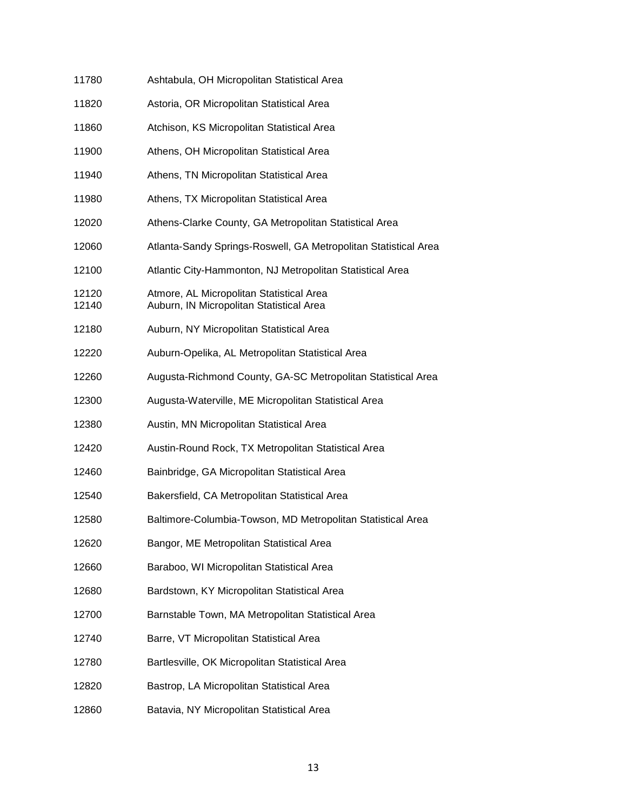| 11780          | Ashtabula, OH Micropolitan Statistical Area                                          |
|----------------|--------------------------------------------------------------------------------------|
| 11820          | Astoria, OR Micropolitan Statistical Area                                            |
| 11860          | Atchison, KS Micropolitan Statistical Area                                           |
| 11900          | Athens, OH Micropolitan Statistical Area                                             |
| 11940          | Athens, TN Micropolitan Statistical Area                                             |
| 11980          | Athens, TX Micropolitan Statistical Area                                             |
| 12020          | Athens-Clarke County, GA Metropolitan Statistical Area                               |
| 12060          | Atlanta-Sandy Springs-Roswell, GA Metropolitan Statistical Area                      |
| 12100          | Atlantic City-Hammonton, NJ Metropolitan Statistical Area                            |
| 12120<br>12140 | Atmore, AL Micropolitan Statistical Area<br>Auburn, IN Micropolitan Statistical Area |
| 12180          | Auburn, NY Micropolitan Statistical Area                                             |
| 12220          | Auburn-Opelika, AL Metropolitan Statistical Area                                     |
| 12260          | Augusta-Richmond County, GA-SC Metropolitan Statistical Area                         |
| 12300          | Augusta-Waterville, ME Micropolitan Statistical Area                                 |
| 12380          | Austin, MN Micropolitan Statistical Area                                             |
| 12420          | Austin-Round Rock, TX Metropolitan Statistical Area                                  |
| 12460          | Bainbridge, GA Micropolitan Statistical Area                                         |
| 12540          | Bakersfield, CA Metropolitan Statistical Area                                        |
| 12580          | Baltimore-Columbia-Towson, MD Metropolitan Statistical Area                          |
| 12620          | Bangor, ME Metropolitan Statistical Area                                             |
| 12660          | Baraboo, WI Micropolitan Statistical Area                                            |
| 12680          | Bardstown, KY Micropolitan Statistical Area                                          |
| 12700          | Barnstable Town, MA Metropolitan Statistical Area                                    |
| 12740          | Barre, VT Micropolitan Statistical Area                                              |
| 12780          | Bartlesville, OK Micropolitan Statistical Area                                       |
| 12820          | Bastrop, LA Micropolitan Statistical Area                                            |
| 12860          | Batavia, NY Micropolitan Statistical Area                                            |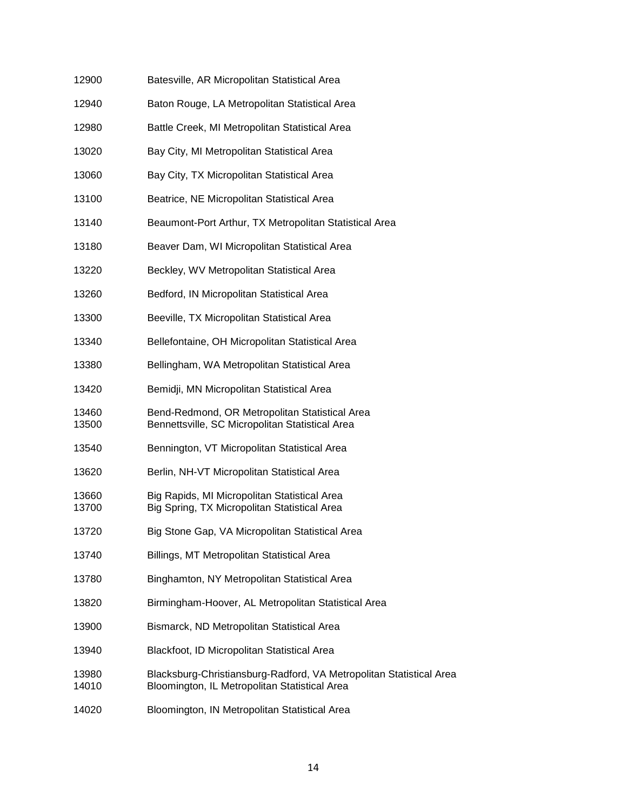| 12900          | Batesville, AR Micropolitan Statistical Area                                                                         |
|----------------|----------------------------------------------------------------------------------------------------------------------|
| 12940          | Baton Rouge, LA Metropolitan Statistical Area                                                                        |
| 12980          | Battle Creek, MI Metropolitan Statistical Area                                                                       |
| 13020          | Bay City, MI Metropolitan Statistical Area                                                                           |
| 13060          | Bay City, TX Micropolitan Statistical Area                                                                           |
| 13100          | Beatrice, NE Micropolitan Statistical Area                                                                           |
| 13140          | Beaumont-Port Arthur, TX Metropolitan Statistical Area                                                               |
| 13180          | Beaver Dam, WI Micropolitan Statistical Area                                                                         |
| 13220          | Beckley, WV Metropolitan Statistical Area                                                                            |
| 13260          | Bedford, IN Micropolitan Statistical Area                                                                            |
| 13300          | Beeville, TX Micropolitan Statistical Area                                                                           |
| 13340          | Bellefontaine, OH Micropolitan Statistical Area                                                                      |
| 13380          | Bellingham, WA Metropolitan Statistical Area                                                                         |
| 13420          | Bemidji, MN Micropolitan Statistical Area                                                                            |
| 13460<br>13500 | Bend-Redmond, OR Metropolitan Statistical Area<br>Bennettsville, SC Micropolitan Statistical Area                    |
| 13540          | Bennington, VT Micropolitan Statistical Area                                                                         |
| 13620          | Berlin, NH-VT Micropolitan Statistical Area                                                                          |
| 13660<br>13700 | Big Rapids, MI Micropolitan Statistical Area<br>Big Spring, TX Micropolitan Statistical Area                         |
| 13720          | Big Stone Gap, VA Micropolitan Statistical Area                                                                      |
| 13740          | Billings, MT Metropolitan Statistical Area                                                                           |
| 13780          | Binghamton, NY Metropolitan Statistical Area                                                                         |
| 13820          | Birmingham-Hoover, AL Metropolitan Statistical Area                                                                  |
| 13900          | Bismarck, ND Metropolitan Statistical Area                                                                           |
| 13940          | Blackfoot, ID Micropolitan Statistical Area                                                                          |
| 13980<br>14010 | Blacksburg-Christiansburg-Radford, VA Metropolitan Statistical Area<br>Bloomington, IL Metropolitan Statistical Area |
| 14020          | Bloomington, IN Metropolitan Statistical Area                                                                        |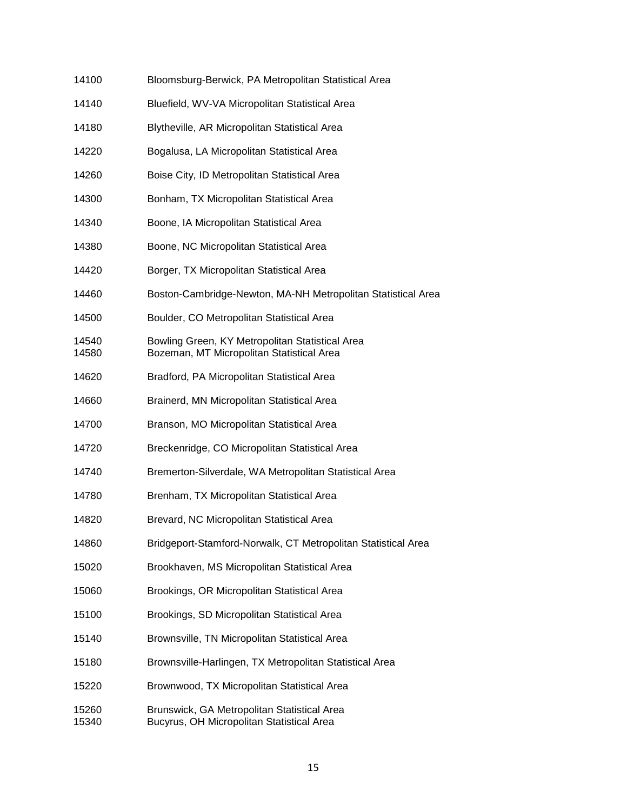| 14100 | Bloomsburg-Berwick, PA Metropolitan Statistical Area |
|-------|------------------------------------------------------|
|-------|------------------------------------------------------|

- 14140 Bluefield, WV-VA Micropolitan Statistical Area
- 14180 Blytheville, AR Micropolitan Statistical Area
- 14220 Bogalusa, LA Micropolitan Statistical Area
- 14260 Boise City, ID Metropolitan Statistical Area
- 14300 Bonham, TX Micropolitan Statistical Area
- 14340 Boone, IA Micropolitan Statistical Area
- 14380 Boone, NC Micropolitan Statistical Area
- 14420 Borger, TX Micropolitan Statistical Area
- 14460 Boston-Cambridge-Newton, MA-NH Metropolitan Statistical Area
- 14500 Boulder, CO Metropolitan Statistical Area
- 14540 Bowling Green, KY Metropolitan Statistical Area 14580 Bozeman, MT Micropolitan Statistical Area
- 
- 14620 Bradford, PA Micropolitan Statistical Area
- 14660 Brainerd, MN Micropolitan Statistical Area
- 14700 Branson, MO Micropolitan Statistical Area
- 14720 Breckenridge, CO Micropolitan Statistical Area
- 14740 Bremerton-Silverdale, WA Metropolitan Statistical Area
- 14780 Brenham, TX Micropolitan Statistical Area
- 14820 Brevard, NC Micropolitan Statistical Area
- 14860 Bridgeport-Stamford-Norwalk, CT Metropolitan Statistical Area
- 15020 Brookhaven, MS Micropolitan Statistical Area
- 15060 Brookings, OR Micropolitan Statistical Area
- 15100 Brookings, SD Micropolitan Statistical Area
- 15140 Brownsville, TN Micropolitan Statistical Area
- 15180 Brownsville-Harlingen, TX Metropolitan Statistical Area
- 15220 Brownwood, TX Micropolitan Statistical Area
- 15260 Brunswick, GA Metropolitan Statistical Area 15340 Bucyrus, OH Micropolitan Statistical Area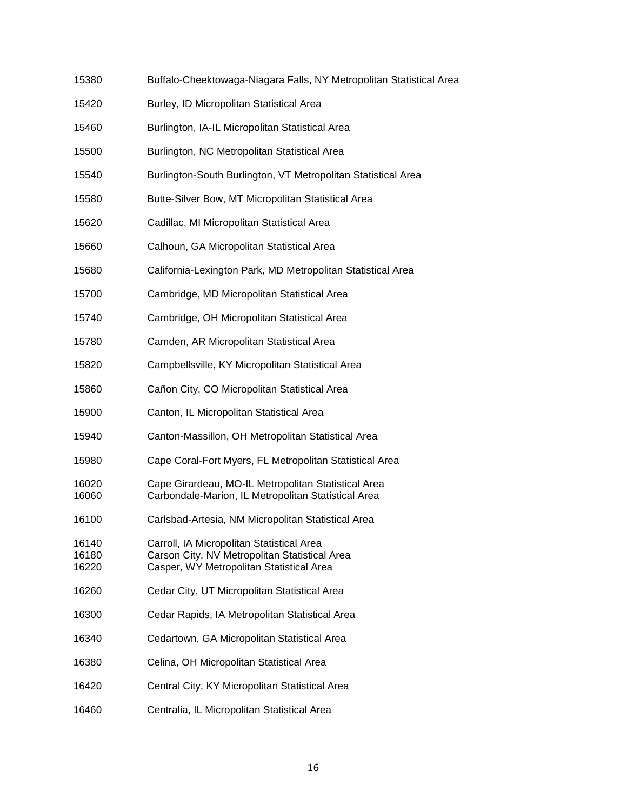- 15380 Buffalo-Cheektowaga-Niagara Falls, NY Metropolitan Statistical Area
- 15420 Burley, ID Micropolitan Statistical Area
- 15460 Burlington, IA-IL Micropolitan Statistical Area
- 15500 Burlington, NC Metropolitan Statistical Area
- 15540 Burlington-South Burlington, VT Metropolitan Statistical Area
- 15580 Butte-Silver Bow, MT Micropolitan Statistical Area
- 15620 Cadillac, MI Micropolitan Statistical Area
- 15660 Calhoun, GA Micropolitan Statistical Area
- 15680 California-Lexington Park, MD Metropolitan Statistical Area
- 15700 Cambridge, MD Micropolitan Statistical Area
- 15740 Cambridge, OH Micropolitan Statistical Area
- 15780 Camden, AR Micropolitan Statistical Area
- 15820 Campbellsville, KY Micropolitan Statistical Area
- 15860 Cañon City, CO Micropolitan Statistical Area
- 15900 Canton, IL Micropolitan Statistical Area
- 15940 Canton-Massillon, OH Metropolitan Statistical Area
- 15980 Cape Coral-Fort Myers, FL Metropolitan Statistical Area
- 16020 Cape Girardeau, MO-IL Metropolitan Statistical Area 16060 Carbondale-Marion, IL Metropolitan Statistical Area
- 16100 Carlsbad-Artesia, NM Micropolitan Statistical Area
- 16140 Carroll, IA Micropolitan Statistical Area<br>16180 Carson City, NV Metropolitan Statistica Carson City, NV Metropolitan Statistical Area
- 16220 Casper, WY Metropolitan Statistical Area
- 16260 Cedar City, UT Micropolitan Statistical Area
- 16300 Cedar Rapids, IA Metropolitan Statistical Area
- 16340 Cedartown, GA Micropolitan Statistical Area
- 16380 Celina, OH Micropolitan Statistical Area
- 16420 Central City, KY Micropolitan Statistical Area
- 16460 Centralia, IL Micropolitan Statistical Area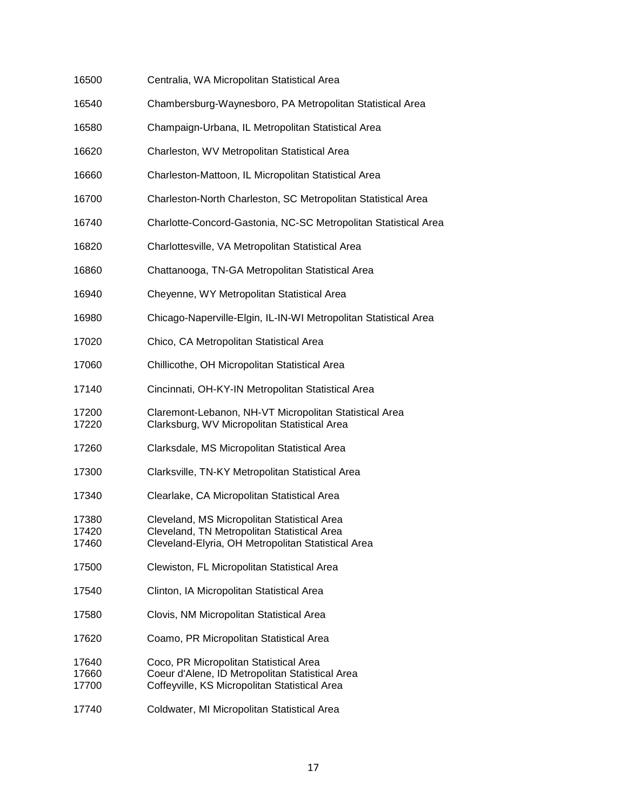| 16500                   | Centralia, WA Micropolitan Statistical Area                                                                                                      |
|-------------------------|--------------------------------------------------------------------------------------------------------------------------------------------------|
| 16540                   | Chambersburg-Waynesboro, PA Metropolitan Statistical Area                                                                                        |
| 16580                   | Champaign-Urbana, IL Metropolitan Statistical Area                                                                                               |
| 16620                   | Charleston, WV Metropolitan Statistical Area                                                                                                     |
| 16660                   | Charleston-Mattoon, IL Micropolitan Statistical Area                                                                                             |
| 16700                   | Charleston-North Charleston, SC Metropolitan Statistical Area                                                                                    |
| 16740                   | Charlotte-Concord-Gastonia, NC-SC Metropolitan Statistical Area                                                                                  |
| 16820                   | Charlottesville, VA Metropolitan Statistical Area                                                                                                |
| 16860                   | Chattanooga, TN-GA Metropolitan Statistical Area                                                                                                 |
| 16940                   | Cheyenne, WY Metropolitan Statistical Area                                                                                                       |
| 16980                   | Chicago-Naperville-Elgin, IL-IN-WI Metropolitan Statistical Area                                                                                 |
| 17020                   | Chico, CA Metropolitan Statistical Area                                                                                                          |
| 17060                   | Chillicothe, OH Micropolitan Statistical Area                                                                                                    |
| 17140                   | Cincinnati, OH-KY-IN Metropolitan Statistical Area                                                                                               |
| 17200<br>17220          | Claremont-Lebanon, NH-VT Micropolitan Statistical Area<br>Clarksburg, WV Micropolitan Statistical Area                                           |
| 17260                   | Clarksdale, MS Micropolitan Statistical Area                                                                                                     |
| 17300                   | Clarksville, TN-KY Metropolitan Statistical Area                                                                                                 |
| 17340                   | Clearlake, CA Micropolitan Statistical Area                                                                                                      |
| 17380<br>17420<br>17460 | Cleveland, MS Micropolitan Statistical Area<br>Cleveland, TN Metropolitan Statistical Area<br>Cleveland-Elyria, OH Metropolitan Statistical Area |
| 17500                   | Clewiston, FL Micropolitan Statistical Area                                                                                                      |
| 17540                   | Clinton, IA Micropolitan Statistical Area                                                                                                        |
| 17580                   | Clovis, NM Micropolitan Statistical Area                                                                                                         |
| 17620                   | Coamo, PR Micropolitan Statistical Area                                                                                                          |
| 17640<br>17660<br>17700 | Coco, PR Micropolitan Statistical Area<br>Coeur d'Alene, ID Metropolitan Statistical Area<br>Coffeyville, KS Micropolitan Statistical Area       |
| 17740                   | Coldwater, MI Micropolitan Statistical Area                                                                                                      |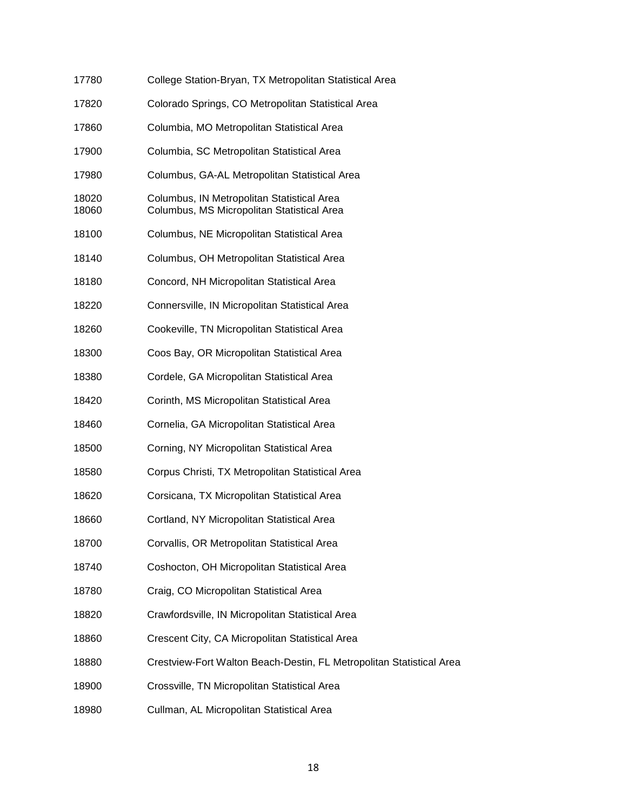| 17780          | College Station-Bryan, TX Metropolitan Statistical Area                                  |
|----------------|------------------------------------------------------------------------------------------|
| 17820          | Colorado Springs, CO Metropolitan Statistical Area                                       |
| 17860          | Columbia, MO Metropolitan Statistical Area                                               |
| 17900          | Columbia, SC Metropolitan Statistical Area                                               |
| 17980          | Columbus, GA-AL Metropolitan Statistical Area                                            |
| 18020<br>18060 | Columbus, IN Metropolitan Statistical Area<br>Columbus, MS Micropolitan Statistical Area |
| 18100          | Columbus, NE Micropolitan Statistical Area                                               |
| 18140          | Columbus, OH Metropolitan Statistical Area                                               |
| 18180          | Concord, NH Micropolitan Statistical Area                                                |
| 18220          | Connersville, IN Micropolitan Statistical Area                                           |
| 18260          | Cookeville, TN Micropolitan Statistical Area                                             |
| 18300          | Coos Bay, OR Micropolitan Statistical Area                                               |
| 18380          | Cordele, GA Micropolitan Statistical Area                                                |
| 18420          | Corinth, MS Micropolitan Statistical Area                                                |
| 18460          | Cornelia, GA Micropolitan Statistical Area                                               |
| 18500          | Corning, NY Micropolitan Statistical Area                                                |
| 18580          | Corpus Christi, TX Metropolitan Statistical Area                                         |
| 18620          | Corsicana, TX Micropolitan Statistical Area                                              |
| 18660          | Cortland, NY Micropolitan Statistical Area                                               |
| 18700          | Corvallis, OR Metropolitan Statistical Area                                              |
| 18740          | Coshocton, OH Micropolitan Statistical Area                                              |
| 18780          | Craig, CO Micropolitan Statistical Area                                                  |
| 18820          | Crawfordsville, IN Micropolitan Statistical Area                                         |
| 18860          | Crescent City, CA Micropolitan Statistical Area                                          |
| 18880          | Crestview-Fort Walton Beach-Destin, FL Metropolitan Statistical Area                     |
| 18900          | Crossville, TN Micropolitan Statistical Area                                             |
| 18980          | Cullman, AL Micropolitan Statistical Area                                                |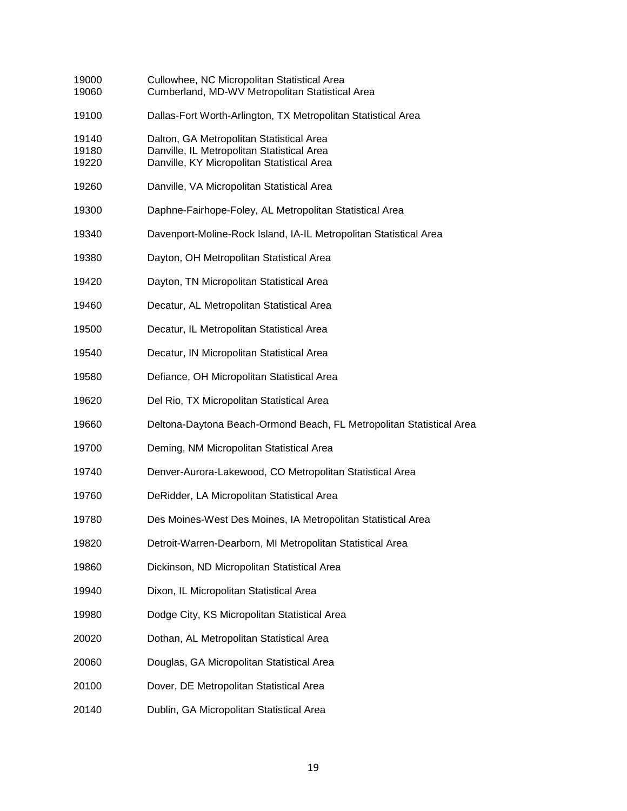| 19000<br>19060          | Cullowhee, NC Micropolitan Statistical Area<br>Cumberland, MD-WV Metropolitan Statistical Area                                       |
|-------------------------|--------------------------------------------------------------------------------------------------------------------------------------|
| 19100                   | Dallas-Fort Worth-Arlington, TX Metropolitan Statistical Area                                                                        |
| 19140<br>19180<br>19220 | Dalton, GA Metropolitan Statistical Area<br>Danville, IL Metropolitan Statistical Area<br>Danville, KY Micropolitan Statistical Area |
| 19260                   | Danville, VA Micropolitan Statistical Area                                                                                           |
| 19300                   | Daphne-Fairhope-Foley, AL Metropolitan Statistical Area                                                                              |
| 19340                   | Davenport-Moline-Rock Island, IA-IL Metropolitan Statistical Area                                                                    |
| 19380                   | Dayton, OH Metropolitan Statistical Area                                                                                             |
| 19420                   | Dayton, TN Micropolitan Statistical Area                                                                                             |
| 19460                   | Decatur, AL Metropolitan Statistical Area                                                                                            |
| 19500                   | Decatur, IL Metropolitan Statistical Area                                                                                            |
| 19540                   | Decatur, IN Micropolitan Statistical Area                                                                                            |
| 19580                   | Defiance, OH Micropolitan Statistical Area                                                                                           |
| 19620                   | Del Rio, TX Micropolitan Statistical Area                                                                                            |
| 19660                   | Deltona-Daytona Beach-Ormond Beach, FL Metropolitan Statistical Area                                                                 |
| 19700                   | Deming, NM Micropolitan Statistical Area                                                                                             |
| 19740                   | Denver-Aurora-Lakewood, CO Metropolitan Statistical Area                                                                             |
| 19760                   | DeRidder, LA Micropolitan Statistical Area                                                                                           |
| 19780                   | Des Moines-West Des Moines, IA Metropolitan Statistical Area                                                                         |
| 19820                   | Detroit-Warren-Dearborn, MI Metropolitan Statistical Area                                                                            |
| 19860                   | Dickinson, ND Micropolitan Statistical Area                                                                                          |
| 19940                   | Dixon, IL Micropolitan Statistical Area                                                                                              |
| 19980                   | Dodge City, KS Micropolitan Statistical Area                                                                                         |
| 20020                   | Dothan, AL Metropolitan Statistical Area                                                                                             |
| 20060                   | Douglas, GA Micropolitan Statistical Area                                                                                            |
| 20100                   | Dover, DE Metropolitan Statistical Area                                                                                              |
| 20140                   | Dublin, GA Micropolitan Statistical Area                                                                                             |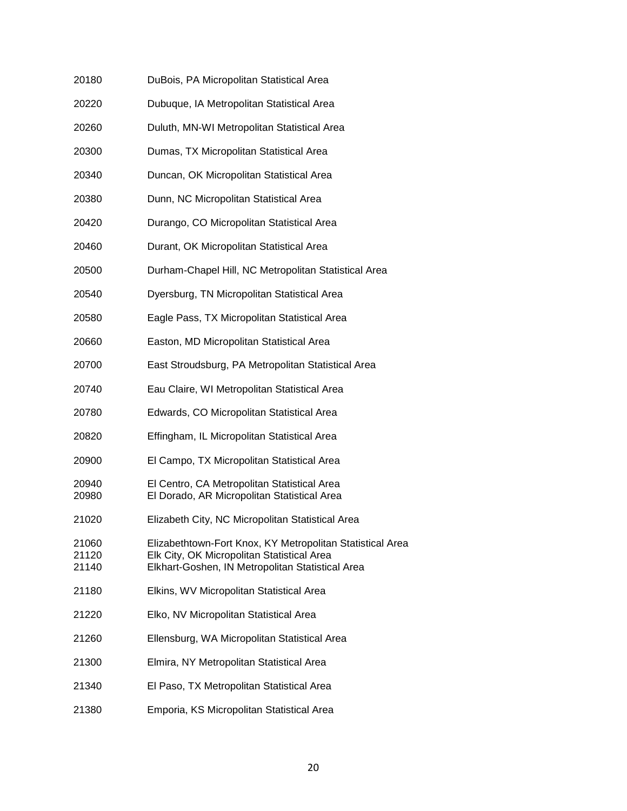| 20180                   | DuBois, PA Micropolitan Statistical Area                                                                                                                    |
|-------------------------|-------------------------------------------------------------------------------------------------------------------------------------------------------------|
| 20220                   | Dubuque, IA Metropolitan Statistical Area                                                                                                                   |
| 20260                   | Duluth, MN-WI Metropolitan Statistical Area                                                                                                                 |
| 20300                   | Dumas, TX Micropolitan Statistical Area                                                                                                                     |
| 20340                   | Duncan, OK Micropolitan Statistical Area                                                                                                                    |
| 20380                   | Dunn, NC Micropolitan Statistical Area                                                                                                                      |
| 20420                   | Durango, CO Micropolitan Statistical Area                                                                                                                   |
| 20460                   | Durant, OK Micropolitan Statistical Area                                                                                                                    |
| 20500                   | Durham-Chapel Hill, NC Metropolitan Statistical Area                                                                                                        |
| 20540                   | Dyersburg, TN Micropolitan Statistical Area                                                                                                                 |
| 20580                   | Eagle Pass, TX Micropolitan Statistical Area                                                                                                                |
| 20660                   | Easton, MD Micropolitan Statistical Area                                                                                                                    |
| 20700                   | East Stroudsburg, PA Metropolitan Statistical Area                                                                                                          |
| 20740                   | Eau Claire, WI Metropolitan Statistical Area                                                                                                                |
| 20780                   | Edwards, CO Micropolitan Statistical Area                                                                                                                   |
| 20820                   | Effingham, IL Micropolitan Statistical Area                                                                                                                 |
| 20900                   | El Campo, TX Micropolitan Statistical Area                                                                                                                  |
| 20940<br>20980          | El Centro, CA Metropolitan Statistical Area<br>El Dorado, AR Micropolitan Statistical Area                                                                  |
| 21020                   | Elizabeth City, NC Micropolitan Statistical Area                                                                                                            |
| 21060<br>21120<br>21140 | Elizabethtown-Fort Knox, KY Metropolitan Statistical Area<br>Elk City, OK Micropolitan Statistical Area<br>Elkhart-Goshen, IN Metropolitan Statistical Area |
| 21180                   | Elkins, WV Micropolitan Statistical Area                                                                                                                    |
| 21220                   | Elko, NV Micropolitan Statistical Area                                                                                                                      |
| 21260                   | Ellensburg, WA Micropolitan Statistical Area                                                                                                                |
| 21300                   | Elmira, NY Metropolitan Statistical Area                                                                                                                    |
| 21340                   | El Paso, TX Metropolitan Statistical Area                                                                                                                   |
| 21380                   | Emporia, KS Micropolitan Statistical Area                                                                                                                   |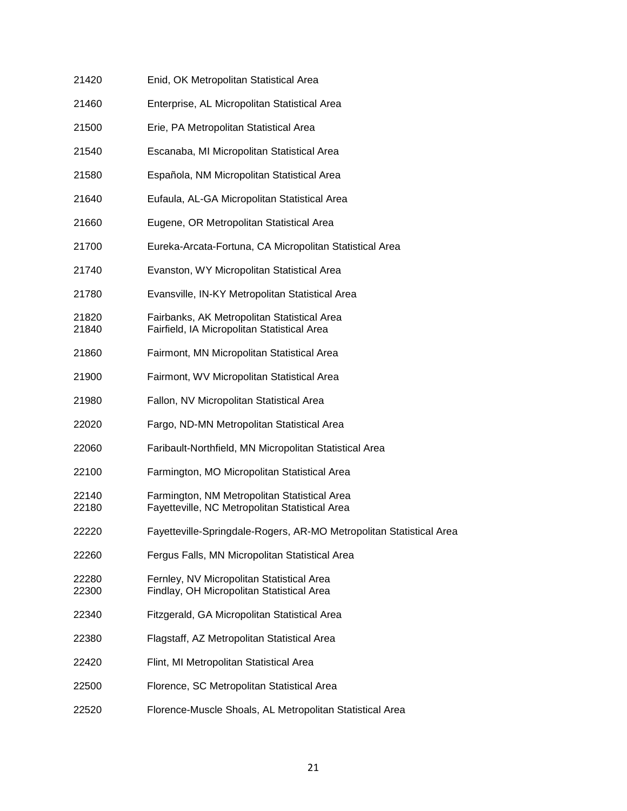| 21420          | Enid, OK Metropolitan Statistical Area                                                         |
|----------------|------------------------------------------------------------------------------------------------|
| 21460          | Enterprise, AL Micropolitan Statistical Area                                                   |
| 21500          | Erie, PA Metropolitan Statistical Area                                                         |
| 21540          | Escanaba, MI Micropolitan Statistical Area                                                     |
| 21580          | Española, NM Micropolitan Statistical Area                                                     |
| 21640          | Eufaula, AL-GA Micropolitan Statistical Area                                                   |
| 21660          | Eugene, OR Metropolitan Statistical Area                                                       |
| 21700          | Eureka-Arcata-Fortuna, CA Micropolitan Statistical Area                                        |
| 21740          | Evanston, WY Micropolitan Statistical Area                                                     |
| 21780          | Evansville, IN-KY Metropolitan Statistical Area                                                |
| 21820<br>21840 | Fairbanks, AK Metropolitan Statistical Area<br>Fairfield, IA Micropolitan Statistical Area     |
| 21860          | Fairmont, MN Micropolitan Statistical Area                                                     |
| 21900          | Fairmont, WV Micropolitan Statistical Area                                                     |
| 21980          | Fallon, NV Micropolitan Statistical Area                                                       |
| 22020          | Fargo, ND-MN Metropolitan Statistical Area                                                     |
| 22060          | Faribault-Northfield, MN Micropolitan Statistical Area                                         |
| 22100          | Farmington, MO Micropolitan Statistical Area                                                   |
| 22140<br>22180 | Farmington, NM Metropolitan Statistical Area<br>Fayetteville, NC Metropolitan Statistical Area |
| 22220          | Fayetteville-Springdale-Rogers, AR-MO Metropolitan Statistical Area                            |
| 22260          | Fergus Falls, MN Micropolitan Statistical Area                                                 |
| 22280<br>22300 | Fernley, NV Micropolitan Statistical Area<br>Findlay, OH Micropolitan Statistical Area         |
| 22340          | Fitzgerald, GA Micropolitan Statistical Area                                                   |
| 22380          | Flagstaff, AZ Metropolitan Statistical Area                                                    |
| 22420          | Flint, MI Metropolitan Statistical Area                                                        |
| 22500          | Florence, SC Metropolitan Statistical Area                                                     |
| 22520          | Florence-Muscle Shoals, AL Metropolitan Statistical Area                                       |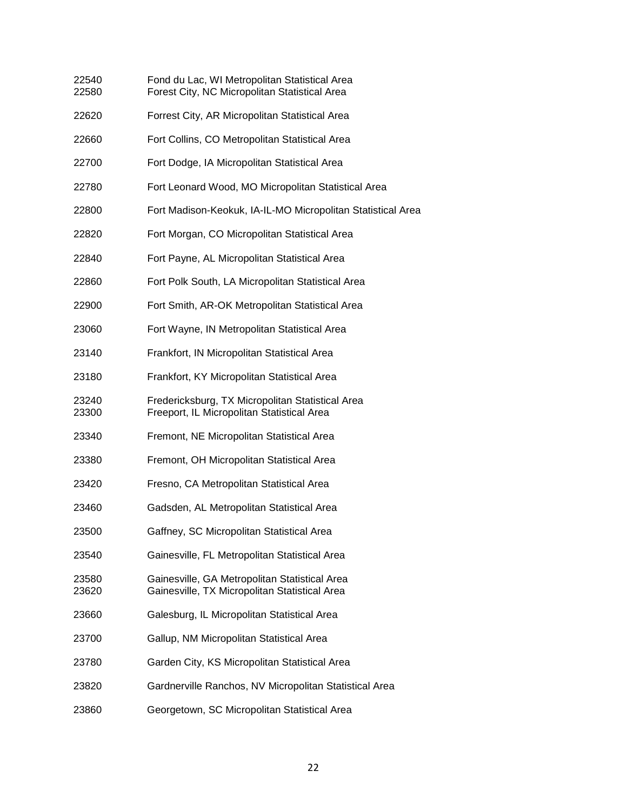| 22540<br>22580 | Fond du Lac, WI Metropolitan Statistical Area<br>Forest City, NC Micropolitan Statistical Area |
|----------------|------------------------------------------------------------------------------------------------|
| 22620          | Forrest City, AR Micropolitan Statistical Area                                                 |
| 22660          | Fort Collins, CO Metropolitan Statistical Area                                                 |
| 22700          | Fort Dodge, IA Micropolitan Statistical Area                                                   |
| 22780          | Fort Leonard Wood, MO Micropolitan Statistical Area                                            |
| 22800          | Fort Madison-Keokuk, IA-IL-MO Micropolitan Statistical Area                                    |
| 22820          | Fort Morgan, CO Micropolitan Statistical Area                                                  |
| 22840          | Fort Payne, AL Micropolitan Statistical Area                                                   |
| 22860          | Fort Polk South, LA Micropolitan Statistical Area                                              |
| 22900          | Fort Smith, AR-OK Metropolitan Statistical Area                                                |
| 23060          | Fort Wayne, IN Metropolitan Statistical Area                                                   |
| 23140          | Frankfort, IN Micropolitan Statistical Area                                                    |
| 23180          | Frankfort, KY Micropolitan Statistical Area                                                    |
| 23240<br>23300 | Fredericksburg, TX Micropolitan Statistical Area<br>Freeport, IL Micropolitan Statistical Area |
| 23340          | Fremont, NE Micropolitan Statistical Area                                                      |
| 23380          | Fremont, OH Micropolitan Statistical Area                                                      |
| 23420          | Fresno, CA Metropolitan Statistical Area                                                       |
| 23460          | Gadsden, AL Metropolitan Statistical Area                                                      |
| 23500          | Gaffney, SC Micropolitan Statistical Area                                                      |
| 23540          | Gainesville, FL Metropolitan Statistical Area                                                  |
| 23580<br>23620 | Gainesville, GA Metropolitan Statistical Area<br>Gainesville, TX Micropolitan Statistical Area |
| 23660          | Galesburg, IL Micropolitan Statistical Area                                                    |
| 23700          | Gallup, NM Micropolitan Statistical Area                                                       |
| 23780          | Garden City, KS Micropolitan Statistical Area                                                  |
| 23820          | Gardnerville Ranchos, NV Micropolitan Statistical Area                                         |
| 23860          | Georgetown, SC Micropolitan Statistical Area                                                   |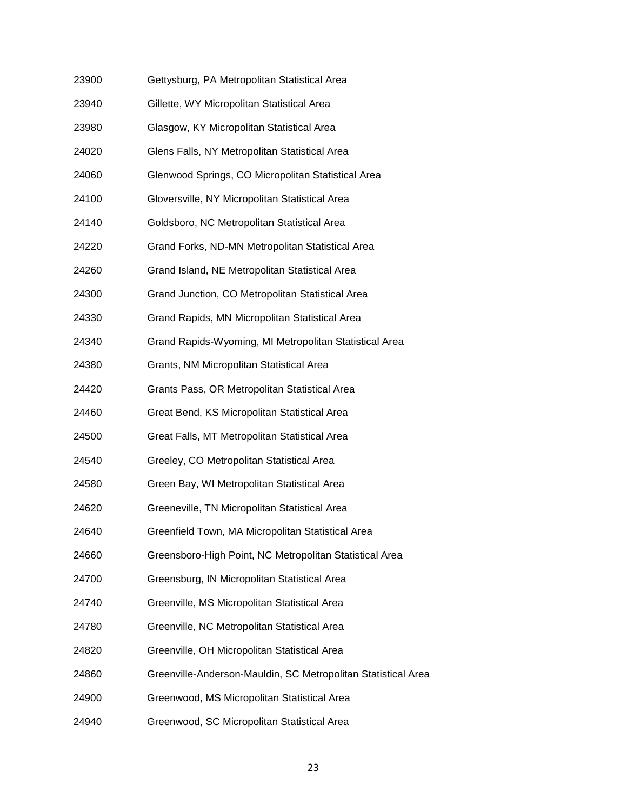| 23900 | Gettysburg, PA Metropolitan Statistical Area                  |
|-------|---------------------------------------------------------------|
| 23940 | Gillette, WY Micropolitan Statistical Area                    |
| 23980 | Glasgow, KY Micropolitan Statistical Area                     |
| 24020 | Glens Falls, NY Metropolitan Statistical Area                 |
| 24060 | Glenwood Springs, CO Micropolitan Statistical Area            |
| 24100 | Gloversville, NY Micropolitan Statistical Area                |
| 24140 | Goldsboro, NC Metropolitan Statistical Area                   |
| 24220 | Grand Forks, ND-MN Metropolitan Statistical Area              |
| 24260 | Grand Island, NE Metropolitan Statistical Area                |
| 24300 | Grand Junction, CO Metropolitan Statistical Area              |
| 24330 | Grand Rapids, MN Micropolitan Statistical Area                |
| 24340 | Grand Rapids-Wyoming, MI Metropolitan Statistical Area        |
| 24380 | Grants, NM Micropolitan Statistical Area                      |
| 24420 | Grants Pass, OR Metropolitan Statistical Area                 |
| 24460 | Great Bend, KS Micropolitan Statistical Area                  |
| 24500 | Great Falls, MT Metropolitan Statistical Area                 |
| 24540 | Greeley, CO Metropolitan Statistical Area                     |
| 24580 | Green Bay, WI Metropolitan Statistical Area                   |
| 24620 | Greeneville, TN Micropolitan Statistical Area                 |
| 24640 | Greenfield Town, MA Micropolitan Statistical Area             |
| 24660 | Greensboro-High Point, NC Metropolitan Statistical Area       |
| 24700 | Greensburg, IN Micropolitan Statistical Area                  |
| 24740 | Greenville, MS Micropolitan Statistical Area                  |
| 24780 | Greenville, NC Metropolitan Statistical Area                  |
| 24820 | Greenville, OH Micropolitan Statistical Area                  |
| 24860 | Greenville-Anderson-Mauldin, SC Metropolitan Statistical Area |
| 24900 | Greenwood, MS Micropolitan Statistical Area                   |
| 24940 | Greenwood, SC Micropolitan Statistical Area                   |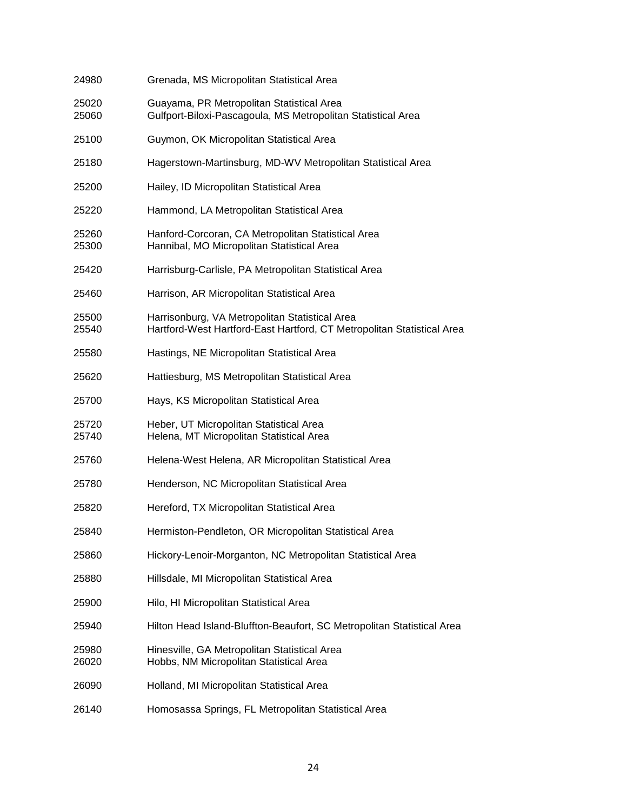| 24980          | Grenada, MS Micropolitan Statistical Area                                                                                |
|----------------|--------------------------------------------------------------------------------------------------------------------------|
| 25020<br>25060 | Guayama, PR Metropolitan Statistical Area<br>Gulfport-Biloxi-Pascagoula, MS Metropolitan Statistical Area                |
| 25100          | Guymon, OK Micropolitan Statistical Area                                                                                 |
| 25180          | Hagerstown-Martinsburg, MD-WV Metropolitan Statistical Area                                                              |
| 25200          | Hailey, ID Micropolitan Statistical Area                                                                                 |
| 25220          | Hammond, LA Metropolitan Statistical Area                                                                                |
| 25260<br>25300 | Hanford-Corcoran, CA Metropolitan Statistical Area<br>Hannibal, MO Micropolitan Statistical Area                         |
| 25420          | Harrisburg-Carlisle, PA Metropolitan Statistical Area                                                                    |
| 25460          | Harrison, AR Micropolitan Statistical Area                                                                               |
| 25500<br>25540 | Harrisonburg, VA Metropolitan Statistical Area<br>Hartford-West Hartford-East Hartford, CT Metropolitan Statistical Area |
| 25580          | Hastings, NE Micropolitan Statistical Area                                                                               |
| 25620          | Hattiesburg, MS Metropolitan Statistical Area                                                                            |
| 25700          | Hays, KS Micropolitan Statistical Area                                                                                   |
| 25720<br>25740 | Heber, UT Micropolitan Statistical Area<br>Helena, MT Micropolitan Statistical Area                                      |
| 25760          | Helena-West Helena, AR Micropolitan Statistical Area                                                                     |
| 25780          | Henderson, NC Micropolitan Statistical Area                                                                              |
| 25820          | Hereford, TX Micropolitan Statistical Area                                                                               |
| 25840          | Hermiston-Pendleton, OR Micropolitan Statistical Area                                                                    |
| 25860          | Hickory-Lenoir-Morganton, NC Metropolitan Statistical Area                                                               |
| 25880          | Hillsdale, MI Micropolitan Statistical Area                                                                              |
| 25900          | Hilo, HI Micropolitan Statistical Area                                                                                   |
| 25940          | Hilton Head Island-Bluffton-Beaufort, SC Metropolitan Statistical Area                                                   |
| 25980<br>26020 | Hinesville, GA Metropolitan Statistical Area<br>Hobbs, NM Micropolitan Statistical Area                                  |
| 26090          | Holland, MI Micropolitan Statistical Area                                                                                |
| 26140          | Homosassa Springs, FL Metropolitan Statistical Area                                                                      |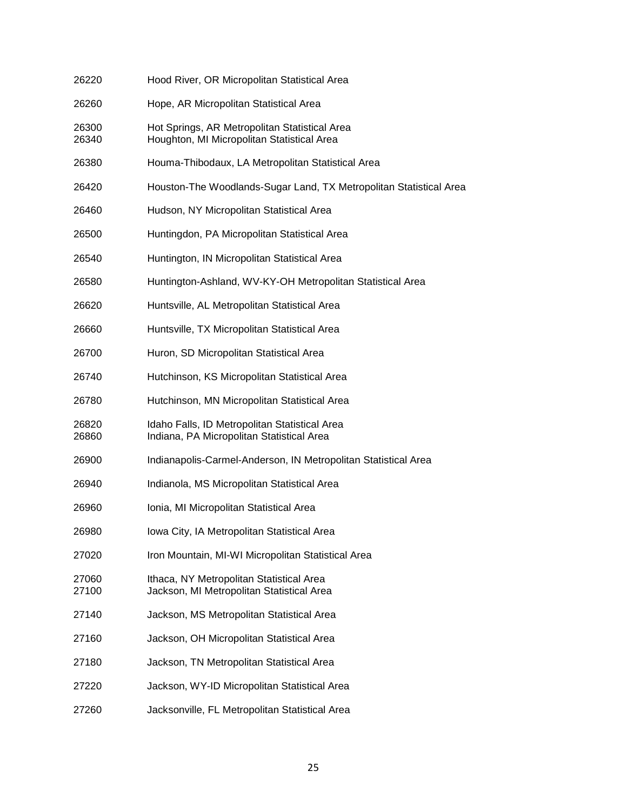| 26220          | Hood River, OR Micropolitan Statistical Area                                                |
|----------------|---------------------------------------------------------------------------------------------|
| 26260          | Hope, AR Micropolitan Statistical Area                                                      |
| 26300<br>26340 | Hot Springs, AR Metropolitan Statistical Area<br>Houghton, MI Micropolitan Statistical Area |
| 26380          | Houma-Thibodaux, LA Metropolitan Statistical Area                                           |
| 26420          | Houston-The Woodlands-Sugar Land, TX Metropolitan Statistical Area                          |
| 26460          | Hudson, NY Micropolitan Statistical Area                                                    |
| 26500          | Huntingdon, PA Micropolitan Statistical Area                                                |
| 26540          | Huntington, IN Micropolitan Statistical Area                                                |
| 26580          | Huntington-Ashland, WV-KY-OH Metropolitan Statistical Area                                  |
| 26620          | Huntsville, AL Metropolitan Statistical Area                                                |
| 26660          | Huntsville, TX Micropolitan Statistical Area                                                |
| 26700          | Huron, SD Micropolitan Statistical Area                                                     |
| 26740          | Hutchinson, KS Micropolitan Statistical Area                                                |
| 26780          | Hutchinson, MN Micropolitan Statistical Area                                                |
| 26820<br>26860 | Idaho Falls, ID Metropolitan Statistical Area<br>Indiana, PA Micropolitan Statistical Area  |
| 26900          | Indianapolis-Carmel-Anderson, IN Metropolitan Statistical Area                              |
| 26940          | Indianola, MS Micropolitan Statistical Area                                                 |
| 26960          | Ionia, MI Micropolitan Statistical Area                                                     |
| 26980          | Iowa City, IA Metropolitan Statistical Area                                                 |
| 27020          | Iron Mountain, MI-WI Micropolitan Statistical Area                                          |
| 27060<br>27100 | Ithaca, NY Metropolitan Statistical Area<br>Jackson, MI Metropolitan Statistical Area       |
| 27140          | Jackson, MS Metropolitan Statistical Area                                                   |
| 27160          | Jackson, OH Micropolitan Statistical Area                                                   |
| 27180          | Jackson, TN Metropolitan Statistical Area                                                   |
| 27220          | Jackson, WY-ID Micropolitan Statistical Area                                                |
| 27260          | Jacksonville, FL Metropolitan Statistical Area                                              |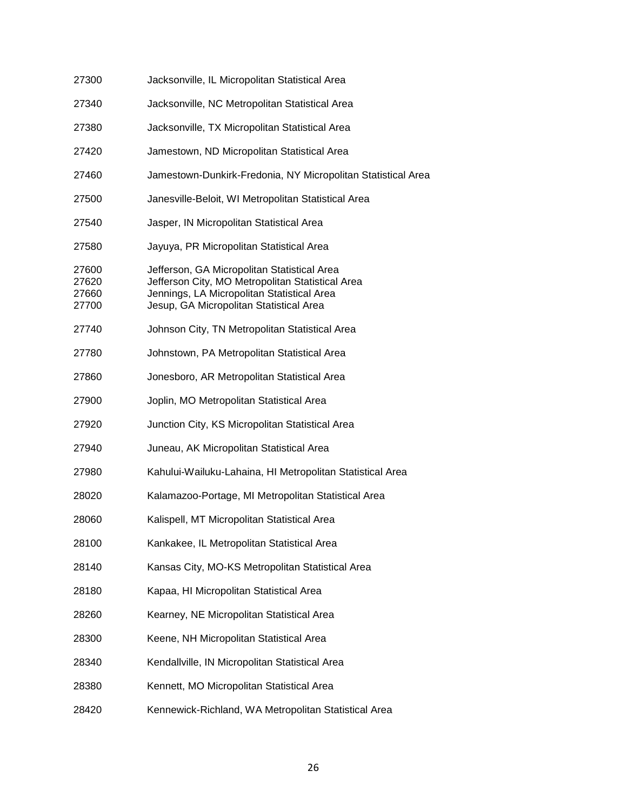| 27300                            | Jacksonville, IL Micropolitan Statistical Area                                                                                                                                           |
|----------------------------------|------------------------------------------------------------------------------------------------------------------------------------------------------------------------------------------|
| 27340                            | Jacksonville, NC Metropolitan Statistical Area                                                                                                                                           |
| 27380                            | Jacksonville, TX Micropolitan Statistical Area                                                                                                                                           |
| 27420                            | Jamestown, ND Micropolitan Statistical Area                                                                                                                                              |
| 27460                            | Jamestown-Dunkirk-Fredonia, NY Micropolitan Statistical Area                                                                                                                             |
| 27500                            | Janesville-Beloit, WI Metropolitan Statistical Area                                                                                                                                      |
| 27540                            | Jasper, IN Micropolitan Statistical Area                                                                                                                                                 |
| 27580                            | Jayuya, PR Micropolitan Statistical Area                                                                                                                                                 |
| 27600<br>27620<br>27660<br>27700 | Jefferson, GA Micropolitan Statistical Area<br>Jefferson City, MO Metropolitan Statistical Area<br>Jennings, LA Micropolitan Statistical Area<br>Jesup, GA Micropolitan Statistical Area |
| 27740                            | Johnson City, TN Metropolitan Statistical Area                                                                                                                                           |
| 27780                            | Johnstown, PA Metropolitan Statistical Area                                                                                                                                              |
| 27860                            | Jonesboro, AR Metropolitan Statistical Area                                                                                                                                              |
| 27900                            | Joplin, MO Metropolitan Statistical Area                                                                                                                                                 |
| 27920                            | Junction City, KS Micropolitan Statistical Area                                                                                                                                          |
| 27940                            | Juneau, AK Micropolitan Statistical Area                                                                                                                                                 |
| 27980                            | Kahului-Wailuku-Lahaina, HI Metropolitan Statistical Area                                                                                                                                |
| 28020                            | Kalamazoo-Portage, MI Metropolitan Statistical Area                                                                                                                                      |
| 28060                            | Kalispell, MT Micropolitan Statistical Area                                                                                                                                              |
| 28100                            | Kankakee, IL Metropolitan Statistical Area                                                                                                                                               |
| 28140                            | Kansas City, MO-KS Metropolitan Statistical Area                                                                                                                                         |
| 28180                            | Kapaa, HI Micropolitan Statistical Area                                                                                                                                                  |
| 28260                            | Kearney, NE Micropolitan Statistical Area                                                                                                                                                |
| 28300                            | Keene, NH Micropolitan Statistical Area                                                                                                                                                  |
| 28340                            | Kendallville, IN Micropolitan Statistical Area                                                                                                                                           |
| 28380                            | Kennett, MO Micropolitan Statistical Area                                                                                                                                                |
| 28420                            | Kennewick-Richland, WA Metropolitan Statistical Area                                                                                                                                     |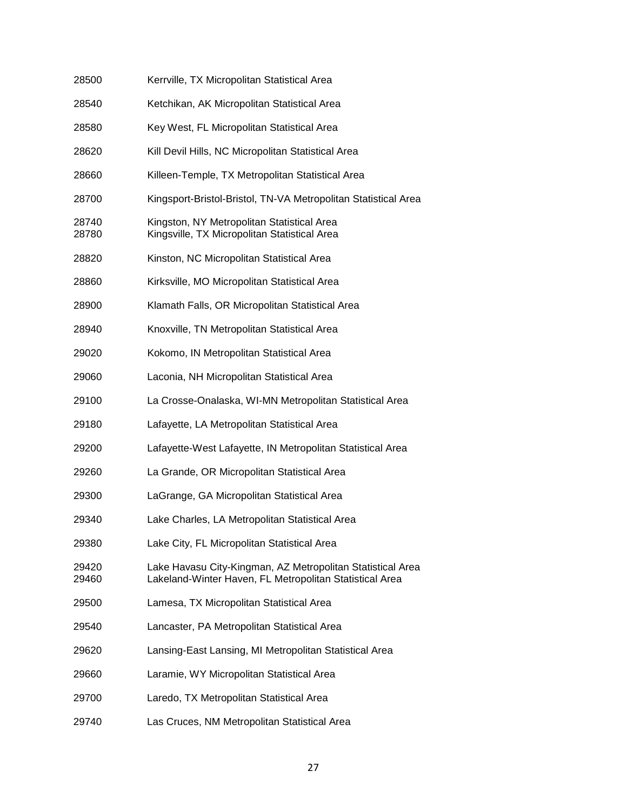| 28500          | Kerrville, TX Micropolitan Statistical Area                                                                           |
|----------------|-----------------------------------------------------------------------------------------------------------------------|
| 28540          | Ketchikan, AK Micropolitan Statistical Area                                                                           |
| 28580          | Key West, FL Micropolitan Statistical Area                                                                            |
| 28620          | Kill Devil Hills, NC Micropolitan Statistical Area                                                                    |
| 28660          | Killeen-Temple, TX Metropolitan Statistical Area                                                                      |
| 28700          | Kingsport-Bristol-Bristol, TN-VA Metropolitan Statistical Area                                                        |
| 28740<br>28780 | Kingston, NY Metropolitan Statistical Area<br>Kingsville, TX Micropolitan Statistical Area                            |
| 28820          | Kinston, NC Micropolitan Statistical Area                                                                             |
| 28860          | Kirksville, MO Micropolitan Statistical Area                                                                          |
| 28900          | Klamath Falls, OR Micropolitan Statistical Area                                                                       |
| 28940          | Knoxville, TN Metropolitan Statistical Area                                                                           |
| 29020          | Kokomo, IN Metropolitan Statistical Area                                                                              |
| 29060          | Laconia, NH Micropolitan Statistical Area                                                                             |
| 29100          | La Crosse-Onalaska, WI-MN Metropolitan Statistical Area                                                               |
| 29180          | Lafayette, LA Metropolitan Statistical Area                                                                           |
| 29200          | Lafayette-West Lafayette, IN Metropolitan Statistical Area                                                            |
| 29260          | La Grande, OR Micropolitan Statistical Area                                                                           |
| 29300          | LaGrange, GA Micropolitan Statistical Area                                                                            |
| 29340          | Lake Charles, LA Metropolitan Statistical Area                                                                        |
| 29380          | Lake City, FL Micropolitan Statistical Area                                                                           |
| 29420<br>29460 | Lake Havasu City-Kingman, AZ Metropolitan Statistical Area<br>Lakeland-Winter Haven, FL Metropolitan Statistical Area |
| 29500          | Lamesa, TX Micropolitan Statistical Area                                                                              |
| 29540          | Lancaster, PA Metropolitan Statistical Area                                                                           |
| 29620          | Lansing-East Lansing, MI Metropolitan Statistical Area                                                                |
| 29660          | Laramie, WY Micropolitan Statistical Area                                                                             |
| 29700          | Laredo, TX Metropolitan Statistical Area                                                                              |
| 29740          | Las Cruces, NM Metropolitan Statistical Area                                                                          |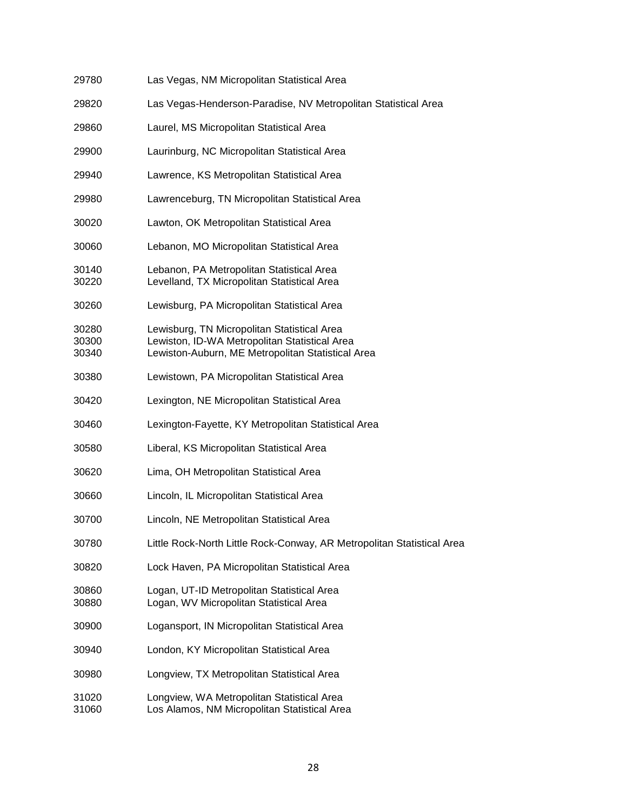| 29780                   | Las Vegas, NM Micropolitan Statistical Area                                                                                                       |
|-------------------------|---------------------------------------------------------------------------------------------------------------------------------------------------|
| 29820                   | Las Vegas-Henderson-Paradise, NV Metropolitan Statistical Area                                                                                    |
| 29860                   | Laurel, MS Micropolitan Statistical Area                                                                                                          |
| 29900                   | Laurinburg, NC Micropolitan Statistical Area                                                                                                      |
| 29940                   | Lawrence, KS Metropolitan Statistical Area                                                                                                        |
| 29980                   | Lawrenceburg, TN Micropolitan Statistical Area                                                                                                    |
| 30020                   | Lawton, OK Metropolitan Statistical Area                                                                                                          |
| 30060                   | Lebanon, MO Micropolitan Statistical Area                                                                                                         |
| 30140<br>30220          | Lebanon, PA Metropolitan Statistical Area<br>Levelland, TX Micropolitan Statistical Area                                                          |
| 30260                   | Lewisburg, PA Micropolitan Statistical Area                                                                                                       |
| 30280<br>30300<br>30340 | Lewisburg, TN Micropolitan Statistical Area<br>Lewiston, ID-WA Metropolitan Statistical Area<br>Lewiston-Auburn, ME Metropolitan Statistical Area |
| 30380                   | Lewistown, PA Micropolitan Statistical Area                                                                                                       |
| 30420                   | Lexington, NE Micropolitan Statistical Area                                                                                                       |
| 30460                   | Lexington-Fayette, KY Metropolitan Statistical Area                                                                                               |
| 30580                   | Liberal, KS Micropolitan Statistical Area                                                                                                         |
| 30620                   | Lima, OH Metropolitan Statistical Area                                                                                                            |
| 30660                   | Lincoln, IL Micropolitan Statistical Area                                                                                                         |
| 30700                   | Lincoln, NE Metropolitan Statistical Area                                                                                                         |
| 30780                   | Little Rock-North Little Rock-Conway, AR Metropolitan Statistical Area                                                                            |
| 30820                   | Lock Haven, PA Micropolitan Statistical Area                                                                                                      |
| 30860<br>30880          | Logan, UT-ID Metropolitan Statistical Area<br>Logan, WV Micropolitan Statistical Area                                                             |
| 30900                   | Logansport, IN Micropolitan Statistical Area                                                                                                      |
| 30940                   | London, KY Micropolitan Statistical Area                                                                                                          |
| 30980                   | Longview, TX Metropolitan Statistical Area                                                                                                        |
| 31020<br>31060          | Longview, WA Metropolitan Statistical Area<br>Los Alamos, NM Micropolitan Statistical Area                                                        |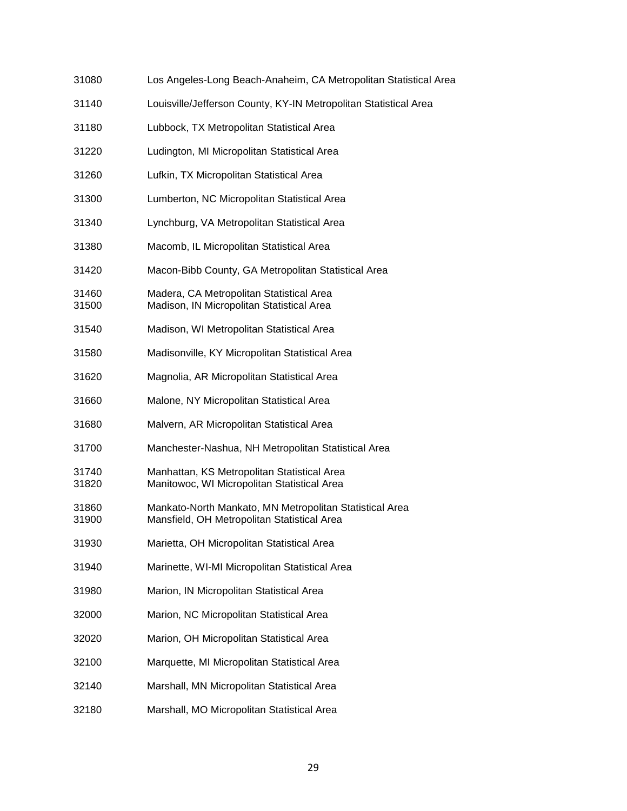| 31080          | Los Angeles-Long Beach-Anaheim, CA Metropolitan Statistical Area                                       |
|----------------|--------------------------------------------------------------------------------------------------------|
| 31140          | Louisville/Jefferson County, KY-IN Metropolitan Statistical Area                                       |
| 31180          | Lubbock, TX Metropolitan Statistical Area                                                              |
| 31220          | Ludington, MI Micropolitan Statistical Area                                                            |
| 31260          | Lufkin, TX Micropolitan Statistical Area                                                               |
| 31300          | Lumberton, NC Micropolitan Statistical Area                                                            |
| 31340          | Lynchburg, VA Metropolitan Statistical Area                                                            |
| 31380          | Macomb, IL Micropolitan Statistical Area                                                               |
| 31420          | Macon-Bibb County, GA Metropolitan Statistical Area                                                    |
| 31460<br>31500 | Madera, CA Metropolitan Statistical Area<br>Madison, IN Micropolitan Statistical Area                  |
| 31540          | Madison, WI Metropolitan Statistical Area                                                              |
| 31580          | Madisonville, KY Micropolitan Statistical Area                                                         |
| 31620          | Magnolia, AR Micropolitan Statistical Area                                                             |
| 31660          | Malone, NY Micropolitan Statistical Area                                                               |
| 31680          | Malvern, AR Micropolitan Statistical Area                                                              |
| 31700          | Manchester-Nashua, NH Metropolitan Statistical Area                                                    |
| 31740<br>31820 | Manhattan, KS Metropolitan Statistical Area<br>Manitowoc, WI Micropolitan Statistical Area             |
| 31860<br>31900 | Mankato-North Mankato, MN Metropolitan Statistical Area<br>Mansfield, OH Metropolitan Statistical Area |
| 31930          | Marietta, OH Micropolitan Statistical Area                                                             |
| 31940          | Marinette, WI-MI Micropolitan Statistical Area                                                         |
| 31980          | Marion, IN Micropolitan Statistical Area                                                               |
| 32000          | Marion, NC Micropolitan Statistical Area                                                               |
| 32020          | Marion, OH Micropolitan Statistical Area                                                               |
| 32100          | Marquette, MI Micropolitan Statistical Area                                                            |
| 32140          | Marshall, MN Micropolitan Statistical Area                                                             |
| 32180          | Marshall, MO Micropolitan Statistical Area                                                             |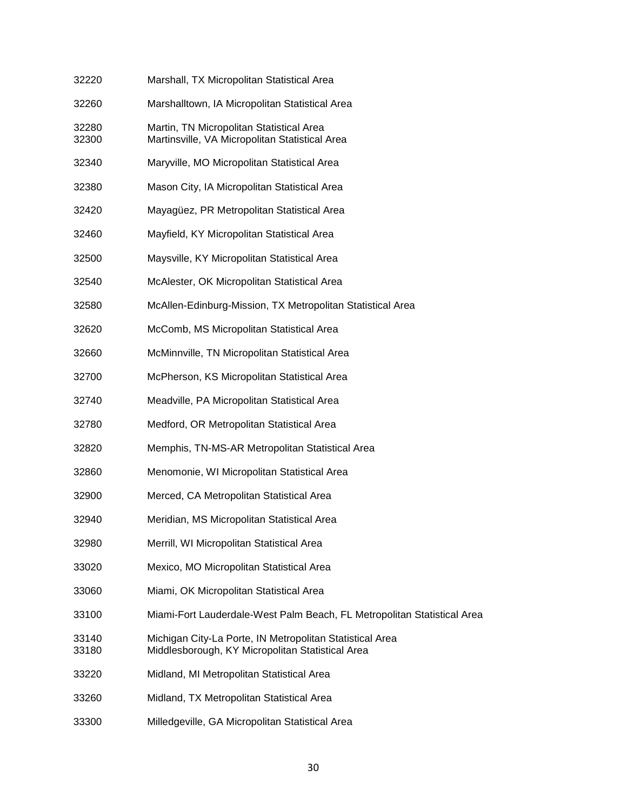| 32220          | Marshall, TX Micropolitan Statistical Area                                                                   |
|----------------|--------------------------------------------------------------------------------------------------------------|
| 32260          | Marshalltown, IA Micropolitan Statistical Area                                                               |
| 32280<br>32300 | Martin, TN Micropolitan Statistical Area<br>Martinsville, VA Micropolitan Statistical Area                   |
| 32340          | Maryville, MO Micropolitan Statistical Area                                                                  |
| 32380          | Mason City, IA Micropolitan Statistical Area                                                                 |
| 32420          | Mayagüez, PR Metropolitan Statistical Area                                                                   |
| 32460          | Mayfield, KY Micropolitan Statistical Area                                                                   |
| 32500          | Maysville, KY Micropolitan Statistical Area                                                                  |
| 32540          | McAlester, OK Micropolitan Statistical Area                                                                  |
| 32580          | McAllen-Edinburg-Mission, TX Metropolitan Statistical Area                                                   |
| 32620          | McComb, MS Micropolitan Statistical Area                                                                     |
| 32660          | McMinnville, TN Micropolitan Statistical Area                                                                |
| 32700          | McPherson, KS Micropolitan Statistical Area                                                                  |
| 32740          | Meadville, PA Micropolitan Statistical Area                                                                  |
| 32780          | Medford, OR Metropolitan Statistical Area                                                                    |
| 32820          | Memphis, TN-MS-AR Metropolitan Statistical Area                                                              |
| 32860          | Menomonie, WI Micropolitan Statistical Area                                                                  |
| 32900          | Merced, CA Metropolitan Statistical Area                                                                     |
| 32940          | Meridian, MS Micropolitan Statistical Area                                                                   |
| 32980          | Merrill, WI Micropolitan Statistical Area                                                                    |
| 33020          | Mexico, MO Micropolitan Statistical Area                                                                     |
| 33060          | Miami, OK Micropolitan Statistical Area                                                                      |
| 33100          | Miami-Fort Lauderdale-West Palm Beach, FL Metropolitan Statistical Area                                      |
| 33140<br>33180 | Michigan City-La Porte, IN Metropolitan Statistical Area<br>Middlesborough, KY Micropolitan Statistical Area |
| 33220          | Midland, MI Metropolitan Statistical Area                                                                    |
| 33260          | Midland, TX Metropolitan Statistical Area                                                                    |
| 33300          | Milledgeville, GA Micropolitan Statistical Area                                                              |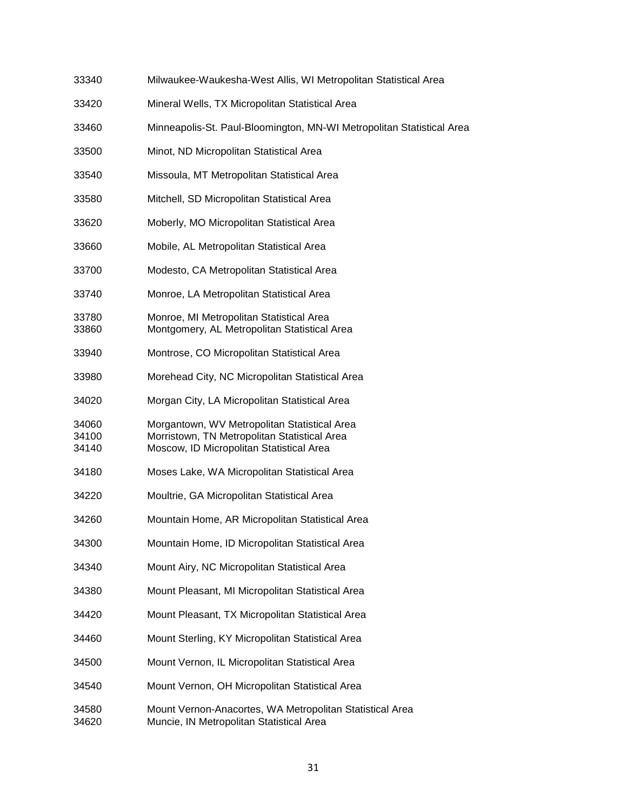| 33340                   | Milwaukee-Waukesha-West Allis, WI Metropolitan Statistical Area                                                                          |
|-------------------------|------------------------------------------------------------------------------------------------------------------------------------------|
| 33420                   | Mineral Wells, TX Micropolitan Statistical Area                                                                                          |
| 33460                   | Minneapolis-St. Paul-Bloomington, MN-WI Metropolitan Statistical Area                                                                    |
| 33500                   | Minot, ND Micropolitan Statistical Area                                                                                                  |
| 33540                   | Missoula, MT Metropolitan Statistical Area                                                                                               |
| 33580                   | Mitchell, SD Micropolitan Statistical Area                                                                                               |
| 33620                   | Moberly, MO Micropolitan Statistical Area                                                                                                |
| 33660                   | Mobile, AL Metropolitan Statistical Area                                                                                                 |
| 33700                   | Modesto, CA Metropolitan Statistical Area                                                                                                |
| 33740                   | Monroe, LA Metropolitan Statistical Area                                                                                                 |
| 33780<br>33860          | Monroe, MI Metropolitan Statistical Area<br>Montgomery, AL Metropolitan Statistical Area                                                 |
| 33940                   | Montrose, CO Micropolitan Statistical Area                                                                                               |
| 33980                   | Morehead City, NC Micropolitan Statistical Area                                                                                          |
| 34020                   | Morgan City, LA Micropolitan Statistical Area                                                                                            |
| 34060<br>34100<br>34140 | Morgantown, WV Metropolitan Statistical Area<br>Morristown, TN Metropolitan Statistical Area<br>Moscow, ID Micropolitan Statistical Area |
| 34180                   | Moses Lake, WA Micropolitan Statistical Area                                                                                             |
| 34220                   | Moultrie, GA Micropolitan Statistical Area                                                                                               |
| 34260                   | Mountain Home, AR Micropolitan Statistical Area                                                                                          |
| 34300                   | Mountain Home, ID Micropolitan Statistical Area                                                                                          |
| 34340                   | Mount Airy, NC Micropolitan Statistical Area                                                                                             |
| 34380                   | Mount Pleasant, MI Micropolitan Statistical Area                                                                                         |
| 34420                   | Mount Pleasant, TX Micropolitan Statistical Area                                                                                         |
| 34460                   | Mount Sterling, KY Micropolitan Statistical Area                                                                                         |
| 34500                   | Mount Vernon, IL Micropolitan Statistical Area                                                                                           |
| 34540                   | Mount Vernon, OH Micropolitan Statistical Area                                                                                           |
| 34580<br>34620          | Mount Vernon-Anacortes, WA Metropolitan Statistical Area<br>Muncie, IN Metropolitan Statistical Area                                     |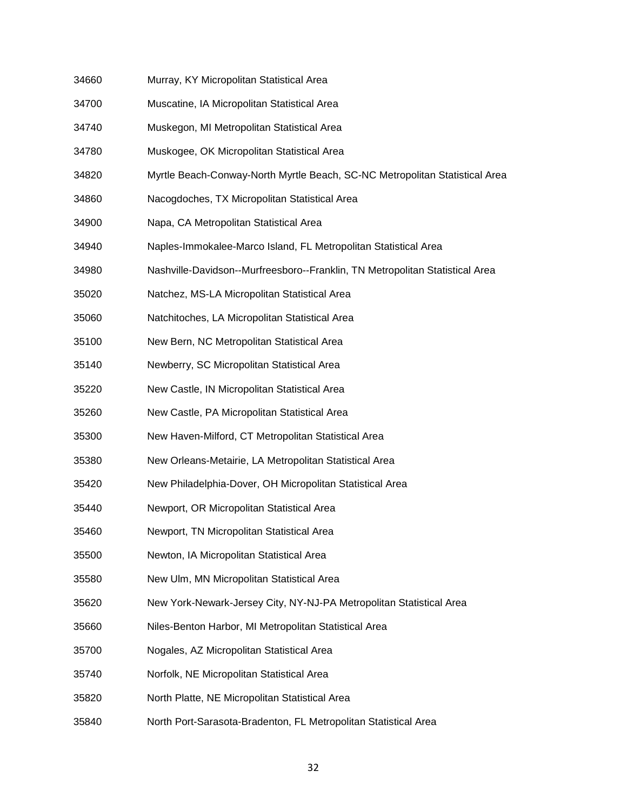- 34660 Murray, KY Micropolitan Statistical Area
- 34700 Muscatine, IA Micropolitan Statistical Area
- 34740 Muskegon, MI Metropolitan Statistical Area
- 34780 Muskogee, OK Micropolitan Statistical Area
- 34820 Myrtle Beach-Conway-North Myrtle Beach, SC-NC Metropolitan Statistical Area
- 34860 Nacogdoches, TX Micropolitan Statistical Area
- 34900 Napa, CA Metropolitan Statistical Area
- 34940 Naples-Immokalee-Marco Island, FL Metropolitan Statistical Area
- 34980 Nashville-Davidson--Murfreesboro--Franklin, TN Metropolitan Statistical Area
- 35020 Natchez, MS-LA Micropolitan Statistical Area
- 35060 Natchitoches, LA Micropolitan Statistical Area
- 35100 New Bern, NC Metropolitan Statistical Area
- 35140 Newberry, SC Micropolitan Statistical Area
- 35220 New Castle, IN Micropolitan Statistical Area
- 35260 New Castle, PA Micropolitan Statistical Area
- 35300 New Haven-Milford, CT Metropolitan Statistical Area
- 35380 New Orleans-Metairie, LA Metropolitan Statistical Area
- 35420 New Philadelphia-Dover, OH Micropolitan Statistical Area
- 35440 Newport, OR Micropolitan Statistical Area
- 35460 Newport, TN Micropolitan Statistical Area
- 35500 Newton, IA Micropolitan Statistical Area
- 35580 New Ulm, MN Micropolitan Statistical Area
- 35620 New York-Newark-Jersey City, NY-NJ-PA Metropolitan Statistical Area
- 35660 Niles-Benton Harbor, MI Metropolitan Statistical Area
- 35700 Nogales, AZ Micropolitan Statistical Area
- 35740 Norfolk, NE Micropolitan Statistical Area
- 35820 North Platte, NE Micropolitan Statistical Area
- 35840 North Port-Sarasota-Bradenton, FL Metropolitan Statistical Area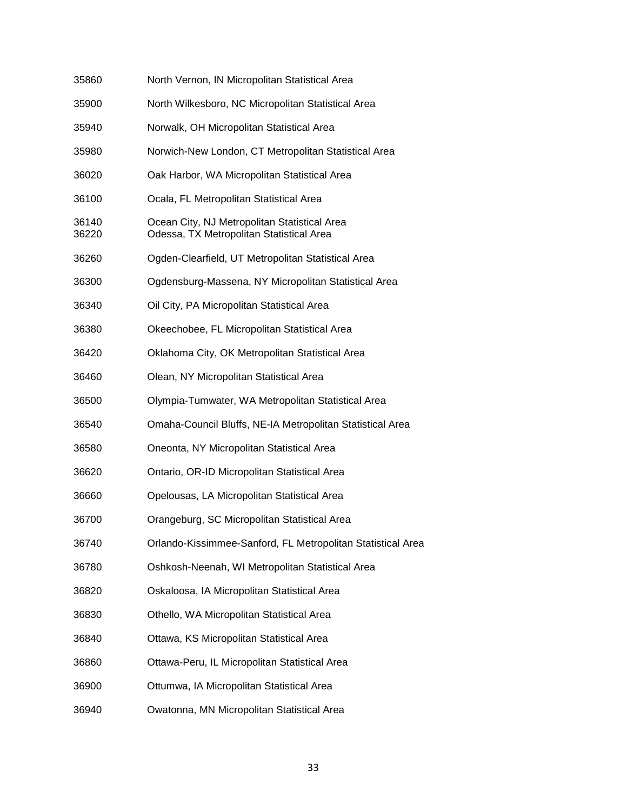| 35860          | North Vernon, IN Micropolitan Statistical Area                                           |
|----------------|------------------------------------------------------------------------------------------|
| 35900          | North Wilkesboro, NC Micropolitan Statistical Area                                       |
| 35940          | Norwalk, OH Micropolitan Statistical Area                                                |
| 35980          | Norwich-New London, CT Metropolitan Statistical Area                                     |
| 36020          | Oak Harbor, WA Micropolitan Statistical Area                                             |
| 36100          | Ocala, FL Metropolitan Statistical Area                                                  |
| 36140<br>36220 | Ocean City, NJ Metropolitan Statistical Area<br>Odessa, TX Metropolitan Statistical Area |
| 36260          | Ogden-Clearfield, UT Metropolitan Statistical Area                                       |
| 36300          | Ogdensburg-Massena, NY Micropolitan Statistical Area                                     |
| 36340          | Oil City, PA Micropolitan Statistical Area                                               |
| 36380          | Okeechobee, FL Micropolitan Statistical Area                                             |
| 36420          | Oklahoma City, OK Metropolitan Statistical Area                                          |
| 36460          | Olean, NY Micropolitan Statistical Area                                                  |
| 36500          | Olympia-Tumwater, WA Metropolitan Statistical Area                                       |
| 36540          | Omaha-Council Bluffs, NE-IA Metropolitan Statistical Area                                |
| 36580          | Oneonta, NY Micropolitan Statistical Area                                                |
| 36620          | Ontario, OR-ID Micropolitan Statistical Area                                             |
| 36660          | Opelousas, LA Micropolitan Statistical Area                                              |
| 36700          | Orangeburg, SC Micropolitan Statistical Area                                             |
| 36740          | Orlando-Kissimmee-Sanford, FL Metropolitan Statistical Area                              |
| 36780          | Oshkosh-Neenah, WI Metropolitan Statistical Area                                         |
| 36820          | Oskaloosa, IA Micropolitan Statistical Area                                              |
| 36830          | Othello, WA Micropolitan Statistical Area                                                |
| 36840          | Ottawa, KS Micropolitan Statistical Area                                                 |
| 36860          | Ottawa-Peru, IL Micropolitan Statistical Area                                            |
| 36900          | Ottumwa, IA Micropolitan Statistical Area                                                |
| 36940          | Owatonna, MN Micropolitan Statistical Area                                               |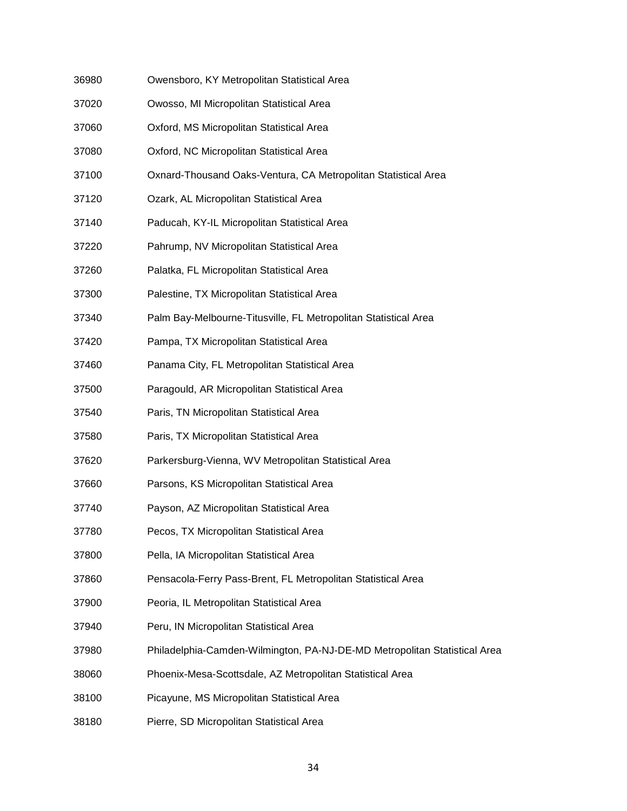- 36980 Owensboro, KY Metropolitan Statistical Area
- 37020 Owosso, MI Micropolitan Statistical Area
- 37060 Oxford, MS Micropolitan Statistical Area
- 37080 Oxford, NC Micropolitan Statistical Area
- 37100 Oxnard-Thousand Oaks-Ventura, CA Metropolitan Statistical Area
- 37120 Ozark, AL Micropolitan Statistical Area
- 37140 Paducah, KY-IL Micropolitan Statistical Area
- 37220 Pahrump, NV Micropolitan Statistical Area
- 37260 Palatka, FL Micropolitan Statistical Area
- 37300 Palestine, TX Micropolitan Statistical Area
- 37340 Palm Bay-Melbourne-Titusville, FL Metropolitan Statistical Area
- 37420 Pampa, TX Micropolitan Statistical Area
- 37460 Panama City, FL Metropolitan Statistical Area
- 37500 Paragould, AR Micropolitan Statistical Area
- 37540 Paris, TN Micropolitan Statistical Area
- 37580 Paris, TX Micropolitan Statistical Area
- 37620 Parkersburg-Vienna, WV Metropolitan Statistical Area
- 37660 Parsons, KS Micropolitan Statistical Area
- 37740 Payson, AZ Micropolitan Statistical Area
- 37780 Pecos, TX Micropolitan Statistical Area
- 37800 Pella, IA Micropolitan Statistical Area
- 37860 Pensacola-Ferry Pass-Brent, FL Metropolitan Statistical Area
- 37900 Peoria, IL Metropolitan Statistical Area
- 37940 Peru, IN Micropolitan Statistical Area
- 37980 Philadelphia-Camden-Wilmington, PA-NJ-DE-MD Metropolitan Statistical Area
- 38060 Phoenix-Mesa-Scottsdale, AZ Metropolitan Statistical Area
- 38100 Picayune, MS Micropolitan Statistical Area
- 38180 Pierre, SD Micropolitan Statistical Area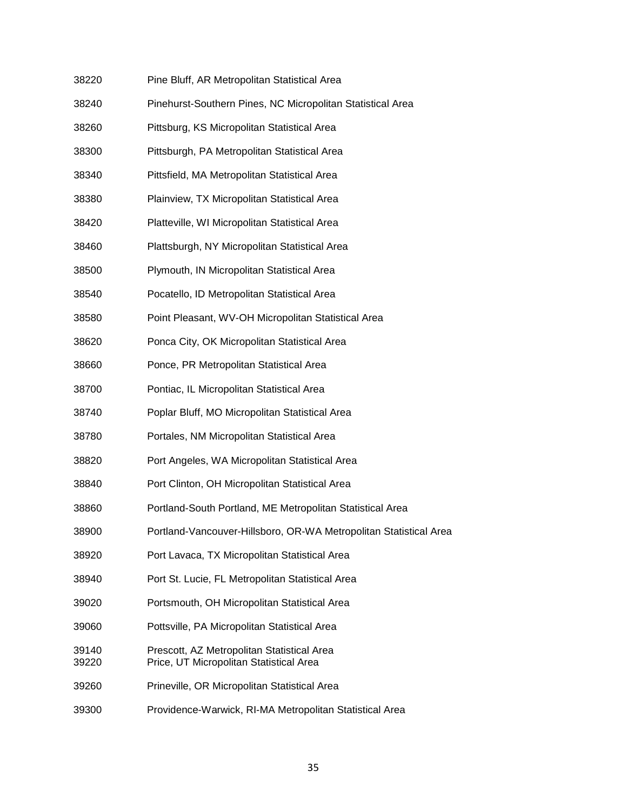| 38220          | Pine Bluff, AR Metropolitan Statistical Area                                          |
|----------------|---------------------------------------------------------------------------------------|
| 38240          | Pinehurst-Southern Pines, NC Micropolitan Statistical Area                            |
| 38260          | Pittsburg, KS Micropolitan Statistical Area                                           |
| 38300          | Pittsburgh, PA Metropolitan Statistical Area                                          |
| 38340          | Pittsfield, MA Metropolitan Statistical Area                                          |
| 38380          | Plainview, TX Micropolitan Statistical Area                                           |
| 38420          | Platteville, WI Micropolitan Statistical Area                                         |
| 38460          | Plattsburgh, NY Micropolitan Statistical Area                                         |
| 38500          | Plymouth, IN Micropolitan Statistical Area                                            |
| 38540          | Pocatello, ID Metropolitan Statistical Area                                           |
| 38580          | Point Pleasant, WV-OH Micropolitan Statistical Area                                   |
| 38620          | Ponca City, OK Micropolitan Statistical Area                                          |
| 38660          | Ponce, PR Metropolitan Statistical Area                                               |
| 38700          | Pontiac, IL Micropolitan Statistical Area                                             |
| 38740          | Poplar Bluff, MO Micropolitan Statistical Area                                        |
| 38780          | Portales, NM Micropolitan Statistical Area                                            |
| 38820          | Port Angeles, WA Micropolitan Statistical Area                                        |
| 38840          | Port Clinton, OH Micropolitan Statistical Area                                        |
| 38860          | Portland-South Portland, ME Metropolitan Statistical Area                             |
| 38900          | Portland-Vancouver-Hillsboro, OR-WA Metropolitan Statistical Area                     |
| 38920          | Port Lavaca, TX Micropolitan Statistical Area                                         |
| 38940          | Port St. Lucie, FL Metropolitan Statistical Area                                      |
| 39020          | Portsmouth, OH Micropolitan Statistical Area                                          |
| 39060          | Pottsville, PA Micropolitan Statistical Area                                          |
| 39140<br>39220 | Prescott, AZ Metropolitan Statistical Area<br>Price, UT Micropolitan Statistical Area |
| 39260          | Prineville, OR Micropolitan Statistical Area                                          |
| 39300          | Providence-Warwick, RI-MA Metropolitan Statistical Area                               |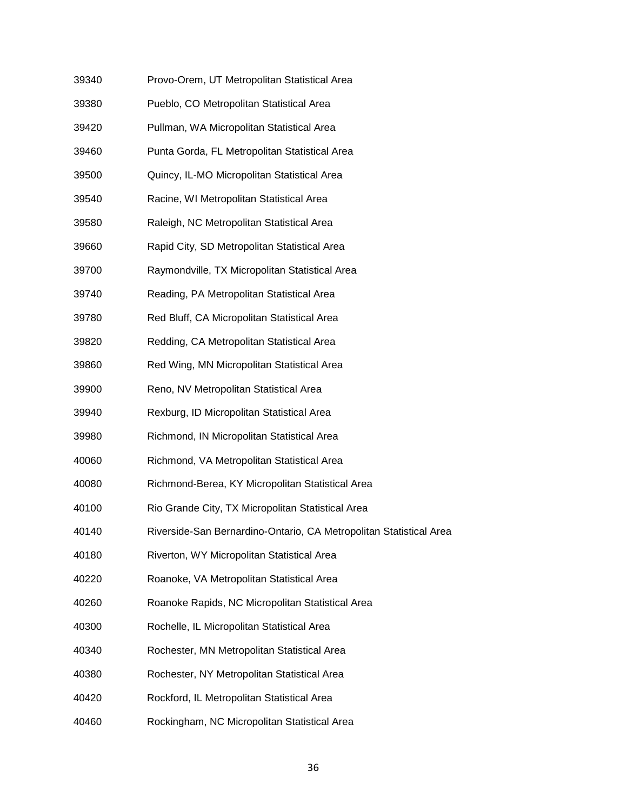| 39340 | Provo-Orem, UT Metropolitan Statistical Area      |
|-------|---------------------------------------------------|
| 39380 | Pueblo, CO Metropolitan Statistical Area          |
| 39420 | Pullman, WA Micropolitan Statistical Area         |
| 39460 | Punta Gorda, FL Metropolitan Statistical Area     |
| 39500 | Quincy, IL-MO Micropolitan Statistical Area       |
| 39540 | Racine, WI Metropolitan Statistical Area          |
| 39580 | Raleigh, NC Metropolitan Statistical Area         |
| 39660 | Rapid City, SD Metropolitan Statistical Area      |
| 39700 | Raymondville, TX Micropolitan Statistical Area    |
| 39740 | Reading, PA Metropolitan Statistical Area         |
| 39780 | Red Bluff, CA Micropolitan Statistical Area       |
| 39820 | Redding, CA Metropolitan Statistical Area         |
| 39860 | Red Wing, MN Micropolitan Statistical Area        |
| 39900 | Reno, NV Metropolitan Statistical Area            |
| 39940 | Rexburg, ID Micropolitan Statistical Area         |
| 39980 | Richmond, IN Micropolitan Statistical Area        |
| 40060 | Richmond, VA Metropolitan Statistical Area        |
| 40080 | Richmond-Berea, KY Micropolitan Statistical Area  |
| 40100 | Rio Grande City, TX Micropolitan Statistical Area |
| 40140 | Riverside-San Bernardino-Ontario, CA Metropolitan |
| 40180 | Riverton, WY Micropolitan Statistical Area        |
| 40220 | Roanoke, VA Metropolitan Statistical Area         |
| 40260 | Roanoke Rapids, NC Micropolitan Statistical Area  |
| 40300 | Rochelle, IL Micropolitan Statistical Area        |
| 40340 | Rochester, MN Metropolitan Statistical Area       |
| 40380 | Rochester, NY Metropolitan Statistical Area       |
| 40420 | Rockford, IL Metropolitan Statistical Area        |
| 40460 | Rockingham, NC Micropolitan Statistical Area      |

Statistical Area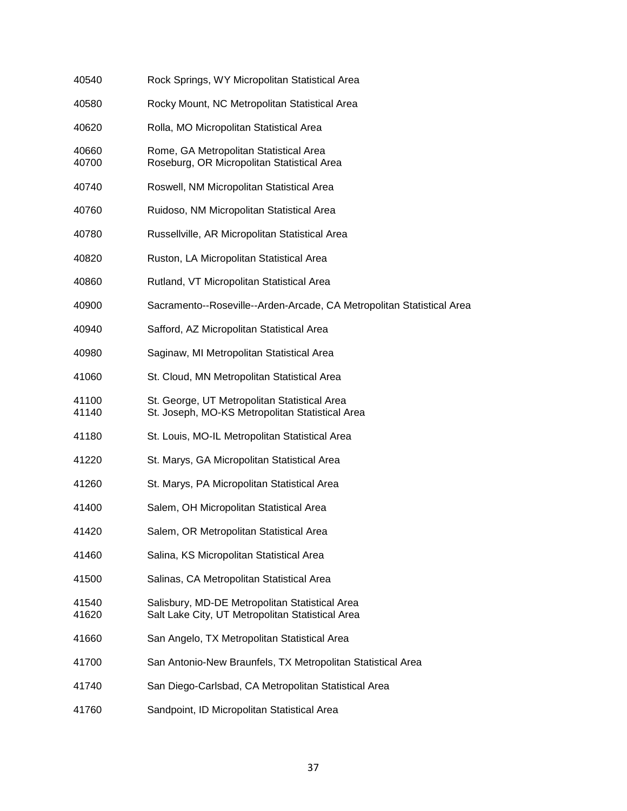| 40540          | Rock Springs, WY Micropolitan Statistical Area                                                     |
|----------------|----------------------------------------------------------------------------------------------------|
| 40580          | Rocky Mount, NC Metropolitan Statistical Area                                                      |
| 40620          | Rolla, MO Micropolitan Statistical Area                                                            |
| 40660<br>40700 | Rome, GA Metropolitan Statistical Area<br>Roseburg, OR Micropolitan Statistical Area               |
| 40740          | Roswell, NM Micropolitan Statistical Area                                                          |
| 40760          | Ruidoso, NM Micropolitan Statistical Area                                                          |
| 40780          | Russellville, AR Micropolitan Statistical Area                                                     |
| 40820          | Ruston, LA Micropolitan Statistical Area                                                           |
| 40860          | Rutland, VT Micropolitan Statistical Area                                                          |
| 40900          | Sacramento--Roseville--Arden-Arcade, CA Metropolitan Statistical Area                              |
| 40940          | Safford, AZ Micropolitan Statistical Area                                                          |
| 40980          | Saginaw, MI Metropolitan Statistical Area                                                          |
| 41060          | St. Cloud, MN Metropolitan Statistical Area                                                        |
| 41100<br>41140 | St. George, UT Metropolitan Statistical Area<br>St. Joseph, MO-KS Metropolitan Statistical Area    |
| 41180          | St. Louis, MO-IL Metropolitan Statistical Area                                                     |
| 41220          | St. Marys, GA Micropolitan Statistical Area                                                        |
| 41260          | St. Marys, PA Micropolitan Statistical Area                                                        |
| 41400          | Salem, OH Micropolitan Statistical Area                                                            |
| 41420          | Salem, OR Metropolitan Statistical Area                                                            |
| 41460          | Salina, KS Micropolitan Statistical Area                                                           |
| 41500          | Salinas, CA Metropolitan Statistical Area                                                          |
| 41540<br>41620 | Salisbury, MD-DE Metropolitan Statistical Area<br>Salt Lake City, UT Metropolitan Statistical Area |
| 41660          | San Angelo, TX Metropolitan Statistical Area                                                       |
| 41700          | San Antonio-New Braunfels, TX Metropolitan Statistical Area                                        |
| 41740          | San Diego-Carlsbad, CA Metropolitan Statistical Area                                               |
| 41760          | Sandpoint, ID Micropolitan Statistical Area                                                        |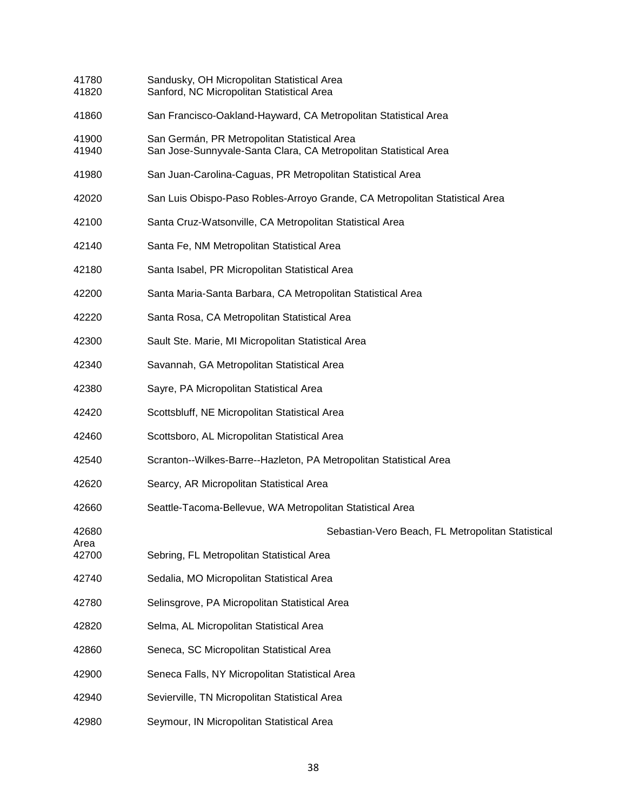41780 Sandusky, OH Micropolitan Statistical Area 41820 Sanford, NC Micropolitan Statistical Area 41860 San Francisco-Oakland-Hayward, CA Metropolitan Statistical Area 41900 San Germán, PR Metropolitan Statistical Area 41940 San Jose-Sunnyvale-Santa Clara, CA Metropolitan Statistical Area 41980 San Juan-Carolina-Caguas, PR Metropolitan Statistical Area 42020 San Luis Obispo-Paso Robles-Arroyo Grande, CA Metropolitan Statistical Area 42100 Santa Cruz-Watsonville, CA Metropolitan Statistical Area 42140 Santa Fe, NM Metropolitan Statistical Area 42180 Santa Isabel, PR Micropolitan Statistical Area 42200 Santa Maria-Santa Barbara, CA Metropolitan Statistical Area 42220 Santa Rosa, CA Metropolitan Statistical Area 42300 Sault Ste. Marie, MI Micropolitan Statistical Area 42340 Savannah, GA Metropolitan Statistical Area 42380 Sayre, PA Micropolitan Statistical Area 42420 Scottsbluff, NE Micropolitan Statistical Area 42460 Scottsboro, AL Micropolitan Statistical Area 42540 Scranton--Wilkes-Barre--Hazleton, PA Metropolitan Statistical Area 42620 Searcy, AR Micropolitan Statistical Area 42660 Seattle-Tacoma-Bellevue, WA Metropolitan Statistical Area 42680 Sebastian-Vero Beach, FL Metropolitan Statistical Area 42700 Sebring, FL Metropolitan Statistical Area 42740 Sedalia, MO Micropolitan Statistical Area 42780 Selinsgrove, PA Micropolitan Statistical Area 42820 Selma, AL Micropolitan Statistical Area 42860 Seneca, SC Micropolitan Statistical Area 42900 Seneca Falls, NY Micropolitan Statistical Area 42940 Sevierville, TN Micropolitan Statistical Area 42980 Seymour, IN Micropolitan Statistical Area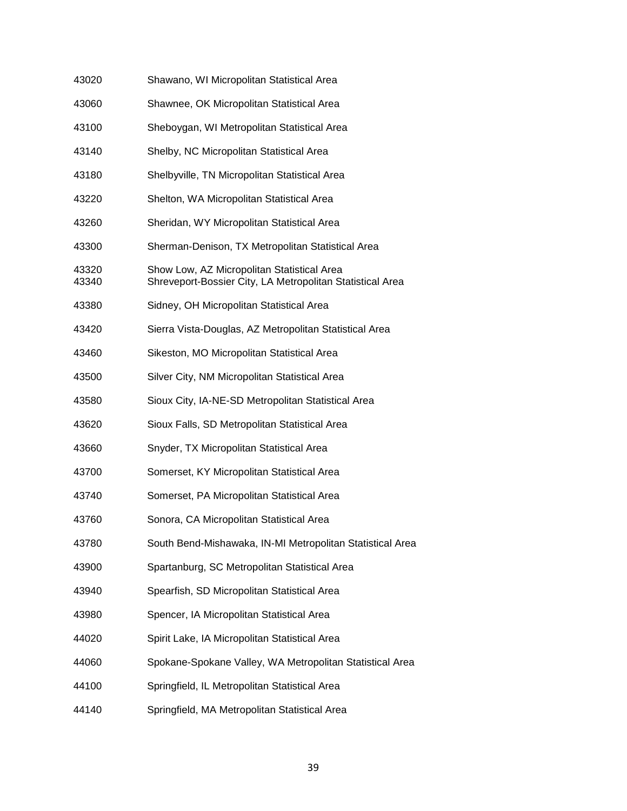| 43020          | Shawano, WI Micropolitan Statistical Area                                                               |
|----------------|---------------------------------------------------------------------------------------------------------|
| 43060          | Shawnee, OK Micropolitan Statistical Area                                                               |
| 43100          | Sheboygan, WI Metropolitan Statistical Area                                                             |
| 43140          | Shelby, NC Micropolitan Statistical Area                                                                |
| 43180          | Shelbyville, TN Micropolitan Statistical Area                                                           |
| 43220          | Shelton, WA Micropolitan Statistical Area                                                               |
| 43260          | Sheridan, WY Micropolitan Statistical Area                                                              |
| 43300          | Sherman-Denison, TX Metropolitan Statistical Area                                                       |
| 43320<br>43340 | Show Low, AZ Micropolitan Statistical Area<br>Shreveport-Bossier City, LA Metropolitan Statistical Area |
| 43380          | Sidney, OH Micropolitan Statistical Area                                                                |
| 43420          | Sierra Vista-Douglas, AZ Metropolitan Statistical Area                                                  |
| 43460          | Sikeston, MO Micropolitan Statistical Area                                                              |
| 43500          | Silver City, NM Micropolitan Statistical Area                                                           |
| 43580          | Sioux City, IA-NE-SD Metropolitan Statistical Area                                                      |
| 43620          | Sioux Falls, SD Metropolitan Statistical Area                                                           |
| 43660          | Snyder, TX Micropolitan Statistical Area                                                                |
| 43700          | Somerset, KY Micropolitan Statistical Area                                                              |
| 43740          | Somerset, PA Micropolitan Statistical Area                                                              |
| 43760          | Sonora, CA Micropolitan Statistical Area                                                                |
| 43780          | South Bend-Mishawaka, IN-MI Metropolitan Statistical Area                                               |
| 43900          | Spartanburg, SC Metropolitan Statistical Area                                                           |
| 43940          | Spearfish, SD Micropolitan Statistical Area                                                             |
| 43980          | Spencer, IA Micropolitan Statistical Area                                                               |
| 44020          | Spirit Lake, IA Micropolitan Statistical Area                                                           |
| 44060          | Spokane-Spokane Valley, WA Metropolitan Statistical Area                                                |
| 44100          | Springfield, IL Metropolitan Statistical Area                                                           |
| 44140          | Springfield, MA Metropolitan Statistical Area                                                           |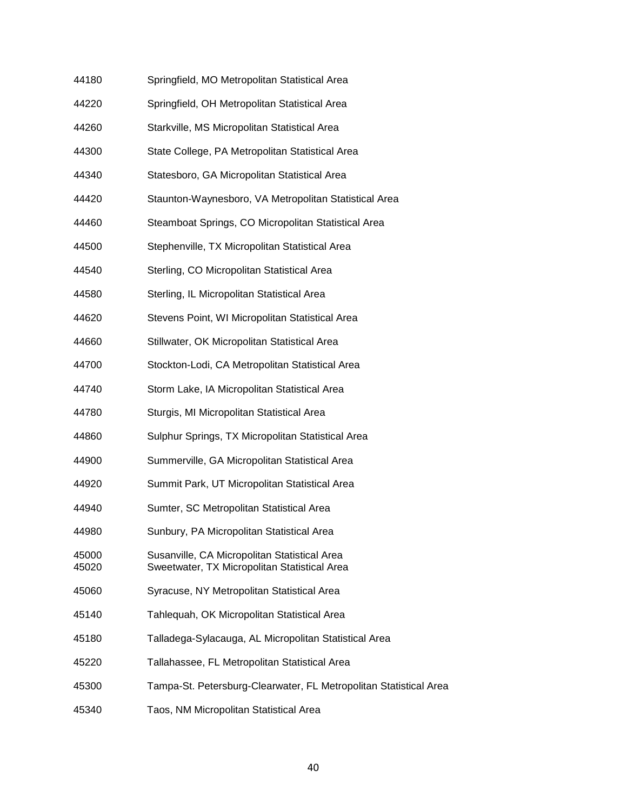| 44180 | Springfield, MO Metropolitan Statistical Area |
|-------|-----------------------------------------------|
|-------|-----------------------------------------------|

- 44220 Springfield, OH Metropolitan Statistical Area
- 44260 Starkville, MS Micropolitan Statistical Area
- 44300 State College, PA Metropolitan Statistical Area
- 44340 Statesboro, GA Micropolitan Statistical Area
- 44420 Staunton-Waynesboro, VA Metropolitan Statistical Area
- 44460 Steamboat Springs, CO Micropolitan Statistical Area
- 44500 Stephenville, TX Micropolitan Statistical Area
- 44540 Sterling, CO Micropolitan Statistical Area
- 44580 Sterling, IL Micropolitan Statistical Area
- 44620 Stevens Point, WI Micropolitan Statistical Area
- 44660 Stillwater, OK Micropolitan Statistical Area
- 44700 Stockton-Lodi, CA Metropolitan Statistical Area
- 44740 Storm Lake, IA Micropolitan Statistical Area
- 44780 Sturgis, MI Micropolitan Statistical Area
- 44860 Sulphur Springs, TX Micropolitan Statistical Area
- 44900 Summerville, GA Micropolitan Statistical Area
- 44920 Summit Park, UT Micropolitan Statistical Area
- 44940 Sumter, SC Metropolitan Statistical Area
- 44980 Sunbury, PA Micropolitan Statistical Area
- 45000 Susanville, CA Micropolitan Statistical Area 45020 Sweetwater, TX Micropolitan Statistical Area
- 45060 Syracuse, NY Metropolitan Statistical Area
- 45140 Tahlequah, OK Micropolitan Statistical Area
- 45180 Talladega-Sylacauga, AL Micropolitan Statistical Area
- 45220 Tallahassee, FL Metropolitan Statistical Area
- 45300 Tampa-St. Petersburg-Clearwater, FL Metropolitan Statistical Area
- 45340 Taos, NM Micropolitan Statistical Area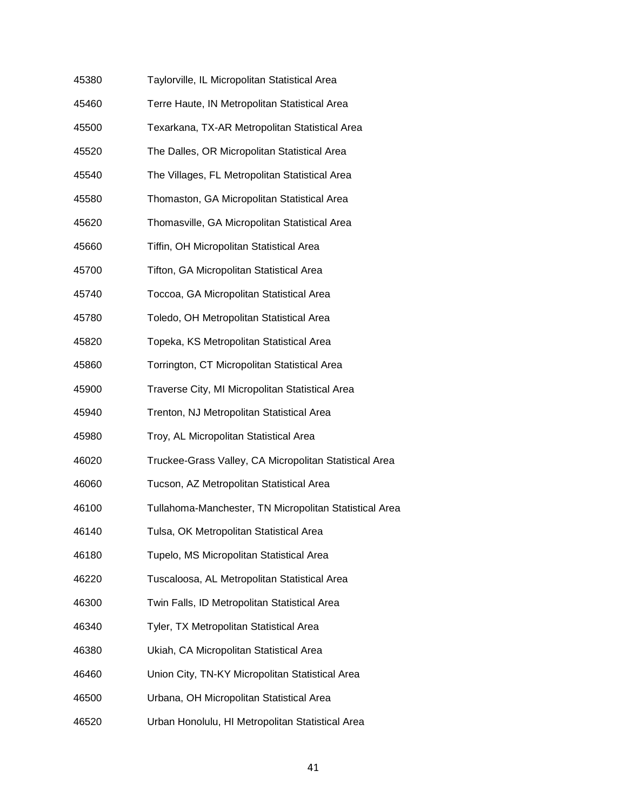| 45380 | Taylorville, IL Micropolitan Statistical Area          |
|-------|--------------------------------------------------------|
| 45460 | Terre Haute, IN Metropolitan Statistical Area          |
| 45500 | Texarkana, TX-AR Metropolitan Statistical Area         |
| 45520 | The Dalles, OR Micropolitan Statistical Area           |
| 45540 | The Villages, FL Metropolitan Statistical Area         |
| 45580 | Thomaston, GA Micropolitan Statistical Area            |
| 45620 | Thomasville, GA Micropolitan Statistical Area          |
| 45660 | Tiffin, OH Micropolitan Statistical Area               |
| 45700 | Tifton, GA Micropolitan Statistical Area               |
| 45740 | Toccoa, GA Micropolitan Statistical Area               |
| 45780 | Toledo, OH Metropolitan Statistical Area               |
| 45820 | Topeka, KS Metropolitan Statistical Area               |
| 45860 | Torrington, CT Micropolitan Statistical Area           |
| 45900 | Traverse City, MI Micropolitan Statistical Area        |
| 45940 | Trenton, NJ Metropolitan Statistical Area              |
| 45980 | Troy, AL Micropolitan Statistical Area                 |
| 46020 | Truckee-Grass Valley, CA Micropolitan Statistical Area |
| 46060 | Tucson, AZ Metropolitan Statistical Area               |
| 46100 | Tullahoma-Manchester, TN Micropolitan Statistical Area |
| 46140 | Tulsa, OK Metropolitan Statistical Area                |
| 46180 | Tupelo, MS Micropolitan Statistical Area               |
| 46220 | Tuscaloosa, AL Metropolitan Statistical Area           |
| 46300 | Twin Falls, ID Metropolitan Statistical Area           |
| 46340 | Tyler, TX Metropolitan Statistical Area                |
| 46380 | Ukiah, CA Micropolitan Statistical Area                |
| 46460 | Union City, TN-KY Micropolitan Statistical Area        |
| 46500 | Urbana, OH Micropolitan Statistical Area               |
| 46520 | Urban Honolulu, HI Metropolitan Statistical Area       |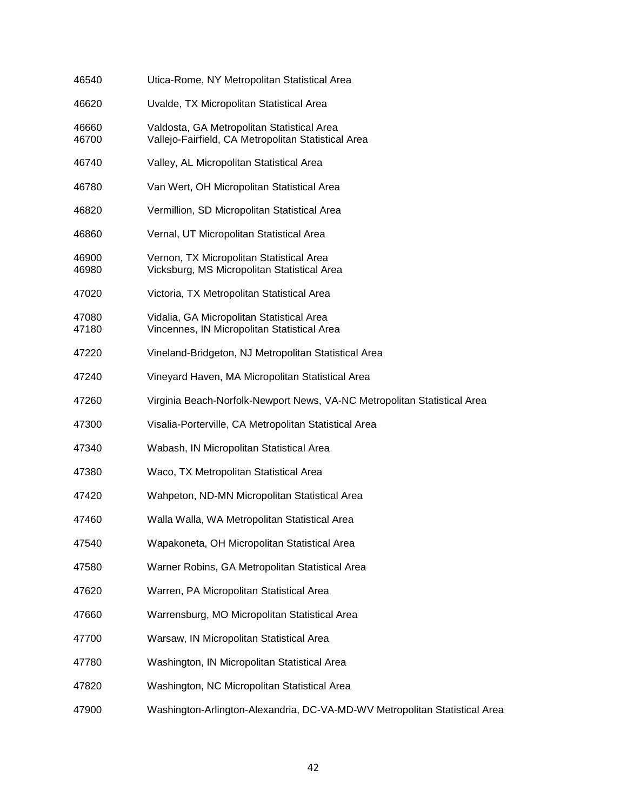| 46540          | Utica-Rome, NY Metropolitan Statistical Area                                                      |
|----------------|---------------------------------------------------------------------------------------------------|
| 46620          | Uvalde, TX Micropolitan Statistical Area                                                          |
| 46660<br>46700 | Valdosta, GA Metropolitan Statistical Area<br>Vallejo-Fairfield, CA Metropolitan Statistical Area |
| 46740          | Valley, AL Micropolitan Statistical Area                                                          |
| 46780          | Van Wert, OH Micropolitan Statistical Area                                                        |
| 46820          | Vermillion, SD Micropolitan Statistical Area                                                      |
| 46860          | Vernal, UT Micropolitan Statistical Area                                                          |
| 46900<br>46980 | Vernon, TX Micropolitan Statistical Area<br>Vicksburg, MS Micropolitan Statistical Area           |
| 47020          | Victoria, TX Metropolitan Statistical Area                                                        |
| 47080<br>47180 | Vidalia, GA Micropolitan Statistical Area<br>Vincennes, IN Micropolitan Statistical Area          |
| 47220          | Vineland-Bridgeton, NJ Metropolitan Statistical Area                                              |
| 47240          | Vineyard Haven, MA Micropolitan Statistical Area                                                  |
| 47260          | Virginia Beach-Norfolk-Newport News, VA-NC Metropolitan Statistical Area                          |
| 47300          | Visalia-Porterville, CA Metropolitan Statistical Area                                             |
| 47340          | Wabash, IN Micropolitan Statistical Area                                                          |
| 47380          | Waco, TX Metropolitan Statistical Area                                                            |
| 47420          | Wahpeton, ND-MN Micropolitan Statistical Area                                                     |
| 47460          | Walla Walla, WA Metropolitan Statistical Area                                                     |
| 47540          | Wapakoneta, OH Micropolitan Statistical Area                                                      |
| 47580          | Warner Robins, GA Metropolitan Statistical Area                                                   |
| 47620          | Warren, PA Micropolitan Statistical Area                                                          |
| 47660          | Warrensburg, MO Micropolitan Statistical Area                                                     |
| 47700          | Warsaw, IN Micropolitan Statistical Area                                                          |
| 47780          | Washington, IN Micropolitan Statistical Area                                                      |
| 47820          | Washington, NC Micropolitan Statistical Area                                                      |
| 47900          | Washington-Arlington-Alexandria, DC-VA-MD-WV Metropolitan Statistical Area                        |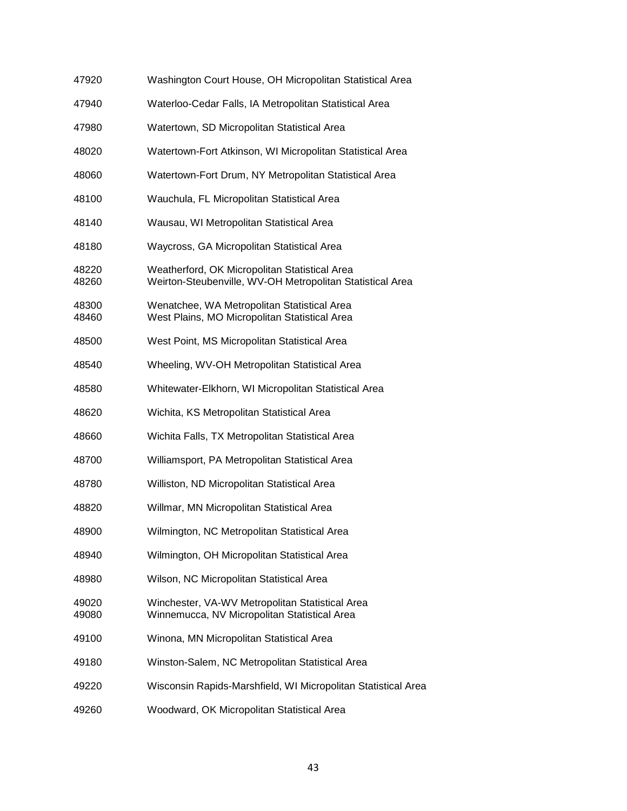| 47920          | Washington Court House, OH Micropolitan Statistical Area                                                   |
|----------------|------------------------------------------------------------------------------------------------------------|
| 47940          | Waterloo-Cedar Falls, IA Metropolitan Statistical Area                                                     |
| 47980          | Watertown, SD Micropolitan Statistical Area                                                                |
| 48020          | Watertown-Fort Atkinson, WI Micropolitan Statistical Area                                                  |
| 48060          | Watertown-Fort Drum, NY Metropolitan Statistical Area                                                      |
| 48100          | Wauchula, FL Micropolitan Statistical Area                                                                 |
| 48140          | Wausau, WI Metropolitan Statistical Area                                                                   |
| 48180          | Waycross, GA Micropolitan Statistical Area                                                                 |
| 48220<br>48260 | Weatherford, OK Micropolitan Statistical Area<br>Weirton-Steubenville, WV-OH Metropolitan Statistical Area |
| 48300<br>48460 | Wenatchee, WA Metropolitan Statistical Area<br>West Plains, MO Micropolitan Statistical Area               |
| 48500          | West Point, MS Micropolitan Statistical Area                                                               |
| 48540          | Wheeling, WV-OH Metropolitan Statistical Area                                                              |
| 48580          | Whitewater-Elkhorn, WI Micropolitan Statistical Area                                                       |
| 48620          | Wichita, KS Metropolitan Statistical Area                                                                  |
| 48660          | Wichita Falls, TX Metropolitan Statistical Area                                                            |
| 48700          | Williamsport, PA Metropolitan Statistical Area                                                             |
| 48780          | Williston, ND Micropolitan Statistical Area                                                                |
| 48820          | Willmar, MN Micropolitan Statistical Area                                                                  |
| 48900          | Wilmington, NC Metropolitan Statistical Area                                                               |
| 48940          | Wilmington, OH Micropolitan Statistical Area                                                               |
| 48980          | Wilson, NC Micropolitan Statistical Area                                                                   |
| 49020<br>49080 | Winchester, VA-WV Metropolitan Statistical Area<br>Winnemucca, NV Micropolitan Statistical Area            |
| 49100          | Winona, MN Micropolitan Statistical Area                                                                   |
| 49180          | Winston-Salem, NC Metropolitan Statistical Area                                                            |
| 49220          | Wisconsin Rapids-Marshfield, WI Micropolitan Statistical Area                                              |
| 49260          | Woodward, OK Micropolitan Statistical Area                                                                 |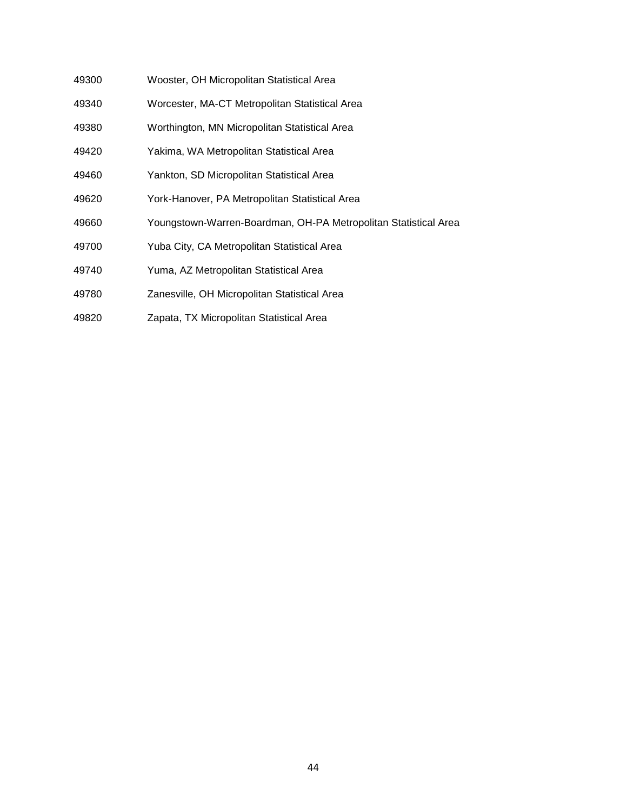- 49300 Wooster, OH Micropolitan Statistical Area
- 49340 Worcester, MA-CT Metropolitan Statistical Area
- 49380 Worthington, MN Micropolitan Statistical Area
- 49420 Yakima, WA Metropolitan Statistical Area
- 49460 Yankton, SD Micropolitan Statistical Area
- 49620 York-Hanover, PA Metropolitan Statistical Area
- 49660 Youngstown-Warren-Boardman, OH-PA Metropolitan Statistical Area
- 49700 Yuba City, CA Metropolitan Statistical Area
- 49740 Yuma, AZ Metropolitan Statistical Area
- 49780 Zanesville, OH Micropolitan Statistical Area
- 49820 Zapata, TX Micropolitan Statistical Area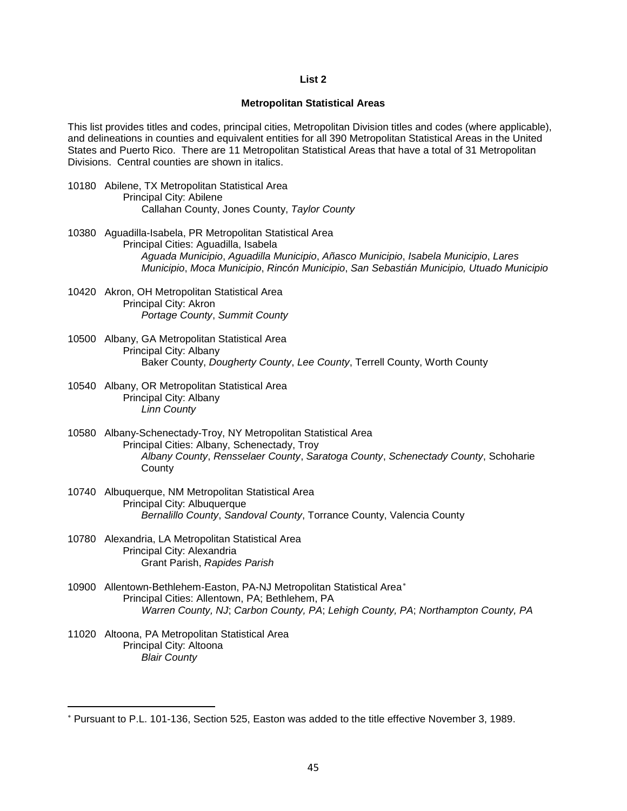## **List 2**

## **Metropolitan Statistical Areas**

This list provides titles and codes, principal cities, Metropolitan Division titles and codes (where applicable), and delineations in counties and equivalent entities for all 390 Metropolitan Statistical Areas in the United States and Puerto Rico. There are 11 Metropolitan Statistical Areas that have a total of 31 Metropolitan Divisions. Central counties are shown in italics.

- 10180 Abilene, TX Metropolitan Statistical Area Principal City: Abilene Callahan County, Jones County, *Taylor County*
- 10380 Aguadilla-Isabela, PR Metropolitan Statistical Area Principal Cities: Aguadilla, Isabela *Aguada Municipio*, *Aguadilla Municipio*, *Añasco Municipio*, *Isabela Municipio*, *Lares Municipio*, *Moca Municipio*, *Rincón Municipio*, *San Sebastián Municipio, Utuado Municipio*
- 10420 Akron, OH Metropolitan Statistical Area Principal City: Akron *Portage County*, *Summit County*
- 10500 Albany, GA Metropolitan Statistical Area Principal City: Albany Baker County, *Dougherty County*, *Lee County*, Terrell County, Worth County
- 10540 Albany, OR Metropolitan Statistical Area Principal City: Albany *Linn County*
- 10580 Albany-Schenectady-Troy, NY Metropolitan Statistical Area Principal Cities: Albany, Schenectady, Troy *Albany County*, *Rensselaer County*, *Saratoga County*, *Schenectady County*, Schoharie **County**
- 10740 Albuquerque, NM Metropolitan Statistical Area Principal City: Albuquerque *Bernalillo County*, *Sandoval County*, Torrance County, Valencia County
- 10780 Alexandria, LA Metropolitan Statistical Area Principal City: Alexandria Grant Parish, *Rapides Parish*
- 10900 Allentown-Bethlehem-Easton, PA-NJ Metropolitan Statistical Area[∗](#page-44-0) Principal Cities: Allentown, PA; Bethlehem, PA *Warren County, NJ*; *Carbon County, PA*; *Lehigh County, PA*; *Northampton County, PA*
- 11020 Altoona, PA Metropolitan Statistical Area Principal City: Altoona *Blair County*

**.** 

<span id="page-44-0"></span><sup>∗</sup> Pursuant to P.L. 101-136, Section 525, Easton was added to the title effective November 3, 1989.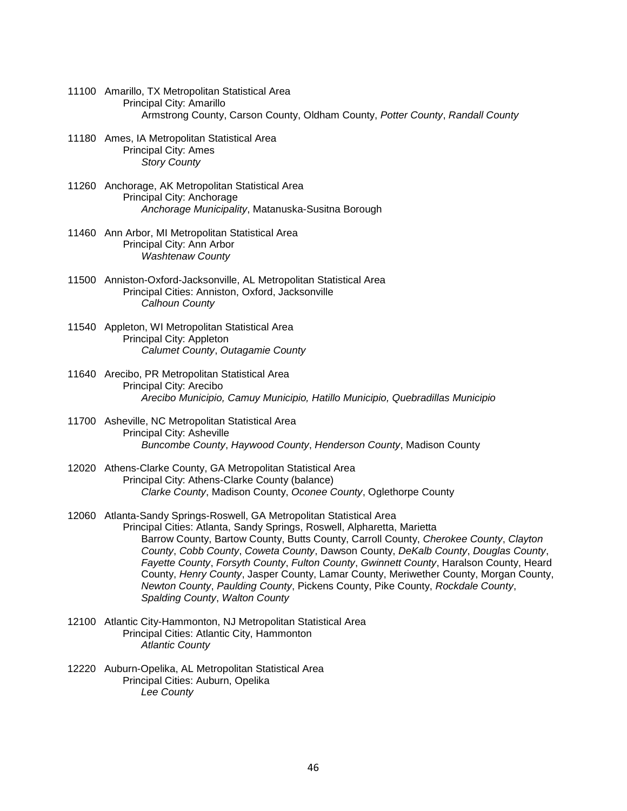- 11100 Amarillo, TX Metropolitan Statistical Area Principal City: Amarillo Armstrong County, Carson County, Oldham County, *Potter County*, *Randall County*
- 11180 Ames, IA Metropolitan Statistical Area Principal City: Ames *Story County*
- 11260 Anchorage, AK Metropolitan Statistical Area Principal City: Anchorage *Anchorage Municipality*, Matanuska-Susitna Borough
- 11460 Ann Arbor, MI Metropolitan Statistical Area Principal City: Ann Arbor *Washtenaw County*
- 11500 Anniston-Oxford-Jacksonville, AL Metropolitan Statistical Area Principal Cities: Anniston, Oxford, Jacksonville *Calhoun County*
- 11540 Appleton, WI Metropolitan Statistical Area Principal City: Appleton *Calumet County*, *Outagamie County*
- 11640 Arecibo, PR Metropolitan Statistical Area Principal City: Arecibo *Arecibo Municipio, Camuy Municipio, Hatillo Municipio, Quebradillas Municipio*
- 11700 Asheville, NC Metropolitan Statistical Area Principal City: Asheville *Buncombe County*, *Haywood County*, *Henderson County*, Madison County
- 12020 Athens-Clarke County, GA Metropolitan Statistical Area Principal City: Athens-Clarke County (balance) *Clarke County*, Madison County, *Oconee County*, Oglethorpe County
- 12060 Atlanta-Sandy Springs-Roswell, GA Metropolitan Statistical Area Principal Cities: Atlanta, Sandy Springs, Roswell, Alpharetta, Marietta Barrow County, Bartow County, Butts County, Carroll County, *Cherokee County*, *Clayton County*, *Cobb County*, *Coweta County*, Dawson County, *DeKalb County*, *Douglas County*, *Fayette County*, *Forsyth County*, *Fulton County*, *Gwinnett County*, Haralson County, Heard County, *Henry County*, Jasper County, Lamar County, Meriwether County, Morgan County, *Newton County*, *Paulding County*, Pickens County, Pike County, *Rockdale County*, *Spalding County*, *Walton County*
- 12100 Atlantic City-Hammonton, NJ Metropolitan Statistical Area Principal Cities: Atlantic City, Hammonton *Atlantic County*
- 12220 Auburn-Opelika, AL Metropolitan Statistical Area Principal Cities: Auburn, Opelika *Lee County*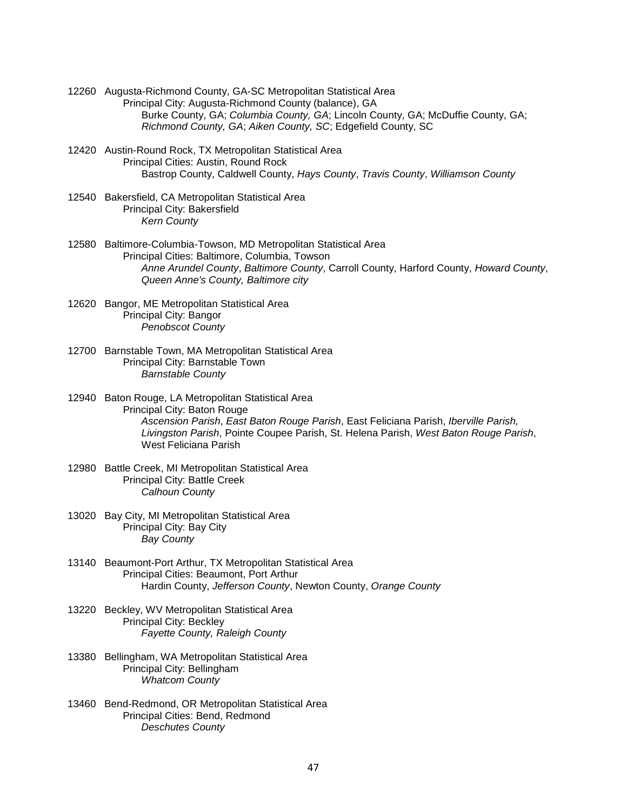- 12260 Augusta-Richmond County, GA-SC Metropolitan Statistical Area Principal City: Augusta-Richmond County (balance), GA Burke County, GA; *Columbia County, GA*; Lincoln County, GA; McDuffie County, GA; *Richmond County, GA*; *Aiken County, SC*; Edgefield County, SC
- 12420 Austin-Round Rock, TX Metropolitan Statistical Area Principal Cities: Austin, Round Rock Bastrop County, Caldwell County, *Hays County*, *Travis County*, *Williamson County*
- 12540 Bakersfield, CA Metropolitan Statistical Area Principal City: Bakersfield *Kern County*
- 12580 Baltimore-Columbia-Towson, MD Metropolitan Statistical Area Principal Cities: Baltimore, Columbia, Towson *Anne Arundel County*, *Baltimore County*, Carroll County, Harford County, *Howard County*, *Queen Anne's County, Baltimore city*
- 12620 Bangor, ME Metropolitan Statistical Area Principal City: Bangor *Penobscot County*
- 12700 Barnstable Town, MA Metropolitan Statistical Area Principal City: Barnstable Town *Barnstable County*
- 12940 Baton Rouge, LA Metropolitan Statistical Area Principal City: Baton Rouge *Ascension Parish*, *East Baton Rouge Parish*, East Feliciana Parish, *Iberville Parish, Livingston Parish*, Pointe Coupee Parish, St. Helena Parish, *West Baton Rouge Parish*, West Feliciana Parish
- 12980 Battle Creek, MI Metropolitan Statistical Area Principal City: Battle Creek *Calhoun County*
- 13020 Bay City, MI Metropolitan Statistical Area Principal City: Bay City *Bay County*
- 13140 Beaumont-Port Arthur, TX Metropolitan Statistical Area Principal Cities: Beaumont, Port Arthur Hardin County, *Jefferson County*, Newton County, *Orange County*
- 13220 Beckley, WV Metropolitan Statistical Area Principal City: Beckley *Fayette County, Raleigh County*
- 13380 Bellingham, WA Metropolitan Statistical Area Principal City: Bellingham *Whatcom County*
- 13460 Bend-Redmond, OR Metropolitan Statistical Area Principal Cities: Bend, Redmond *Deschutes County*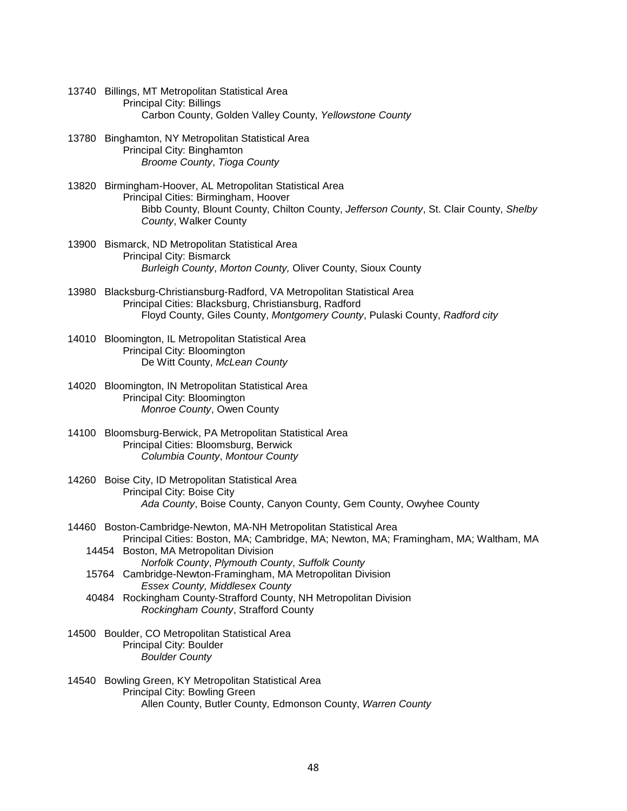- 13740 Billings, MT Metropolitan Statistical Area Principal City: Billings Carbon County, Golden Valley County, *Yellowstone County*
- 13780 Binghamton, NY Metropolitan Statistical Area Principal City: Binghamton *Broome County*, *Tioga County*
- 13820 Birmingham-Hoover, AL Metropolitan Statistical Area Principal Cities: Birmingham, Hoover Bibb County, Blount County, Chilton County, *Jefferson County*, St. Clair County, *Shelby County*, Walker County
- 13900 Bismarck, ND Metropolitan Statistical Area Principal City: Bismarck *Burleigh County*, *Morton County,* Oliver County, Sioux County
- 13980 Blacksburg-Christiansburg-Radford, VA Metropolitan Statistical Area Principal Cities: Blacksburg, Christiansburg, Radford Floyd County, Giles County, *Montgomery County*, Pulaski County, *Radford city*
- 14010 Bloomington, IL Metropolitan Statistical Area Principal City: Bloomington De Witt County, *McLean County*
- 14020 Bloomington, IN Metropolitan Statistical Area Principal City: Bloomington *Monroe County*, Owen County
- 14100 Bloomsburg-Berwick, PA Metropolitan Statistical Area Principal Cities: Bloomsburg, Berwick *Columbia County*, *Montour County*
- 14260 Boise City, ID Metropolitan Statistical Area Principal City: Boise City *Ada County*, Boise County, Canyon County, Gem County, Owyhee County
- 14460 Boston-Cambridge-Newton, MA-NH Metropolitan Statistical Area Principal Cities: Boston, MA; Cambridge, MA; Newton, MA; Framingham, MA; Waltham, MA 14454 Boston, MA Metropolitan Division
	- *Norfolk County*, *Plymouth County*, *Suffolk County*
	- 15764 Cambridge-Newton-Framingham, MA Metropolitan Division *Essex County, Middlesex County*
	- 40484 Rockingham County-Strafford County, NH Metropolitan Division *Rockingham County*, Strafford County
- 14500 Boulder, CO Metropolitan Statistical Area Principal City: Boulder *Boulder County*
- 14540 Bowling Green, KY Metropolitan Statistical Area Principal City: Bowling Green Allen County, Butler County, Edmonson County, *Warren County*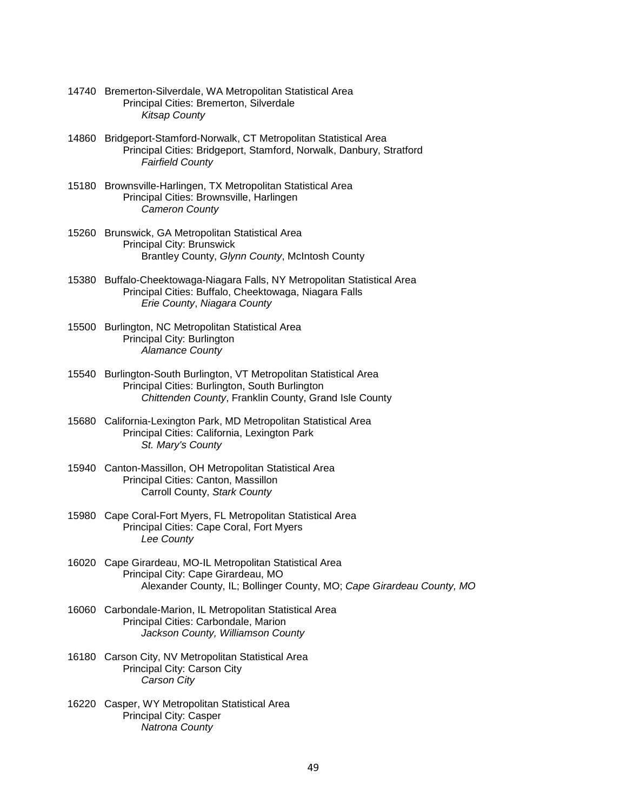- 14740 Bremerton-Silverdale, WA Metropolitan Statistical Area Principal Cities: Bremerton, Silverdale *Kitsap County*
- 14860 Bridgeport-Stamford-Norwalk, CT Metropolitan Statistical Area Principal Cities: Bridgeport, Stamford, Norwalk, Danbury, Stratford *Fairfield County*
- 15180 Brownsville-Harlingen, TX Metropolitan Statistical Area Principal Cities: Brownsville, Harlingen *Cameron County*
- 15260 Brunswick, GA Metropolitan Statistical Area Principal City: Brunswick Brantley County, *Glynn County*, McIntosh County
- 15380 Buffalo-Cheektowaga-Niagara Falls, NY Metropolitan Statistical Area Principal Cities: Buffalo, Cheektowaga, Niagara Falls *Erie County*, *Niagara County*
- 15500 Burlington, NC Metropolitan Statistical Area Principal City: Burlington *Alamance County*
- 15540 Burlington-South Burlington, VT Metropolitan Statistical Area Principal Cities: Burlington, South Burlington *Chittenden County*, Franklin County, Grand Isle County
- 15680 California-Lexington Park, MD Metropolitan Statistical Area Principal Cities: California, Lexington Park *St. Mary's County*
- 15940 Canton-Massillon, OH Metropolitan Statistical Area Principal Cities: Canton, Massillon Carroll County, *Stark County*
- 15980 Cape Coral-Fort Myers, FL Metropolitan Statistical Area Principal Cities: Cape Coral, Fort Myers *Lee County*
- 16020 Cape Girardeau, MO-IL Metropolitan Statistical Area Principal City: Cape Girardeau, MO Alexander County, IL; Bollinger County, MO; *Cape Girardeau County, MO*
- 16060 Carbondale-Marion, IL Metropolitan Statistical Area Principal Cities: Carbondale, Marion *Jackson County, Williamson County*
- 16180 Carson City, NV Metropolitan Statistical Area Principal City: Carson City *Carson City*
- 16220 Casper, WY Metropolitan Statistical Area Principal City: Casper *Natrona County*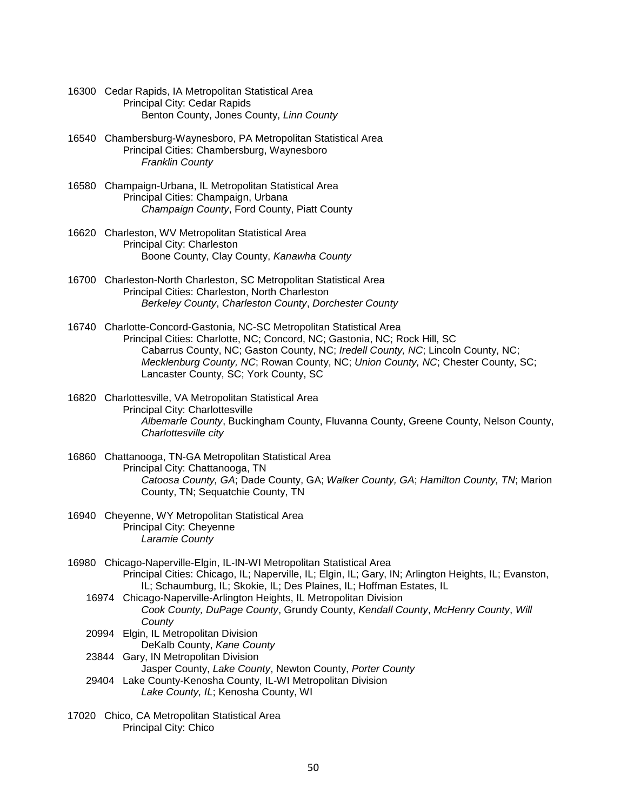- 16300 Cedar Rapids, IA Metropolitan Statistical Area Principal City: Cedar Rapids Benton County, Jones County, *Linn County*
- 16540 Chambersburg-Waynesboro, PA Metropolitan Statistical Area Principal Cities: Chambersburg, Waynesboro *Franklin County*
- 16580 Champaign-Urbana, IL Metropolitan Statistical Area Principal Cities: Champaign, Urbana *Champaign County*, Ford County, Piatt County
- 16620 Charleston, WV Metropolitan Statistical Area Principal City: Charleston Boone County, Clay County, *Kanawha County*
- 16700 Charleston-North Charleston, SC Metropolitan Statistical Area Principal Cities: Charleston, North Charleston *Berkeley County*, *Charleston County*, *Dorchester County*
- 16740 Charlotte-Concord-Gastonia, NC-SC Metropolitan Statistical Area Principal Cities: Charlotte, NC; Concord, NC; Gastonia, NC; Rock Hill, SC Cabarrus County, NC; Gaston County, NC; *Iredell County, NC*; Lincoln County, NC; *Mecklenburg County, NC*; Rowan County, NC; *Union County, NC*; Chester County, SC; Lancaster County, SC; York County, SC
- 16820 Charlottesville, VA Metropolitan Statistical Area Principal City: Charlottesville *Albemarle County*, Buckingham County, Fluvanna County, Greene County, Nelson County, *Charlottesville city*
- 16860 Chattanooga, TN-GA Metropolitan Statistical Area Principal City: Chattanooga, TN *Catoosa County, GA*; Dade County, GA; *Walker County, GA*; *Hamilton County, TN*; Marion County, TN; Sequatchie County, TN
- 16940 Cheyenne, WY Metropolitan Statistical Area Principal City: Cheyenne *Laramie County*
- 16980 Chicago-Naperville-Elgin, IL-IN-WI Metropolitan Statistical Area Principal Cities: Chicago, IL; Naperville, IL; Elgin, IL; Gary, IN; Arlington Heights, IL; Evanston, IL; Schaumburg, IL; Skokie, IL; Des Plaines, IL; Hoffman Estates, IL
	- 16974 Chicago-Naperville-Arlington Heights, IL Metropolitan Division *Cook County, DuPage County*, Grundy County, *Kendall County*, *McHenry County*, *Will County*
	- 20994 Elgin, IL Metropolitan Division DeKalb County, *Kane County*
	- 23844 Gary, IN Metropolitan Division Jasper County, *Lake County*, Newton County, *Porter County* 29404 Lake County-Kenosha County, IL-WI Metropolitan Division
		- *Lake County, IL*; Kenosha County, WI
- 17020 Chico, CA Metropolitan Statistical Area Principal City: Chico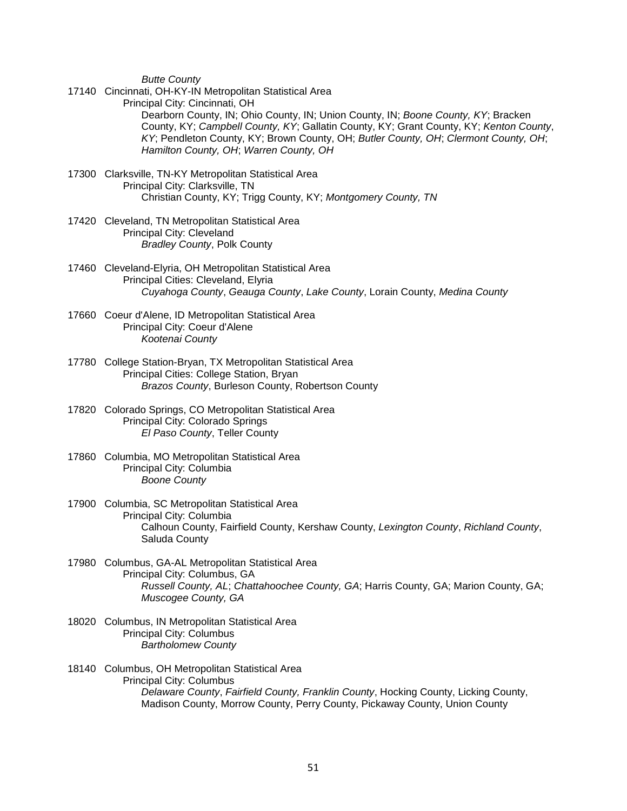*Butte County*

17140 Cincinnati, OH-KY-IN Metropolitan Statistical Area

Principal City: Cincinnati, OH

 Dearborn County, IN; Ohio County, IN; Union County, IN; *Boone County, KY*; Bracken County, KY; *Campbell County, KY*; Gallatin County, KY; Grant County, KY; *Kenton County*, *KY*; Pendleton County, KY; Brown County, OH; *Butler County, OH*; *Clermont County, OH*; *Hamilton County, OH*; *Warren County, OH*

- 17300 Clarksville, TN-KY Metropolitan Statistical Area Principal City: Clarksville, TN Christian County, KY; Trigg County, KY; *Montgomery County, TN*
- 17420 Cleveland, TN Metropolitan Statistical Area Principal City: Cleveland *Bradley County*, Polk County
- 17460 Cleveland-Elyria, OH Metropolitan Statistical Area Principal Cities: Cleveland, Elyria *Cuyahoga County*, *Geauga County*, *Lake County*, Lorain County, *Medina County*
- 17660 Coeur d'Alene, ID Metropolitan Statistical Area Principal City: Coeur d'Alene *Kootenai County*
- 17780 College Station-Bryan, TX Metropolitan Statistical Area Principal Cities: College Station, Bryan *Brazos County*, Burleson County, Robertson County
- 17820 Colorado Springs, CO Metropolitan Statistical Area Principal City: Colorado Springs *El Paso County*, Teller County
- 17860 Columbia, MO Metropolitan Statistical Area Principal City: Columbia *Boone County*
- 17900 Columbia, SC Metropolitan Statistical Area Principal City: Columbia Calhoun County, Fairfield County, Kershaw County, *Lexington County*, *Richland County*, Saluda County
- 17980 Columbus, GA-AL Metropolitan Statistical Area Principal City: Columbus, GA *Russell County, AL*; *Chattahoochee County, GA*; Harris County, GA; Marion County, GA; *Muscogee County, GA*
- 18020 Columbus, IN Metropolitan Statistical Area Principal City: Columbus *Bartholomew County*
- 18140 Columbus, OH Metropolitan Statistical Area Principal City: Columbus *Delaware County*, *Fairfield County, Franklin County*, Hocking County, Licking County, Madison County, Morrow County, Perry County, Pickaway County, Union County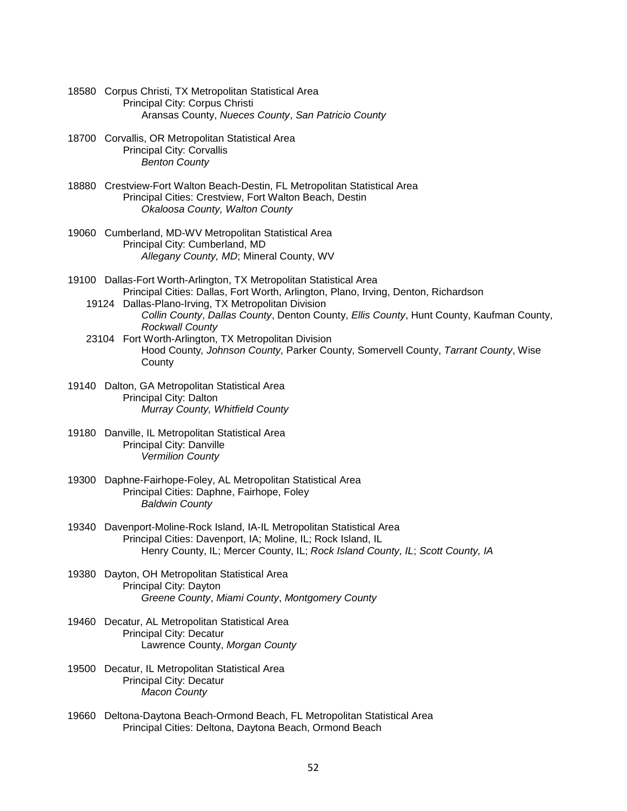- 18580 Corpus Christi, TX Metropolitan Statistical Area Principal City: Corpus Christi Aransas County, *Nueces County*, *San Patricio County*
- 18700 Corvallis, OR Metropolitan Statistical Area Principal City: Corvallis *Benton County*
- 18880 Crestview-Fort Walton Beach-Destin, FL Metropolitan Statistical Area Principal Cities: Crestview, Fort Walton Beach, Destin *Okaloosa County, Walton County*
- 19060 Cumberland, MD-WV Metropolitan Statistical Area Principal City: Cumberland, MD *Allegany County, MD*; Mineral County, WV
- 19100 Dallas-Fort Worth-Arlington, TX Metropolitan Statistical Area Principal Cities: Dallas, Fort Worth, Arlington, Plano, Irving, Denton, Richardson
	- 19124 Dallas-Plano-Irving, TX Metropolitan Division *Collin County*, *Dallas County*, Denton County, *Ellis County*, Hunt County, Kaufman County, *Rockwall County*
	- 23104 Fort Worth-Arlington, TX Metropolitan Division Hood County*, Johnson County,* Parker County, Somervell County, *Tarrant County*, Wise County
- 19140 Dalton, GA Metropolitan Statistical Area Principal City: Dalton *Murray County, Whitfield County*
- 19180 Danville, IL Metropolitan Statistical Area Principal City: Danville *Vermilion County*
- 19300 Daphne-Fairhope-Foley, AL Metropolitan Statistical Area Principal Cities: Daphne, Fairhope, Foley *Baldwin County*
- 19340 Davenport-Moline-Rock Island, IA-IL Metropolitan Statistical Area Principal Cities: Davenport, IA; Moline, IL; Rock Island, IL Henry County, IL; Mercer County, IL; *Rock Island County, IL*; *Scott County, IA*
- 19380 Dayton, OH Metropolitan Statistical Area Principal City: Dayton *Greene County*, *Miami County*, *Montgomery County*
- 19460 Decatur, AL Metropolitan Statistical Area Principal City: Decatur Lawrence County, *Morgan County*
- 19500 Decatur, IL Metropolitan Statistical Area Principal City: Decatur *Macon County*
- 19660 Deltona-Daytona Beach-Ormond Beach, FL Metropolitan Statistical Area Principal Cities: Deltona, Daytona Beach, Ormond Beach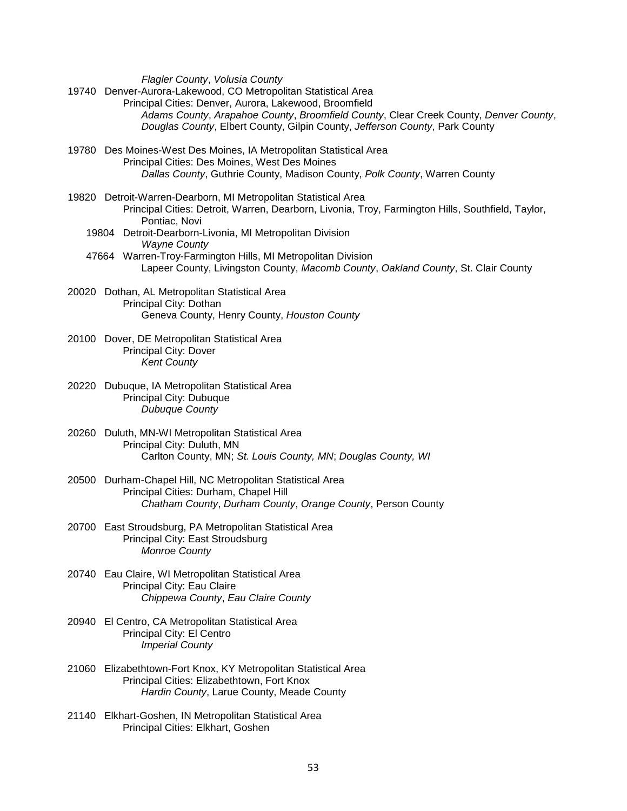*Flagler County*, *Volusia County*

- 19740 Denver-Aurora-Lakewood, CO Metropolitan Statistical Area Principal Cities: Denver, Aurora, Lakewood, Broomfield *Adams County*, *Arapahoe County*, *Broomfield County*, Clear Creek County, *Denver County*, *Douglas County*, Elbert County, Gilpin County, *Jefferson County*, Park County
- 19780 Des Moines-West Des Moines, IA Metropolitan Statistical Area Principal Cities: Des Moines, West Des Moines *Dallas County*, Guthrie County, Madison County, *Polk County*, Warren County
- 19820 Detroit-Warren-Dearborn, MI Metropolitan Statistical Area Principal Cities: Detroit, Warren, Dearborn, Livonia, Troy, Farmington Hills, Southfield, Taylor, Pontiac, Novi 19804 Detroit-Dearborn-Livonia, MI Metropolitan Division
	- *Wayne County*
	- 47664 Warren-Troy-Farmington Hills, MI Metropolitan Division Lapeer County, Livingston County, *Macomb County*, *Oakland County*, St. Clair County
- 20020 Dothan, AL Metropolitan Statistical Area Principal City: Dothan Geneva County, Henry County, *Houston County*
- 20100 Dover, DE Metropolitan Statistical Area Principal City: Dover *Kent County*
- 20220 Dubuque, IA Metropolitan Statistical Area Principal City: Dubuque *Dubuque County*
- 20260 Duluth, MN-WI Metropolitan Statistical Area Principal City: Duluth, MN Carlton County, MN; *St. Louis County, MN*; *Douglas County, WI*
- 20500 Durham-Chapel Hill, NC Metropolitan Statistical Area Principal Cities: Durham, Chapel Hill *Chatham County*, *Durham County*, *Orange County*, Person County
- 20700 East Stroudsburg, PA Metropolitan Statistical Area Principal City: East Stroudsburg *Monroe County*
- 20740 Eau Claire, WI Metropolitan Statistical Area Principal City: Eau Claire *Chippewa County*, *Eau Claire County*
- 20940 El Centro, CA Metropolitan Statistical Area Principal City: El Centro *Imperial County*
- 21060 Elizabethtown-Fort Knox, KY Metropolitan Statistical Area Principal Cities: Elizabethtown, Fort Knox *Hardin County*, Larue County, Meade County
- 21140 Elkhart-Goshen, IN Metropolitan Statistical Area Principal Cities: Elkhart, Goshen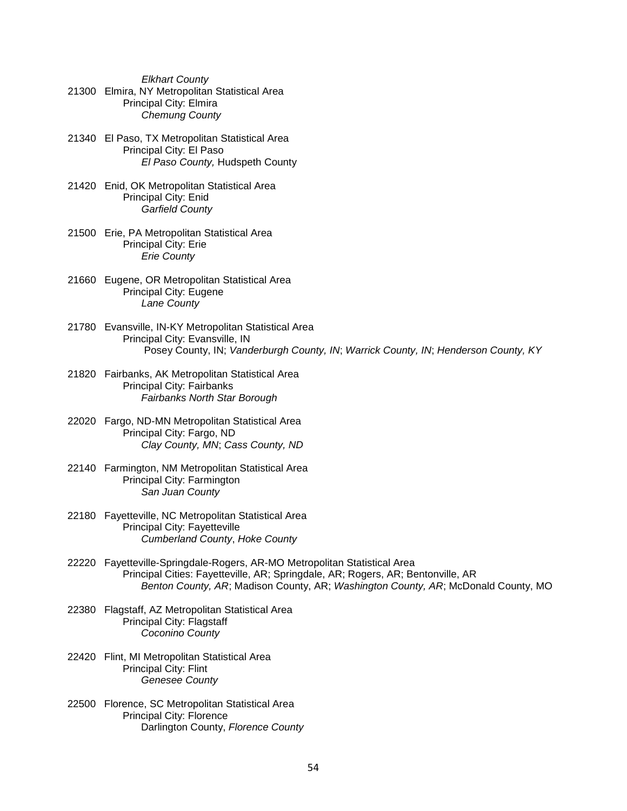*Elkhart County* 21300 Elmira, NY Metropolitan Statistical Area Principal City: Elmira *Chemung County*

- 21340 El Paso, TX Metropolitan Statistical Area Principal City: El Paso *El Paso County,* Hudspeth County
- 21420 Enid, OK Metropolitan Statistical Area Principal City: Enid *Garfield County*
- 21500 Erie, PA Metropolitan Statistical Area Principal City: Erie *Erie County*
- 21660 Eugene, OR Metropolitan Statistical Area Principal City: Eugene *Lane County*
- 21780 Evansville, IN-KY Metropolitan Statistical Area Principal City: Evansville, IN Posey County, IN; *Vanderburgh County, IN*; *Warrick County, IN*; *Henderson County, KY*
- 21820 Fairbanks, AK Metropolitan Statistical Area Principal City: Fairbanks *Fairbanks North Star Borough*
- 22020 Fargo, ND-MN Metropolitan Statistical Area Principal City: Fargo, ND *Clay County, MN*; *Cass County, ND*
- 22140 Farmington, NM Metropolitan Statistical Area Principal City: Farmington *San Juan County*
- 22180 Fayetteville, NC Metropolitan Statistical Area Principal City: Fayetteville *Cumberland County*, *Hoke County*
- 22220 Fayetteville-Springdale-Rogers, AR-MO Metropolitan Statistical Area Principal Cities: Fayetteville, AR; Springdale, AR; Rogers, AR; Bentonville, AR *Benton County, AR*; Madison County, AR; *Washington County, AR*; McDonald County, MO
- 22380 Flagstaff, AZ Metropolitan Statistical Area Principal City: Flagstaff *Coconino County*
- 22420 Flint, MI Metropolitan Statistical Area Principal City: Flint *Genesee County*
- 22500 Florence, SC Metropolitan Statistical Area Principal City: Florence Darlington County, *Florence County*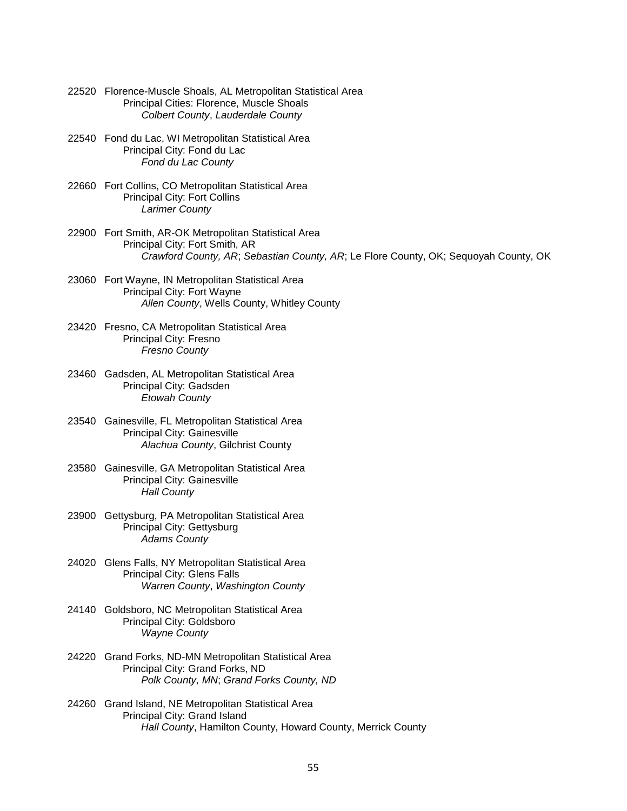- 22520 Florence-Muscle Shoals, AL Metropolitan Statistical Area Principal Cities: Florence, Muscle Shoals *Colbert County*, *Lauderdale County*
- 22540 Fond du Lac, WI Metropolitan Statistical Area Principal City: Fond du Lac *Fond du Lac County*
- 22660 Fort Collins, CO Metropolitan Statistical Area Principal City: Fort Collins *Larimer County*
- 22900 Fort Smith, AR-OK Metropolitan Statistical Area Principal City: Fort Smith, AR *Crawford County, AR*; *Sebastian County, AR*; Le Flore County, OK; Sequoyah County, OK
- 23060 Fort Wayne, IN Metropolitan Statistical Area Principal City: Fort Wayne *Allen County*, Wells County, Whitley County
- 23420 Fresno, CA Metropolitan Statistical Area Principal City: Fresno *Fresno County*
- 23460 Gadsden, AL Metropolitan Statistical Area Principal City: Gadsden *Etowah County*
- 23540 Gainesville, FL Metropolitan Statistical Area Principal City: Gainesville *Alachua County*, Gilchrist County
- 23580 Gainesville, GA Metropolitan Statistical Area Principal City: Gainesville *Hall County*
- 23900 Gettysburg, PA Metropolitan Statistical Area Principal City: Gettysburg *Adams County*
- 24020 Glens Falls, NY Metropolitan Statistical Area Principal City: Glens Falls *Warren County*, *Washington County*
- 24140 Goldsboro, NC Metropolitan Statistical Area Principal City: Goldsboro *Wayne County*
- 24220 Grand Forks, ND-MN Metropolitan Statistical Area Principal City: Grand Forks, ND *Polk County, MN*; *Grand Forks County, ND*
- 24260 Grand Island, NE Metropolitan Statistical Area Principal City: Grand Island *Hall County*, Hamilton County, Howard County, Merrick County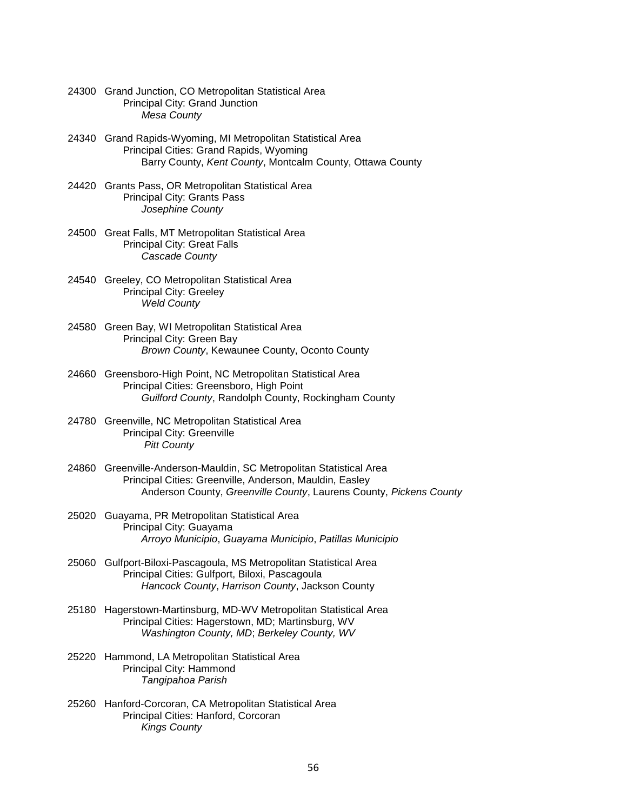- 24300 Grand Junction, CO Metropolitan Statistical Area Principal City: Grand Junction *Mesa County*
- 24340 Grand Rapids-Wyoming, MI Metropolitan Statistical Area Principal Cities: Grand Rapids, Wyoming Barry County, *Kent County*, Montcalm County, Ottawa County
- 24420 Grants Pass, OR Metropolitan Statistical Area Principal City: Grants Pass *Josephine County*
- 24500 Great Falls, MT Metropolitan Statistical Area Principal City: Great Falls *Cascade County*
- 24540 Greeley, CO Metropolitan Statistical Area Principal City: Greeley *Weld County*
- 24580 Green Bay, WI Metropolitan Statistical Area Principal City: Green Bay *Brown County*, Kewaunee County, Oconto County
- 24660 Greensboro-High Point, NC Metropolitan Statistical Area Principal Cities: Greensboro, High Point *Guilford County*, Randolph County, Rockingham County
- 24780 Greenville, NC Metropolitan Statistical Area Principal City: Greenville *Pitt County*
- 24860 Greenville-Anderson-Mauldin, SC Metropolitan Statistical Area Principal Cities: Greenville, Anderson, Mauldin, Easley Anderson County, *Greenville County*, Laurens County, *Pickens County*
- 25020 Guayama, PR Metropolitan Statistical Area Principal City: Guayama *Arroyo Municipio*, *Guayama Municipio*, *Patillas Municipio*
- 25060 Gulfport-Biloxi-Pascagoula, MS Metropolitan Statistical Area Principal Cities: Gulfport, Biloxi, Pascagoula *Hancock County*, *Harrison County*, Jackson County
- 25180 Hagerstown-Martinsburg, MD-WV Metropolitan Statistical Area Principal Cities: Hagerstown, MD; Martinsburg, WV *Washington County, MD*; *Berkeley County, WV*
- 25220 Hammond, LA Metropolitan Statistical Area Principal City: Hammond *Tangipahoa Parish*
- 25260 Hanford-Corcoran, CA Metropolitan Statistical Area Principal Cities: Hanford, Corcoran *Kings County*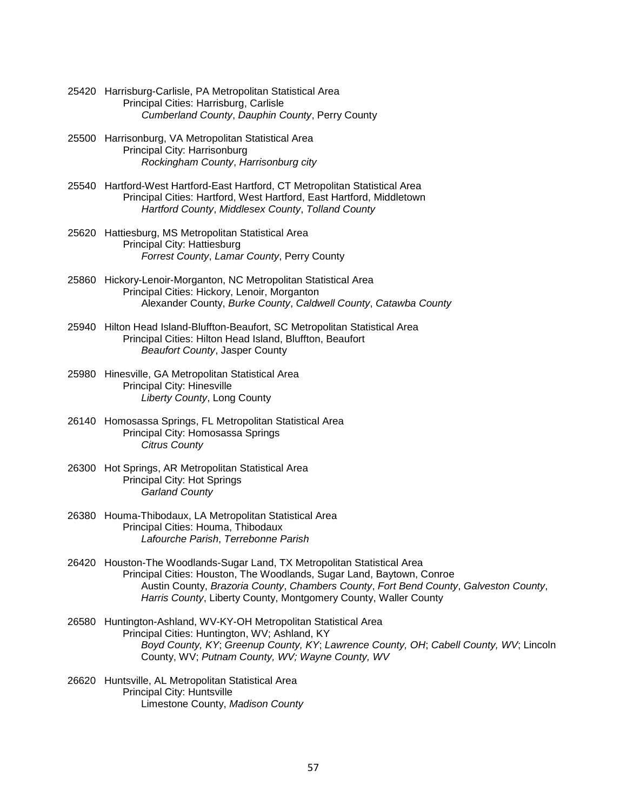- 25420 Harrisburg-Carlisle, PA Metropolitan Statistical Area Principal Cities: Harrisburg, Carlisle *Cumberland County*, *Dauphin County*, Perry County
- 25500 Harrisonburg, VA Metropolitan Statistical Area Principal City: Harrisonburg *Rockingham County*, *Harrisonburg city*
- 25540 Hartford-West Hartford-East Hartford, CT Metropolitan Statistical Area Principal Cities: Hartford, West Hartford, East Hartford, Middletown *Hartford County*, *Middlesex County*, *Tolland County*
- 25620 Hattiesburg, MS Metropolitan Statistical Area Principal City: Hattiesburg *Forrest County*, *Lamar County*, Perry County
- 25860 Hickory-Lenoir-Morganton, NC Metropolitan Statistical Area Principal Cities: Hickory, Lenoir, Morganton Alexander County, *Burke County*, *Caldwell County*, *Catawba County*
- 25940 Hilton Head Island-Bluffton-Beaufort, SC Metropolitan Statistical Area Principal Cities: Hilton Head Island, Bluffton, Beaufort *Beaufort County*, Jasper County
- 25980 Hinesville, GA Metropolitan Statistical Area Principal City: Hinesville *Liberty County*, Long County
- 26140 Homosassa Springs, FL Metropolitan Statistical Area Principal City: Homosassa Springs *Citrus County*
- 26300 Hot Springs, AR Metropolitan Statistical Area Principal City: Hot Springs *Garland County*
- 26380 Houma-Thibodaux, LA Metropolitan Statistical Area Principal Cities: Houma, Thibodaux *Lafourche Parish*, *Terrebonne Parish*
- 26420 Houston-The Woodlands-Sugar Land, TX Metropolitan Statistical Area Principal Cities: Houston, The Woodlands, Sugar Land, Baytown, Conroe Austin County, *Brazoria County*, *Chambers County*, *Fort Bend County*, *Galveston County*, *Harris County*, Liberty County, Montgomery County, Waller County
- 26580 Huntington-Ashland, WV-KY-OH Metropolitan Statistical Area Principal Cities: Huntington, WV; Ashland, KY *Boyd County, KY*; *Greenup County, KY*; *Lawrence County, OH*; *Cabell County, WV*; Lincoln County, WV; *Putnam County, WV; Wayne County, WV*
- 26620 Huntsville, AL Metropolitan Statistical Area Principal City: Huntsville Limestone County, *Madison County*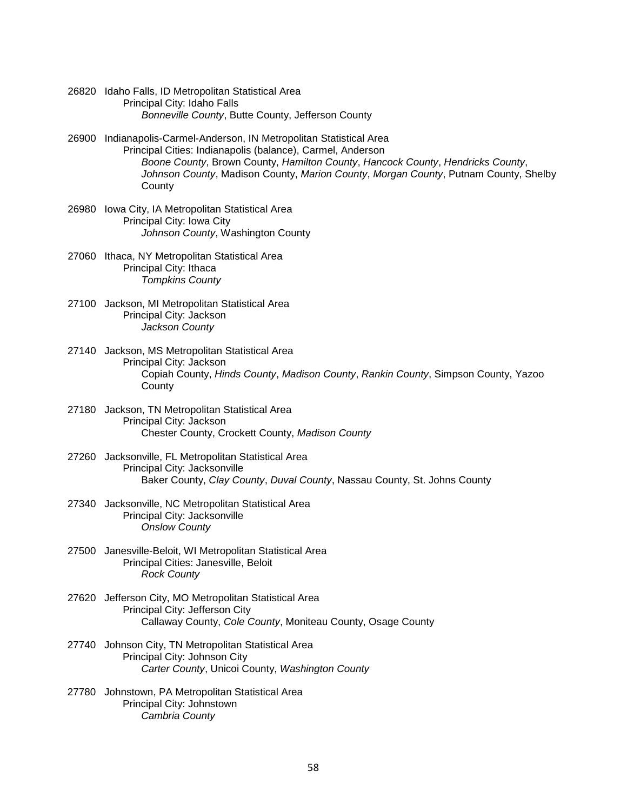- 26820 Idaho Falls, ID Metropolitan Statistical Area Principal City: Idaho Falls *Bonneville County*, Butte County, Jefferson County
- 26900 Indianapolis-Carmel-Anderson, IN Metropolitan Statistical Area Principal Cities: Indianapolis (balance), Carmel, Anderson *Boone County*, Brown County, *Hamilton County*, *Hancock County*, *Hendricks County*, *Johnson County*, Madison County, *Marion County*, *Morgan County*, Putnam County, Shelby **County**
- 26980 Iowa City, IA Metropolitan Statistical Area Principal City: Iowa City *Johnson County*, Washington County
- 27060 Ithaca, NY Metropolitan Statistical Area Principal City: Ithaca *Tompkins County*
- 27100 Jackson, MI Metropolitan Statistical Area Principal City: Jackson *Jackson County*
- 27140 Jackson, MS Metropolitan Statistical Area Principal City: Jackson Copiah County, *Hinds County*, *Madison County*, *Rankin County*, Simpson County, Yazoo **County**
- 27180 Jackson, TN Metropolitan Statistical Area Principal City: Jackson Chester County, Crockett County, *Madison County*
- 27260 Jacksonville, FL Metropolitan Statistical Area Principal City: Jacksonville Baker County, *Clay County*, *Duval County*, Nassau County, St. Johns County
- 27340 Jacksonville, NC Metropolitan Statistical Area Principal City: Jacksonville *Onslow County*
- 27500 Janesville-Beloit, WI Metropolitan Statistical Area Principal Cities: Janesville, Beloit *Rock County*
- 27620 Jefferson City, MO Metropolitan Statistical Area Principal City: Jefferson City Callaway County, *Cole County*, Moniteau County, Osage County
- 27740 Johnson City, TN Metropolitan Statistical Area Principal City: Johnson City *Carter County*, Unicoi County, *Washington County*
- 27780 Johnstown, PA Metropolitan Statistical Area Principal City: Johnstown *Cambria County*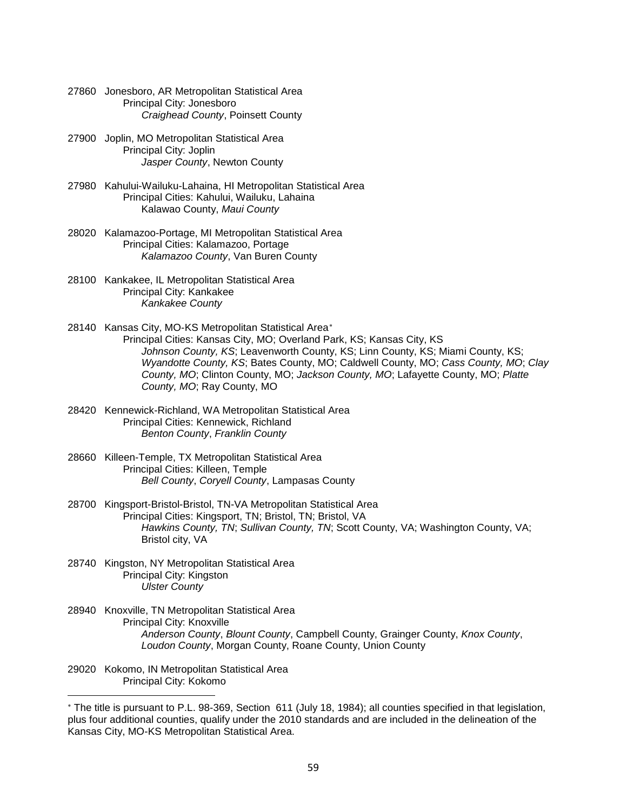- 27860 Jonesboro, AR Metropolitan Statistical Area Principal City: Jonesboro *Craighead County*, Poinsett County
- 27900 Joplin, MO Metropolitan Statistical Area Principal City: Joplin *Jasper County*, Newton County
- 27980 Kahului-Wailuku-Lahaina, HI Metropolitan Statistical Area Principal Cities: Kahului, Wailuku, Lahaina Kalawao County, *Maui County*
- 28020 Kalamazoo-Portage, MI Metropolitan Statistical Area Principal Cities: Kalamazoo, Portage *Kalamazoo County*, Van Buren County
- 28100 Kankakee, IL Metropolitan Statistical Area Principal City: Kankakee *Kankakee County*
- 28140 Kansas City, MO-KS Metropolitan Statistical Area[∗](#page-58-0) Principal Cities: Kansas City, MO; Overland Park, KS; Kansas City, KS *Johnson County, KS*; Leavenworth County, KS; Linn County, KS; Miami County, KS; *Wyandotte County, KS*; Bates County, MO; Caldwell County, MO; *Cass County, MO*; *Clay County, MO*; Clinton County, MO; *Jackson County, MO*; Lafayette County, MO; *Platte County, MO*; Ray County, MO
- 28420 Kennewick-Richland, WA Metropolitan Statistical Area Principal Cities: Kennewick, Richland *Benton County*, *Franklin County*
- 28660 Killeen-Temple, TX Metropolitan Statistical Area Principal Cities: Killeen, Temple *Bell County*, *Coryell County*, Lampasas County
- 28700 Kingsport-Bristol-Bristol, TN-VA Metropolitan Statistical Area Principal Cities: Kingsport, TN; Bristol, TN; Bristol, VA *Hawkins County, TN*; *Sullivan County, TN*; Scott County, VA; Washington County, VA; Bristol city, VA
- 28740 Kingston, NY Metropolitan Statistical Area Principal City: Kingston *Ulster County*
- 28940 Knoxville, TN Metropolitan Statistical Area Principal City: Knoxville *Anderson County*, *Blount County*, Campbell County, Grainger County, *Knox County*, *Loudon County*, Morgan County, Roane County, Union County
- 29020 Kokomo, IN Metropolitan Statistical Area Principal City: Kokomo

<u>.</u>

<span id="page-58-0"></span><sup>∗</sup> The title is pursuant to P.L. 98-369, Section 611 (July 18, 1984); all counties specified in that legislation, plus four additional counties, qualify under the 2010 standards and are included in the delineation of the Kansas City, MO-KS Metropolitan Statistical Area.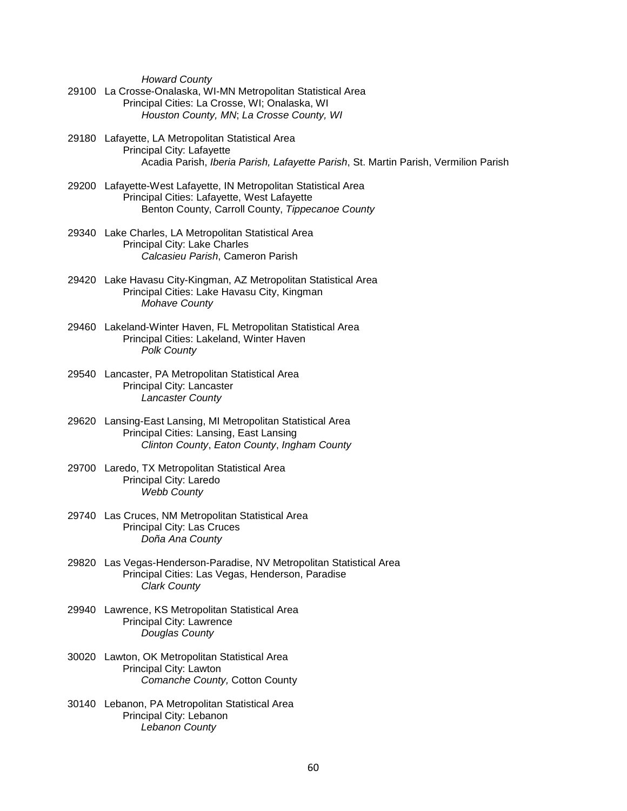*Howard County*

- 29100 La Crosse-Onalaska, WI-MN Metropolitan Statistical Area Principal Cities: La Crosse, WI; Onalaska, WI *Houston County, MN*; *La Crosse County, WI*
- 29180 Lafayette, LA Metropolitan Statistical Area Principal City: Lafayette Acadia Parish, *Iberia Parish, Lafayette Parish*, St. Martin Parish, Vermilion Parish
- 29200 Lafayette-West Lafayette, IN Metropolitan Statistical Area Principal Cities: Lafayette, West Lafayette Benton County, Carroll County, *Tippecanoe County*
- 29340 Lake Charles, LA Metropolitan Statistical Area Principal City: Lake Charles *Calcasieu Parish*, Cameron Parish
- 29420 Lake Havasu City-Kingman, AZ Metropolitan Statistical Area Principal Cities: Lake Havasu City, Kingman *Mohave County*
- 29460 Lakeland-Winter Haven, FL Metropolitan Statistical Area Principal Cities: Lakeland, Winter Haven *Polk County*
- 29540 Lancaster, PA Metropolitan Statistical Area Principal City: Lancaster *Lancaster County*
- 29620 Lansing-East Lansing, MI Metropolitan Statistical Area Principal Cities: Lansing, East Lansing *Clinton County*, *Eaton County*, *Ingham County*
- 29700 Laredo, TX Metropolitan Statistical Area Principal City: Laredo *Webb County*
- 29740 Las Cruces, NM Metropolitan Statistical Area Principal City: Las Cruces *Doña Ana County*
- 29820 Las Vegas-Henderson-Paradise, NV Metropolitan Statistical Area Principal Cities: Las Vegas, Henderson, Paradise *Clark County*
- 29940 Lawrence, KS Metropolitan Statistical Area Principal City: Lawrence *Douglas County*
- 30020 Lawton, OK Metropolitan Statistical Area Principal City: Lawton *Comanche County,* Cotton County
- 30140 Lebanon, PA Metropolitan Statistical Area Principal City: Lebanon *Lebanon County*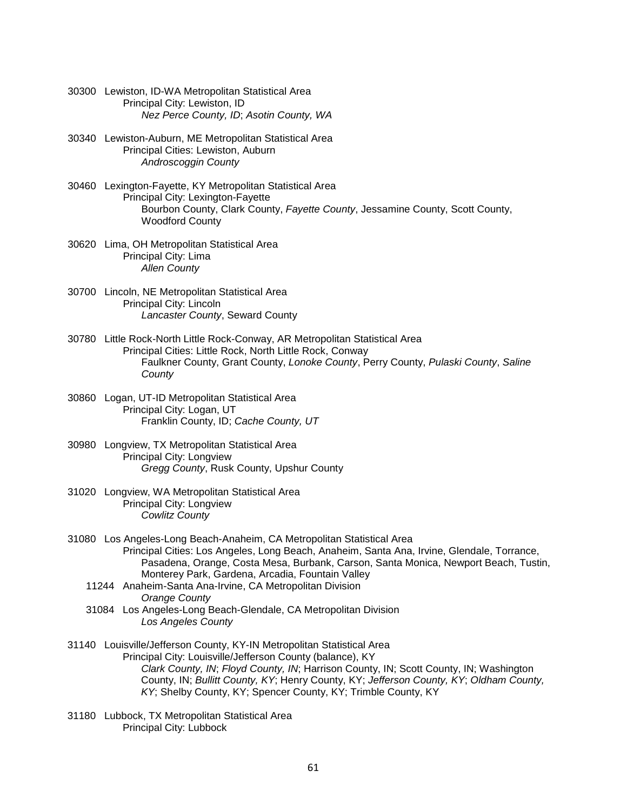- 30300 Lewiston, ID-WA Metropolitan Statistical Area Principal City: Lewiston, ID *Nez Perce County, ID*; *Asotin County, WA*
- 30340 Lewiston-Auburn, ME Metropolitan Statistical Area Principal Cities: Lewiston, Auburn *Androscoggin County*
- 30460 Lexington-Fayette, KY Metropolitan Statistical Area Principal City: Lexington-Fayette Bourbon County, Clark County, *Fayette County*, Jessamine County, Scott County, Woodford County
- 30620 Lima, OH Metropolitan Statistical Area Principal City: Lima *Allen County*
- 30700 Lincoln, NE Metropolitan Statistical Area Principal City: Lincoln *Lancaster County*, Seward County
- 30780 Little Rock-North Little Rock-Conway, AR Metropolitan Statistical Area Principal Cities: Little Rock, North Little Rock, Conway Faulkner County, Grant County, *Lonoke County*, Perry County, *Pulaski County*, *Saline County*
- 30860 Logan, UT-ID Metropolitan Statistical Area Principal City: Logan, UT Franklin County, ID; *Cache County, UT*
- 30980 Longview, TX Metropolitan Statistical Area Principal City: Longview *Gregg County*, Rusk County, Upshur County
- 31020 Longview, WA Metropolitan Statistical Area Principal City: Longview *Cowlitz County*
- 31080 Los Angeles-Long Beach-Anaheim, CA Metropolitan Statistical Area Principal Cities: Los Angeles, Long Beach, Anaheim, Santa Ana, Irvine, Glendale, Torrance, Pasadena, Orange, Costa Mesa, Burbank, Carson, Santa Monica, Newport Beach, Tustin, Monterey Park, Gardena, Arcadia, Fountain Valley
	- 11244 Anaheim-Santa Ana-Irvine, CA Metropolitan Division *Orange County*
	- 31084 Los Angeles-Long Beach-Glendale, CA Metropolitan Division *Los Angeles County*
- 31140 Louisville/Jefferson County, KY-IN Metropolitan Statistical Area Principal City: Louisville/Jefferson County (balance), KY *Clark County, IN*; *Floyd County, IN*; Harrison County, IN; Scott County, IN; Washington County, IN; *Bullitt County, KY*; Henry County, KY; *Jefferson County, KY*; *Oldham County, KY*; Shelby County, KY; Spencer County, KY; Trimble County, KY
- 31180 Lubbock, TX Metropolitan Statistical Area Principal City: Lubbock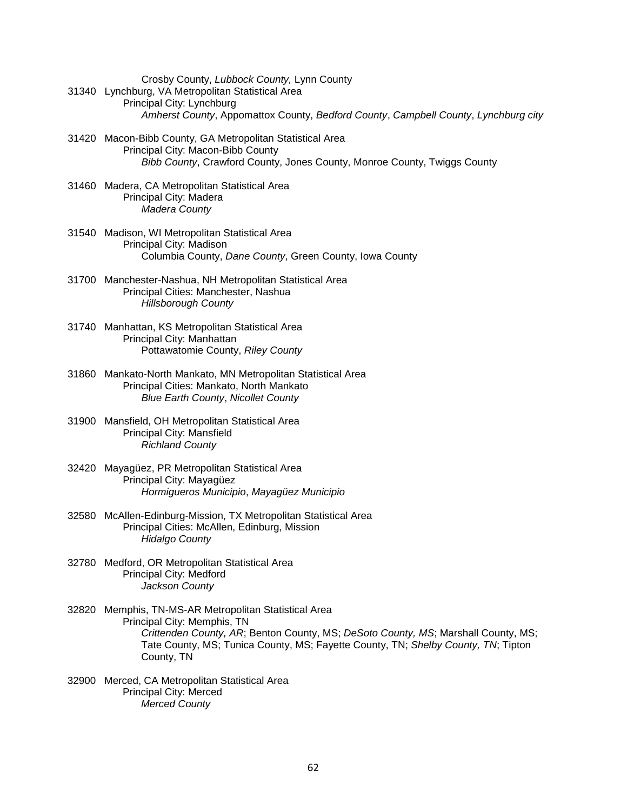Crosby County, *Lubbock County,* Lynn County 31340 Lynchburg, VA Metropolitan Statistical Area Principal City: Lynchburg *Amherst County*, Appomattox County, *Bedford County*, *Campbell County*, *Lynchburg city*

- 31420 Macon-Bibb County, GA Metropolitan Statistical Area Principal City: Macon-Bibb County *Bibb County*, Crawford County, Jones County, Monroe County, Twiggs County
- 31460 Madera, CA Metropolitan Statistical Area Principal City: Madera *Madera County*
- 31540 Madison, WI Metropolitan Statistical Area Principal City: Madison Columbia County, *Dane County*, Green County, Iowa County
- 31700 Manchester-Nashua, NH Metropolitan Statistical Area Principal Cities: Manchester, Nashua *Hillsborough County*
- 31740 Manhattan, KS Metropolitan Statistical Area Principal City: Manhattan Pottawatomie County, *Riley County*
- 31860 Mankato-North Mankato, MN Metropolitan Statistical Area Principal Cities: Mankato, North Mankato *Blue Earth County*, *Nicollet County*
- 31900 Mansfield, OH Metropolitan Statistical Area Principal City: Mansfield *Richland County*
- 32420 Mayagüez, PR Metropolitan Statistical Area Principal City: Mayagüez *Hormigueros Municipio*, *Mayagüez Municipio*
- 32580 McAllen-Edinburg-Mission, TX Metropolitan Statistical Area Principal Cities: McAllen, Edinburg, Mission *Hidalgo County*
- 32780 Medford, OR Metropolitan Statistical Area Principal City: Medford *Jackson County*
- 32820 Memphis, TN-MS-AR Metropolitan Statistical Area Principal City: Memphis, TN *Crittenden County, AR*; Benton County, MS; *DeSoto County, MS*; Marshall County, MS; Tate County, MS; Tunica County, MS; Fayette County, TN; *Shelby County, TN*; Tipton County, TN
- 32900 Merced, CA Metropolitan Statistical Area Principal City: Merced *Merced County*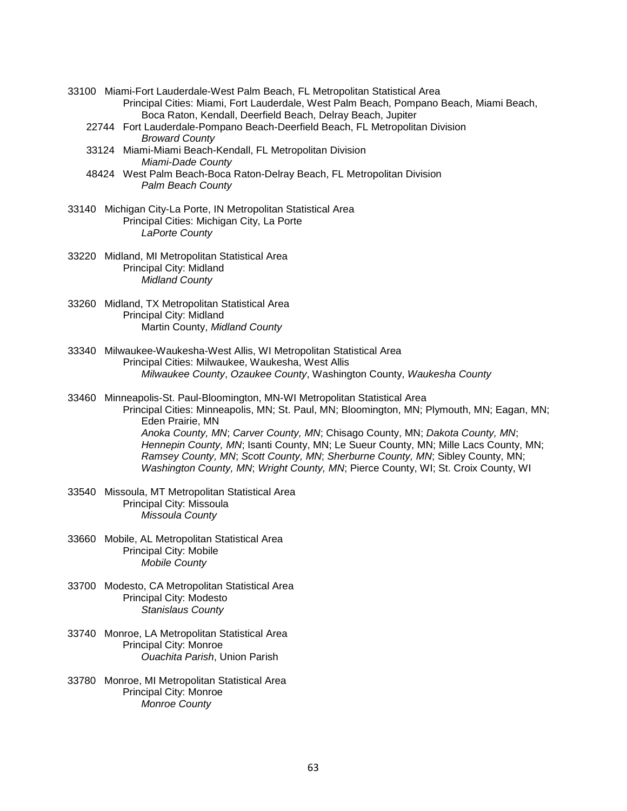- 33100 Miami-Fort Lauderdale-West Palm Beach, FL Metropolitan Statistical Area Principal Cities: Miami, Fort Lauderdale, West Palm Beach, Pompano Beach, Miami Beach, Boca Raton, Kendall, Deerfield Beach, Delray Beach, Jupiter
	- 22744 Fort Lauderdale-Pompano Beach-Deerfield Beach, FL Metropolitan Division *Broward County*
	- 33124 Miami-Miami Beach-Kendall, FL Metropolitan Division *Miami-Dade County*
	- 48424 West Palm Beach-Boca Raton-Delray Beach, FL Metropolitan Division *Palm Beach County*
- 33140 Michigan City-La Porte, IN Metropolitan Statistical Area Principal Cities: Michigan City, La Porte *LaPorte County*
- 33220 Midland, MI Metropolitan Statistical Area Principal City: Midland *Midland County*
- 33260 Midland, TX Metropolitan Statistical Area Principal City: Midland Martin County, *Midland County*
- 33340 Milwaukee-Waukesha-West Allis, WI Metropolitan Statistical Area Principal Cities: Milwaukee, Waukesha, West Allis *Milwaukee County*, *Ozaukee County*, Washington County, *Waukesha County*
- 33460 Minneapolis-St. Paul-Bloomington, MN-WI Metropolitan Statistical Area Principal Cities: Minneapolis, MN; St. Paul, MN; Bloomington, MN; Plymouth, MN; Eagan, MN; Eden Prairie, MN *Anoka County, MN*; *Carver County, MN*; Chisago County, MN; *Dakota County, MN*; *Hennepin County, MN*; Isanti County, MN; Le Sueur County, MN; Mille Lacs County, MN; *Ramsey County, MN*; *Scott County, MN*; *Sherburne County, MN*; Sibley County, MN; *Washington County, MN*; *Wright County, MN*; Pierce County, WI; St. Croix County, WI
- 33540 Missoula, MT Metropolitan Statistical Area Principal City: Missoula *Missoula County*
- 33660 Mobile, AL Metropolitan Statistical Area Principal City: Mobile *Mobile County*
- 33700 Modesto, CA Metropolitan Statistical Area Principal City: Modesto *Stanislaus County*
- 33740 Monroe, LA Metropolitan Statistical Area Principal City: Monroe *Ouachita Parish*, Union Parish
- 33780 Monroe, MI Metropolitan Statistical Area Principal City: Monroe *Monroe County*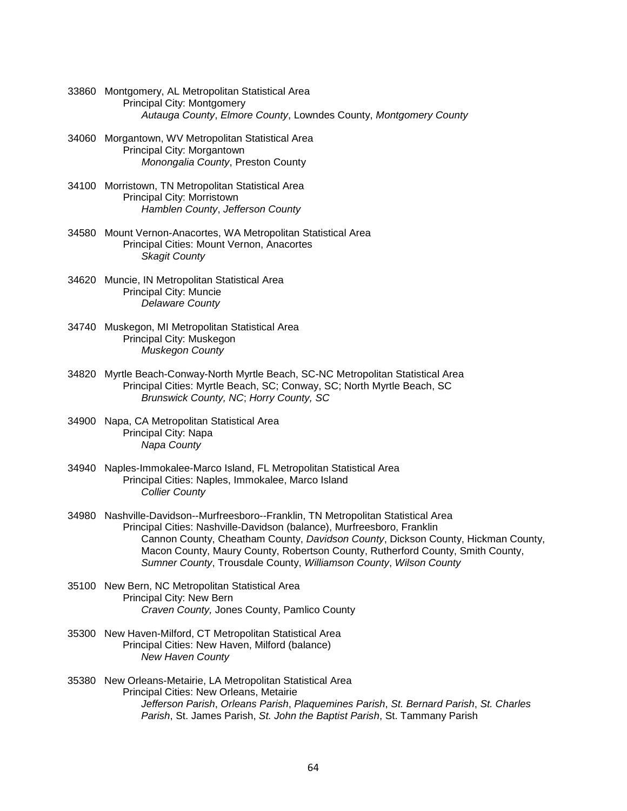- 33860 Montgomery, AL Metropolitan Statistical Area Principal City: Montgomery *Autauga County*, *Elmore County*, Lowndes County, *Montgomery County*
- 34060 Morgantown, WV Metropolitan Statistical Area Principal City: Morgantown *Monongalia County*, Preston County
- 34100 Morristown, TN Metropolitan Statistical Area Principal City: Morristown *Hamblen County*, *Jefferson County*
- 34580 Mount Vernon-Anacortes, WA Metropolitan Statistical Area Principal Cities: Mount Vernon, Anacortes *Skagit County*
- 34620 Muncie, IN Metropolitan Statistical Area Principal City: Muncie *Delaware County*
- 34740 Muskegon, MI Metropolitan Statistical Area Principal City: Muskegon *Muskegon County*
- 34820 Myrtle Beach-Conway-North Myrtle Beach, SC-NC Metropolitan Statistical Area Principal Cities: Myrtle Beach, SC; Conway, SC; North Myrtle Beach, SC *Brunswick County, NC*; *Horry County, SC*
- 34900 Napa, CA Metropolitan Statistical Area Principal City: Napa *Napa County*
- 34940 Naples-Immokalee-Marco Island, FL Metropolitan Statistical Area Principal Cities: Naples, Immokalee, Marco Island *Collier County*
- 34980 Nashville-Davidson--Murfreesboro--Franklin, TN Metropolitan Statistical Area Principal Cities: Nashville-Davidson (balance), Murfreesboro, Franklin Cannon County, Cheatham County, *Davidson County*, Dickson County, Hickman County, Macon County, Maury County, Robertson County, Rutherford County, Smith County, *Sumner County*, Trousdale County, *Williamson County*, *Wilson County*
- 35100 New Bern, NC Metropolitan Statistical Area Principal City: New Bern *Craven County,* Jones County, Pamlico County
- 35300 New Haven-Milford, CT Metropolitan Statistical Area Principal Cities: New Haven, Milford (balance) *New Haven County*
- 35380 New Orleans-Metairie, LA Metropolitan Statistical Area Principal Cities: New Orleans, Metairie *Jefferson Parish*, *Orleans Parish*, *Plaquemines Parish*, *St. Bernard Parish*, *St. Charles Parish*, St. James Parish, *St. John the Baptist Parish*, St. Tammany Parish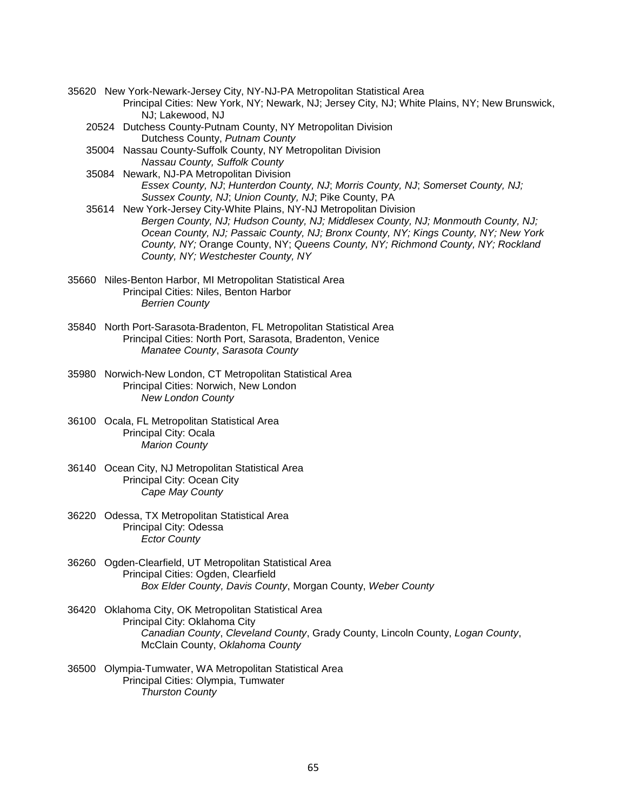- 35620 New York-Newark-Jersey City, NY-NJ-PA Metropolitan Statistical Area Principal Cities: New York, NY; Newark, NJ; Jersey City, NJ; White Plains, NY; New Brunswick, NJ; Lakewood, NJ
	- 20524 Dutchess County-Putnam County, NY Metropolitan Division Dutchess County, *Putnam County*
	- 35004 Nassau County-Suffolk County, NY Metropolitan Division *Nassau County, Suffolk County*
	- 35084 Newark, NJ-PA Metropolitan Division *Essex County, NJ*; *Hunterdon County, NJ*; *Morris County, NJ*; *Somerset County, NJ; Sussex County, NJ*; *Union County, NJ*; Pike County, PA
	- 35614 New York-Jersey City-White Plains, NY-NJ Metropolitan Division *Bergen County, NJ; Hudson County, NJ; Middlesex County, NJ; Monmouth County, NJ; Ocean County, NJ; Passaic County, NJ; Bronx County, NY; Kings County, NY; New York County, NY;* Orange County, NY; *Queens County, NY; Richmond County, NY; Rockland County, NY; Westchester County, NY*
- 35660 Niles-Benton Harbor, MI Metropolitan Statistical Area Principal Cities: Niles, Benton Harbor *Berrien County*
- 35840 North Port-Sarasota-Bradenton, FL Metropolitan Statistical Area Principal Cities: North Port, Sarasota, Bradenton, Venice *Manatee County*, *Sarasota County*
- 35980 Norwich-New London, CT Metropolitan Statistical Area Principal Cities: Norwich, New London *New London County*
- 36100 Ocala, FL Metropolitan Statistical Area Principal City: Ocala *Marion County*
- 36140 Ocean City, NJ Metropolitan Statistical Area Principal City: Ocean City *Cape May County*
- 36220 Odessa, TX Metropolitan Statistical Area Principal City: Odessa *Ector County*
- 36260 Ogden-Clearfield, UT Metropolitan Statistical Area Principal Cities: Ogden, Clearfield *Box Elder County, Davis County*, Morgan County, *Weber County*
- 36420 Oklahoma City, OK Metropolitan Statistical Area Principal City: Oklahoma City *Canadian County*, *Cleveland County*, Grady County, Lincoln County, *Logan County*, McClain County, *Oklahoma County*
- 36500 Olympia-Tumwater, WA Metropolitan Statistical Area Principal Cities: Olympia, Tumwater *Thurston County*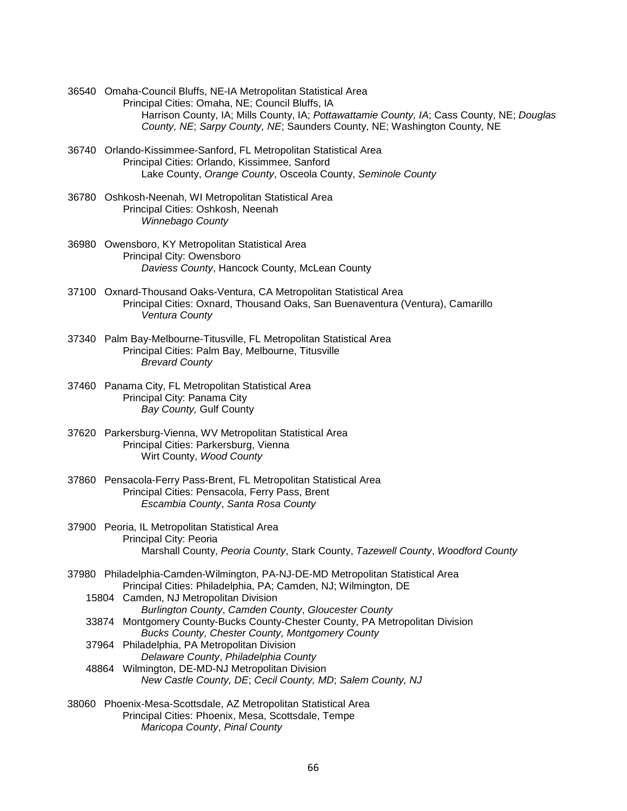- 36540 Omaha-Council Bluffs, NE-IA Metropolitan Statistical Area Principal Cities: Omaha, NE; Council Bluffs, IA Harrison County, IA; Mills County, IA; *Pottawattamie County, IA*; Cass County, NE; *Douglas County, NE*; *Sarpy County, NE*; Saunders County, NE; Washington County, NE
- 36740 Orlando-Kissimmee-Sanford, FL Metropolitan Statistical Area Principal Cities: Orlando, Kissimmee, Sanford Lake County, *Orange County*, Osceola County, *Seminole County*
- 36780 Oshkosh-Neenah, WI Metropolitan Statistical Area Principal Cities: Oshkosh, Neenah *Winnebago County*
- 36980 Owensboro, KY Metropolitan Statistical Area Principal City: Owensboro *Daviess County*, Hancock County, McLean County
- 37100 Oxnard-Thousand Oaks-Ventura, CA Metropolitan Statistical Area Principal Cities: Oxnard, Thousand Oaks, San Buenaventura (Ventura), Camarillo *Ventura County*
- 37340 Palm Bay-Melbourne-Titusville, FL Metropolitan Statistical Area Principal Cities: Palm Bay, Melbourne, Titusville *Brevard County*
- 37460 Panama City, FL Metropolitan Statistical Area Principal City: Panama City *Bay County,* Gulf County
- 37620 Parkersburg-Vienna, WV Metropolitan Statistical Area Principal Cities: Parkersburg, Vienna Wirt County, *Wood County*
- 37860 Pensacola-Ferry Pass-Brent, FL Metropolitan Statistical Area Principal Cities: Pensacola, Ferry Pass, Brent *Escambia County*, *Santa Rosa County*
- 37900 Peoria, IL Metropolitan Statistical Area Principal City: Peoria Marshall County, *Peoria County*, Stark County, *Tazewell County*, *Woodford County*
- 37980 Philadelphia-Camden-Wilmington, PA-NJ-DE-MD Metropolitan Statistical Area Principal Cities: Philadelphia, PA; Camden, NJ; Wilmington, DE
	- 15804 Camden, NJ Metropolitan Division *Burlington County*, *Camden County*, *Gloucester County* 33874 Montgomery County-Bucks County-Chester County, PA Metropolitan Division *Bucks County, Chester County, Montgomery County* 37964 Philadelphia, PA Metropolitan Division
	- *Delaware County*, *Philadelphia County* 48864 Wilmington, DE-MD-NJ Metropolitan Division *New Castle County, DE*; *Cecil County, MD*; *Salem County, NJ*
- 38060 Phoenix-Mesa-Scottsdale, AZ Metropolitan Statistical Area Principal Cities: Phoenix, Mesa, Scottsdale, Tempe *Maricopa County*, *Pinal County*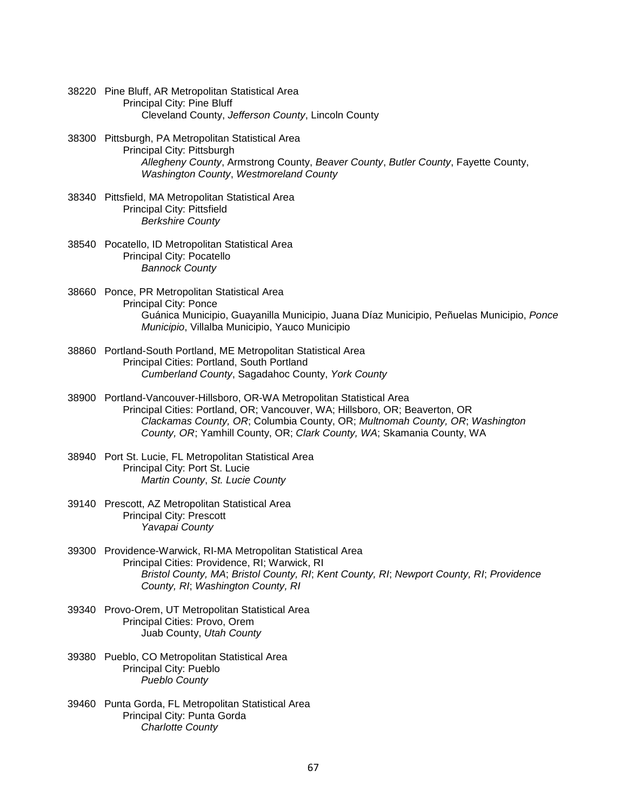- 38220 Pine Bluff, AR Metropolitan Statistical Area Principal City: Pine Bluff Cleveland County, *Jefferson County*, Lincoln County
- 38300 Pittsburgh, PA Metropolitan Statistical Area Principal City: Pittsburgh *Allegheny County*, Armstrong County, *Beaver County*, *Butler County*, Fayette County, *Washington County*, *Westmoreland County*
- 38340 Pittsfield, MA Metropolitan Statistical Area Principal City: Pittsfield *Berkshire County*
- 38540 Pocatello, ID Metropolitan Statistical Area Principal City: Pocatello *Bannock County*
- 38660 Ponce, PR Metropolitan Statistical Area Principal City: Ponce Guánica Municipio, Guayanilla Municipio, Juana Díaz Municipio, Peñuelas Municipio, *Ponce Municipio*, Villalba Municipio, Yauco Municipio
- 38860 Portland-South Portland, ME Metropolitan Statistical Area Principal Cities: Portland, South Portland *Cumberland County*, Sagadahoc County, *York County*
- 38900 Portland-Vancouver-Hillsboro, OR-WA Metropolitan Statistical Area Principal Cities: Portland, OR; Vancouver, WA; Hillsboro, OR; Beaverton, OR *Clackamas County, OR*; Columbia County, OR; *Multnomah County, OR*; *Washington County, OR*; Yamhill County, OR; *Clark County, WA*; Skamania County, WA
- 38940 Port St. Lucie, FL Metropolitan Statistical Area Principal City: Port St. Lucie *Martin County*, *St. Lucie County*
- 39140 Prescott, AZ Metropolitan Statistical Area Principal City: Prescott *Yavapai County*
- 39300 Providence-Warwick, RI-MA Metropolitan Statistical Area Principal Cities: Providence, RI; Warwick, RI *Bristol County, MA*; *Bristol County, RI*; *Kent County, RI*; *Newport County, RI*; *Providence County, RI*; *Washington County, RI*
- 39340 Provo-Orem, UT Metropolitan Statistical Area Principal Cities: Provo, Orem Juab County, *Utah County*
- 39380 Pueblo, CO Metropolitan Statistical Area Principal City: Pueblo *Pueblo County*
- 39460 Punta Gorda, FL Metropolitan Statistical Area Principal City: Punta Gorda *Charlotte County*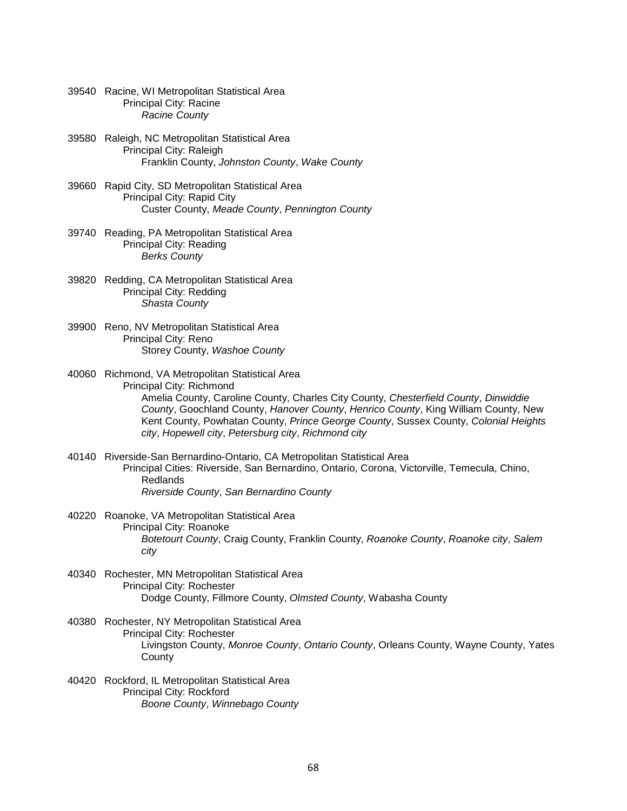- 39540 Racine, WI Metropolitan Statistical Area Principal City: Racine *Racine County*
- 39580 Raleigh, NC Metropolitan Statistical Area Principal City: Raleigh Franklin County, *Johnston County*, *Wake County*
- 39660 Rapid City, SD Metropolitan Statistical Area Principal City: Rapid City Custer County, *Meade County*, *Pennington County*
- 39740 Reading, PA Metropolitan Statistical Area Principal City: Reading *Berks County*
- 39820 Redding, CA Metropolitan Statistical Area Principal City: Redding *Shasta County*
- 39900 Reno, NV Metropolitan Statistical Area Principal City: Reno Storey County, *Washoe County*
- 40060 Richmond, VA Metropolitan Statistical Area Principal City: Richmond Amelia County, Caroline County, Charles City County, *Chesterfield County*, *Dinwiddie County*, Goochland County, *Hanover County*, *Henrico County*, King William County, New Kent County, Powhatan County, *Prince George County*, Sussex County, *Colonial Heights city*, *Hopewell city*, *Petersburg city*, *Richmond city*
- 40140 Riverside-San Bernardino-Ontario, CA Metropolitan Statistical Area Principal Cities: Riverside, San Bernardino, Ontario, Corona, Victorville, Temecula, Chino, Redlands *Riverside County*, *San Bernardino County*
- 40220 Roanoke, VA Metropolitan Statistical Area Principal City: Roanoke *Botetourt County*, Craig County, Franklin County, *Roanoke County*, *Roanoke city*, *Salem city*
- 40340 Rochester, MN Metropolitan Statistical Area Principal City: Rochester Dodge County, Fillmore County, *Olmsted County*, Wabasha County
- 40380 Rochester, NY Metropolitan Statistical Area Principal City: Rochester Livingston County, *Monroe County*, *Ontario County*, Orleans County, Wayne County, Yates **County**
- 40420 Rockford, IL Metropolitan Statistical Area Principal City: Rockford *Boone County*, *Winnebago County*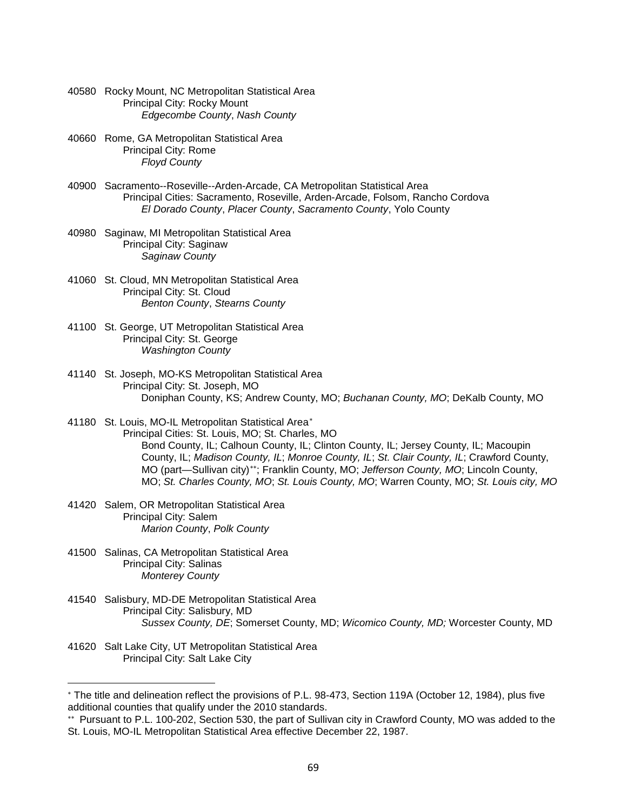- 40580 Rocky Mount, NC Metropolitan Statistical Area Principal City: Rocky Mount *Edgecombe County*, *Nash County*
- 40660 Rome, GA Metropolitan Statistical Area Principal City: Rome *Floyd County*
- 40900 Sacramento--Roseville--Arden-Arcade, CA Metropolitan Statistical Area Principal Cities: Sacramento, Roseville, Arden-Arcade, Folsom, Rancho Cordova *El Dorado County*, *Placer County*, *Sacramento County*, Yolo County
- 40980 Saginaw, MI Metropolitan Statistical Area Principal City: Saginaw *Saginaw County*
- 41060 St. Cloud, MN Metropolitan Statistical Area Principal City: St. Cloud *Benton County*, *Stearns County*
- 41100 St. George, UT Metropolitan Statistical Area Principal City: St. George *Washington County*
- 41140 St. Joseph, MO-KS Metropolitan Statistical Area Principal City: St. Joseph, MO Doniphan County, KS; Andrew County, MO; *Buchanan County, MO*; DeKalb County, MO
- 41180 St. Louis, MO-IL Metropolitan Statistical Area[∗](#page-68-0) Principal Cities: St. Louis, MO; St. Charles, MO Bond County, IL; Calhoun County, IL; Clinton County, IL; Jersey County, IL; Macoupin County, IL; *Madison County, IL*; *Monroe County, IL*; *St. Clair County, IL*; Crawford County, MO (part—Sullivan city)[∗∗](#page-68-1); Franklin County, MO; *Jefferson County, MO*; Lincoln County, MO; *St. Charles County, MO*; *St. Louis County, MO*; Warren County, MO; *St. Louis city, MO*
- 41420 Salem, OR Metropolitan Statistical Area Principal City: Salem *Marion County*, *Polk County*
- 41500 Salinas, CA Metropolitan Statistical Area Principal City: Salinas *Monterey County*
- 41540 Salisbury, MD-DE Metropolitan Statistical Area Principal City: Salisbury, MD *Sussex County, DE*; Somerset County, MD; *Wicomico County, MD;* Worcester County, MD
- 41620 Salt Lake City, UT Metropolitan Statistical Area Principal City: Salt Lake City

 $\overline{\phantom{a}}$ 

<span id="page-68-0"></span><sup>∗</sup> The title and delineation reflect the provisions of P.L. 98-473, Section 119A (October 12, 1984), plus five additional counties that qualify under the 2010 standards.

<span id="page-68-1"></span><sup>∗∗</sup> Pursuant to P.L. 100-202, Section 530, the part of Sullivan city in Crawford County, MO was added to the St. Louis, MO-IL Metropolitan Statistical Area effective December 22, 1987.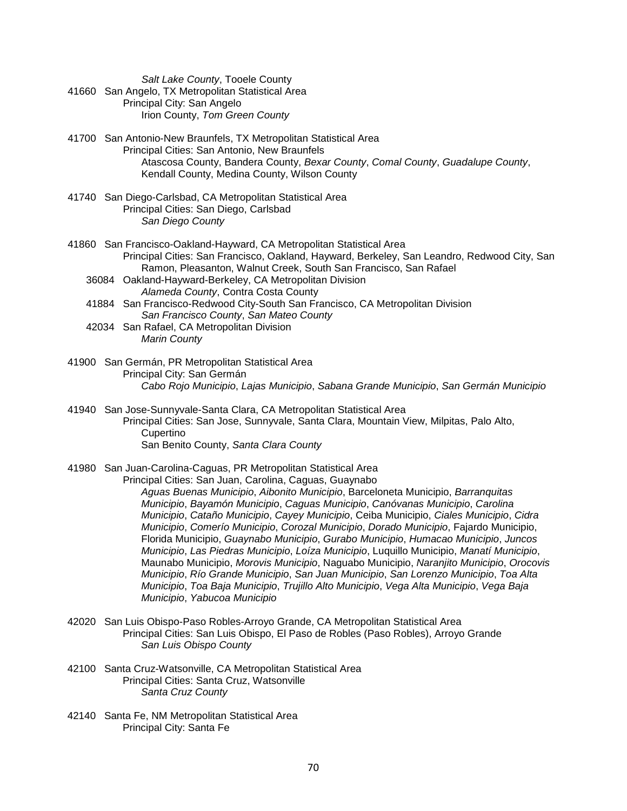*Salt Lake County*, Tooele County

- 41660 San Angelo, TX Metropolitan Statistical Area Principal City: San Angelo Irion County, *Tom Green County*
- 41700 San Antonio-New Braunfels, TX Metropolitan Statistical Area Principal Cities: San Antonio, New Braunfels Atascosa County, Bandera County, *Bexar County*, *Comal County*, *Guadalupe County*, Kendall County, Medina County, Wilson County
- 41740 San Diego-Carlsbad, CA Metropolitan Statistical Area Principal Cities: San Diego, Carlsbad *San Diego County*
- 41860 San Francisco-Oakland-Hayward, CA Metropolitan Statistical Area Principal Cities: San Francisco, Oakland, Hayward, Berkeley, San Leandro, Redwood City, San Ramon, Pleasanton, Walnut Creek, South San Francisco, San Rafael
	- 36084 Oakland-Hayward-Berkeley, CA Metropolitan Division *Alameda County*, Contra Costa County
	- 41884 San Francisco-Redwood City-South San Francisco, CA Metropolitan Division *San Francisco County*, *San Mateo County*
	- 42034 San Rafael, CA Metropolitan Division *Marin County*
- 41900 San Germán, PR Metropolitan Statistical Area Principal City: San Germán *Cabo Rojo Municipio*, *Lajas Municipio*, *Sabana Grande Municipio*, *San Germán Municipio*
- 41940 San Jose-Sunnyvale-Santa Clara, CA Metropolitan Statistical Area Principal Cities: San Jose, Sunnyvale, Santa Clara, Mountain View, Milpitas, Palo Alto, **Cupertino** San Benito County, *Santa Clara County*
- 41980 San Juan-Carolina-Caguas, PR Metropolitan Statistical Area Principal Cities: San Juan, Carolina, Caguas, Guaynabo *Aguas Buenas Municipio*, *Aibonito Municipio*, Barceloneta Municipio, *Barranquitas Municipio*, *Bayamón Municipio*, *Caguas Municipio*, *Canóvanas Municipio*, *Carolina Municipio*, *Cataño Municipio*, *Cayey Municipio*, Ceiba Municipio, *Ciales Municipio*, *Cidra Municipio*, *Comerío Municipio*, *Corozal Municipio*, *Dorado Municipio*, Fajardo Municipio, Florida Municipio, *Guaynabo Municipio*, *Gurabo Municipio*, *Humacao Municipio*, *Juncos Municipio*, *Las Piedras Municipio*, *Loíza Municipio*, Luquillo Municipio, *Manatí Municipio*, Maunabo Municipio, *Morovis Municipio*, Naguabo Municipio, *Naranjito Municipio*, *Orocovis Municipio*, *Río Grande Municipio*, *San Juan Municipio*, *San Lorenzo Municipio*, *Toa Alta Municipio*, *Toa Baja Municipio*, *Trujillo Alto Municipio*, *Vega Alta Municipio*, *Vega Baja Municipio*, *Yabucoa Municipio*
- 42020 San Luis Obispo-Paso Robles-Arroyo Grande, CA Metropolitan Statistical Area Principal Cities: San Luis Obispo, El Paso de Robles (Paso Robles), Arroyo Grande *San Luis Obispo County*
- 42100 Santa Cruz-Watsonville, CA Metropolitan Statistical Area Principal Cities: Santa Cruz, Watsonville *Santa Cruz County*
- 42140 Santa Fe, NM Metropolitan Statistical Area Principal City: Santa Fe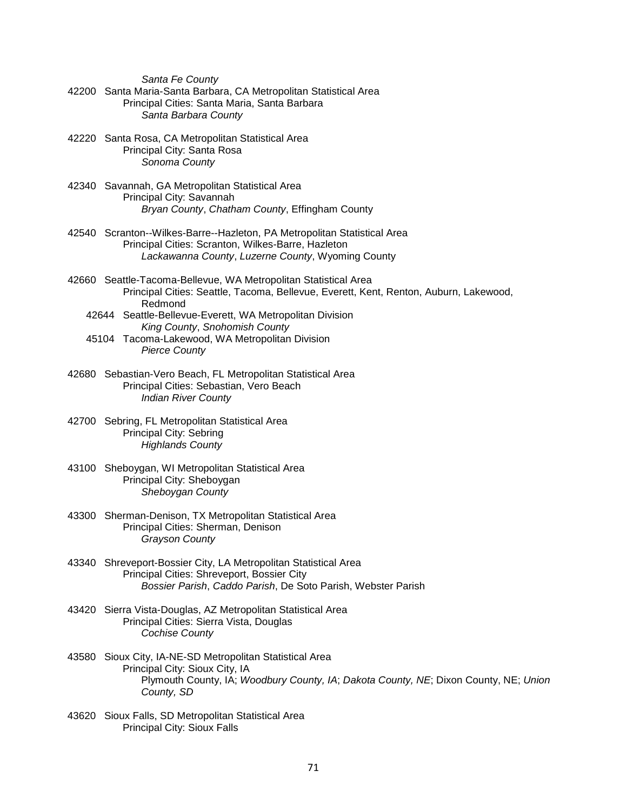*Santa Fe County*

- 42200 Santa Maria-Santa Barbara, CA Metropolitan Statistical Area Principal Cities: Santa Maria, Santa Barbara *Santa Barbara County*
- 42220 Santa Rosa, CA Metropolitan Statistical Area Principal City: Santa Rosa *Sonoma County*
- 42340 Savannah, GA Metropolitan Statistical Area Principal City: Savannah *Bryan County*, *Chatham County*, Effingham County
- 42540 Scranton--Wilkes-Barre--Hazleton, PA Metropolitan Statistical Area Principal Cities: Scranton, Wilkes-Barre, Hazleton *Lackawanna County*, *Luzerne County*, Wyoming County
- 42660 Seattle-Tacoma-Bellevue, WA Metropolitan Statistical Area Principal Cities: Seattle, Tacoma, Bellevue, Everett, Kent, Renton, Auburn, Lakewood, Redmond
	- 42644 Seattle-Bellevue-Everett, WA Metropolitan Division *King County*, *Snohomish County*
	- 45104 Tacoma-Lakewood, WA Metropolitan Division *Pierce County*
- 42680 Sebastian-Vero Beach, FL Metropolitan Statistical Area Principal Cities: Sebastian, Vero Beach *Indian River County*
- 42700 Sebring, FL Metropolitan Statistical Area Principal City: Sebring *Highlands County*
- 43100 Sheboygan, WI Metropolitan Statistical Area Principal City: Sheboygan *Sheboygan County*
- 43300 Sherman-Denison, TX Metropolitan Statistical Area Principal Cities: Sherman, Denison *Grayson County*
- 43340 Shreveport-Bossier City, LA Metropolitan Statistical Area Principal Cities: Shreveport, Bossier City *Bossier Parish*, *Caddo Parish*, De Soto Parish, Webster Parish
- 43420 Sierra Vista-Douglas, AZ Metropolitan Statistical Area Principal Cities: Sierra Vista, Douglas *Cochise County*
- 43580 Sioux City, IA-NE-SD Metropolitan Statistical Area Principal City: Sioux City, IA Plymouth County, IA; *Woodbury County, IA*; *Dakota County, NE*; Dixon County, NE; *Union County, SD*
- 43620 Sioux Falls, SD Metropolitan Statistical Area Principal City: Sioux Falls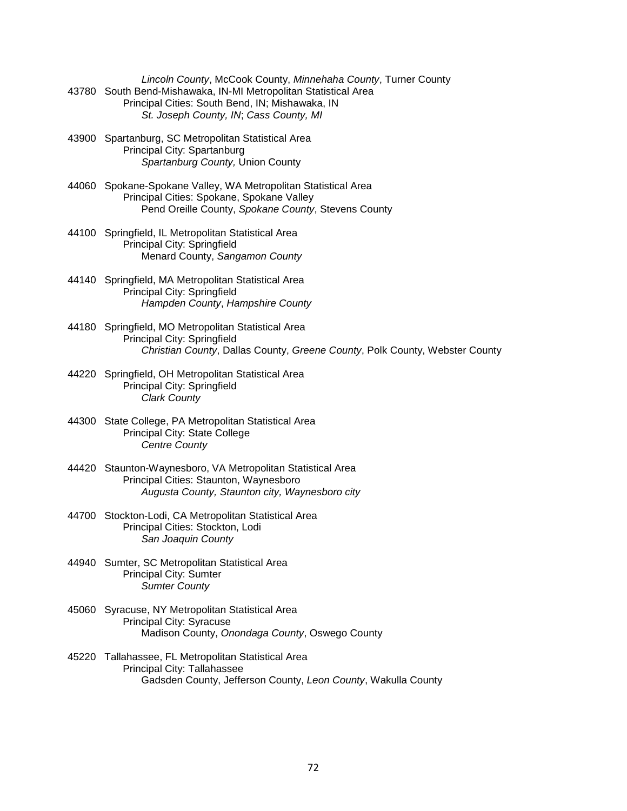*Lincoln County*, McCook County, *Minnehaha County*, Turner County 43780 South Bend-Mishawaka, IN-MI Metropolitan Statistical Area Principal Cities: South Bend, IN; Mishawaka, IN *St. Joseph County, IN*; *Cass County, MI*

- 43900 Spartanburg, SC Metropolitan Statistical Area Principal City: Spartanburg *Spartanburg County,* Union County
- 44060 Spokane-Spokane Valley, WA Metropolitan Statistical Area Principal Cities: Spokane, Spokane Valley Pend Oreille County, *Spokane County*, Stevens County
- 44100 Springfield, IL Metropolitan Statistical Area Principal City: Springfield Menard County, *Sangamon County*
- 44140 Springfield, MA Metropolitan Statistical Area Principal City: Springfield *Hampden County*, *Hampshire County*
- 44180 Springfield, MO Metropolitan Statistical Area Principal City: Springfield *Christian County*, Dallas County, *Greene County*, Polk County, Webster County
- 44220 Springfield, OH Metropolitan Statistical Area Principal City: Springfield *Clark County*
- 44300 State College, PA Metropolitan Statistical Area Principal City: State College *Centre County*
- 44420 Staunton-Waynesboro, VA Metropolitan Statistical Area Principal Cities: Staunton, Waynesboro *Augusta County, Staunton city, Waynesboro city*
- 44700 Stockton-Lodi, CA Metropolitan Statistical Area Principal Cities: Stockton, Lodi *San Joaquin County*
- 44940 Sumter, SC Metropolitan Statistical Area Principal City: Sumter *Sumter County*
- 45060 Syracuse, NY Metropolitan Statistical Area Principal City: Syracuse Madison County, *Onondaga County*, Oswego County
- 45220 Tallahassee, FL Metropolitan Statistical Area Principal City: Tallahassee Gadsden County, Jefferson County, *Leon County*, Wakulla County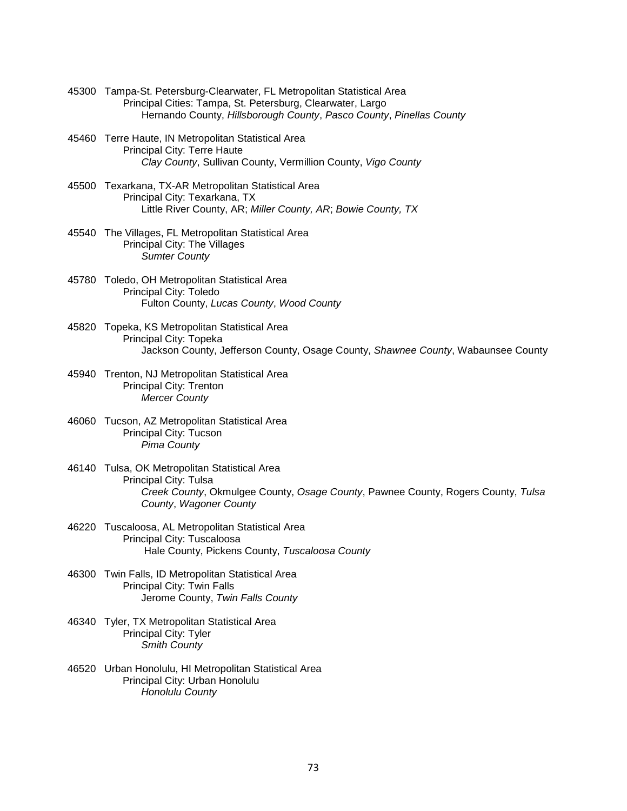- 45300 Tampa-St. Petersburg-Clearwater, FL Metropolitan Statistical Area Principal Cities: Tampa, St. Petersburg, Clearwater, Largo Hernando County, *Hillsborough County*, *Pasco County*, *Pinellas County*
- 45460 Terre Haute, IN Metropolitan Statistical Area Principal City: Terre Haute *Clay County*, Sullivan County, Vermillion County, *Vigo County*
- 45500 Texarkana, TX-AR Metropolitan Statistical Area Principal City: Texarkana, TX Little River County, AR; *Miller County, AR*; *Bowie County, TX*
- 45540 The Villages, FL Metropolitan Statistical Area Principal City: The Villages *Sumter County*
- 45780 Toledo, OH Metropolitan Statistical Area Principal City: Toledo Fulton County, *Lucas County*, *Wood County*
- 45820 Topeka, KS Metropolitan Statistical Area Principal City: Topeka Jackson County, Jefferson County, Osage County, *Shawnee County*, Wabaunsee County
- 45940 Trenton, NJ Metropolitan Statistical Area Principal City: Trenton *Mercer County*
- 46060 Tucson, AZ Metropolitan Statistical Area Principal City: Tucson *Pima County*
- 46140 Tulsa, OK Metropolitan Statistical Area Principal City: Tulsa *Creek County*, Okmulgee County, *Osage County*, Pawnee County, Rogers County, *Tulsa County*, *Wagoner County*
- 46220 Tuscaloosa, AL Metropolitan Statistical Area Principal City: Tuscaloosa Hale County, Pickens County, *Tuscaloosa County*
- 46300 Twin Falls, ID Metropolitan Statistical Area Principal City: Twin Falls Jerome County, *Twin Falls County*
- 46340 Tyler, TX Metropolitan Statistical Area Principal City: Tyler *Smith County*
- 46520 Urban Honolulu, HI Metropolitan Statistical Area Principal City: Urban Honolulu *Honolulu County*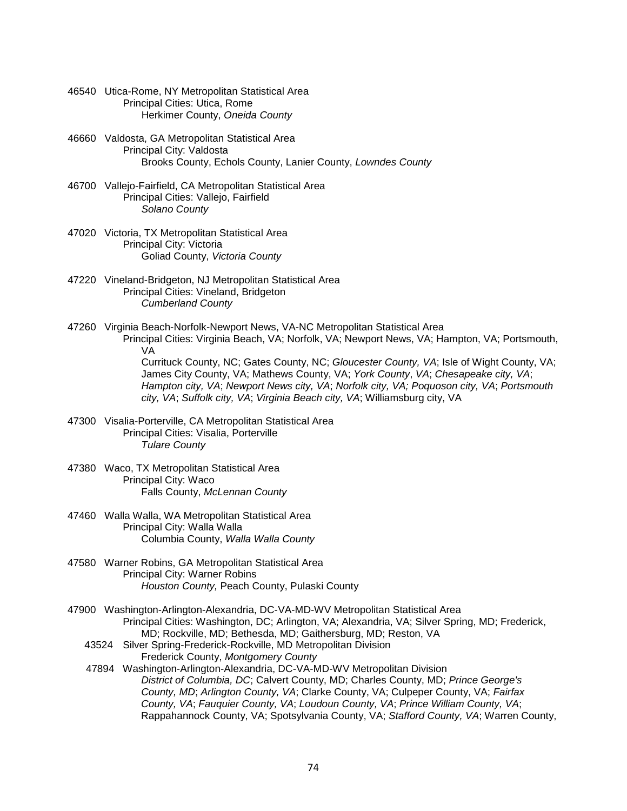- 46540 Utica-Rome, NY Metropolitan Statistical Area Principal Cities: Utica, Rome Herkimer County, *Oneida County*
- 46660 Valdosta, GA Metropolitan Statistical Area Principal City: Valdosta Brooks County, Echols County, Lanier County, *Lowndes County*
- 46700 Vallejo-Fairfield, CA Metropolitan Statistical Area Principal Cities: Vallejo, Fairfield *Solano County*
- 47020 Victoria, TX Metropolitan Statistical Area Principal City: Victoria Goliad County, *Victoria County*
- 47220 Vineland-Bridgeton, NJ Metropolitan Statistical Area Principal Cities: Vineland, Bridgeton *Cumberland County*
- 47260 Virginia Beach-Norfolk-Newport News, VA-NC Metropolitan Statistical Area Principal Cities: Virginia Beach, VA; Norfolk, VA; Newport News, VA; Hampton, VA; Portsmouth, VA

 Currituck County, NC; Gates County, NC; *Gloucester County, VA*; Isle of Wight County, VA; James City County, VA; Mathews County, VA; *York County*, *VA*; *Chesapeake city, VA*; *Hampton city, VA*; *Newport News city, VA*; *Norfolk city, VA; Poquoson city, VA*; *Portsmouth city, VA*; *Suffolk city, VA*; *Virginia Beach city, VA*; Williamsburg city, VA

- 47300 Visalia-Porterville, CA Metropolitan Statistical Area Principal Cities: Visalia, Porterville *Tulare County*
- 47380 Waco, TX Metropolitan Statistical Area Principal City: Waco Falls County, *McLennan County*
- 47460 Walla Walla, WA Metropolitan Statistical Area Principal City: Walla Walla Columbia County, *Walla Walla County*
- 47580 Warner Robins, GA Metropolitan Statistical Area Principal City: Warner Robins *Houston County,* Peach County, Pulaski County
- 47900 Washington-Arlington-Alexandria, DC-VA-MD-WV Metropolitan Statistical Area Principal Cities: Washington, DC; Arlington, VA; Alexandria, VA; Silver Spring, MD; Frederick, MD; Rockville, MD; Bethesda, MD; Gaithersburg, MD; Reston, VA
	- 43524 Silver Spring-Frederick-Rockville, MD Metropolitan Division Frederick County, *Montgomery County*
	- 47894 Washington-Arlington-Alexandria, DC-VA-MD-WV Metropolitan Division *District of Columbia, DC*; Calvert County, MD; Charles County, MD; *Prince George's County, MD*; *Arlington County, VA*; Clarke County, VA; Culpeper County, VA; *Fairfax County, VA*; *Fauquier County, VA*; *Loudoun County, VA*; *Prince William County, VA*; Rappahannock County, VA; Spotsylvania County, VA; *Stafford County, VA*; Warren County,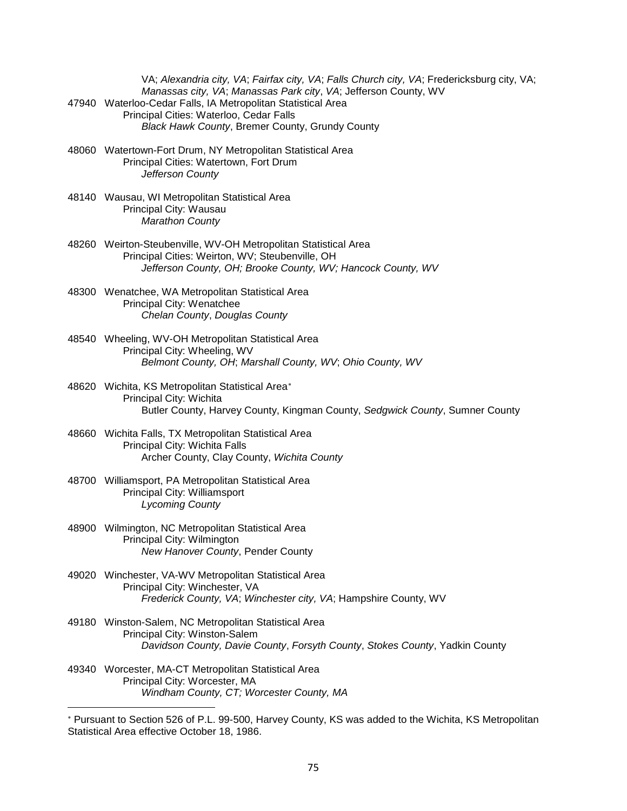|       | VA; Alexandria city, VA; Fairfax city, VA; Falls Church city, VA; Fredericksburg city, VA; |
|-------|--------------------------------------------------------------------------------------------|
|       | Manassas city, VA; Manassas Park city, VA; Jefferson County, WV                            |
| 47940 | Waterloo-Cedar Falls, IA Metropolitan Statistical Area                                     |
|       | Principal Cities: Waterloo, Cedar Falls                                                    |
|       | <b>Black Hawk County, Bremer County, Grundy County</b>                                     |

- 48060 Watertown-Fort Drum, NY Metropolitan Statistical Area Principal Cities: Watertown, Fort Drum *Jefferson County*
- 48140 Wausau, WI Metropolitan Statistical Area Principal City: Wausau *Marathon County*
- 48260 Weirton-Steubenville, WV-OH Metropolitan Statistical Area Principal Cities: Weirton, WV; Steubenville, OH *Jefferson County, OH; Brooke County, WV; Hancock County, WV*
- 48300 Wenatchee, WA Metropolitan Statistical Area Principal City: Wenatchee *Chelan County*, *Douglas County*
- 48540 Wheeling, WV-OH Metropolitan Statistical Area Principal City: Wheeling, WV *Belmont County, OH*; *Marshall County, WV*; *Ohio County, WV*
- 48620 Wichita, KS Metropolitan Statistical Area[∗](#page-74-0) Principal City: Wichita Butler County, Harvey County, Kingman County, *Sedgwick County*, Sumner County
- 48660 Wichita Falls, TX Metropolitan Statistical Area Principal City: Wichita Falls Archer County, Clay County, *Wichita County*
- 48700 Williamsport, PA Metropolitan Statistical Area Principal City: Williamsport *Lycoming County*
- 48900 Wilmington, NC Metropolitan Statistical Area Principal City: Wilmington *New Hanover County*, Pender County
- 49020 Winchester, VA-WV Metropolitan Statistical Area Principal City: Winchester, VA *Frederick County, VA*; *Winchester city, VA*; Hampshire County, WV
- 49180 Winston-Salem, NC Metropolitan Statistical Area Principal City: Winston-Salem *Davidson County, Davie County*, *Forsyth County*, *Stokes County*, Yadkin County
- 49340 Worcester, MA-CT Metropolitan Statistical Area Principal City: Worcester, MA *Windham County, CT; Worcester County, MA*

 $\overline{a}$ 

<span id="page-74-0"></span>Pursuant to Section 526 of P.L. 99-500, Harvey County, KS was added to the Wichita, KS Metropolitan Statistical Area effective October 18, 1986.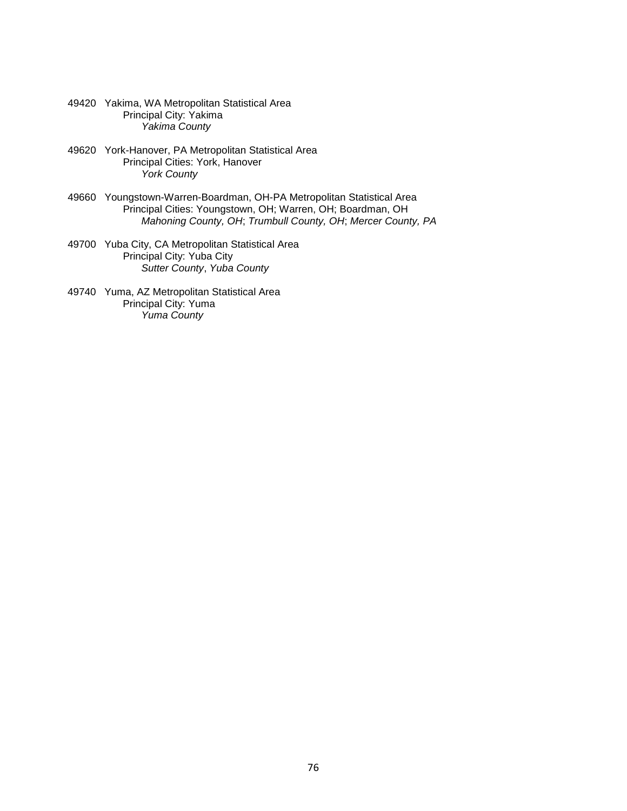- 49420 Yakima, WA Metropolitan Statistical Area Principal City: Yakima *Yakima County*
- 49620 York-Hanover, PA Metropolitan Statistical Area Principal Cities: York, Hanover *York County*
- 49660 Youngstown-Warren-Boardman, OH-PA Metropolitan Statistical Area Principal Cities: Youngstown, OH; Warren, OH; Boardman, OH *Mahoning County, OH*; *Trumbull County, OH*; *Mercer County, PA*
- 49700 Yuba City, CA Metropolitan Statistical Area Principal City: Yuba City *Sutter County*, *Yuba County*
- 49740 Yuma, AZ Metropolitan Statistical Area Principal City: Yuma *Yuma County*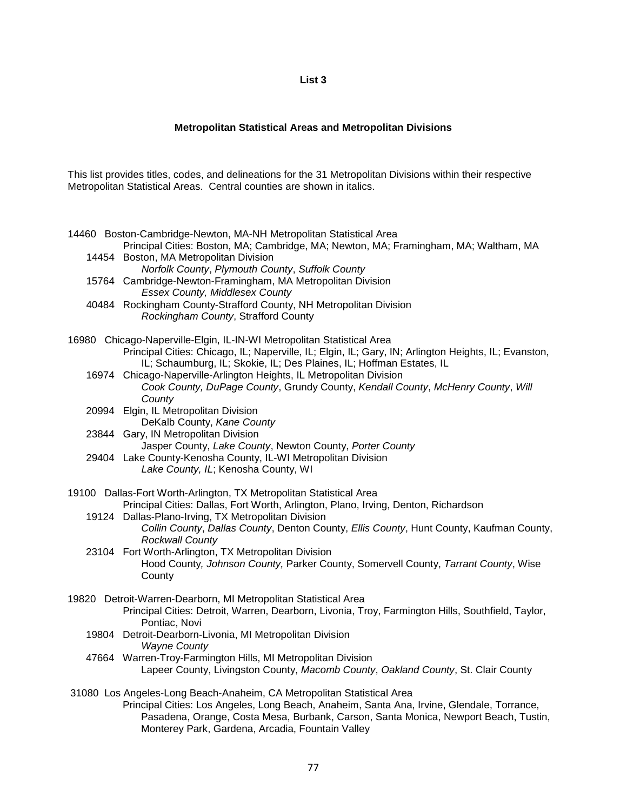## **List 3**

## **Metropolitan Statistical Areas and Metropolitan Divisions**

This list provides titles, codes, and delineations for the 31 Metropolitan Divisions within their respective Metropolitan Statistical Areas. Central counties are shown in italics.

| 14460 Boston-Cambridge-Newton, MA-NH Metropolitan Statistical Area<br>Principal Cities: Boston, MA; Cambridge, MA; Newton, MA; Framingham, MA; Waltham, MA |
|------------------------------------------------------------------------------------------------------------------------------------------------------------|
| 14454 Boston, MA Metropolitan Division                                                                                                                     |
| Norfolk County, Plymouth County, Suffolk County                                                                                                            |
| 15764 Cambridge-Newton-Framingham, MA Metropolitan Division                                                                                                |
| <b>Essex County, Middlesex County</b>                                                                                                                      |
| 40484 Rockingham County-Strafford County, NH Metropolitan Division<br>Rockingham County, Strafford County                                                  |
| 16980 Chicago-Naperville-Elgin, IL-IN-WI Metropolitan Statistical Area                                                                                     |
| Principal Cities: Chicago, IL; Naperville, IL; Elgin, IL; Gary, IN; Arlington Heights, IL; Evanston,                                                       |
| IL; Schaumburg, IL; Skokie, IL; Des Plaines, IL; Hoffman Estates, IL                                                                                       |
| 16974 Chicago-Naperville-Arlington Heights, IL Metropolitan Division<br>Cook County, DuPage County, Grundy County, Kendall County, McHenry County, Will    |
| County                                                                                                                                                     |
| 20994 Elgin, IL Metropolitan Division                                                                                                                      |
| DeKalb County, Kane County                                                                                                                                 |
| 23844 Gary, IN Metropolitan Division                                                                                                                       |
| Jasper County, Lake County, Newton County, Porter County<br>29404 Lake County-Kenosha County, IL-WI Metropolitan Division                                  |
| Lake County, IL; Kenosha County, WI                                                                                                                        |
|                                                                                                                                                            |
| 19100 Dallas-Fort Worth-Arlington, TX Metropolitan Statistical Area                                                                                        |
| Principal Cities: Dallas, Fort Worth, Arlington, Plano, Irving, Denton, Richardson                                                                         |
| 19124 Dallas-Plano-Irving, TX Metropolitan Division<br>Collin County, Dallas County, Denton County, Ellis County, Hunt County, Kaufman County,             |
| <b>Rockwall County</b>                                                                                                                                     |
| 23104 Fort Worth-Arlington, TX Metropolitan Division                                                                                                       |
| Hood County, Johnson County, Parker County, Somervell County, Tarrant County, Wise                                                                         |
| County                                                                                                                                                     |
| 19820 Detroit-Warren-Dearborn, MI Metropolitan Statistical Area                                                                                            |
| Principal Cities: Detroit, Warren, Dearborn, Livonia, Troy, Farmington Hills, Southfield, Taylor,                                                          |
| Pontiac, Novi                                                                                                                                              |
| 19804 Detroit-Dearborn-Livonia, MI Metropolitan Division                                                                                                   |
| <b>Wayne County</b><br>47664 Warren-Troy-Farmington Hills, MI Metropolitan Division                                                                        |
| Lapeer County, Livingston County, Macomb County, Oakland County, St. Clair County                                                                          |
| 31080 Los Angeles-Long Beach-Anaheim, CA Metropolitan Statistical Area                                                                                     |
| Principal Cities: Los Angeles, Long Beach, Anaheim, Santa Ana, Irvine, Glendale, Torrance,                                                                 |
| Pasadena, Orange, Costa Mesa, Burbank, Carson, Santa Monica, Newport Beach, Tustin,                                                                        |
| Monterey Park, Gardena, Arcadia, Fountain Valley                                                                                                           |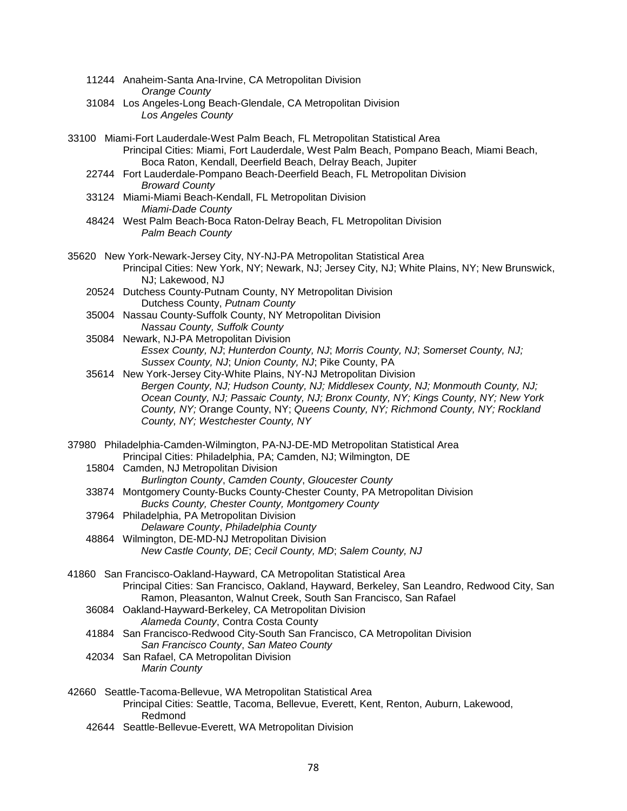- 11244 Anaheim-Santa Ana-Irvine, CA Metropolitan Division *Orange County*
- 31084 Los Angeles-Long Beach-Glendale, CA Metropolitan Division *Los Angeles County*
- 33100 Miami-Fort Lauderdale-West Palm Beach, FL Metropolitan Statistical Area Principal Cities: Miami, Fort Lauderdale, West Palm Beach, Pompano Beach, Miami Beach, Boca Raton, Kendall, Deerfield Beach, Delray Beach, Jupiter
	- 22744 Fort Lauderdale-Pompano Beach-Deerfield Beach, FL Metropolitan Division *Broward County*
	- 33124 Miami-Miami Beach-Kendall, FL Metropolitan Division *Miami-Dade County*
	- 48424 West Palm Beach-Boca Raton-Delray Beach, FL Metropolitan Division *Palm Beach County*
- 35620 New York-Newark-Jersey City, NY-NJ-PA Metropolitan Statistical Area Principal Cities: New York, NY; Newark, NJ; Jersey City, NJ; White Plains, NY; New Brunswick, NJ; Lakewood, NJ
	- 20524 Dutchess County-Putnam County, NY Metropolitan Division Dutchess County, *Putnam County*
	- 35004 Nassau County-Suffolk County, NY Metropolitan Division *Nassau County, Suffolk County*
	- 35084 Newark, NJ-PA Metropolitan Division *Essex County, NJ*; *Hunterdon County, NJ*; *Morris County, NJ*; *Somerset County, NJ; Sussex County, NJ*; *Union County, NJ*; Pike County, PA
	- 35614 New York-Jersey City-White Plains, NY-NJ Metropolitan Division *Bergen County, NJ; Hudson County, NJ; Middlesex County, NJ; Monmouth County, NJ; Ocean County, NJ; Passaic County, NJ; Bronx County, NY; Kings County, NY; New York County, NY;* Orange County, NY; *Queens County, NY; Richmond County, NY; Rockland County, NY; Westchester County, NY*
- 37980 Philadelphia-Camden-Wilmington, PA-NJ-DE-MD Metropolitan Statistical Area Principal Cities: Philadelphia, PA; Camden, NJ; Wilmington, DE
	- 15804 Camden, NJ Metropolitan Division
		- *Burlington County*, *Camden County*, *Gloucester County*
	- 33874 Montgomery County-Bucks County-Chester County, PA Metropolitan Division *Bucks County, Chester County, Montgomery County*
	- 37964 Philadelphia, PA Metropolitan Division *Delaware County*, *Philadelphia County*
	- 48864 Wilmington, DE-MD-NJ Metropolitan Division *New Castle County, DE*; *Cecil County, MD*; *Salem County, NJ*
- 41860 San Francisco-Oakland-Hayward, CA Metropolitan Statistical Area Principal Cities: San Francisco, Oakland, Hayward, Berkeley, San Leandro, Redwood City, San Ramon, Pleasanton, Walnut Creek, South San Francisco, San Rafael
	- 36084 Oakland-Hayward-Berkeley, CA Metropolitan Division *Alameda County*, Contra Costa County
	- 41884 San Francisco-Redwood City-South San Francisco, CA Metropolitan Division *San Francisco County*, *San Mateo County*
	- 42034 San Rafael, CA Metropolitan Division *Marin County*
- 42660 Seattle-Tacoma-Bellevue, WA Metropolitan Statistical Area Principal Cities: Seattle, Tacoma, Bellevue, Everett, Kent, Renton, Auburn, Lakewood, Redmond
	- 42644 Seattle-Bellevue-Everett, WA Metropolitan Division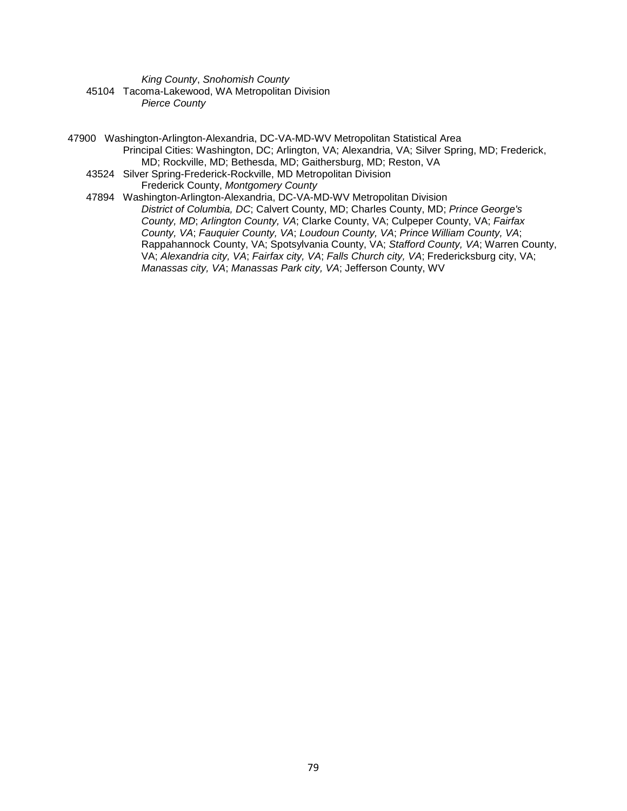*King County*, *Snohomish County* 45104 Tacoma-Lakewood, WA Metropolitan Division *Pierce County*

47900 Washington-Arlington-Alexandria, DC-VA-MD-WV Metropolitan Statistical Area Principal Cities: Washington, DC; Arlington, VA; Alexandria, VA; Silver Spring, MD; Frederick, MD; Rockville, MD; Bethesda, MD; Gaithersburg, MD; Reston, VA 43524 Silver Spring-Frederick-Rockville, MD Metropolitan Division Frederick County, *Montgomery County* 47894 Washington-Arlington-Alexandria, DC-VA-MD-WV Metropolitan Division *District of Columbia, DC*; Calvert County, MD; Charles County, MD; *Prince George's County, MD*; *Arlington County, VA*; Clarke County, VA; Culpeper County, VA; *Fairfax County, VA*; *Fauquier County, VA*; *Loudoun County, VA*; *Prince William County, VA*;

Rappahannock County, VA; Spotsylvania County, VA; *Stafford County, VA*; Warren County, VA; *Alexandria city, VA*; *Fairfax city, VA*; *Falls Church city, VA*; Fredericksburg city, VA;

*Manassas city, VA*; *Manassas Park city, VA*; Jefferson County, WV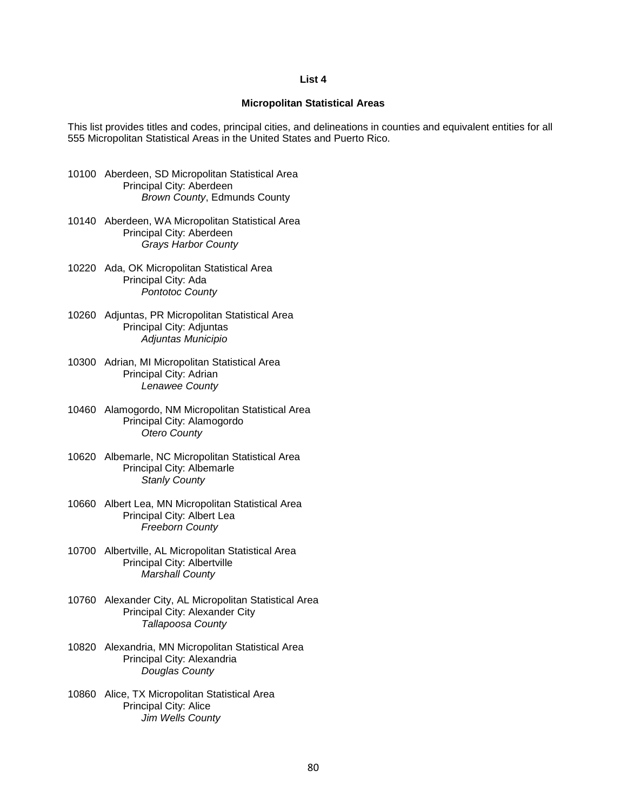## **List 4**

## **Micropolitan Statistical Areas**

This list provides titles and codes, principal cities, and delineations in counties and equivalent entities for all 555 Micropolitan Statistical Areas in the United States and Puerto Rico.

- 10100 Aberdeen, SD Micropolitan Statistical Area Principal City: Aberdeen *Brown County*, Edmunds County
- 10140 Aberdeen, WA Micropolitan Statistical Area Principal City: Aberdeen *Grays Harbor County*
- 10220 Ada, OK Micropolitan Statistical Area Principal City: Ada *Pontotoc County*
- 10260 Adjuntas, PR Micropolitan Statistical Area Principal City: Adjuntas *Adjuntas Municipio*
- 10300 Adrian, MI Micropolitan Statistical Area Principal City: Adrian *Lenawee County*
- 10460 Alamogordo, NM Micropolitan Statistical Area Principal City: Alamogordo *Otero County*
- 10620 Albemarle, NC Micropolitan Statistical Area Principal City: Albemarle *Stanly County*
- 10660 Albert Lea, MN Micropolitan Statistical Area Principal City: Albert Lea *Freeborn County*
- 10700 Albertville, AL Micropolitan Statistical Area Principal City: Albertville *Marshall County*
- 10760 Alexander City, AL Micropolitan Statistical Area Principal City: Alexander City *Tallapoosa County*
- 10820 Alexandria, MN Micropolitan Statistical Area Principal City: Alexandria *Douglas County*
- 10860 Alice, TX Micropolitan Statistical Area Principal City: Alice *Jim Wells County*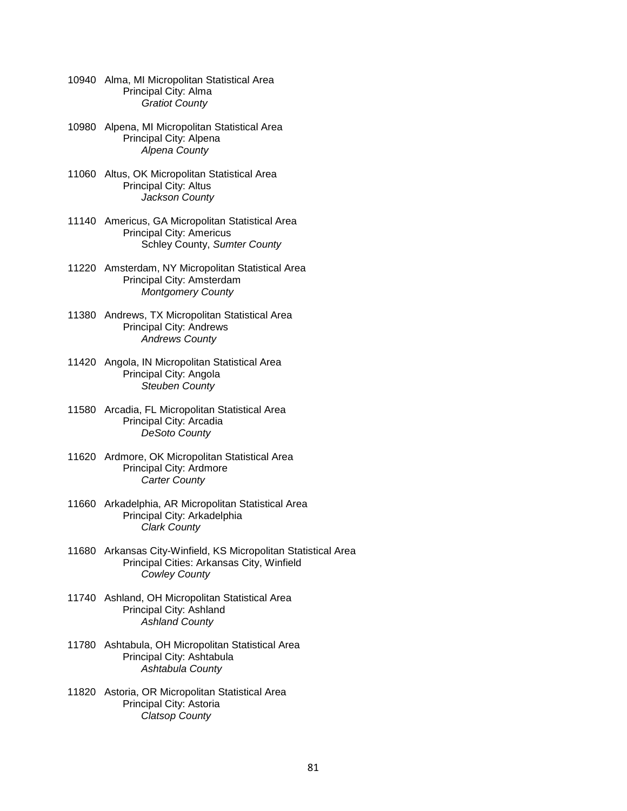| 10940 Alma, MI Micropolitan Statistical Area |
|----------------------------------------------|
| Principal City: Alma                         |
| <b>Gratiot County</b>                        |

- 10980 Alpena, MI Micropolitan Statistical Area Principal City: Alpena *Alpena County*
- 11060 Altus, OK Micropolitan Statistical Area Principal City: Altus *Jackson County*
- 11140 Americus, GA Micropolitan Statistical Area Principal City: Americus Schley County, *Sumter County*
- 11220 Amsterdam, NY Micropolitan Statistical Area Principal City: Amsterdam *Montgomery County*
- 11380 Andrews, TX Micropolitan Statistical Area Principal City: Andrews *Andrews County*
- 11420 Angola, IN Micropolitan Statistical Area Principal City: Angola *Steuben County*
- 11580 Arcadia, FL Micropolitan Statistical Area Principal City: Arcadia *DeSoto County*
- 11620 Ardmore, OK Micropolitan Statistical Area Principal City: Ardmore *Carter County*
- 11660 Arkadelphia, AR Micropolitan Statistical Area Principal City: Arkadelphia *Clark County*
- 11680 Arkansas City-Winfield, KS Micropolitan Statistical Area Principal Cities: Arkansas City, Winfield *Cowley County*
- 11740 Ashland, OH Micropolitan Statistical Area Principal City: Ashland *Ashland County*
- 11780 Ashtabula, OH Micropolitan Statistical Area Principal City: Ashtabula *Ashtabula County*
- 11820 Astoria, OR Micropolitan Statistical Area Principal City: Astoria *Clatsop County*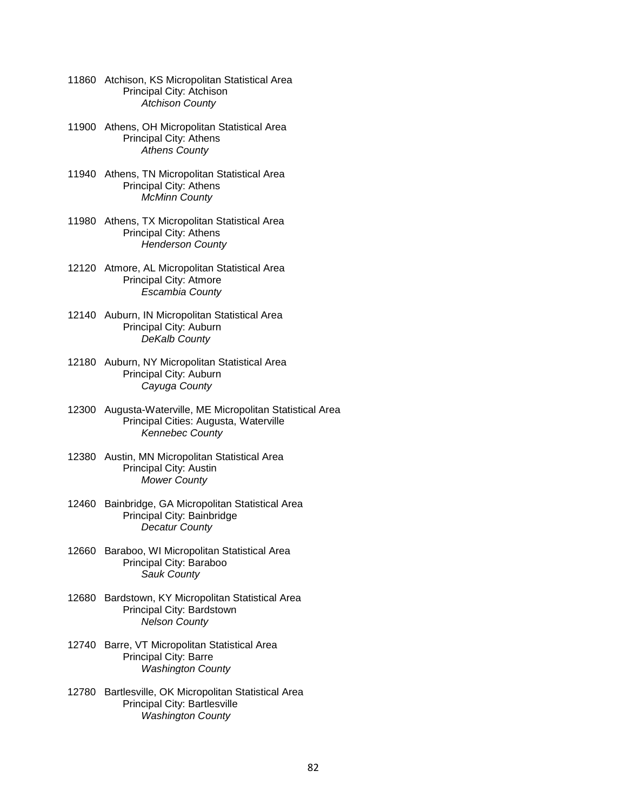| 11860 Atchison, KS Micropolitan Statistical Area |
|--------------------------------------------------|
| Principal City: Atchison                         |
| <b>Atchison County</b>                           |

- 11900 Athens, OH Micropolitan Statistical Area Principal City: Athens *Athens County*
- 11940 Athens, TN Micropolitan Statistical Area Principal City: Athens *McMinn County*
- 11980 Athens, TX Micropolitan Statistical Area Principal City: Athens *Henderson County*
- 12120 Atmore, AL Micropolitan Statistical Area Principal City: Atmore *Escambia County*
- 12140 Auburn, IN Micropolitan Statistical Area Principal City: Auburn *DeKalb County*
- 12180 Auburn, NY Micropolitan Statistical Area Principal City: Auburn *Cayuga County*
- 12300 Augusta-Waterville, ME Micropolitan Statistical Area Principal Cities: Augusta, Waterville *Kennebec County*
- 12380 Austin, MN Micropolitan Statistical Area Principal City: Austin *Mower County*
- 12460 Bainbridge, GA Micropolitan Statistical Area Principal City: Bainbridge *Decatur County*
- 12660 Baraboo, WI Micropolitan Statistical Area Principal City: Baraboo *Sauk County*
- 12680 Bardstown, KY Micropolitan Statistical Area Principal City: Bardstown *Nelson County*
- 12740 Barre, VT Micropolitan Statistical Area Principal City: Barre *Washington County*
- 12780 Bartlesville, OK Micropolitan Statistical Area Principal City: Bartlesville *Washington County*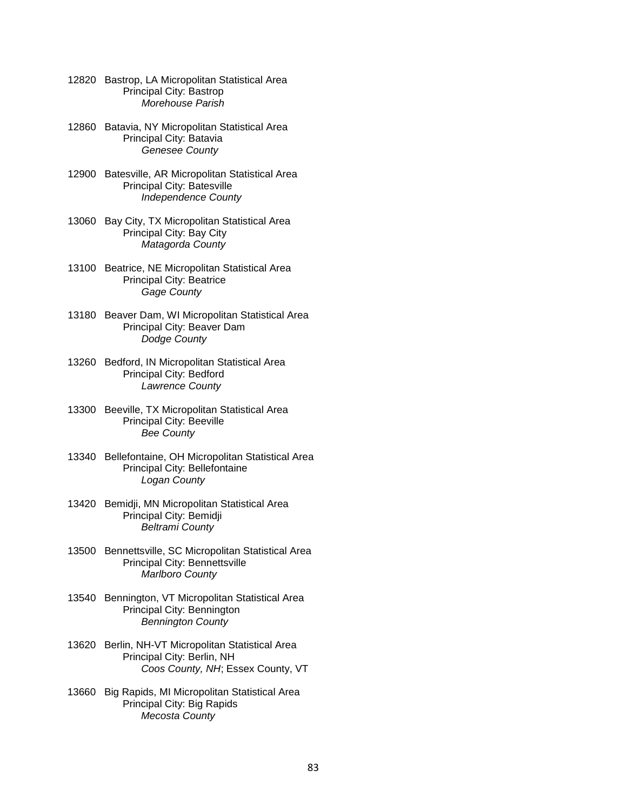| 12820 Bastrop, LA Micropolitan Statistical Area |
|-------------------------------------------------|
| Principal City: Bastrop                         |
| Morehouse Parish                                |

- 12860 Batavia, NY Micropolitan Statistical Area Principal City: Batavia *Genesee County*
- 12900 Batesville, AR Micropolitan Statistical Area Principal City: Batesville *Independence County*
- 13060 Bay City, TX Micropolitan Statistical Area Principal City: Bay City *Matagorda County*
- 13100 Beatrice, NE Micropolitan Statistical Area Principal City: Beatrice *Gage County*
- 13180 Beaver Dam, WI Micropolitan Statistical Area Principal City: Beaver Dam *Dodge County*
- 13260 Bedford, IN Micropolitan Statistical Area Principal City: Bedford *Lawrence County*
- 13300 Beeville, TX Micropolitan Statistical Area Principal City: Beeville *Bee County*
- 13340 Bellefontaine, OH Micropolitan Statistical Area Principal City: Bellefontaine *Logan County*
- 13420 Bemidji, MN Micropolitan Statistical Area Principal City: Bemidji *Beltrami County*
- 13500 Bennettsville, SC Micropolitan Statistical Area Principal City: Bennettsville *Marlboro County*
- 13540 Bennington, VT Micropolitan Statistical Area Principal City: Bennington *Bennington County*
- 13620 Berlin, NH-VT Micropolitan Statistical Area Principal City: Berlin, NH *Coos County, NH*; Essex County, VT
- 13660 Big Rapids, MI Micropolitan Statistical Area Principal City: Big Rapids *Mecosta County*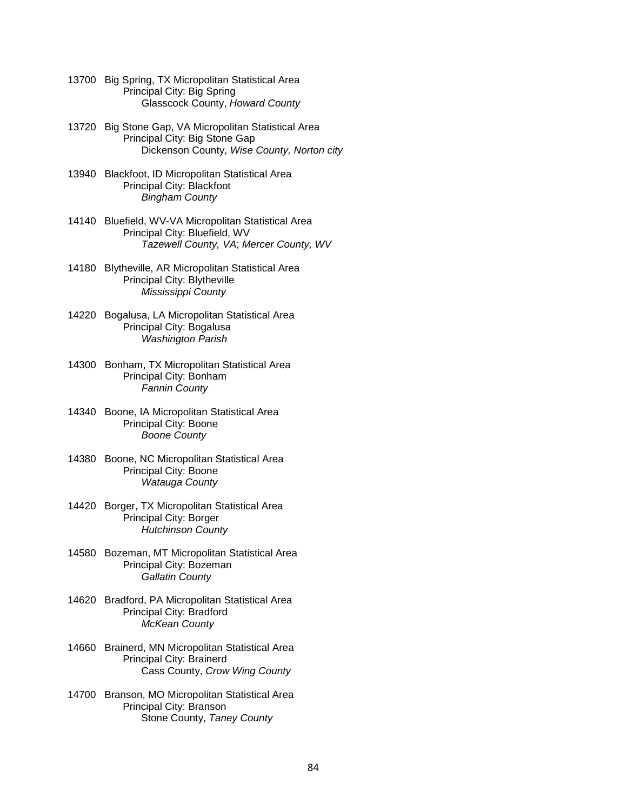- 13700 Big Spring, TX Micropolitan Statistical Area Principal City: Big Spring Glasscock County, *Howard County*
- 13720 Big Stone Gap, VA Micropolitan Statistical Area Principal City: Big Stone Gap Dickenson County, *Wise County, Norton city*
- 13940 Blackfoot, ID Micropolitan Statistical Area Principal City: Blackfoot *Bingham County*
- 14140 Bluefield, WV-VA Micropolitan Statistical Area Principal City: Bluefield, WV *Tazewell County, VA*; *Mercer County, WV*
- 14180 Blytheville, AR Micropolitan Statistical Area Principal City: Blytheville *Mississippi County*
- 14220 Bogalusa, LA Micropolitan Statistical Area Principal City: Bogalusa *Washington Parish*
- 14300 Bonham, TX Micropolitan Statistical Area Principal City: Bonham  *Fannin County*
- 14340 Boone, IA Micropolitan Statistical Area Principal City: Boone *Boone County*
- 14380 Boone, NC Micropolitan Statistical Area Principal City: Boone *Watauga County*
- 14420 Borger, TX Micropolitan Statistical Area Principal City: Borger *Hutchinson County*
- 14580 Bozeman, MT Micropolitan Statistical Area Principal City: Bozeman *Gallatin County*
- 14620 Bradford, PA Micropolitan Statistical Area Principal City: Bradford *McKean County*
- 14660 Brainerd, MN Micropolitan Statistical Area Principal City: Brainerd Cass County, *Crow Wing County*
- 14700 Branson, MO Micropolitan Statistical Area Principal City: Branson Stone County, *Taney County*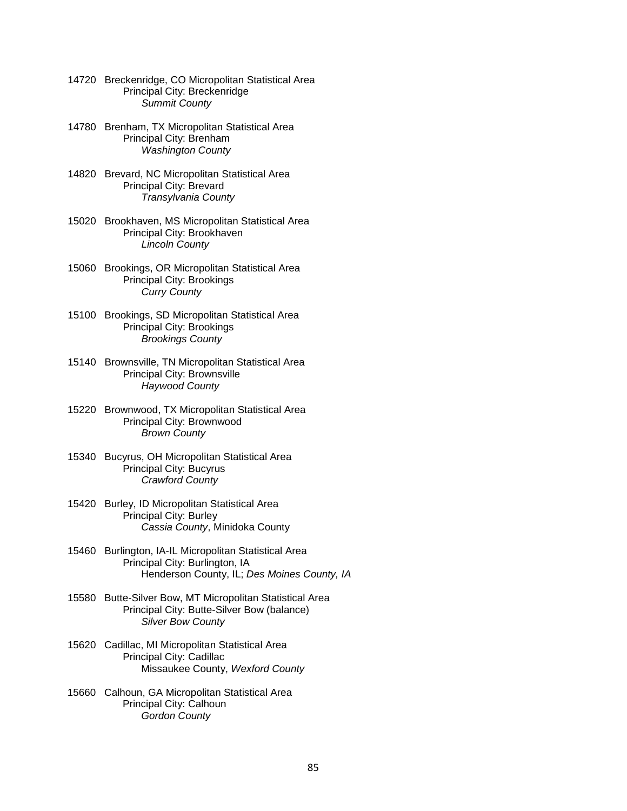- 14720 Breckenridge, CO Micropolitan Statistical Area Principal City: Breckenridge *Summit County*
- 14780 Brenham, TX Micropolitan Statistical Area Principal City: Brenham *Washington County*
- 14820 Brevard, NC Micropolitan Statistical Area Principal City: Brevard *Transylvania County*
- 15020 Brookhaven, MS Micropolitan Statistical Area Principal City: Brookhaven *Lincoln County*
- 15060 Brookings, OR Micropolitan Statistical Area Principal City: Brookings *Curry County*
- 15100 Brookings, SD Micropolitan Statistical Area Principal City: Brookings *Brookings County*
- 15140 Brownsville, TN Micropolitan Statistical Area Principal City: Brownsville  *Haywood County*
- 15220 Brownwood, TX Micropolitan Statistical Area Principal City: Brownwood *Brown County*
- 15340 Bucyrus, OH Micropolitan Statistical Area Principal City: Bucyrus *Crawford County*
- 15420 Burley, ID Micropolitan Statistical Area Principal City: Burley *Cassia County*, Minidoka County
- 15460 Burlington, IA-IL Micropolitan Statistical Area Principal City: Burlington, IA Henderson County, IL; *Des Moines County, IA*
- 15580 Butte-Silver Bow, MT Micropolitan Statistical Area Principal City: Butte-Silver Bow (balance) *Silver Bow County*
- 15620 Cadillac, MI Micropolitan Statistical Area Principal City: Cadillac Missaukee County, *Wexford County*
- 15660 Calhoun, GA Micropolitan Statistical Area Principal City: Calhoun *Gordon County*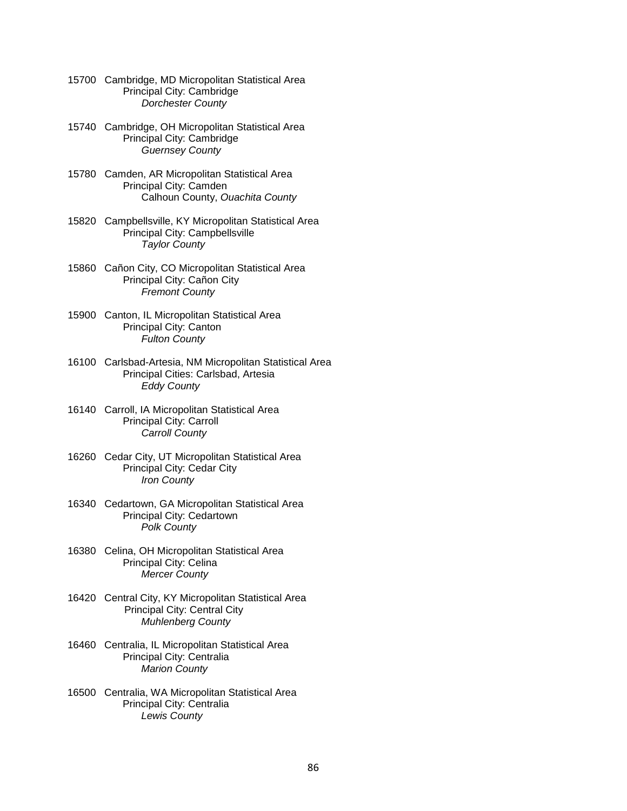- 15700 Cambridge, MD Micropolitan Statistical Area Principal City: Cambridge *Dorchester County*
- 15740 Cambridge, OH Micropolitan Statistical Area Principal City: Cambridge *Guernsey County*
- 15780 Camden, AR Micropolitan Statistical Area Principal City: Camden Calhoun County, *Ouachita County*
- 15820 Campbellsville, KY Micropolitan Statistical Area Principal City: Campbellsville *Taylor County*
- 15860 Cañon City, CO Micropolitan Statistical Area Principal City: Cañon City *Fremont County*
- 15900 Canton, IL Micropolitan Statistical Area Principal City: Canton *Fulton County*
- 16100 Carlsbad-Artesia, NM Micropolitan Statistical Area Principal Cities: Carlsbad, Artesia *Eddy County*
- 16140 Carroll, IA Micropolitan Statistical Area Principal City: Carroll *Carroll County*
- 16260 Cedar City, UT Micropolitan Statistical Area Principal City: Cedar City *Iron County*
- 16340 Cedartown, GA Micropolitan Statistical Area Principal City: Cedartown *Polk County*
- 16380 Celina, OH Micropolitan Statistical Area Principal City: Celina *Mercer County*
- 16420 Central City, KY Micropolitan Statistical Area Principal City: Central City  *Muhlenberg County*
- 16460 Centralia, IL Micropolitan Statistical Area Principal City: Centralia *Marion County*
- 16500 Centralia, WA Micropolitan Statistical Area Principal City: Centralia *Lewis County*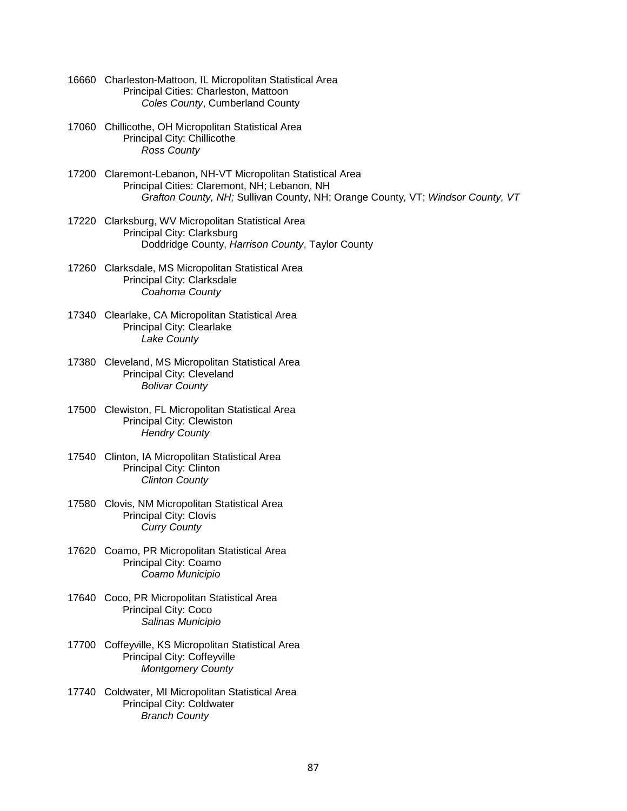- 16660 Charleston-Mattoon, IL Micropolitan Statistical Area Principal Cities: Charleston, Mattoon *Coles County*, Cumberland County
- 17060 Chillicothe, OH Micropolitan Statistical Area Principal City: Chillicothe *Ross County*
- 17200 Claremont-Lebanon, NH-VT Micropolitan Statistical Area Principal Cities: Claremont, NH; Lebanon, NH *Grafton County, NH;* Sullivan County, NH; Orange County*,* VT; *Windsor County, VT*
- 17220 Clarksburg, WV Micropolitan Statistical Area Principal City: Clarksburg Doddridge County, *Harrison County*, Taylor County
- 17260 Clarksdale, MS Micropolitan Statistical Area Principal City: Clarksdale *Coahoma County*
- 17340 Clearlake, CA Micropolitan Statistical Area Principal City: Clearlake *Lake County*
- 17380 Cleveland, MS Micropolitan Statistical Area Principal City: Cleveland *Bolivar County*
- 17500 Clewiston, FL Micropolitan Statistical Area Principal City: Clewiston *Hendry County*
- 17540 Clinton, IA Micropolitan Statistical Area Principal City: Clinton *Clinton County*
- 17580 Clovis, NM Micropolitan Statistical Area Principal City: Clovis *Curry County*
- 17620 Coamo, PR Micropolitan Statistical Area Principal City: Coamo *Coamo Municipio*
- 17640 Coco, PR Micropolitan Statistical Area Principal City: Coco *Salinas Municipio*
- 17700 Coffeyville, KS Micropolitan Statistical Area Principal City: Coffeyville *Montgomery County*
- 17740 Coldwater, MI Micropolitan Statistical Area Principal City: Coldwater *Branch County*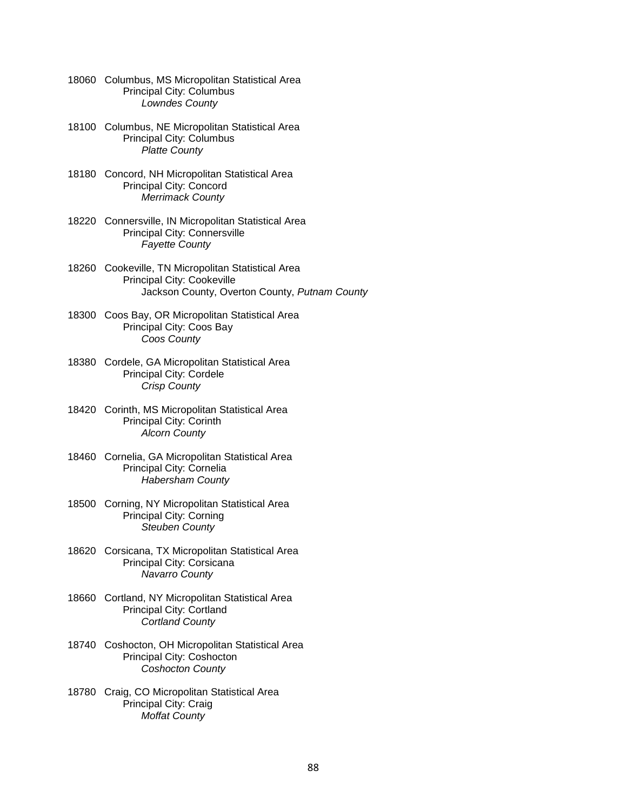|       | 18060 Columbus, MS Micropolitan Statistical Area<br>Principal City: Columbus<br><b>Lowndes County</b>                             |
|-------|-----------------------------------------------------------------------------------------------------------------------------------|
|       | 18100 Columbus, NE Micropolitan Statistical Area<br>Principal City: Columbus<br><b>Platte County</b>                              |
|       | 18180 Concord, NH Micropolitan Statistical Area<br>Principal City: Concord<br><b>Merrimack County</b>                             |
|       | 18220 Connersville, IN Micropolitan Statistical Area<br>Principal City: Connersville<br><b>Fayette County</b>                     |
|       | 18260 Cookeville, TN Micropolitan Statistical Area<br>Principal City: Cookeville<br>Jackson County, Overton County, Putnam County |
|       | 18300 Coos Bay, OR Micropolitan Statistical Area<br>Principal City: Coos Bay<br>Coos County                                       |
|       | 18380 Cordele, GA Micropolitan Statistical Area<br>Principal City: Cordele<br><b>Crisp County</b>                                 |
|       | 18420 Corinth, MS Micropolitan Statistical Area<br>Principal City: Corinth<br><b>Alcorn County</b>                                |
|       | 18460 Cornelia, GA Micropolitan Statistical Area<br>Principal City: Cornelia<br><b>Habersham County</b>                           |
|       | 18500 Corning, NY Micropolitan Statistical Area<br><b>Principal City: Corning</b><br><b>Steuben County</b>                        |
|       | 18620 Corsicana, TX Micropolitan Statistical Area<br>Principal City: Corsicana<br>Navarro County                                  |
| 18660 | Cortland, NY Micropolitan Statistical Area<br>Principal City: Cortland<br><b>Cortland County</b>                                  |
| 18740 | Coshocton, OH Micropolitan Statistical Area<br>Principal City: Coshocton<br><b>Coshocton County</b>                               |
| 18780 | Craig, CO Micropolitan Statistical Area<br>Principal City: Craig<br><b>Moffat County</b>                                          |
|       |                                                                                                                                   |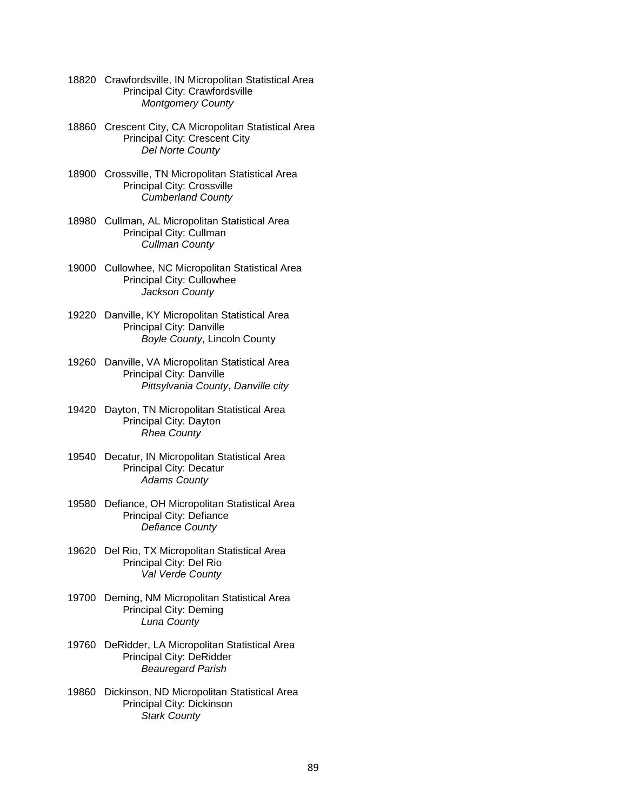- 18820 Crawfordsville, IN Micropolitan Statistical Area Principal City: Crawfordsville *Montgomery County*
- 18860 Crescent City, CA Micropolitan Statistical Area Principal City: Crescent City *Del Norte County*
- 18900 Crossville, TN Micropolitan Statistical Area Principal City: Crossville *Cumberland County*
- 18980 Cullman, AL Micropolitan Statistical Area Principal City: Cullman *Cullman County*
- 19000 Cullowhee, NC Micropolitan Statistical Area Principal City: Cullowhee *Jackson County*
- 19220 Danville, KY Micropolitan Statistical Area Principal City: Danville *Boyle County*, Lincoln County
- 19260 Danville, VA Micropolitan Statistical Area Principal City: Danville *Pittsylvania County*, *Danville city*
- 19420 Dayton, TN Micropolitan Statistical Area Principal City: Dayton *Rhea County*
- 19540 Decatur, IN Micropolitan Statistical Area Principal City: Decatur *Adams County*
- 19580 Defiance, OH Micropolitan Statistical Area Principal City: Defiance *Defiance County*
- 19620 Del Rio, TX Micropolitan Statistical Area Principal City: Del Rio *Val Verde County*
- 19700 Deming, NM Micropolitan Statistical Area Principal City: Deming *Luna County*
- 19760 DeRidder, LA Micropolitan Statistical Area Principal City: DeRidder *Beauregard Parish*
- 19860 Dickinson, ND Micropolitan Statistical Area Principal City: Dickinson *Stark County*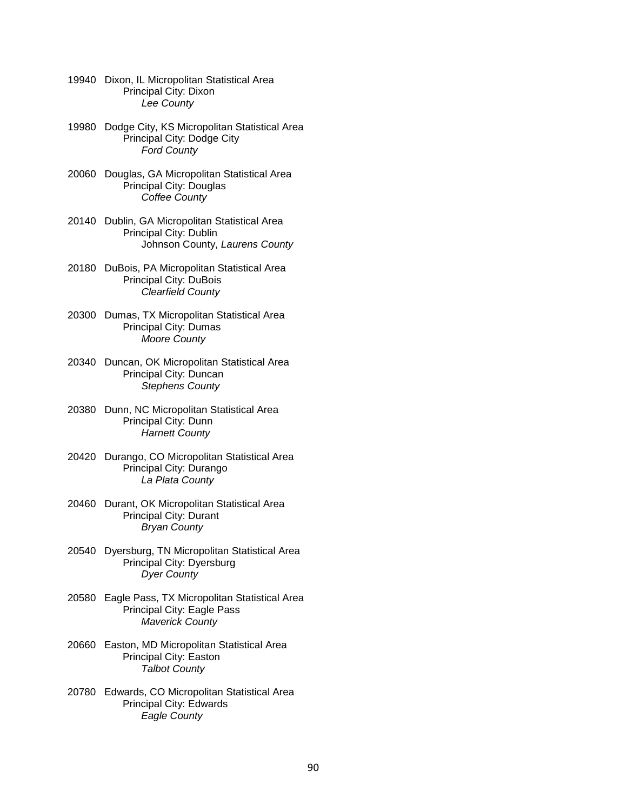- 19940 Dixon, IL Micropolitan Statistical Area Principal City: Dixon *Lee County*
- 19980 Dodge City, KS Micropolitan Statistical Area Principal City: Dodge City *Ford County*
- 20060 Douglas, GA Micropolitan Statistical Area Principal City: Douglas *Coffee County*
- 20140 Dublin, GA Micropolitan Statistical Area Principal City: Dublin Johnson County, *Laurens County*
- 20180 DuBois, PA Micropolitan Statistical Area Principal City: DuBois *Clearfield County*
- 20300 Dumas, TX Micropolitan Statistical Area Principal City: Dumas *Moore County*
- 20340 Duncan, OK Micropolitan Statistical Area Principal City: Duncan *Stephens County*
- 20380 Dunn, NC Micropolitan Statistical Area Principal City: Dunn *Harnett County*
- 20420 Durango, CO Micropolitan Statistical Area Principal City: Durango *La Plata County*
- 20460 Durant, OK Micropolitan Statistical Area Principal City: Durant *Bryan County*
- 20540 Dyersburg, TN Micropolitan Statistical Area Principal City: Dyersburg *Dyer County*
- 20580 Eagle Pass, TX Micropolitan Statistical Area Principal City: Eagle Pass *Maverick County*
- 20660 Easton, MD Micropolitan Statistical Area Principal City: Easton *Talbot County*
- 20780 Edwards, CO Micropolitan Statistical Area Principal City: Edwards *Eagle County*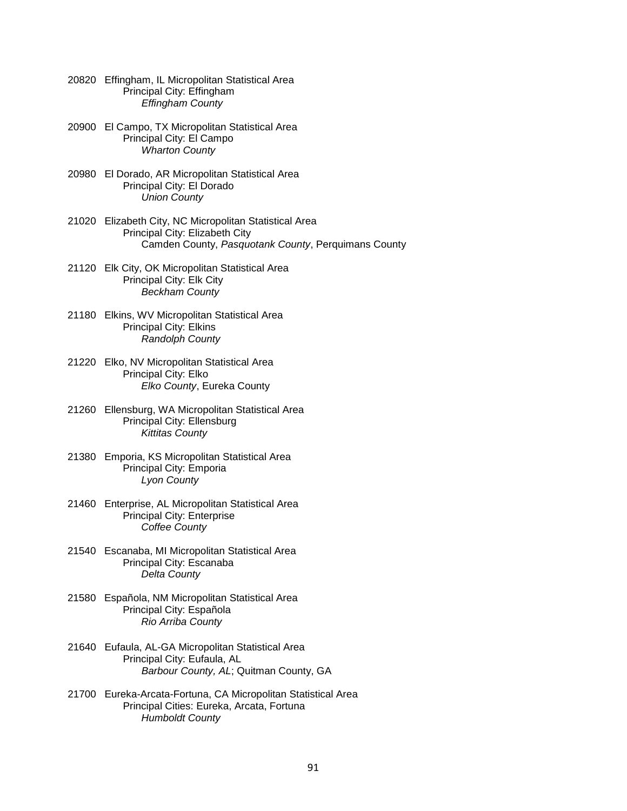- 20820 Effingham, IL Micropolitan Statistical Area Principal City: Effingham *Effingham County*
- 20900 El Campo, TX Micropolitan Statistical Area Principal City: El Campo *Wharton County*
- 20980 El Dorado, AR Micropolitan Statistical Area Principal City: El Dorado *Union County*
- 21020 Elizabeth City, NC Micropolitan Statistical Area Principal City: Elizabeth City Camden County, *Pasquotank County*, Perquimans County
- 21120 Elk City, OK Micropolitan Statistical Area Principal City: Elk City *Beckham County*
- 21180 Elkins, WV Micropolitan Statistical Area Principal City: Elkins *Randolph County*
- 21220 Elko, NV Micropolitan Statistical Area Principal City: Elko *Elko County*, Eureka County
- 21260 Ellensburg, WA Micropolitan Statistical Area Principal City: Ellensburg *Kittitas County*
- 21380 Emporia, KS Micropolitan Statistical Area Principal City: Emporia *Lyon County*
- 21460 Enterprise, AL Micropolitan Statistical Area Principal City: Enterprise *Coffee County*
- 21540 Escanaba, MI Micropolitan Statistical Area Principal City: Escanaba *Delta County*
- 21580 Española, NM Micropolitan Statistical Area Principal City: Española *Rio Arriba County*
- 21640 Eufaula, AL-GA Micropolitan Statistical Area Principal City: Eufaula, AL *Barbour County, AL*; Quitman County, GA
- 21700 Eureka-Arcata-Fortuna, CA Micropolitan Statistical Area Principal Cities: Eureka, Arcata, Fortuna *Humboldt County*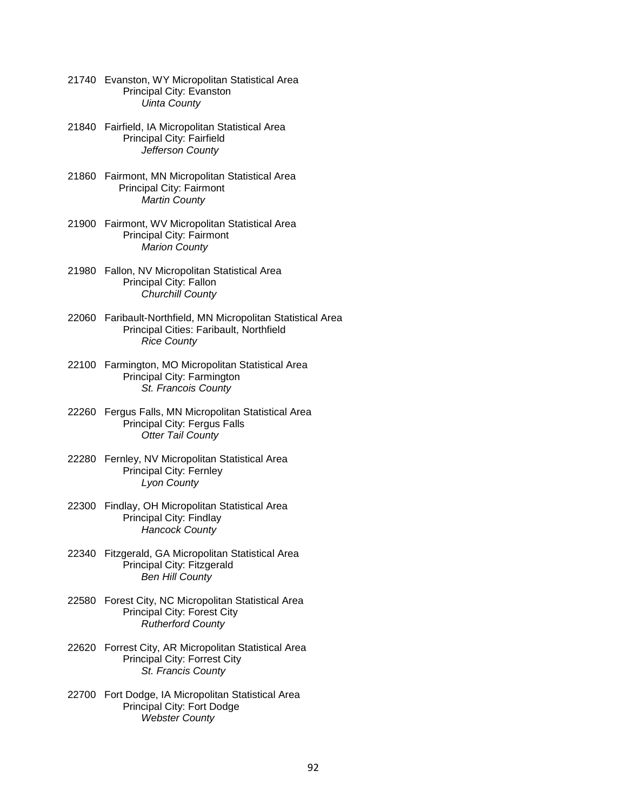- 21740 Evanston, WY Micropolitan Statistical Area Principal City: Evanston *Uinta County*
- 21840 Fairfield, IA Micropolitan Statistical Area Principal City: Fairfield *Jefferson County*
- 21860 Fairmont, MN Micropolitan Statistical Area Principal City: Fairmont  *Martin County*
- 21900 Fairmont, WV Micropolitan Statistical Area Principal City: Fairmont *Marion County*
- 21980 Fallon, NV Micropolitan Statistical Area Principal City: Fallon *Churchill County*
- 22060 Faribault-Northfield, MN Micropolitan Statistical Area Principal Cities: Faribault, Northfield *Rice County*
- 22100 Farmington, MO Micropolitan Statistical Area Principal City: Farmington *St. Francois County*
- 22260 Fergus Falls, MN Micropolitan Statistical Area Principal City: Fergus Falls *Otter Tail County*
- 22280 Fernley, NV Micropolitan Statistical Area Principal City: Fernley *Lyon County*
- 22300 Findlay, OH Micropolitan Statistical Area Principal City: Findlay *Hancock County*
- 22340 Fitzgerald, GA Micropolitan Statistical Area Principal City: Fitzgerald *Ben Hill County*
- 22580 Forest City, NC Micropolitan Statistical Area Principal City: Forest City *Rutherford County*
- 22620 Forrest City, AR Micropolitan Statistical Area Principal City: Forrest City *St. Francis County*
- 22700 Fort Dodge, IA Micropolitan Statistical Area Principal City: Fort Dodge *Webster County*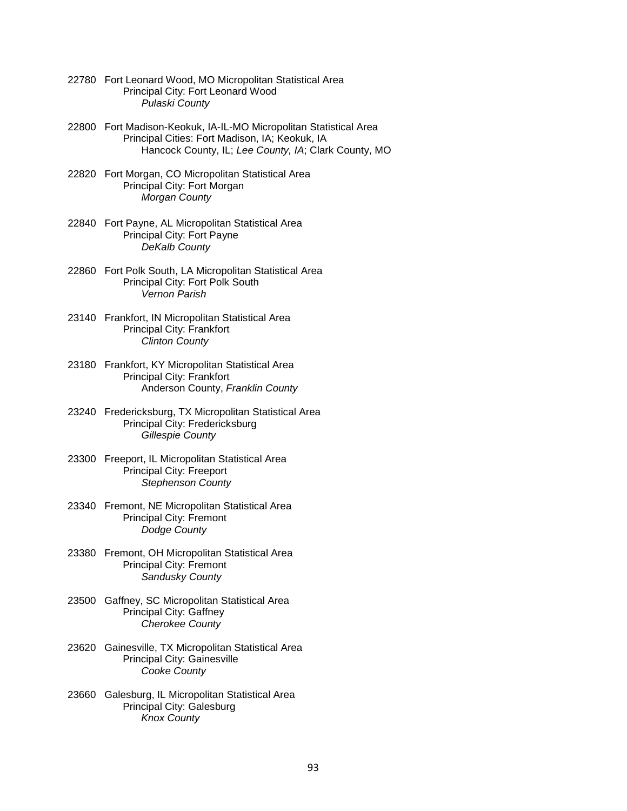- 22780 Fort Leonard Wood, MO Micropolitan Statistical Area Principal City: Fort Leonard Wood *Pulaski County*
- 22800 Fort Madison-Keokuk, IA-IL-MO Micropolitan Statistical Area Principal Cities: Fort Madison, IA; Keokuk, IA Hancock County, IL; *Lee County, IA*; Clark County, MO
- 22820 Fort Morgan, CO Micropolitan Statistical Area Principal City: Fort Morgan *Morgan County*
- 22840 Fort Payne, AL Micropolitan Statistical Area Principal City: Fort Payne  *DeKalb County*
- 22860 Fort Polk South, LA Micropolitan Statistical Area Principal City: Fort Polk South *Vernon Parish*
- 23140 Frankfort, IN Micropolitan Statistical Area Principal City: Frankfort *Clinton County*
- 23180 Frankfort, KY Micropolitan Statistical Area Principal City: Frankfort Anderson County, *Franklin County*
- 23240 Fredericksburg, TX Micropolitan Statistical Area Principal City: Fredericksburg *Gillespie County*
- 23300 Freeport, IL Micropolitan Statistical Area Principal City: Freeport *Stephenson County*
- 23340 Fremont, NE Micropolitan Statistical Area Principal City: Fremont *Dodge County*
- 23380 Fremont, OH Micropolitan Statistical Area Principal City: Fremont *Sandusky County*
- 23500 Gaffney, SC Micropolitan Statistical Area Principal City: Gaffney *Cherokee County*
- 23620 Gainesville, TX Micropolitan Statistical Area Principal City: Gainesville *Cooke County*
- 23660 Galesburg, IL Micropolitan Statistical Area Principal City: Galesburg *Knox County*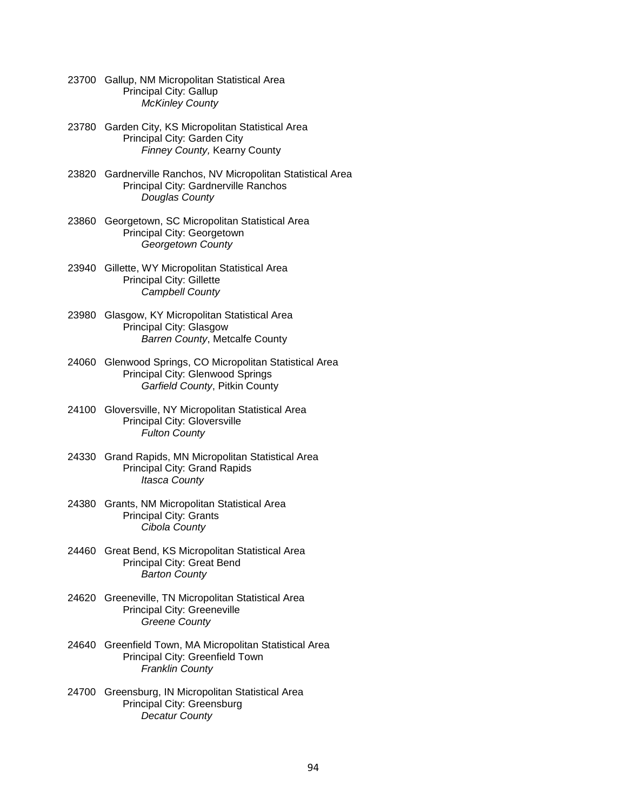- 23700 Gallup, NM Micropolitan Statistical Area Principal City: Gallup *McKinley County*
- 23780 Garden City, KS Micropolitan Statistical Area Principal City: Garden City *Finney County,* Kearny County
- 23820 Gardnerville Ranchos, NV Micropolitan Statistical Area Principal City: Gardnerville Ranchos *Douglas County*
- 23860 Georgetown, SC Micropolitan Statistical Area Principal City: Georgetown *Georgetown County*
- 23940 Gillette, WY Micropolitan Statistical Area Principal City: Gillette *Campbell County*
- 23980 Glasgow, KY Micropolitan Statistical Area Principal City: Glasgow *Barren County*, Metcalfe County
- 24060 Glenwood Springs, CO Micropolitan Statistical Area Principal City: Glenwood Springs *Garfield County*, Pitkin County
- 24100 Gloversville, NY Micropolitan Statistical Area Principal City: Gloversville *Fulton County*
- 24330 Grand Rapids, MN Micropolitan Statistical Area Principal City: Grand Rapids *Itasca County*
- 24380 Grants, NM Micropolitan Statistical Area Principal City: Grants *Cibola County*
- 24460 Great Bend, KS Micropolitan Statistical Area Principal City: Great Bend *Barton County*
- 24620 Greeneville, TN Micropolitan Statistical Area Principal City: Greeneville *Greene County*
- 24640 Greenfield Town, MA Micropolitan Statistical Area Principal City: Greenfield Town *Franklin County*
- 24700 Greensburg, IN Micropolitan Statistical Area Principal City: Greensburg *Decatur County*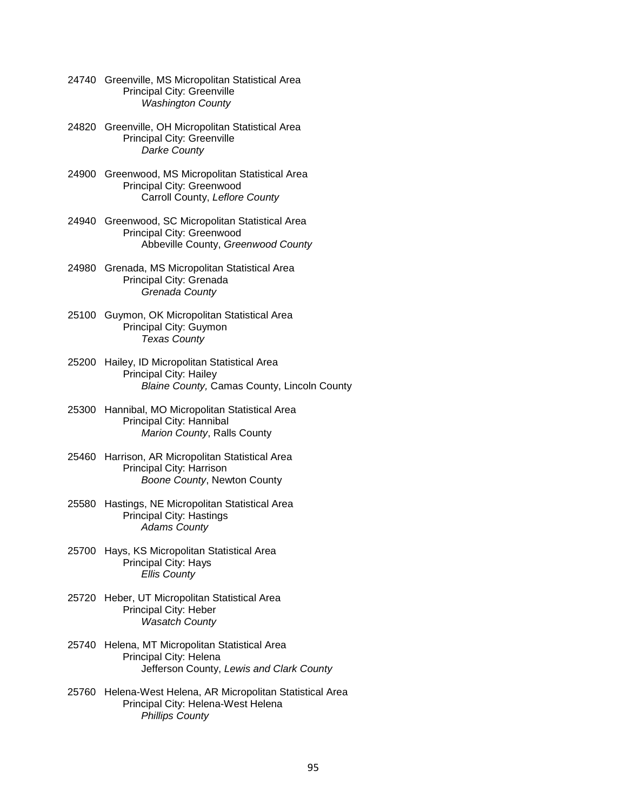| 24740 Greenville, MS Micropolitan Statistical Area |
|----------------------------------------------------|
| <b>Principal City: Greenville</b>                  |
| <b>Washington County</b>                           |

- 24820 Greenville, OH Micropolitan Statistical Area Principal City: Greenville *Darke County*
- 24900 Greenwood, MS Micropolitan Statistical Area Principal City: Greenwood Carroll County, *Leflore County*
- 24940 Greenwood, SC Micropolitan Statistical Area Principal City: Greenwood Abbeville County, *Greenwood County*
- 24980 Grenada, MS Micropolitan Statistical Area Principal City: Grenada *Grenada County*
- 25100 Guymon, OK Micropolitan Statistical Area Principal City: Guymon *Texas County*
- 25200 Hailey, ID Micropolitan Statistical Area Principal City: Hailey *Blaine County,* Camas County, Lincoln County
- 25300 Hannibal, MO Micropolitan Statistical Area Principal City: Hannibal *Marion County*, Ralls County
- 25460 Harrison, AR Micropolitan Statistical Area Principal City: Harrison *Boone County*, Newton County
- 25580 Hastings, NE Micropolitan Statistical Area Principal City: Hastings *Adams County*
- 25700 Hays, KS Micropolitan Statistical Area Principal City: Hays *Ellis County*
- 25720 Heber, UT Micropolitan Statistical Area Principal City: Heber *Wasatch County*
- 25740 Helena, MT Micropolitan Statistical Area Principal City: Helena Jefferson County, *Lewis and Clark County*
- 25760 Helena-West Helena, AR Micropolitan Statistical Area Principal City: Helena-West Helena *Phillips County*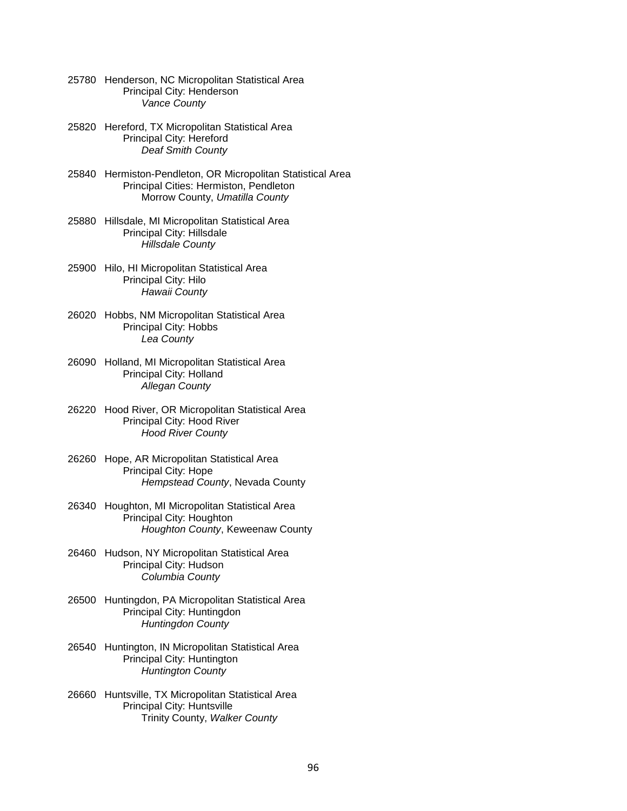- 25780 Henderson, NC Micropolitan Statistical Area Principal City: Henderson *Vance County*
- 25820 Hereford, TX Micropolitan Statistical Area Principal City: Hereford *Deaf Smith County*
- 25840 Hermiston-Pendleton, OR Micropolitan Statistical Area Principal Cities: Hermiston, Pendleton Morrow County, *Umatilla County*
- 25880 Hillsdale, MI Micropolitan Statistical Area Principal City: Hillsdale *Hillsdale County*
- 25900 Hilo, HI Micropolitan Statistical Area Principal City: Hilo *Hawaii County*
- 26020 Hobbs, NM Micropolitan Statistical Area Principal City: Hobbs *Lea County*
- 26090 Holland, MI Micropolitan Statistical Area Principal City: Holland *Allegan County*
- 26220 Hood River, OR Micropolitan Statistical Area Principal City: Hood River *Hood River County*
- 26260 Hope, AR Micropolitan Statistical Area Principal City: Hope *Hempstead County*, Nevada County
- 26340 Houghton, MI Micropolitan Statistical Area Principal City: Houghton *Houghton County*, Keweenaw County
- 26460 Hudson, NY Micropolitan Statistical Area Principal City: Hudson *Columbia County*
- 26500 Huntingdon, PA Micropolitan Statistical Area Principal City: Huntingdon *Huntingdon County*
- 26540 Huntington, IN Micropolitan Statistical Area Principal City: Huntington *Huntington County*
- 26660 Huntsville, TX Micropolitan Statistical Area Principal City: Huntsville Trinity County, *Walker County*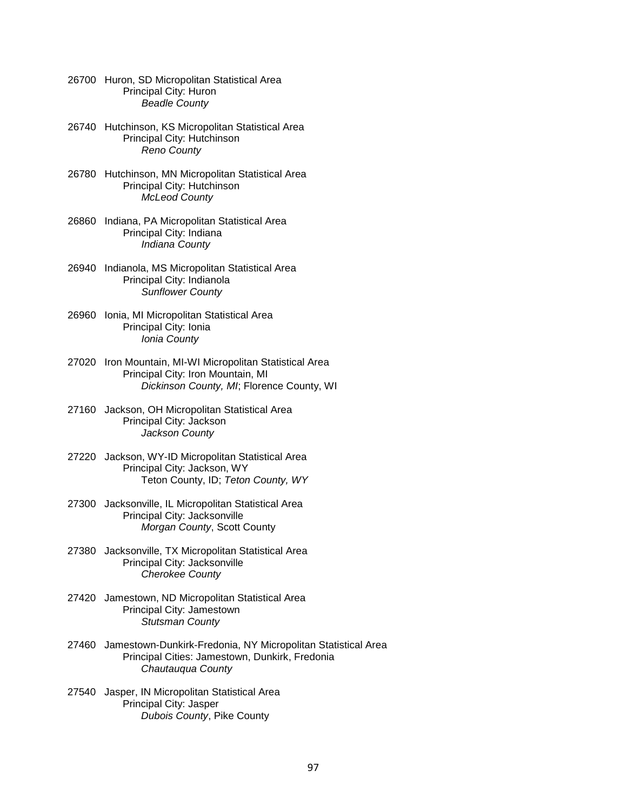- 26700 Huron, SD Micropolitan Statistical Area Principal City: Huron *Beadle County*
- 26740 Hutchinson, KS Micropolitan Statistical Area Principal City: Hutchinson *Reno County*
- 26780 Hutchinson, MN Micropolitan Statistical Area Principal City: Hutchinson *McLeod County*
- 26860 Indiana, PA Micropolitan Statistical Area Principal City: Indiana *Indiana County*
- 26940 Indianola, MS Micropolitan Statistical Area Principal City: Indianola *Sunflower County*
- 26960 Ionia, MI Micropolitan Statistical Area Principal City: Ionia *Ionia County*
- 27020 Iron Mountain, MI-WI Micropolitan Statistical Area Principal City: Iron Mountain, MI *Dickinson County, MI*; Florence County, WI
- 27160 Jackson, OH Micropolitan Statistical Area Principal City: Jackson *Jackson County*
- 27220 Jackson, WY-ID Micropolitan Statistical Area Principal City: Jackson, WY Teton County, ID; *Teton County, WY*
- 27300 Jacksonville, IL Micropolitan Statistical Area Principal City: Jacksonville *Morgan County*, Scott County
- 27380 Jacksonville, TX Micropolitan Statistical Area Principal City: Jacksonville *Cherokee County*
- 27420 Jamestown, ND Micropolitan Statistical Area Principal City: Jamestown *Stutsman County*
- 27460 Jamestown-Dunkirk-Fredonia, NY Micropolitan Statistical Area Principal Cities: Jamestown, Dunkirk, Fredonia *Chautauqua County*
- 27540 Jasper, IN Micropolitan Statistical Area Principal City: Jasper *Dubois County*, Pike County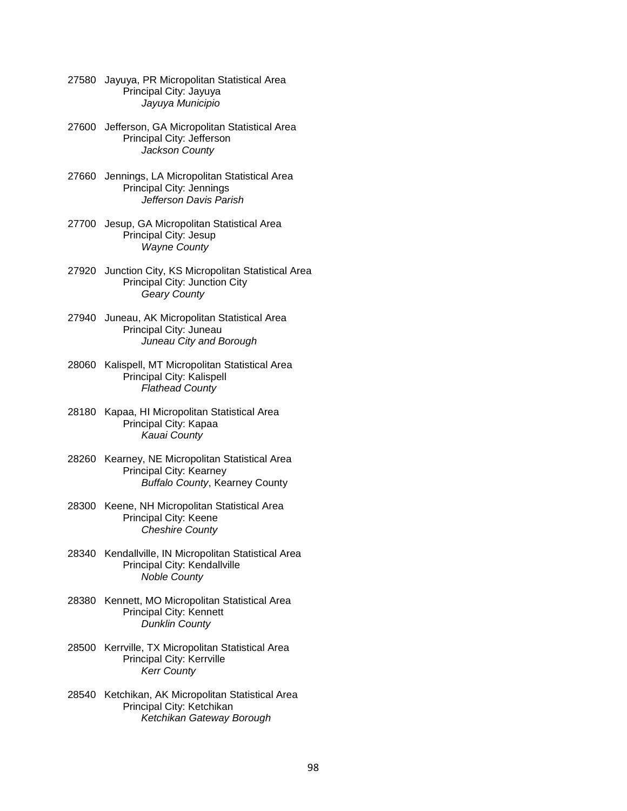- 27580 Jayuya, PR Micropolitan Statistical Area Principal City: Jayuya *Jayuya Municipio*
- 27600 Jefferson, GA Micropolitan Statistical Area Principal City: Jefferson *Jackson County*
- 27660 Jennings, LA Micropolitan Statistical Area Principal City: Jennings  *Jefferson Davis Parish*
- 27700 Jesup, GA Micropolitan Statistical Area Principal City: Jesup *Wayne County*
- 27920 Junction City, KS Micropolitan Statistical Area Principal City: Junction City *Geary County*
- 27940 Juneau, AK Micropolitan Statistical Area Principal City: Juneau *Juneau City and Borough*
- 28060 Kalispell, MT Micropolitan Statistical Area Principal City: Kalispell *Flathead County*
- 28180 Kapaa, HI Micropolitan Statistical Area Principal City: Kapaa *Kauai County*
- 28260 Kearney, NE Micropolitan Statistical Area Principal City: Kearney *Buffalo County*, Kearney County
- 28300 Keene, NH Micropolitan Statistical Area Principal City: Keene *Cheshire County*
- 28340 Kendallville, IN Micropolitan Statistical Area Principal City: Kendallville *Noble County*
- 28380 Kennett, MO Micropolitan Statistical Area Principal City: Kennett *Dunklin County*
- 28500 Kerrville, TX Micropolitan Statistical Area Principal City: Kerrville *Kerr County*
- 28540 Ketchikan, AK Micropolitan Statistical Area Principal City: Ketchikan *Ketchikan Gateway Borough*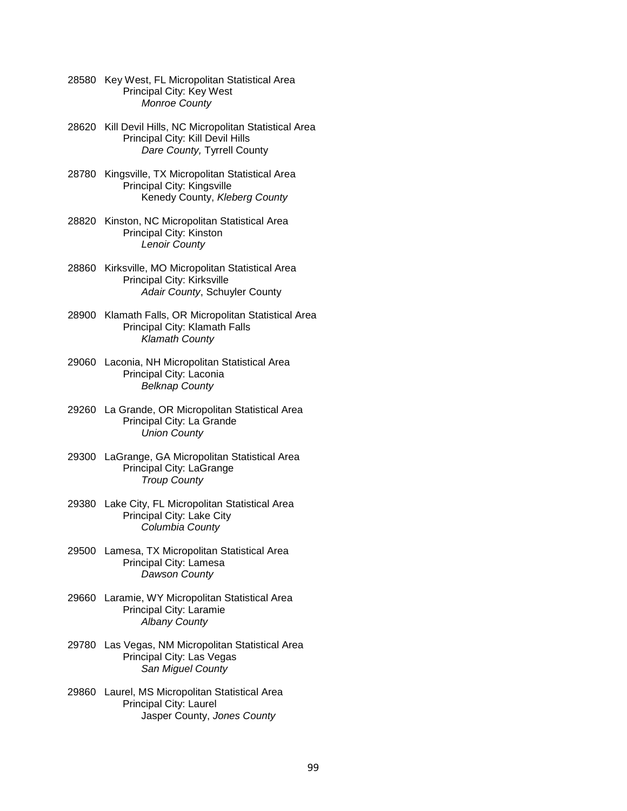- 28580 Key West, FL Micropolitan Statistical Area Principal City: Key West *Monroe County*
- 28620 Kill Devil Hills, NC Micropolitan Statistical Area Principal City: Kill Devil Hills *Dare County,* Tyrrell County
- 28780 Kingsville, TX Micropolitan Statistical Area Principal City: Kingsville Kenedy County, *Kleberg County*
- 28820 Kinston, NC Micropolitan Statistical Area Principal City: Kinston *Lenoir County*
- 28860 Kirksville, MO Micropolitan Statistical Area Principal City: Kirksville *Adair County*, Schuyler County
- 28900 Klamath Falls, OR Micropolitan Statistical Area Principal City: Klamath Falls *Klamath County*
- 29060 Laconia, NH Micropolitan Statistical Area Principal City: Laconia *Belknap County*
- 29260 La Grande, OR Micropolitan Statistical Area Principal City: La Grande *Union County*
- 29300 LaGrange, GA Micropolitan Statistical Area Principal City: LaGrange *Troup County*
- 29380 Lake City, FL Micropolitan Statistical Area Principal City: Lake City *Columbia County*
- 29500 Lamesa, TX Micropolitan Statistical Area Principal City: Lamesa *Dawson County*
- 29660 Laramie, WY Micropolitan Statistical Area Principal City: Laramie *Albany County*
- 29780 Las Vegas, NM Micropolitan Statistical Area Principal City: Las Vegas *San Miguel County*
- 29860 Laurel, MS Micropolitan Statistical Area Principal City: Laurel Jasper County, *Jones County*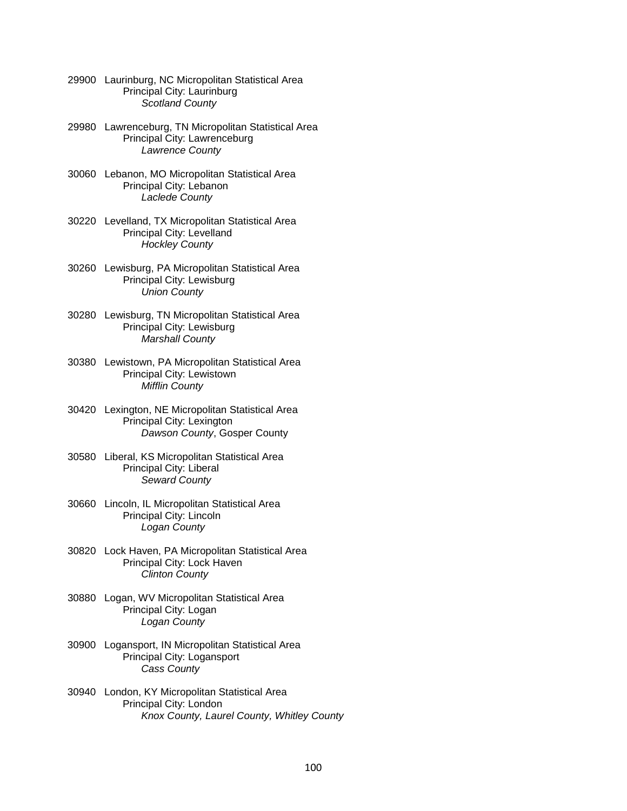- 29900 Laurinburg, NC Micropolitan Statistical Area Principal City: Laurinburg *Scotland County*
- 29980 Lawrenceburg, TN Micropolitan Statistical Area Principal City: Lawrenceburg *Lawrence County*
- 30060 Lebanon, MO Micropolitan Statistical Area Principal City: Lebanon *Laclede County*
- 30220 Levelland, TX Micropolitan Statistical Area Principal City: Levelland *Hockley County*
- 30260 Lewisburg, PA Micropolitan Statistical Area Principal City: Lewisburg *Union County*
- 30280 Lewisburg, TN Micropolitan Statistical Area Principal City: Lewisburg *Marshall County*
- 30380 Lewistown, PA Micropolitan Statistical Area Principal City: Lewistown *Mifflin County*
- 30420 Lexington, NE Micropolitan Statistical Area Principal City: Lexington *Dawson County*, Gosper County
- 30580 Liberal, KS Micropolitan Statistical Area Principal City: Liberal *Seward County*
- 30660 Lincoln, IL Micropolitan Statistical Area Principal City: Lincoln *Logan County*
- 30820 Lock Haven, PA Micropolitan Statistical Area Principal City: Lock Haven *Clinton County*
- 30880 Logan, WV Micropolitan Statistical Area Principal City: Logan *Logan County*
- 30900 Logansport, IN Micropolitan Statistical Area Principal City: Logansport *Cass County*
- 30940 London, KY Micropolitan Statistical Area Principal City: London *Knox County, Laurel County, Whitley County*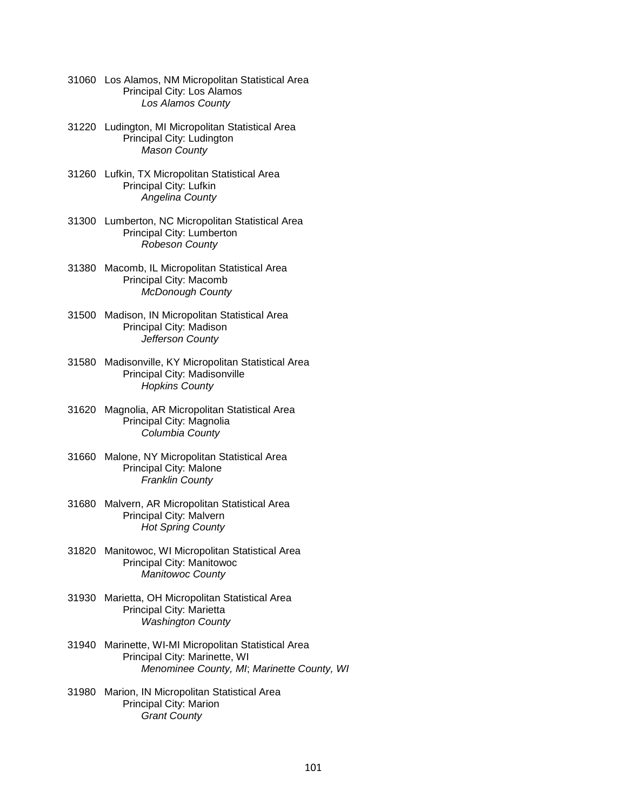- 31060 Los Alamos, NM Micropolitan Statistical Area Principal City: Los Alamos *Los Alamos County*
- 31220 Ludington, MI Micropolitan Statistical Area Principal City: Ludington *Mason County*
- 31260 Lufkin, TX Micropolitan Statistical Area Principal City: Lufkin *Angelina County*
- 31300 Lumberton, NC Micropolitan Statistical Area Principal City: Lumberton *Robeson County*
- 31380 Macomb, IL Micropolitan Statistical Area Principal City: Macomb *McDonough County*
- 31500 Madison, IN Micropolitan Statistical Area Principal City: Madison *Jefferson County*
- 31580 Madisonville, KY Micropolitan Statistical Area Principal City: Madisonville *Hopkins County*
- 31620 Magnolia, AR Micropolitan Statistical Area Principal City: Magnolia *Columbia County*
- 31660 Malone, NY Micropolitan Statistical Area Principal City: Malone *Franklin County*
- 31680 Malvern, AR Micropolitan Statistical Area Principal City: Malvern *Hot Spring County*
- 31820 Manitowoc, WI Micropolitan Statistical Area Principal City: Manitowoc *Manitowoc County*
- 31930 Marietta, OH Micropolitan Statistical Area Principal City: Marietta *Washington County*
- 31940 Marinette, WI-MI Micropolitan Statistical Area Principal City: Marinette, WI *Menominee County, MI*; *Marinette County, WI*
- 31980 Marion, IN Micropolitan Statistical Area Principal City: Marion *Grant County*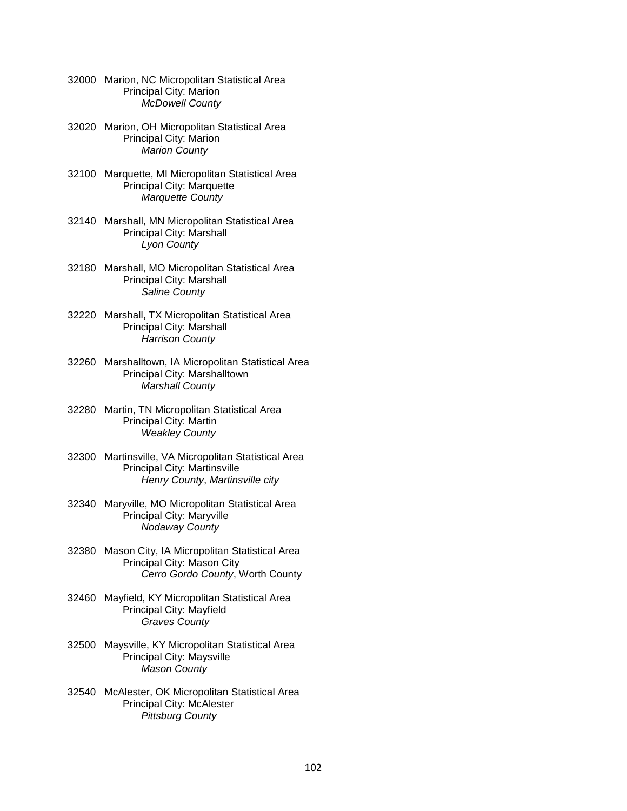| 32000 Marion, NC Micropolitan Statistical Area |
|------------------------------------------------|
| Principal City: Marion                         |
| <b>McDowell County</b>                         |

- 32020 Marion, OH Micropolitan Statistical Area Principal City: Marion *Marion County*
- 32100 Marquette, MI Micropolitan Statistical Area Principal City: Marquette *Marquette County*
- 32140 Marshall, MN Micropolitan Statistical Area Principal City: Marshall *Lyon County*
- 32180 Marshall, MO Micropolitan Statistical Area Principal City: Marshall *Saline County*
- 32220 Marshall, TX Micropolitan Statistical Area Principal City: Marshall *Harrison County*
- 32260 Marshalltown, IA Micropolitan Statistical Area Principal City: Marshalltown *Marshall County*
- 32280 Martin, TN Micropolitan Statistical Area Principal City: Martin *Weakley County*
- 32300 Martinsville, VA Micropolitan Statistical Area Principal City: Martinsville *Henry County*, *Martinsville city*
- 32340 Maryville, MO Micropolitan Statistical Area Principal City: Maryville *Nodaway County*
- 32380 Mason City, IA Micropolitan Statistical Area Principal City: Mason City *Cerro Gordo County*, Worth County
- 32460 Mayfield, KY Micropolitan Statistical Area Principal City: Mayfield *Graves County*
- 32500 Maysville, KY Micropolitan Statistical Area Principal City: Maysville *Mason County*
- 32540 McAlester, OK Micropolitan Statistical Area Principal City: McAlester *Pittsburg County*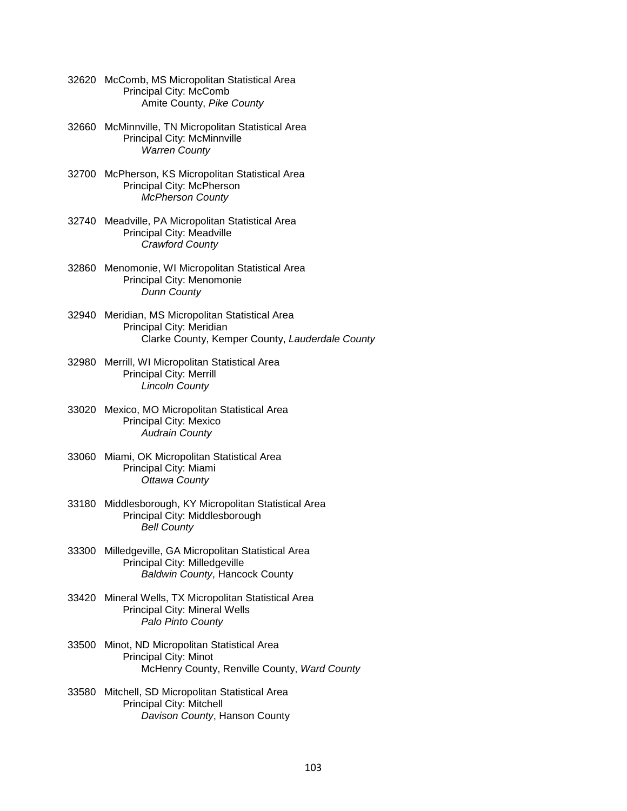- 32620 McComb, MS Micropolitan Statistical Area Principal City: McComb Amite County, *Pike County*
- 32660 McMinnville, TN Micropolitan Statistical Area Principal City: McMinnville *Warren County*
- 32700 McPherson, KS Micropolitan Statistical Area Principal City: McPherson *McPherson County*
- 32740 Meadville, PA Micropolitan Statistical Area Principal City: Meadville *Crawford County*
- 32860 Menomonie, WI Micropolitan Statistical Area Principal City: Menomonie *Dunn County*
- 32940 Meridian, MS Micropolitan Statistical Area Principal City: Meridian Clarke County, Kemper County, *Lauderdale County*
- 32980 Merrill, WI Micropolitan Statistical Area Principal City: Merrill *Lincoln County*
- 33020 Mexico, MO Micropolitan Statistical Area Principal City: Mexico *Audrain County*
- 33060 Miami, OK Micropolitan Statistical Area Principal City: Miami *Ottawa County*
- 33180 Middlesborough, KY Micropolitan Statistical Area Principal City: Middlesborough *Bell County*
- 33300 Milledgeville, GA Micropolitan Statistical Area Principal City: Milledgeville *Baldwin County*, Hancock County
- 33420 Mineral Wells, TX Micropolitan Statistical Area Principal City: Mineral Wells *Palo Pinto County*
- 33500 Minot, ND Micropolitan Statistical Area Principal City: Minot McHenry County, Renville County, *Ward County*
- 33580 Mitchell, SD Micropolitan Statistical Area Principal City: Mitchell *Davison County*, Hanson County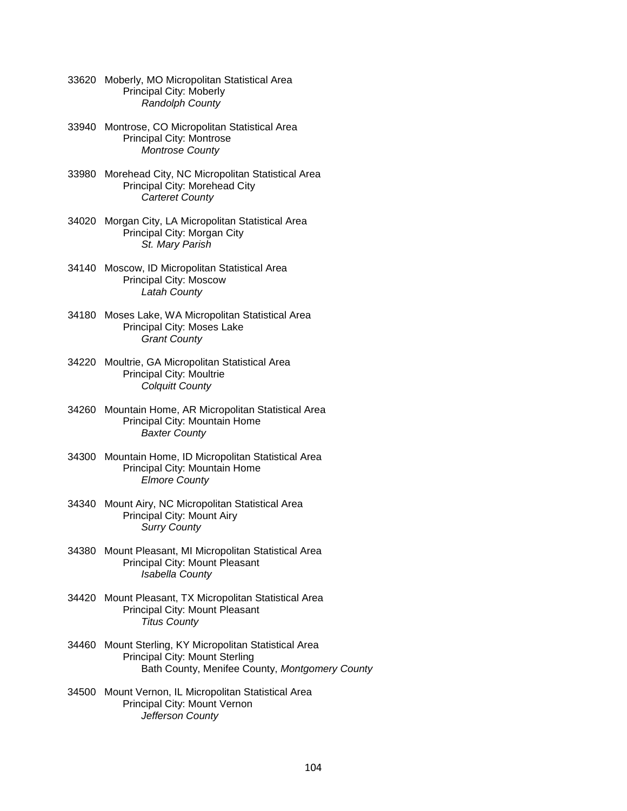- 33620 Moberly, MO Micropolitan Statistical Area Principal City: Moberly *Randolph County*
- 33940 Montrose, CO Micropolitan Statistical Area Principal City: Montrose *Montrose County*
- 33980 Morehead City, NC Micropolitan Statistical Area Principal City: Morehead City *Carteret County*
- 34020 Morgan City, LA Micropolitan Statistical Area Principal City: Morgan City *St. Mary Parish*
- 34140 Moscow, ID Micropolitan Statistical Area Principal City: Moscow *Latah County*
- 34180 Moses Lake, WA Micropolitan Statistical Area Principal City: Moses Lake *Grant County*
- 34220 Moultrie, GA Micropolitan Statistical Area Principal City: Moultrie *Colquitt County*
- 34260 Mountain Home, AR Micropolitan Statistical Area Principal City: Mountain Home *Baxter County*
- 34300 Mountain Home, ID Micropolitan Statistical Area Principal City: Mountain Home *Elmore County*
- 34340 Mount Airy, NC Micropolitan Statistical Area Principal City: Mount Airy *Surry County*
- 34380 Mount Pleasant, MI Micropolitan Statistical Area Principal City: Mount Pleasant *Isabella County*
- 34420 Mount Pleasant, TX Micropolitan Statistical Area Principal City: Mount Pleasant *Titus County*
- 34460 Mount Sterling, KY Micropolitan Statistical Area Principal City: Mount Sterling Bath County, Menifee County, *Montgomery County*
- 34500 Mount Vernon, IL Micropolitan Statistical Area Principal City: Mount Vernon *Jefferson County*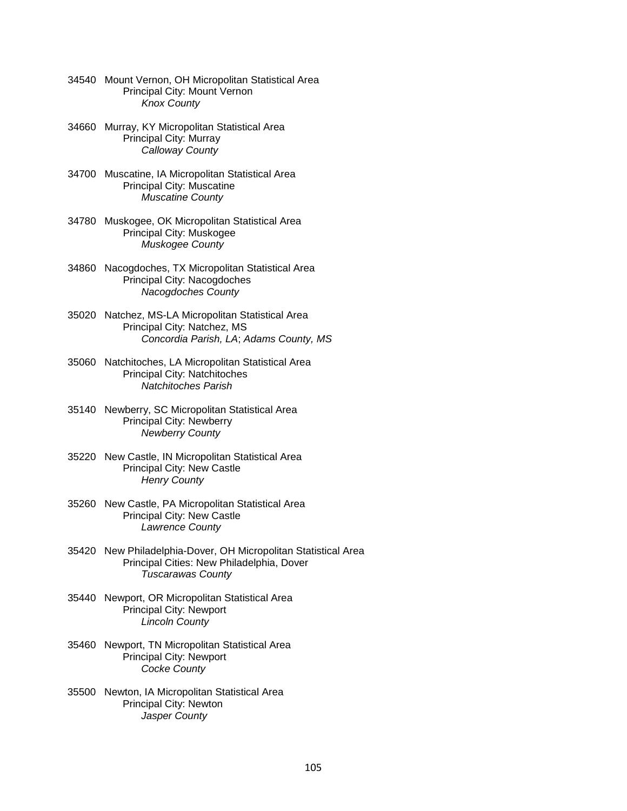- 34540 Mount Vernon, OH Micropolitan Statistical Area Principal City: Mount Vernon *Knox County*
- 34660 Murray, KY Micropolitan Statistical Area Principal City: Murray *Calloway County*
- 34700 Muscatine, IA Micropolitan Statistical Area Principal City: Muscatine *Muscatine County*
- 34780 Muskogee, OK Micropolitan Statistical Area Principal City: Muskogee *Muskogee County*
- 34860 Nacogdoches, TX Micropolitan Statistical Area Principal City: Nacogdoches *Nacogdoches County*
- 35020 Natchez, MS-LA Micropolitan Statistical Area Principal City: Natchez, MS *Concordia Parish, LA*; *Adams County, MS*
- 35060 Natchitoches, LA Micropolitan Statistical Area Principal City: Natchitoches *Natchitoches Parish*
- 35140 Newberry, SC Micropolitan Statistical Area Principal City: Newberry *Newberry County*
- 35220 New Castle, IN Micropolitan Statistical Area Principal City: New Castle *Henry County*
- 35260 New Castle, PA Micropolitan Statistical Area Principal City: New Castle *Lawrence County*
- 35420 New Philadelphia-Dover, OH Micropolitan Statistical Area Principal Cities: New Philadelphia, Dover *Tuscarawas County*
- 35440 Newport, OR Micropolitan Statistical Area Principal City: Newport *Lincoln County*
- 35460 Newport, TN Micropolitan Statistical Area Principal City: Newport *Cocke County*
- 35500 Newton, IA Micropolitan Statistical Area Principal City: Newton *Jasper County*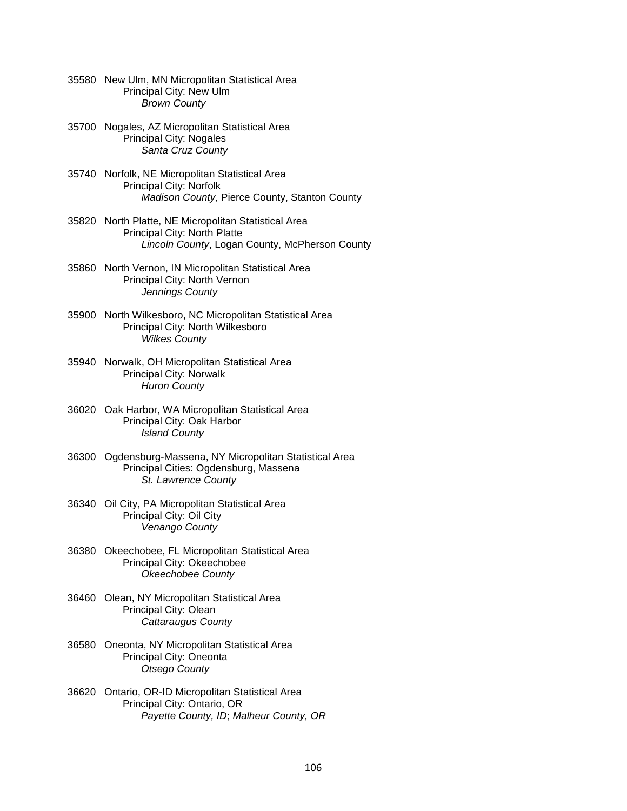|       | 35580 New Ulm, MN Micropolitan Statistical Area<br>Principal City: New Ulm<br><b>Brown County</b>                                      |
|-------|----------------------------------------------------------------------------------------------------------------------------------------|
| 35700 | Nogales, AZ Micropolitan Statistical Area<br><b>Principal City: Nogales</b><br>Santa Cruz County                                       |
|       | 35740 Norfolk, NE Micropolitan Statistical Area<br>Principal City: Norfolk<br>Madison County, Pierce County, Stanton County            |
|       | 35820 North Platte, NE Micropolitan Statistical Area<br>Principal City: North Platte<br>Lincoln County, Logan County, McPherson County |
|       | 35860 North Vernon, IN Micropolitan Statistical Area<br>Principal City: North Vernon<br>Jennings County                                |
|       | 35900 North Wilkesboro, NC Micropolitan Statistical Area<br>Principal City: North Wilkesboro<br><b>Wilkes County</b>                   |
|       | 35940 Norwalk, OH Micropolitan Statistical Area<br><b>Principal City: Norwalk</b><br><b>Huron County</b>                               |
|       | 36020 Oak Harbor, WA Micropolitan Statistical Area<br>Principal City: Oak Harbor<br><b>Island County</b>                               |
| 36300 | Ogdensburg-Massena, NY Micropolitan Statistical Area<br>Principal Cities: Ogdensburg, Massena<br>St. Lawrence County                   |
| 36340 | Oil City, PA Micropolitan Statistical Area<br>Principal City: Oil City<br>Venango County                                               |
|       | 36380 Okeechobee, FL Micropolitan Statistical Area<br>Principal City: Okeechobee<br><b>Okeechobee County</b>                           |
|       | 36460 Olean, NY Micropolitan Statistical Area<br>Principal City: Olean<br>Cattaraugus County                                           |
| 36580 | Oneonta, NY Micropolitan Statistical Area<br>Principal City: Oneonta<br><b>Otsego County</b>                                           |
| 36620 | Ontario, OR-ID Micropolitan Statistical Area<br>Principal City: Ontario, OR<br>Payette County, ID; Malheur County, OR                  |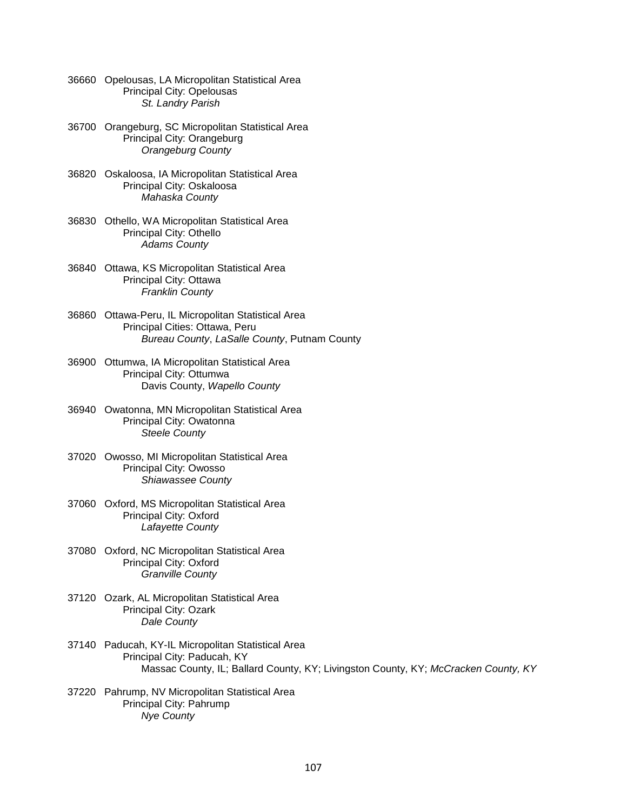- 36660 Opelousas, LA Micropolitan Statistical Area Principal City: Opelousas *St. Landry Parish*
- 36700 Orangeburg, SC Micropolitan Statistical Area Principal City: Orangeburg *Orangeburg County*
- 36820 Oskaloosa, IA Micropolitan Statistical Area Principal City: Oskaloosa *Mahaska County*
- 36830 Othello, WA Micropolitan Statistical Area Principal City: Othello *Adams County*
- 36840 Ottawa, KS Micropolitan Statistical Area Principal City: Ottawa *Franklin County*
- 36860 Ottawa-Peru, IL Micropolitan Statistical Area Principal Cities: Ottawa, Peru *Bureau County*, *LaSalle County*, Putnam County
- 36900 Ottumwa, IA Micropolitan Statistical Area Principal City: Ottumwa Davis County, *Wapello County*
- 36940 Owatonna, MN Micropolitan Statistical Area Principal City: Owatonna *Steele County*
- 37020 Owosso, MI Micropolitan Statistical Area Principal City: Owosso *Shiawassee County*
- 37060 Oxford, MS Micropolitan Statistical Area Principal City: Oxford *Lafayette County*
- 37080 Oxford, NC Micropolitan Statistical Area Principal City: Oxford *Granville County*
- 37120 Ozark, AL Micropolitan Statistical Area Principal City: Ozark *Dale County*
- 37140 Paducah, KY-IL Micropolitan Statistical Area Principal City: Paducah, KY Massac County, IL; Ballard County, KY; Livingston County, KY; *McCracken County, KY*
- 37220 Pahrump, NV Micropolitan Statistical Area Principal City: Pahrump *Nye County*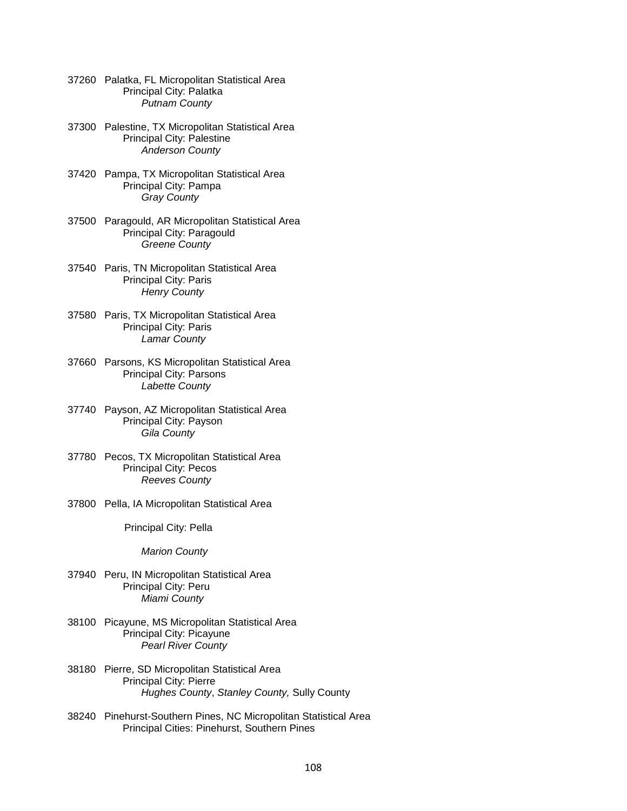- 37260 Palatka, FL Micropolitan Statistical Area Principal City: Palatka *Putnam County*
- 37300 Palestine, TX Micropolitan Statistical Area Principal City: Palestine *Anderson County*
- 37420 Pampa, TX Micropolitan Statistical Area Principal City: Pampa *Gray County*
- 37500 Paragould, AR Micropolitan Statistical Area Principal City: Paragould *Greene County*
- 37540 Paris, TN Micropolitan Statistical Area Principal City: Paris *Henry County*
- 37580 Paris, TX Micropolitan Statistical Area Principal City: Paris *Lamar County*
- 37660 Parsons, KS Micropolitan Statistical Area Principal City: Parsons *Labette County*
- 37740 Payson, AZ Micropolitan Statistical Area Principal City: Payson *Gila County*
- 37780 Pecos, TX Micropolitan Statistical Area Principal City: Pecos *Reeves County*
- 37800 Pella, IA Micropolitan Statistical Area

Principal City: Pella

*Marion County*

- 37940 Peru, IN Micropolitan Statistical Area Principal City: Peru *Miami County*
- 38100 Picayune, MS Micropolitan Statistical Area Principal City: Picayune *Pearl River County*
- 38180 Pierre, SD Micropolitan Statistical Area Principal City: Pierre *Hughes County*, *Stanley County,* Sully County
- 38240 Pinehurst-Southern Pines, NC Micropolitan Statistical Area Principal Cities: Pinehurst, Southern Pines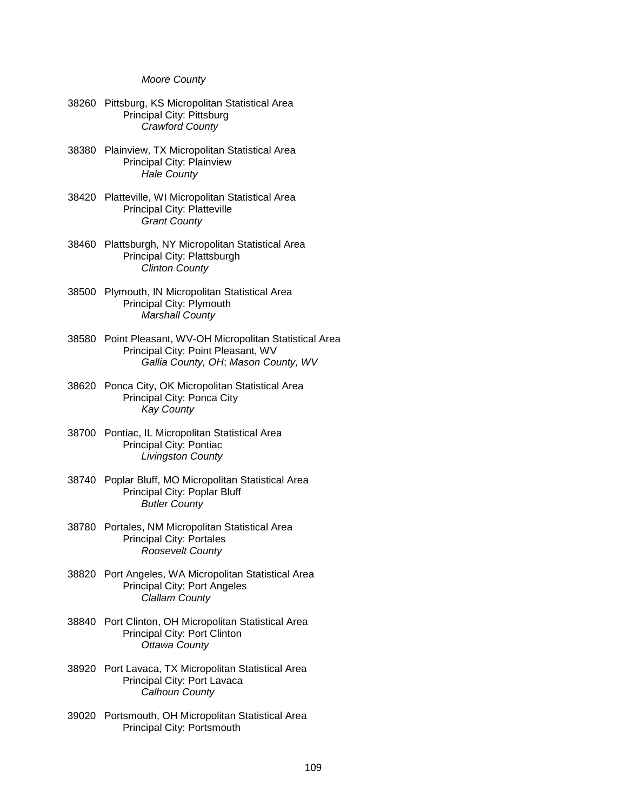## *Moore County*

- 38260 Pittsburg, KS Micropolitan Statistical Area Principal City: Pittsburg *Crawford County*
- 38380 Plainview, TX Micropolitan Statistical Area Principal City: Plainview *Hale County*
- 38420 Platteville, WI Micropolitan Statistical Area Principal City: Platteville *Grant County*
- 38460 Plattsburgh, NY Micropolitan Statistical Area Principal City: Plattsburgh *Clinton County*
- 38500 Plymouth, IN Micropolitan Statistical Area Principal City: Plymouth *Marshall County*
- 38580 Point Pleasant, WV-OH Micropolitan Statistical Area Principal City: Point Pleasant, WV *Gallia County, OH*; *Mason County, WV*
- 38620 Ponca City, OK Micropolitan Statistical Area Principal City: Ponca City *Kay County*
- 38700 Pontiac, IL Micropolitan Statistical Area Principal City: Pontiac *Livingston County*
- 38740 Poplar Bluff, MO Micropolitan Statistical Area Principal City: Poplar Bluff *Butler County*
- 38780 Portales, NM Micropolitan Statistical Area Principal City: Portales *Roosevelt County*
- 38820 Port Angeles, WA Micropolitan Statistical Area Principal City: Port Angeles *Clallam County*
- 38840 Port Clinton, OH Micropolitan Statistical Area Principal City: Port Clinton *Ottawa County*
- 38920 Port Lavaca, TX Micropolitan Statistical Area Principal City: Port Lavaca *Calhoun County*
- 39020 Portsmouth, OH Micropolitan Statistical Area Principal City: Portsmouth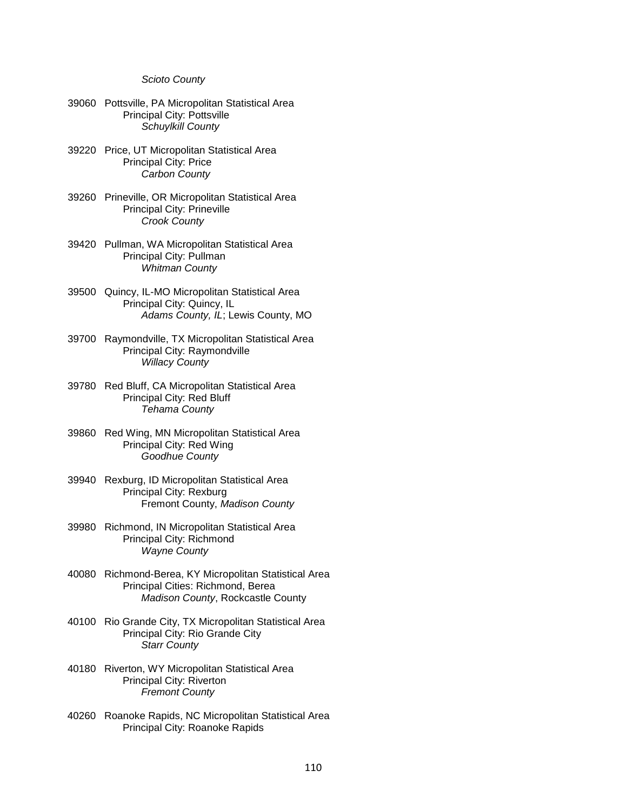## *Scioto County*

- 39060 Pottsville, PA Micropolitan Statistical Area Principal City: Pottsville *Schuylkill County*
- 39220 Price, UT Micropolitan Statistical Area Principal City: Price *Carbon County*
- 39260 Prineville, OR Micropolitan Statistical Area Principal City: Prineville *Crook County*
- 39420 Pullman, WA Micropolitan Statistical Area Principal City: Pullman *Whitman County*
- 39500 Quincy, IL-MO Micropolitan Statistical Area Principal City: Quincy, IL *Adams County, IL*; Lewis County, MO
- 39700 Raymondville, TX Micropolitan Statistical Area Principal City: Raymondville *Willacy County*
- 39780 Red Bluff, CA Micropolitan Statistical Area Principal City: Red Bluff *Tehama County*
- 39860 Red Wing, MN Micropolitan Statistical Area Principal City: Red Wing *Goodhue County*
- 39940 Rexburg, ID Micropolitan Statistical Area Principal City: Rexburg Fremont County, *Madison County*
- 39980 Richmond, IN Micropolitan Statistical Area Principal City: Richmond *Wayne County*
- 40080 Richmond-Berea, KY Micropolitan Statistical Area Principal Cities: Richmond, Berea *Madison County*, Rockcastle County
- 40100 Rio Grande City, TX Micropolitan Statistical Area Principal City: Rio Grande City *Starr County*
- 40180 Riverton, WY Micropolitan Statistical Area Principal City: Riverton *Fremont County*
- 40260 Roanoke Rapids, NC Micropolitan Statistical Area Principal City: Roanoke Rapids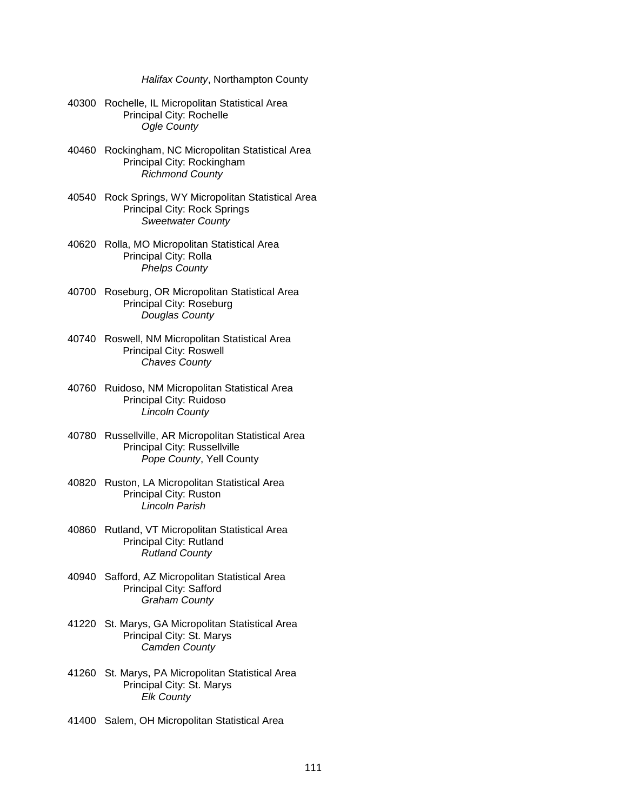*Halifax County*, Northampton County

- 40300 Rochelle, IL Micropolitan Statistical Area Principal City: Rochelle *Ogle County*
- 40460 Rockingham, NC Micropolitan Statistical Area Principal City: Rockingham *Richmond County*
- 40540 Rock Springs, WY Micropolitan Statistical Area Principal City: Rock Springs *Sweetwater County*
- 40620 Rolla, MO Micropolitan Statistical Area Principal City: Rolla *Phelps County*
- 40700 Roseburg, OR Micropolitan Statistical Area Principal City: Roseburg *Douglas County*
- 40740 Roswell, NM Micropolitan Statistical Area Principal City: Roswell *Chaves County*
- 40760 Ruidoso, NM Micropolitan Statistical Area Principal City: Ruidoso  *Lincoln County*
- 40780 Russellville, AR Micropolitan Statistical Area Principal City: Russellville *Pope County*, Yell County
- 40820 Ruston, LA Micropolitan Statistical Area Principal City: Ruston *Lincoln Parish*
- 40860 Rutland, VT Micropolitan Statistical Area Principal City: Rutland *Rutland County*
- 40940 Safford, AZ Micropolitan Statistical Area Principal City: Safford *Graham County*
- 41220 St. Marys, GA Micropolitan Statistical Area Principal City: St. Marys *Camden County*
- 41260 St. Marys, PA Micropolitan Statistical Area Principal City: St. Marys  *Elk County*
- 41400 Salem, OH Micropolitan Statistical Area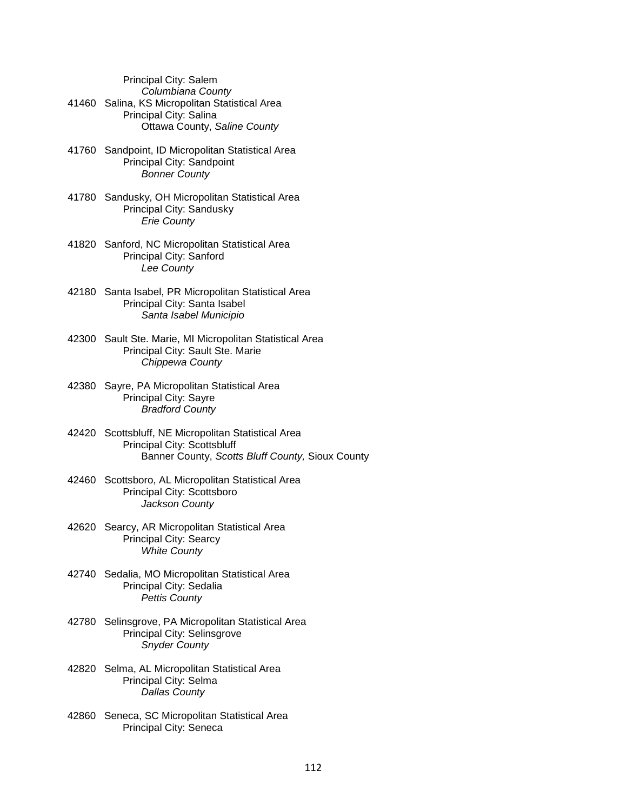Principal City: Salem

- *Columbiana County*
- 41460 Salina, KS Micropolitan Statistical Area Principal City: Salina Ottawa County, *Saline County*
- 41760 Sandpoint, ID Micropolitan Statistical Area Principal City: Sandpoint *Bonner County*
- 41780 Sandusky, OH Micropolitan Statistical Area Principal City: Sandusky *Erie County*
- 41820 Sanford, NC Micropolitan Statistical Area Principal City: Sanford *Lee County*
- 42180 Santa Isabel, PR Micropolitan Statistical Area Principal City: Santa Isabel *Santa Isabel Municipio*
- 42300 Sault Ste. Marie, MI Micropolitan Statistical Area Principal City: Sault Ste. Marie *Chippewa County*
- 42380 Sayre, PA Micropolitan Statistical Area Principal City: Sayre *Bradford County*
- 42420 Scottsbluff, NE Micropolitan Statistical Area Principal City: Scottsbluff Banner County, *Scotts Bluff County,* Sioux County
- 42460 Scottsboro, AL Micropolitan Statistical Area Principal City: Scottsboro *Jackson County*
- 42620 Searcy, AR Micropolitan Statistical Area Principal City: Searcy *White County*
- 42740 Sedalia, MO Micropolitan Statistical Area Principal City: Sedalia *Pettis County*
- 42780 Selinsgrove, PA Micropolitan Statistical Area Principal City: Selinsgrove *Snyder County*
- 42820 Selma, AL Micropolitan Statistical Area Principal City: Selma *Dallas County*
- 42860 Seneca, SC Micropolitan Statistical Area Principal City: Seneca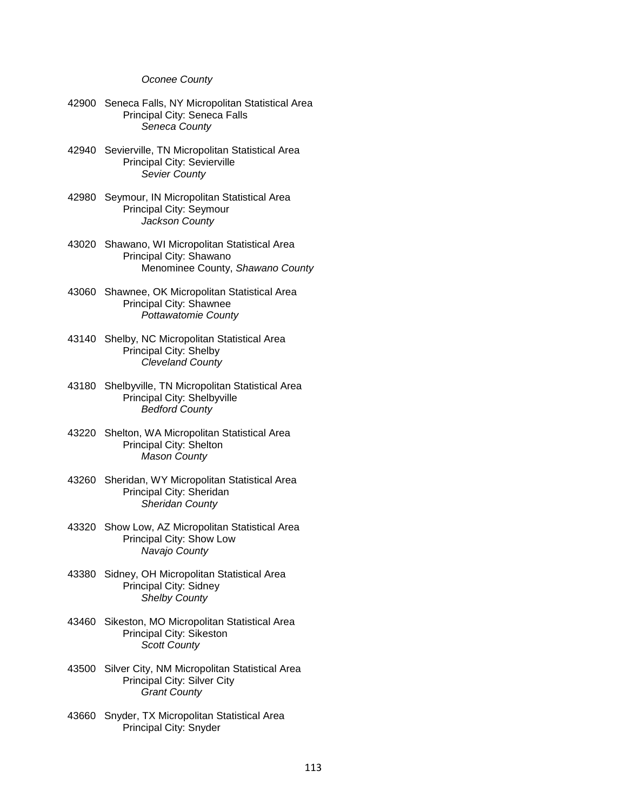## *Oconee County*

- 42900 Seneca Falls, NY Micropolitan Statistical Area Principal City: Seneca Falls *Seneca County*
- 42940 Sevierville, TN Micropolitan Statistical Area Principal City: Sevierville *Sevier County*
- 42980 Seymour, IN Micropolitan Statistical Area Principal City: Seymour *Jackson County*
- 43020 Shawano, WI Micropolitan Statistical Area Principal City: Shawano Menominee County, *Shawano County*
- 43060 Shawnee, OK Micropolitan Statistical Area Principal City: Shawnee *Pottawatomie County*
- 43140 Shelby, NC Micropolitan Statistical Area Principal City: Shelby *Cleveland County*
- 43180 Shelbyville, TN Micropolitan Statistical Area Principal City: Shelbyville *Bedford County*
- 43220 Shelton, WA Micropolitan Statistical Area Principal City: Shelton *Mason County*
- 43260 Sheridan, WY Micropolitan Statistical Area Principal City: Sheridan *Sheridan County*
- 43320 Show Low, AZ Micropolitan Statistical Area Principal City: Show Low *Navajo County*
- 43380 Sidney, OH Micropolitan Statistical Area Principal City: Sidney *Shelby County*
- 43460 Sikeston, MO Micropolitan Statistical Area Principal City: Sikeston *Scott County*
- 43500 Silver City, NM Micropolitan Statistical Area Principal City: Silver City *Grant County*
- 43660 Snyder, TX Micropolitan Statistical Area Principal City: Snyder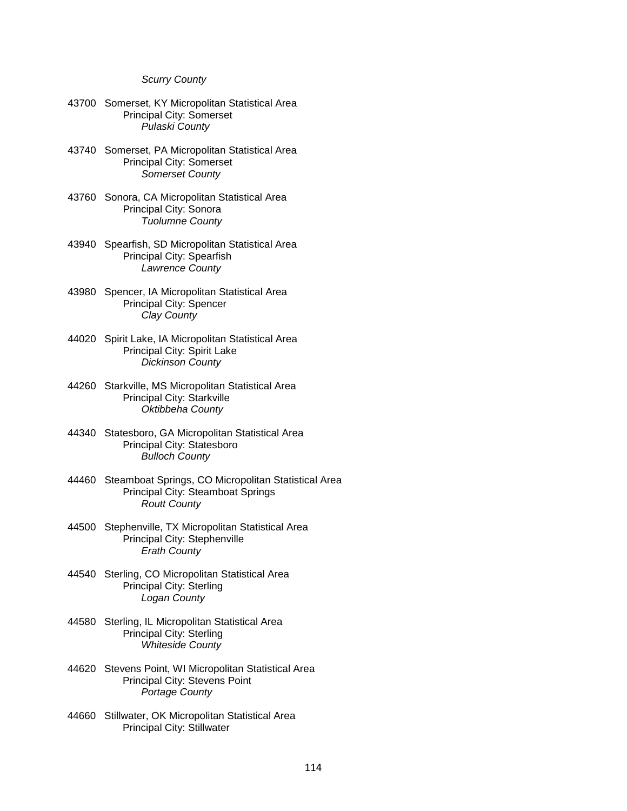## *Scurry County*

- 43700 Somerset, KY Micropolitan Statistical Area Principal City: Somerset *Pulaski County*
- 43740 Somerset, PA Micropolitan Statistical Area Principal City: Somerset *Somerset County*
- 43760 Sonora, CA Micropolitan Statistical Area Principal City: Sonora *Tuolumne County*
- 43940 Spearfish, SD Micropolitan Statistical Area Principal City: Spearfish *Lawrence County*
- 43980 Spencer, IA Micropolitan Statistical Area Principal City: Spencer *Clay County*
- 44020 Spirit Lake, IA Micropolitan Statistical Area Principal City: Spirit Lake *Dickinson County*
- 44260 Starkville, MS Micropolitan Statistical Area Principal City: Starkville *Oktibbeha County*
- 44340 Statesboro, GA Micropolitan Statistical Area Principal City: Statesboro *Bulloch County*
- 44460 Steamboat Springs, CO Micropolitan Statistical Area Principal City: Steamboat Springs *Routt County*
- 44500 Stephenville, TX Micropolitan Statistical Area Principal City: Stephenville *Erath County*
- 44540 Sterling, CO Micropolitan Statistical Area Principal City: Sterling *Logan County*
- 44580 Sterling, IL Micropolitan Statistical Area Principal City: Sterling *Whiteside County*
- 44620 Stevens Point, WI Micropolitan Statistical Area Principal City: Stevens Point *Portage County*
- 44660 Stillwater, OK Micropolitan Statistical Area Principal City: Stillwater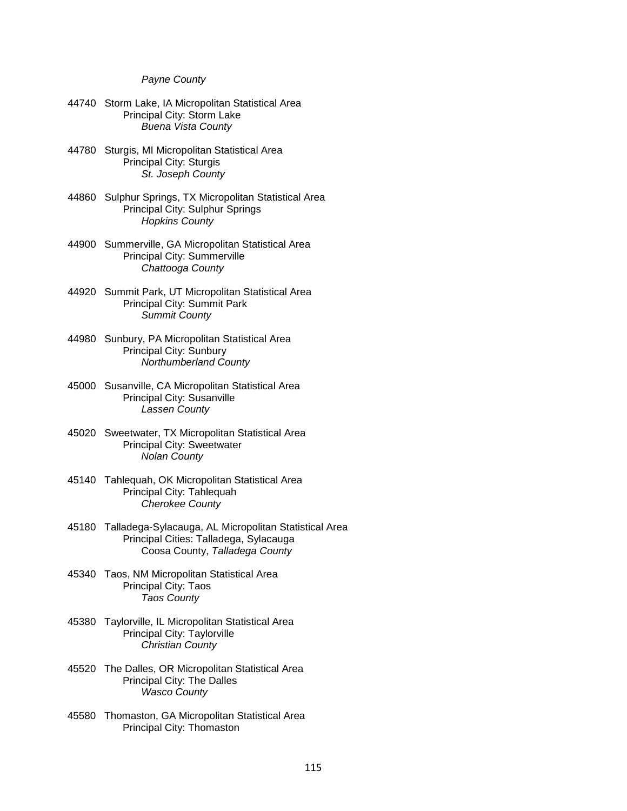# *Payne County*

- 44740 Storm Lake, IA Micropolitan Statistical Area Principal City: Storm Lake *Buena Vista County*
- 44780 Sturgis, MI Micropolitan Statistical Area Principal City: Sturgis *St. Joseph County*
- 44860 Sulphur Springs, TX Micropolitan Statistical Area Principal City: Sulphur Springs *Hopkins County*
- 44900 Summerville, GA Micropolitan Statistical Area Principal City: Summerville *Chattooga County*
- 44920 Summit Park, UT Micropolitan Statistical Area Principal City: Summit Park *Summit County*
- 44980 Sunbury, PA Micropolitan Statistical Area Principal City: Sunbury *Northumberland County*
- 45000 Susanville, CA Micropolitan Statistical Area Principal City: Susanville *Lassen County*
- 45020 Sweetwater, TX Micropolitan Statistical Area Principal City: Sweetwater *Nolan County*
- 45140 Tahlequah, OK Micropolitan Statistical Area Principal City: Tahlequah *Cherokee County*
- 45180 Talladega-Sylacauga, AL Micropolitan Statistical Area Principal Cities: Talladega, Sylacauga Coosa County, *Talladega County*
- 45340 Taos, NM Micropolitan Statistical Area Principal City: Taos *Taos County*
- 45380 Taylorville, IL Micropolitan Statistical Area Principal City: Taylorville *Christian County*
- 45520 The Dalles, OR Micropolitan Statistical Area Principal City: The Dalles *Wasco County*
- 45580 Thomaston, GA Micropolitan Statistical Area Principal City: Thomaston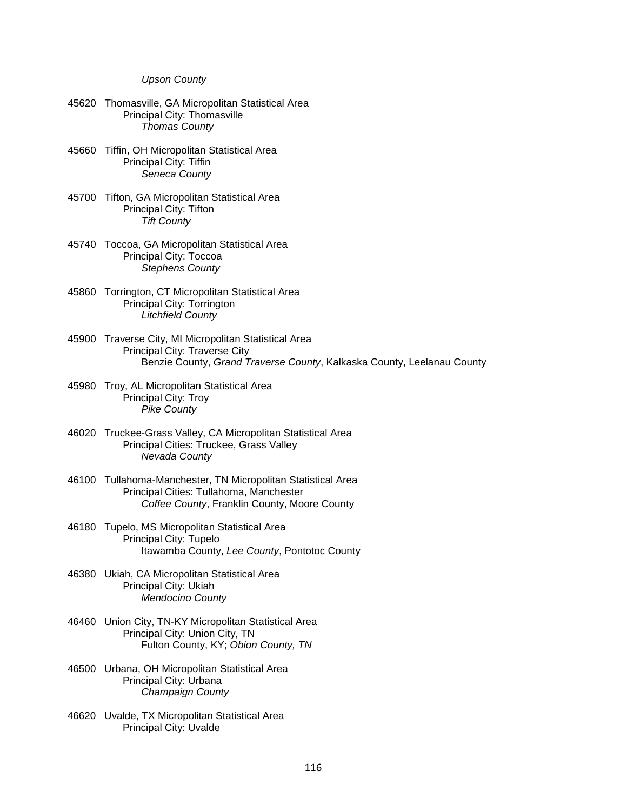## *Upson County*

- 45620 Thomasville, GA Micropolitan Statistical Area Principal City: Thomasville *Thomas County*
- 45660 Tiffin, OH Micropolitan Statistical Area Principal City: Tiffin *Seneca County*
- 45700 Tifton, GA Micropolitan Statistical Area Principal City: Tifton *Tift County*
- 45740 Toccoa, GA Micropolitan Statistical Area Principal City: Toccoa *Stephens County*
- 45860 Torrington, CT Micropolitan Statistical Area Principal City: Torrington *Litchfield County*
- 45900 Traverse City, MI Micropolitan Statistical Area Principal City: Traverse City Benzie County, *Grand Traverse County*, Kalkaska County, Leelanau County
- 45980 Troy, AL Micropolitan Statistical Area Principal City: Troy *Pike County*
- 46020 Truckee-Grass Valley, CA Micropolitan Statistical Area Principal Cities: Truckee, Grass Valley *Nevada County*
- 46100 Tullahoma-Manchester, TN Micropolitan Statistical Area Principal Cities: Tullahoma, Manchester *Coffee County*, Franklin County, Moore County
- 46180 Tupelo, MS Micropolitan Statistical Area Principal City: Tupelo Itawamba County, *Lee County*, Pontotoc County
- 46380 Ukiah, CA Micropolitan Statistical Area Principal City: Ukiah *Mendocino County*
- 46460 Union City, TN-KY Micropolitan Statistical Area Principal City: Union City, TN Fulton County, KY; *Obion County, TN*
- 46500 Urbana, OH Micropolitan Statistical Area Principal City: Urbana *Champaign County*
- 46620 Uvalde, TX Micropolitan Statistical Area Principal City: Uvalde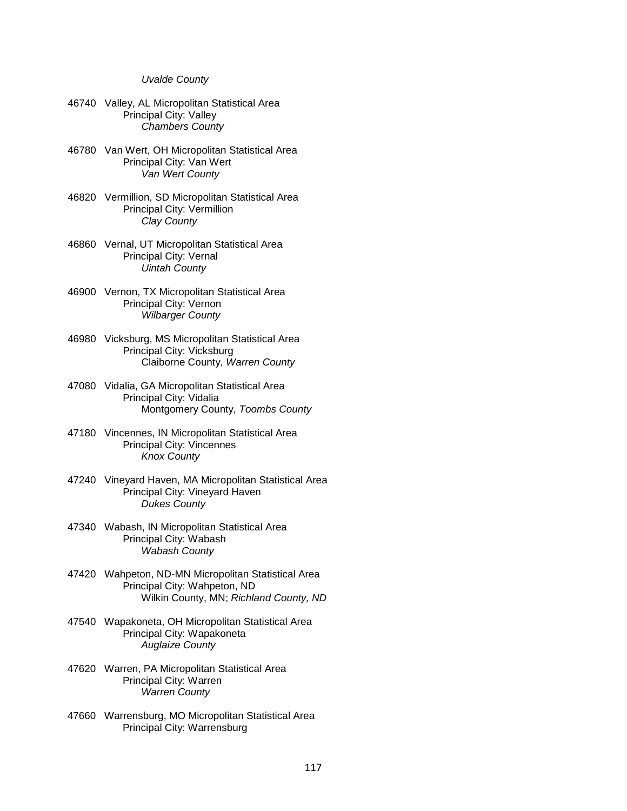#### *Uvalde County*

- 46740 Valley, AL Micropolitan Statistical Area Principal City: Valley *Chambers County*
- 46780 Van Wert, OH Micropolitan Statistical Area Principal City: Van Wert *Van Wert County*
- 46820 Vermillion, SD Micropolitan Statistical Area Principal City: Vermillion *Clay County*
- 46860 Vernal, UT Micropolitan Statistical Area Principal City: Vernal *Uintah County*
- 46900 Vernon, TX Micropolitan Statistical Area Principal City: Vernon *Wilbarger County*
- 46980 Vicksburg, MS Micropolitan Statistical Area Principal City: Vicksburg Claiborne County, *Warren County*
- 47080 Vidalia, GA Micropolitan Statistical Area Principal City: Vidalia Montgomery County, *Toombs County*
- 47180 Vincennes, IN Micropolitan Statistical Area Principal City: Vincennes *Knox County*
- 47240 Vineyard Haven, MA Micropolitan Statistical Area Principal City: Vineyard Haven *Dukes County*
- 47340 Wabash, IN Micropolitan Statistical Area Principal City: Wabash *Wabash County*
- 47420 Wahpeton, ND-MN Micropolitan Statistical Area Principal City: Wahpeton, ND Wilkin County, MN; *Richland County, ND*
- 47540 Wapakoneta, OH Micropolitan Statistical Area Principal City: Wapakoneta *Auglaize County*
- 47620 Warren, PA Micropolitan Statistical Area Principal City: Warren *Warren County*
- 47660 Warrensburg, MO Micropolitan Statistical Area Principal City: Warrensburg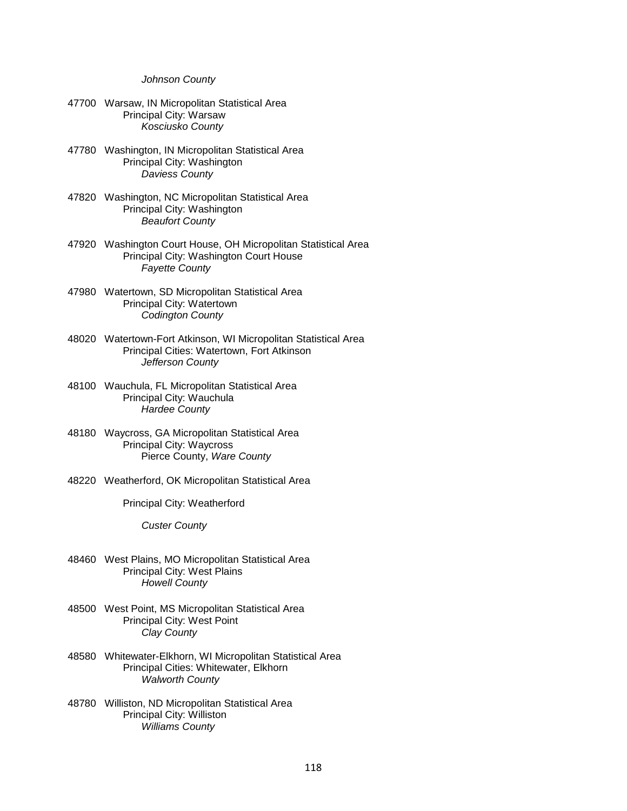### *Johnson County*

- 47700 Warsaw, IN Micropolitan Statistical Area Principal City: Warsaw *Kosciusko County*
- 47780 Washington, IN Micropolitan Statistical Area Principal City: Washington *Daviess County*
- 47820 Washington, NC Micropolitan Statistical Area Principal City: Washington *Beaufort County*
- 47920 Washington Court House, OH Micropolitan Statistical Area Principal City: Washington Court House *Fayette County*
- 47980 Watertown, SD Micropolitan Statistical Area Principal City: Watertown *Codington County*
- 48020 Watertown-Fort Atkinson, WI Micropolitan Statistical Area Principal Cities: Watertown, Fort Atkinson *Jefferson County*
- 48100 Wauchula, FL Micropolitan Statistical Area Principal City: Wauchula *Hardee County*
- 48180 Waycross, GA Micropolitan Statistical Area Principal City: Waycross Pierce County, *Ware County*
- 48220 Weatherford, OK Micropolitan Statistical Area

Principal City: Weatherford

*Custer County*

- 48460 West Plains, MO Micropolitan Statistical Area Principal City: West Plains *Howell County*
- 48500 West Point, MS Micropolitan Statistical Area Principal City: West Point  *Clay County*
- 48580 Whitewater-Elkhorn, WI Micropolitan Statistical Area Principal Cities: Whitewater, Elkhorn *Walworth County*
- 48780 Williston, ND Micropolitan Statistical Area Principal City: Williston *Williams County*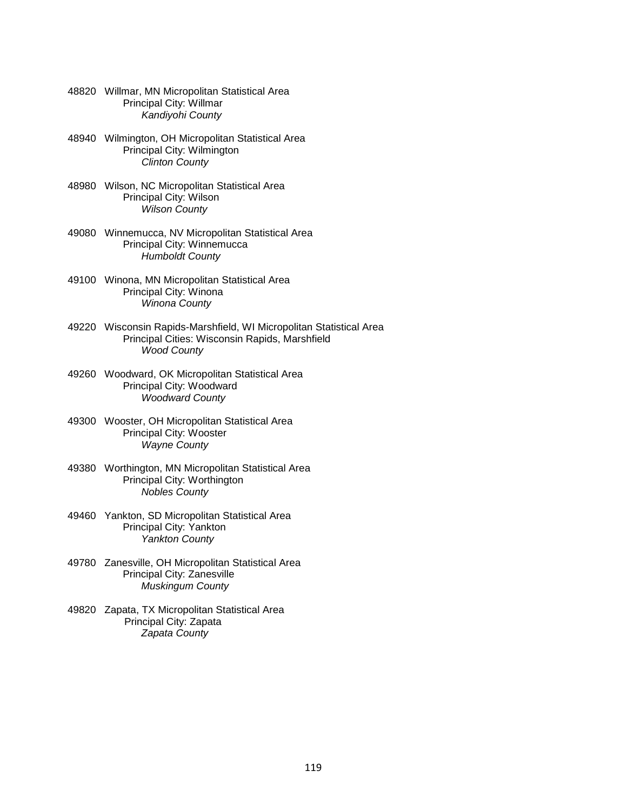- 48820 Willmar, MN Micropolitan Statistical Area Principal City: Willmar *Kandiyohi County*
- 48940 Wilmington, OH Micropolitan Statistical Area Principal City: Wilmington *Clinton County*
- 48980 Wilson, NC Micropolitan Statistical Area Principal City: Wilson *Wilson County*
- 49080 Winnemucca, NV Micropolitan Statistical Area Principal City: Winnemucca *Humboldt County*
- 49100 Winona, MN Micropolitan Statistical Area Principal City: Winona *Winona County*
- 49220 Wisconsin Rapids-Marshfield, WI Micropolitan Statistical Area Principal Cities: Wisconsin Rapids, Marshfield *Wood County*
- 49260 Woodward, OK Micropolitan Statistical Area Principal City: Woodward *Woodward County*
- 49300 Wooster, OH Micropolitan Statistical Area Principal City: Wooster *Wayne County*
- 49380 Worthington, MN Micropolitan Statistical Area Principal City: Worthington *Nobles County*
- 49460 Yankton, SD Micropolitan Statistical Area Principal City: Yankton *Yankton County*
- 49780 Zanesville, OH Micropolitan Statistical Area Principal City: Zanesville *Muskingum County*
- 49820 Zapata, TX Micropolitan Statistical Area Principal City: Zapata  *Zapata County*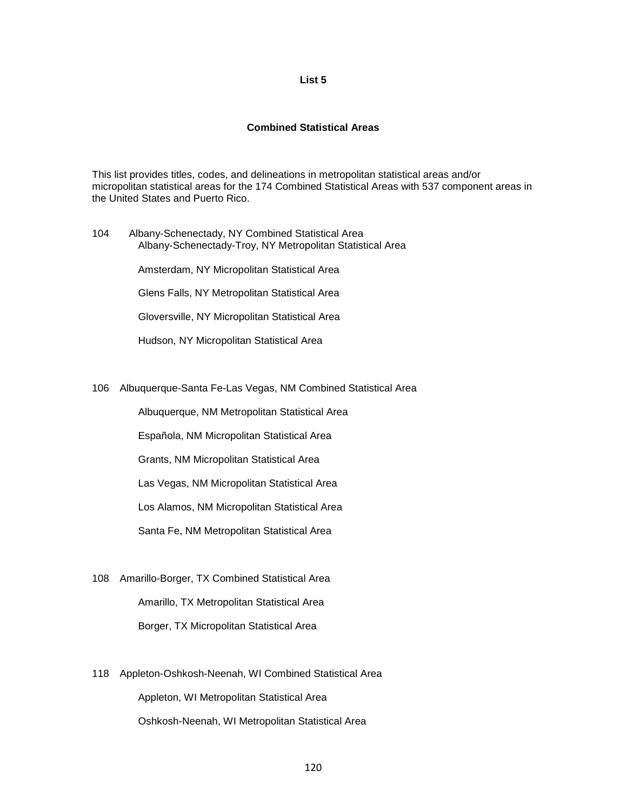## **List 5**

#### **Combined Statistical Areas**

This list provides titles, codes, and delineations in metropolitan statistical areas and/or micropolitan statistical areas for the 174 Combined Statistical Areas with 537 component areas in the United States and Puerto Rico.

104 Albany-Schenectady, NY Combined Statistical Area Albany-Schenectady-Troy, NY Metropolitan Statistical Area Amsterdam, NY Micropolitan Statistical Area Glens Falls, NY Metropolitan Statistical Area Gloversville, NY Micropolitan Statistical Area

Hudson, NY Micropolitan Statistical Area

106 Albuquerque-Santa Fe-Las Vegas, NM Combined Statistical Area

Albuquerque, NM Metropolitan Statistical Area

Española, NM Micropolitan Statistical Area

Grants, NM Micropolitan Statistical Area

Las Vegas, NM Micropolitan Statistical Area

Los Alamos, NM Micropolitan Statistical Area

Santa Fe, NM Metropolitan Statistical Area

- 108 Amarillo-Borger, TX Combined Statistical Area Amarillo, TX Metropolitan Statistical Area Borger, TX Micropolitan Statistical Area
- 118 Appleton-Oshkosh-Neenah, WI Combined Statistical Area Appleton, WI Metropolitan Statistical Area Oshkosh-Neenah, WI Metropolitan Statistical Area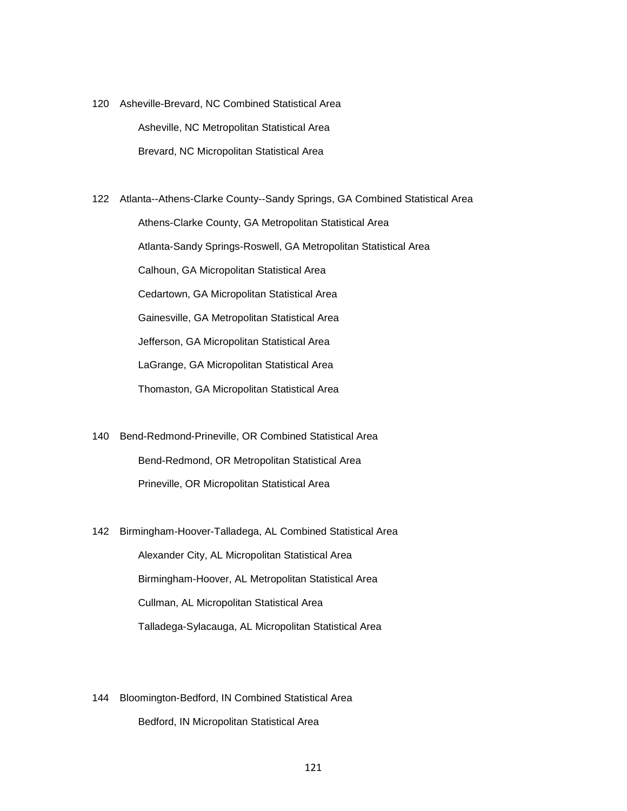120 Asheville-Brevard, NC Combined Statistical Area Asheville, NC Metropolitan Statistical Area Brevard, NC Micropolitan Statistical Area

122 Atlanta--Athens-Clarke County--Sandy Springs, GA Combined Statistical Area Athens-Clarke County, GA Metropolitan Statistical Area Atlanta-Sandy Springs-Roswell, GA Metropolitan Statistical Area Calhoun, GA Micropolitan Statistical Area Cedartown, GA Micropolitan Statistical Area Gainesville, GA Metropolitan Statistical Area Jefferson, GA Micropolitan Statistical Area LaGrange, GA Micropolitan Statistical Area Thomaston, GA Micropolitan Statistical Area

- 140 Bend-Redmond-Prineville, OR Combined Statistical Area Bend-Redmond, OR Metropolitan Statistical Area Prineville, OR Micropolitan Statistical Area
- 142 Birmingham-Hoover-Talladega, AL Combined Statistical Area Alexander City, AL Micropolitan Statistical Area Birmingham-Hoover, AL Metropolitan Statistical Area Cullman, AL Micropolitan Statistical Area Talladega-Sylacauga, AL Micropolitan Statistical Area
- 144 Bloomington-Bedford, IN Combined Statistical Area Bedford, IN Micropolitan Statistical Area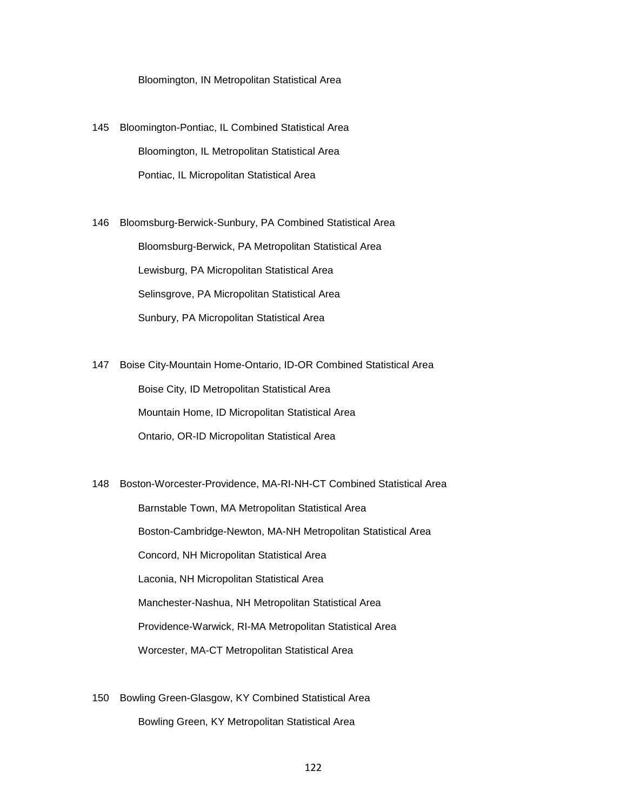Bloomington, IN Metropolitan Statistical Area

145 Bloomington-Pontiac, IL Combined Statistical Area Bloomington, IL Metropolitan Statistical Area Pontiac, IL Micropolitan Statistical Area

146 Bloomsburg-Berwick-Sunbury, PA Combined Statistical Area Bloomsburg-Berwick, PA Metropolitan Statistical Area Lewisburg, PA Micropolitan Statistical Area Selinsgrove, PA Micropolitan Statistical Area Sunbury, PA Micropolitan Statistical Area

147 Boise City-Mountain Home-Ontario, ID-OR Combined Statistical Area Boise City, ID Metropolitan Statistical Area Mountain Home, ID Micropolitan Statistical Area Ontario, OR-ID Micropolitan Statistical Area

148 Boston-Worcester-Providence, MA-RI-NH-CT Combined Statistical Area Barnstable Town, MA Metropolitan Statistical Area Boston-Cambridge-Newton, MA-NH Metropolitan Statistical Area Concord, NH Micropolitan Statistical Area Laconia, NH Micropolitan Statistical Area Manchester-Nashua, NH Metropolitan Statistical Area Providence-Warwick, RI-MA Metropolitan Statistical Area Worcester, MA-CT Metropolitan Statistical Area

150 Bowling Green-Glasgow, KY Combined Statistical Area Bowling Green, KY Metropolitan Statistical Area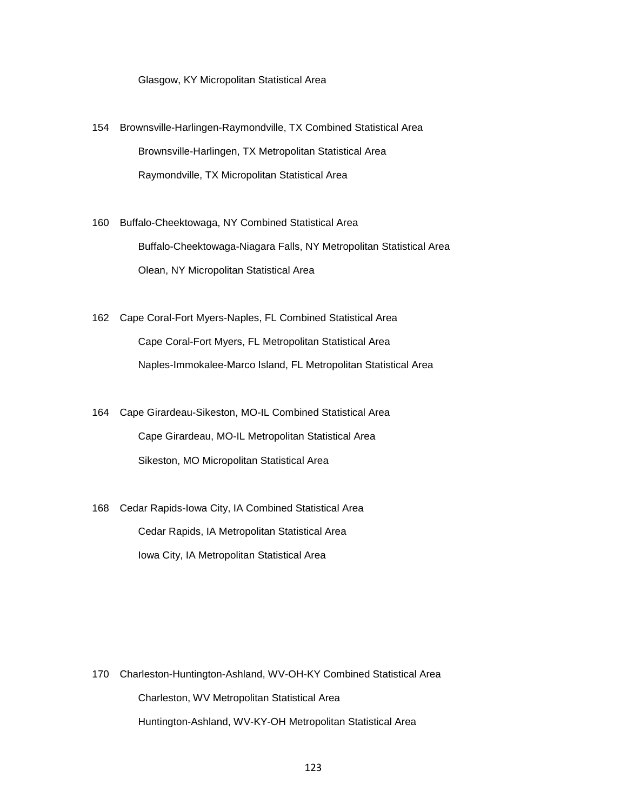Glasgow, KY Micropolitan Statistical Area

- 154 Brownsville-Harlingen-Raymondville, TX Combined Statistical Area Brownsville-Harlingen, TX Metropolitan Statistical Area Raymondville, TX Micropolitan Statistical Area
- 160 Buffalo-Cheektowaga, NY Combined Statistical Area Buffalo-Cheektowaga-Niagara Falls, NY Metropolitan Statistical Area Olean, NY Micropolitan Statistical Area
- 162 Cape Coral-Fort Myers-Naples, FL Combined Statistical Area Cape Coral-Fort Myers, FL Metropolitan Statistical Area Naples-Immokalee-Marco Island, FL Metropolitan Statistical Area
- 164 Cape Girardeau-Sikeston, MO-IL Combined Statistical Area Cape Girardeau, MO-IL Metropolitan Statistical Area Sikeston, MO Micropolitan Statistical Area
- 168 Cedar Rapids-Iowa City, IA Combined Statistical Area Cedar Rapids, IA Metropolitan Statistical Area Iowa City, IA Metropolitan Statistical Area

170 Charleston-Huntington-Ashland, WV-OH-KY Combined Statistical Area Charleston, WV Metropolitan Statistical Area Huntington-Ashland, WV-KY-OH Metropolitan Statistical Area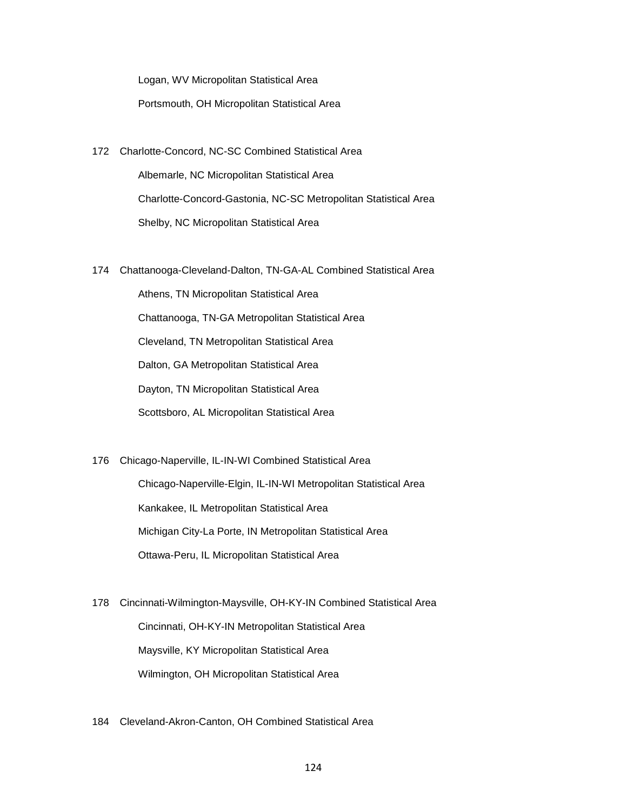Logan, WV Micropolitan Statistical Area

Portsmouth, OH Micropolitan Statistical Area

- 172 Charlotte-Concord, NC-SC Combined Statistical Area Albemarle, NC Micropolitan Statistical Area Charlotte-Concord-Gastonia, NC-SC Metropolitan Statistical Area Shelby, NC Micropolitan Statistical Area
- 174 Chattanooga-Cleveland-Dalton, TN-GA-AL Combined Statistical Area

 Athens, TN Micropolitan Statistical Area Chattanooga, TN-GA Metropolitan Statistical Area Cleveland, TN Metropolitan Statistical Area Dalton, GA Metropolitan Statistical Area Dayton, TN Micropolitan Statistical Area Scottsboro, AL Micropolitan Statistical Area

176 Chicago-Naperville, IL-IN-WI Combined Statistical Area

 Chicago-Naperville-Elgin, IL-IN-WI Metropolitan Statistical Area Kankakee, IL Metropolitan Statistical Area Michigan City-La Porte, IN Metropolitan Statistical Area Ottawa-Peru, IL Micropolitan Statistical Area

178 Cincinnati-Wilmington-Maysville, OH-KY-IN Combined Statistical Area Cincinnati, OH-KY-IN Metropolitan Statistical Area Maysville, KY Micropolitan Statistical Area Wilmington, OH Micropolitan Statistical Area

184 Cleveland-Akron-Canton, OH Combined Statistical Area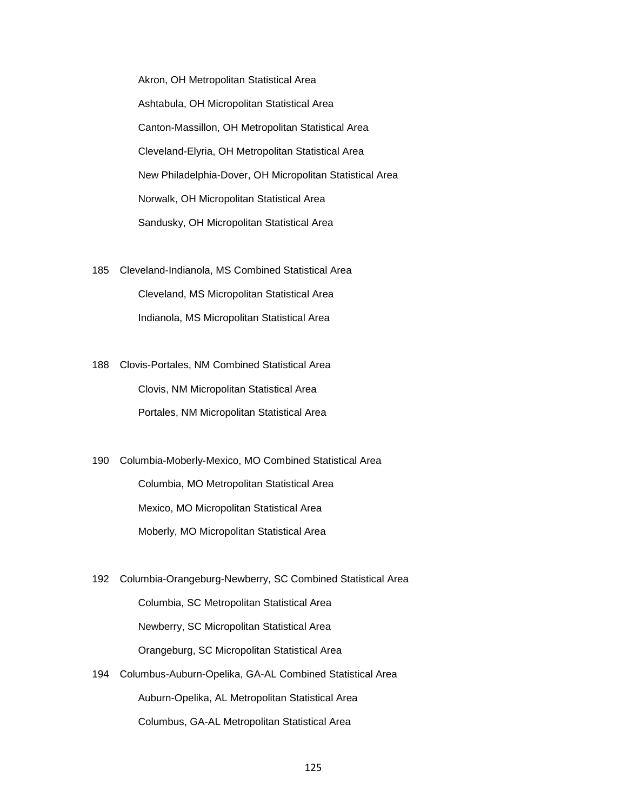Akron, OH Metropolitan Statistical Area Ashtabula, OH Micropolitan Statistical Area Canton-Massillon, OH Metropolitan Statistical Area Cleveland-Elyria, OH Metropolitan Statistical Area New Philadelphia-Dover, OH Micropolitan Statistical Area Norwalk, OH Micropolitan Statistical Area Sandusky, OH Micropolitan Statistical Area

185 Cleveland-Indianola, MS Combined Statistical Area Cleveland, MS Micropolitan Statistical Area Indianola, MS Micropolitan Statistical Area

188 Clovis-Portales, NM Combined Statistical Area Clovis, NM Micropolitan Statistical Area Portales, NM Micropolitan Statistical Area

190 Columbia-Moberly-Mexico, MO Combined Statistical Area Columbia, MO Metropolitan Statistical Area Mexico, MO Micropolitan Statistical Area Moberly, MO Micropolitan Statistical Area

192 Columbia-Orangeburg-Newberry, SC Combined Statistical Area Columbia, SC Metropolitan Statistical Area Newberry, SC Micropolitan Statistical Area Orangeburg, SC Micropolitan Statistical Area

194 Columbus-Auburn-Opelika, GA-AL Combined Statistical Area Auburn-Opelika, AL Metropolitan Statistical Area Columbus, GA-AL Metropolitan Statistical Area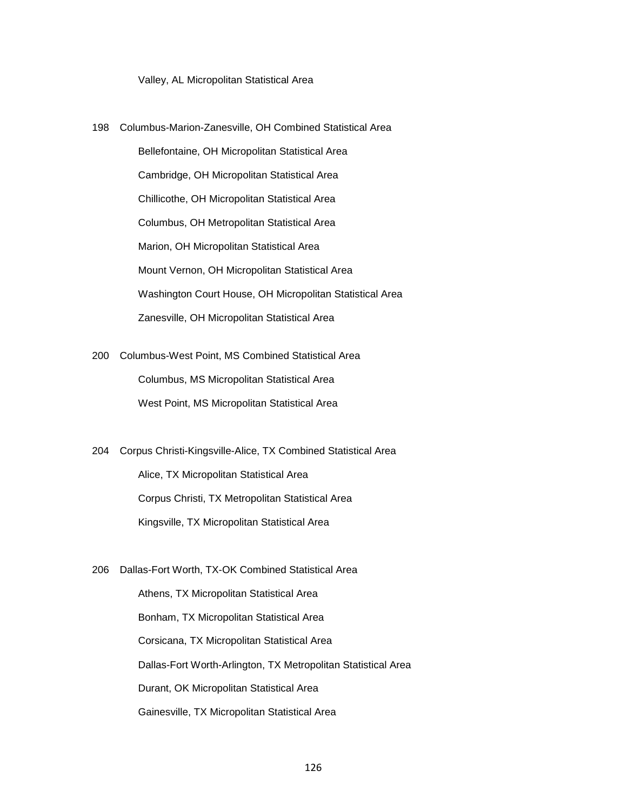Valley, AL Micropolitan Statistical Area

- 198 Columbus-Marion-Zanesville, OH Combined Statistical Area Bellefontaine, OH Micropolitan Statistical Area Cambridge, OH Micropolitan Statistical Area Chillicothe, OH Micropolitan Statistical Area Columbus, OH Metropolitan Statistical Area Marion, OH Micropolitan Statistical Area Mount Vernon, OH Micropolitan Statistical Area Washington Court House, OH Micropolitan Statistical Area Zanesville, OH Micropolitan Statistical Area
- 200 Columbus-West Point, MS Combined Statistical Area Columbus, MS Micropolitan Statistical Area West Point, MS Micropolitan Statistical Area

204 Corpus Christi-Kingsville-Alice, TX Combined Statistical Area Alice, TX Micropolitan Statistical Area Corpus Christi, TX Metropolitan Statistical Area Kingsville, TX Micropolitan Statistical Area

206 Dallas-Fort Worth, TX-OK Combined Statistical Area

 Athens, TX Micropolitan Statistical Area Bonham, TX Micropolitan Statistical Area Corsicana, TX Micropolitan Statistical Area Dallas-Fort Worth-Arlington, TX Metropolitan Statistical Area Durant, OK Micropolitan Statistical Area Gainesville, TX Micropolitan Statistical Area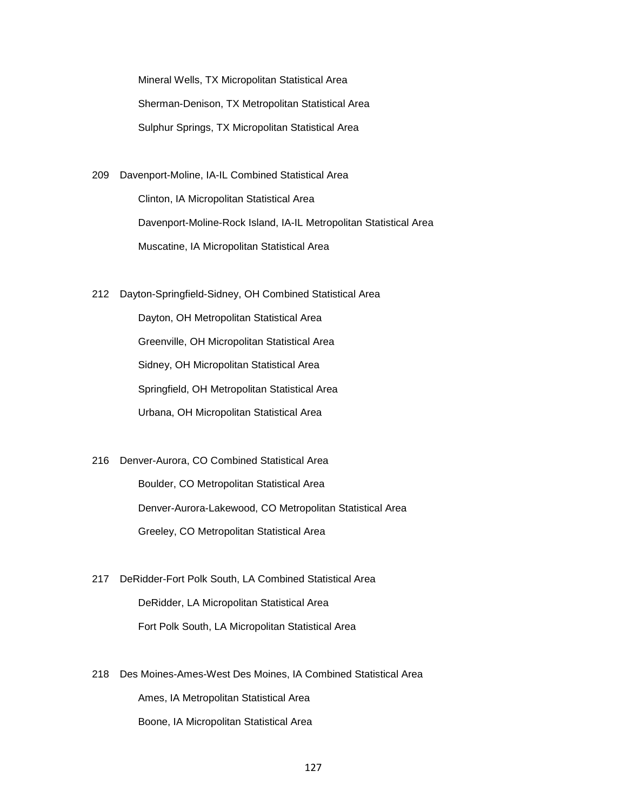Mineral Wells, TX Micropolitan Statistical Area Sherman-Denison, TX Metropolitan Statistical Area Sulphur Springs, TX Micropolitan Statistical Area

- 209 Davenport-Moline, IA-IL Combined Statistical Area Clinton, IA Micropolitan Statistical Area Davenport-Moline-Rock Island, IA-IL Metropolitan Statistical Area Muscatine, IA Micropolitan Statistical Area
- 212 Dayton-Springfield-Sidney, OH Combined Statistical Area

 Dayton, OH Metropolitan Statistical Area Greenville, OH Micropolitan Statistical Area Sidney, OH Micropolitan Statistical Area Springfield, OH Metropolitan Statistical Area Urbana, OH Micropolitan Statistical Area

216 Denver-Aurora, CO Combined Statistical Area Boulder, CO Metropolitan Statistical Area Denver-Aurora-Lakewood, CO Metropolitan Statistical Area Greeley, CO Metropolitan Statistical Area

217 DeRidder-Fort Polk South, LA Combined Statistical Area DeRidder, LA Micropolitan Statistical Area Fort Polk South, LA Micropolitan Statistical Area

218 Des Moines-Ames-West Des Moines, IA Combined Statistical Area Ames, IA Metropolitan Statistical Area Boone, IA Micropolitan Statistical Area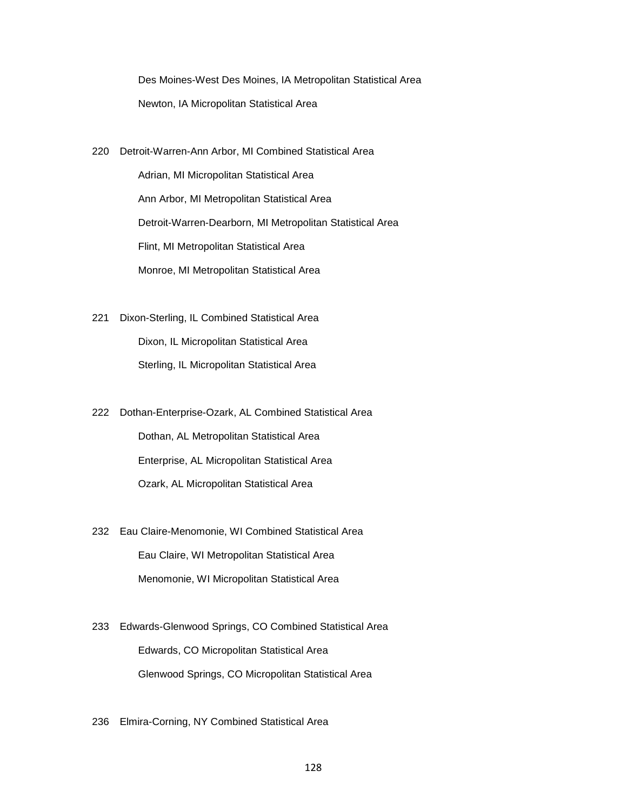Des Moines-West Des Moines, IA Metropolitan Statistical Area Newton, IA Micropolitan Statistical Area

220 Detroit-Warren-Ann Arbor, MI Combined Statistical Area

 Adrian, MI Micropolitan Statistical Area Ann Arbor, MI Metropolitan Statistical Area Detroit-Warren-Dearborn, MI Metropolitan Statistical Area Flint, MI Metropolitan Statistical Area Monroe, MI Metropolitan Statistical Area

221 Dixon-Sterling, IL Combined Statistical Area Dixon, IL Micropolitan Statistical Area Sterling, IL Micropolitan Statistical Area

222 Dothan-Enterprise-Ozark, AL Combined Statistical Area Dothan, AL Metropolitan Statistical Area Enterprise, AL Micropolitan Statistical Area Ozark, AL Micropolitan Statistical Area

- 232 Eau Claire-Menomonie, WI Combined Statistical Area Eau Claire, WI Metropolitan Statistical Area Menomonie, WI Micropolitan Statistical Area
- 233 Edwards-Glenwood Springs, CO Combined Statistical Area Edwards, CO Micropolitan Statistical Area Glenwood Springs, CO Micropolitan Statistical Area
- 236 Elmira-Corning, NY Combined Statistical Area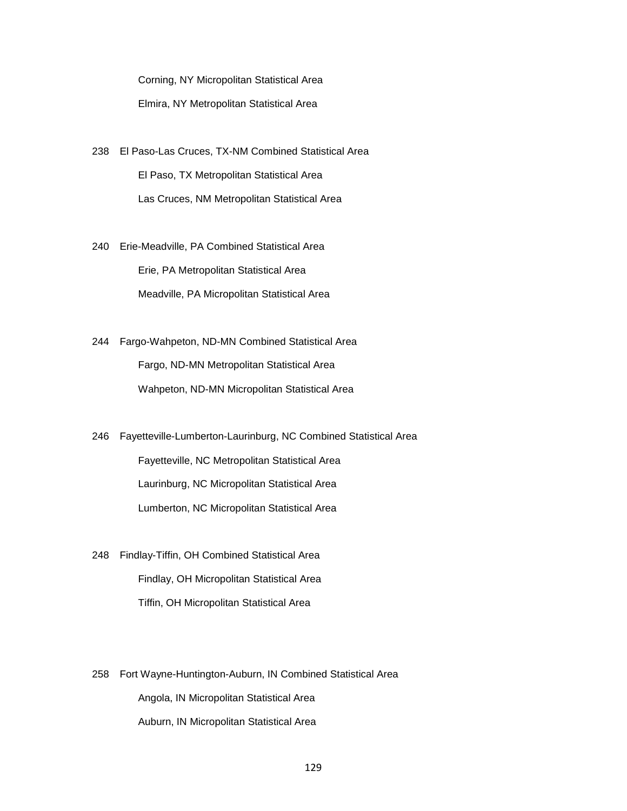Corning, NY Micropolitan Statistical Area Elmira, NY Metropolitan Statistical Area

238 El Paso-Las Cruces, TX-NM Combined Statistical Area El Paso, TX Metropolitan Statistical Area Las Cruces, NM Metropolitan Statistical Area

240 Erie-Meadville, PA Combined Statistical Area Erie, PA Metropolitan Statistical Area Meadville, PA Micropolitan Statistical Area

244 Fargo-Wahpeton, ND-MN Combined Statistical Area Fargo, ND-MN Metropolitan Statistical Area Wahpeton, ND-MN Micropolitan Statistical Area

246 Fayetteville-Lumberton-Laurinburg, NC Combined Statistical Area Fayetteville, NC Metropolitan Statistical Area Laurinburg, NC Micropolitan Statistical Area Lumberton, NC Micropolitan Statistical Area

248 Findlay-Tiffin, OH Combined Statistical Area Findlay, OH Micropolitan Statistical Area Tiffin, OH Micropolitan Statistical Area

258 Fort Wayne-Huntington-Auburn, IN Combined Statistical Area Angola, IN Micropolitan Statistical Area Auburn, IN Micropolitan Statistical Area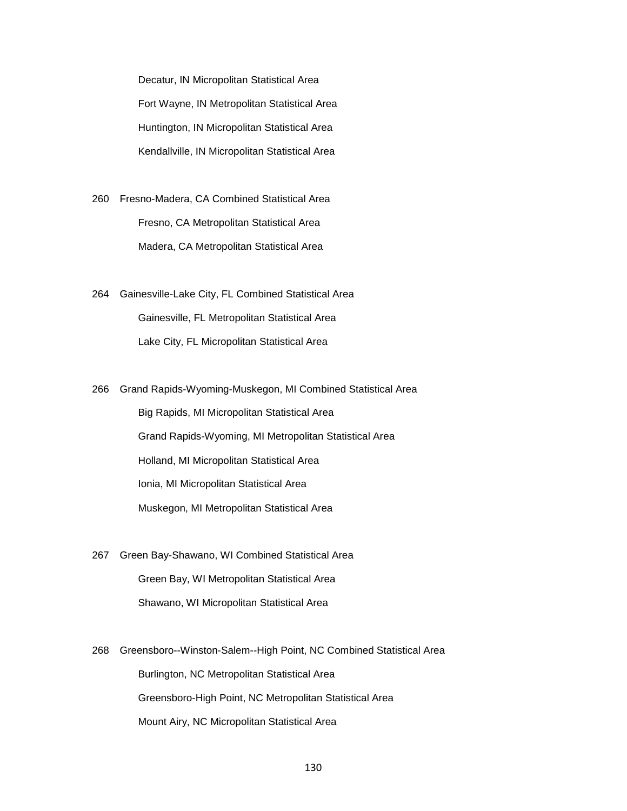Decatur, IN Micropolitan Statistical Area Fort Wayne, IN Metropolitan Statistical Area Huntington, IN Micropolitan Statistical Area Kendallville, IN Micropolitan Statistical Area

260 Fresno-Madera, CA Combined Statistical Area Fresno, CA Metropolitan Statistical Area Madera, CA Metropolitan Statistical Area

264 Gainesville-Lake City, FL Combined Statistical Area Gainesville, FL Metropolitan Statistical Area Lake City, FL Micropolitan Statistical Area

266 Grand Rapids-Wyoming-Muskegon, MI Combined Statistical Area Big Rapids, MI Micropolitan Statistical Area Grand Rapids-Wyoming, MI Metropolitan Statistical Area Holland, MI Micropolitan Statistical Area Ionia, MI Micropolitan Statistical Area Muskegon, MI Metropolitan Statistical Area

267 Green Bay-Shawano, WI Combined Statistical Area Green Bay, WI Metropolitan Statistical Area Shawano, WI Micropolitan Statistical Area

268 Greensboro--Winston-Salem--High Point, NC Combined Statistical Area Burlington, NC Metropolitan Statistical Area Greensboro-High Point, NC Metropolitan Statistical Area Mount Airy, NC Micropolitan Statistical Area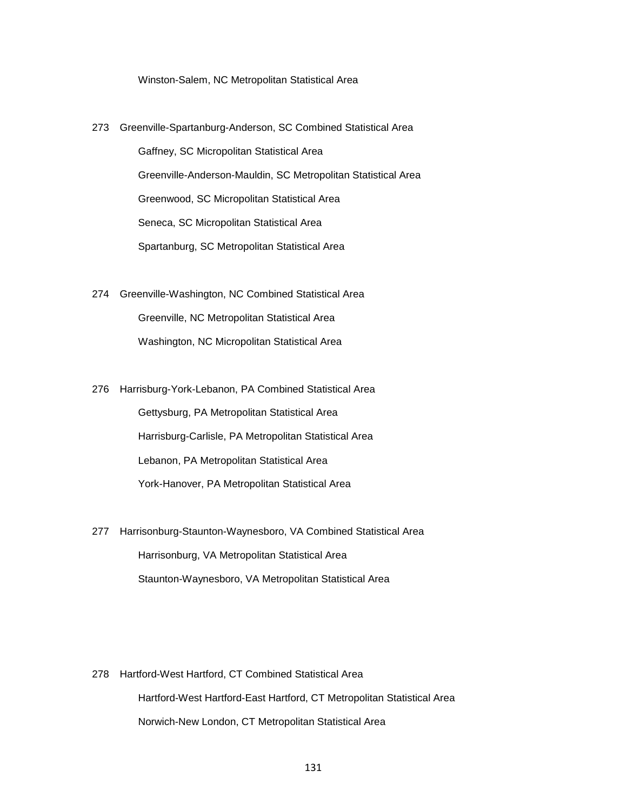Winston-Salem, NC Metropolitan Statistical Area

- 273 Greenville-Spartanburg-Anderson, SC Combined Statistical Area Gaffney, SC Micropolitan Statistical Area Greenville-Anderson-Mauldin, SC Metropolitan Statistical Area Greenwood, SC Micropolitan Statistical Area Seneca, SC Micropolitan Statistical Area Spartanburg, SC Metropolitan Statistical Area
- 274 Greenville-Washington, NC Combined Statistical Area Greenville, NC Metropolitan Statistical Area Washington, NC Micropolitan Statistical Area
- 276 Harrisburg-York-Lebanon, PA Combined Statistical Area Gettysburg, PA Metropolitan Statistical Area Harrisburg-Carlisle, PA Metropolitan Statistical Area Lebanon, PA Metropolitan Statistical Area York-Hanover, PA Metropolitan Statistical Area
- 277 Harrisonburg-Staunton-Waynesboro, VA Combined Statistical Area Harrisonburg, VA Metropolitan Statistical Area Staunton-Waynesboro, VA Metropolitan Statistical Area

278 Hartford-West Hartford, CT Combined Statistical Area Hartford-West Hartford-East Hartford, CT Metropolitan Statistical Area Norwich-New London, CT Metropolitan Statistical Area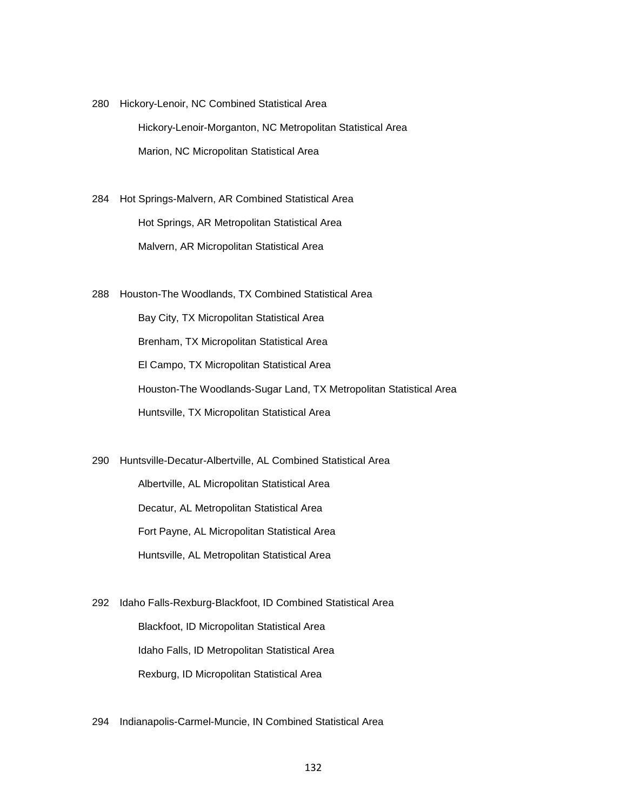280 Hickory-Lenoir, NC Combined Statistical Area Hickory-Lenoir-Morganton, NC Metropolitan Statistical Area Marion, NC Micropolitan Statistical Area

284 Hot Springs-Malvern, AR Combined Statistical Area Hot Springs, AR Metropolitan Statistical Area Malvern, AR Micropolitan Statistical Area

288 Houston-The Woodlands, TX Combined Statistical Area Bay City, TX Micropolitan Statistical Area Brenham, TX Micropolitan Statistical Area El Campo, TX Micropolitan Statistical Area Houston-The Woodlands-Sugar Land, TX Metropolitan Statistical Area Huntsville, TX Micropolitan Statistical Area

290 Huntsville-Decatur-Albertville, AL Combined Statistical Area Albertville, AL Micropolitan Statistical Area Decatur, AL Metropolitan Statistical Area Fort Payne, AL Micropolitan Statistical Area Huntsville, AL Metropolitan Statistical Area

292 Idaho Falls-Rexburg-Blackfoot, ID Combined Statistical Area Blackfoot, ID Micropolitan Statistical Area Idaho Falls, ID Metropolitan Statistical Area Rexburg, ID Micropolitan Statistical Area

294 Indianapolis-Carmel-Muncie, IN Combined Statistical Area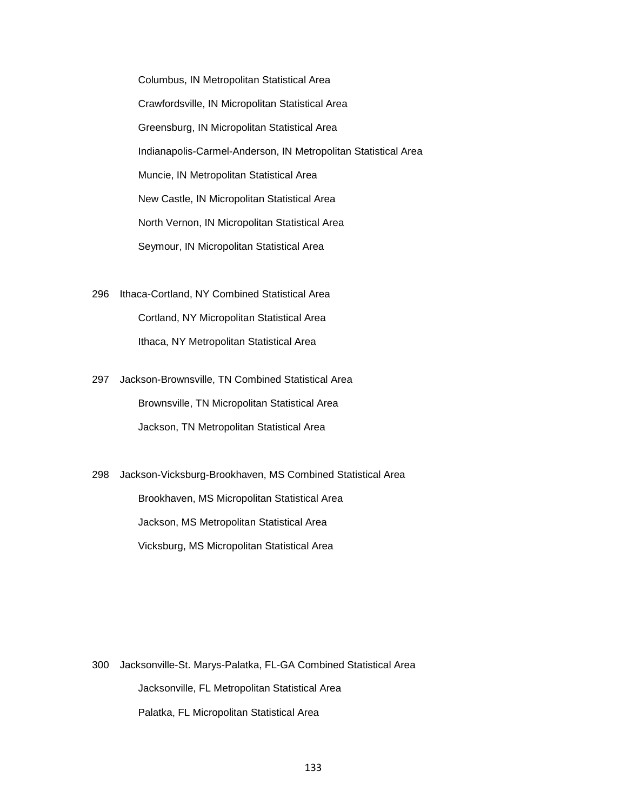Columbus, IN Metropolitan Statistical Area Crawfordsville, IN Micropolitan Statistical Area Greensburg, IN Micropolitan Statistical Area Indianapolis-Carmel-Anderson, IN Metropolitan Statistical Area Muncie, IN Metropolitan Statistical Area New Castle, IN Micropolitan Statistical Area North Vernon, IN Micropolitan Statistical Area Seymour, IN Micropolitan Statistical Area

- 296 Ithaca-Cortland, NY Combined Statistical Area Cortland, NY Micropolitan Statistical Area Ithaca, NY Metropolitan Statistical Area
- 297 Jackson-Brownsville, TN Combined Statistical Area Brownsville, TN Micropolitan Statistical Area Jackson, TN Metropolitan Statistical Area

298 Jackson-Vicksburg-Brookhaven, MS Combined Statistical Area Brookhaven, MS Micropolitan Statistical Area Jackson, MS Metropolitan Statistical Area Vicksburg, MS Micropolitan Statistical Area

300 Jacksonville-St. Marys-Palatka, FL-GA Combined Statistical Area Jacksonville, FL Metropolitan Statistical Area Palatka, FL Micropolitan Statistical Area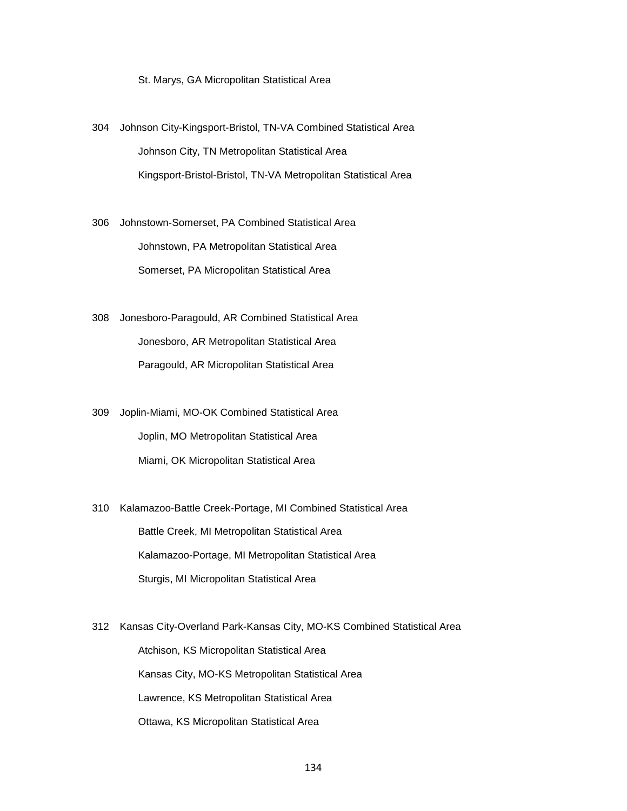St. Marys, GA Micropolitan Statistical Area

- 304 Johnson City-Kingsport-Bristol, TN-VA Combined Statistical Area Johnson City, TN Metropolitan Statistical Area Kingsport-Bristol-Bristol, TN-VA Metropolitan Statistical Area
- 306 Johnstown-Somerset, PA Combined Statistical Area Johnstown, PA Metropolitan Statistical Area Somerset, PA Micropolitan Statistical Area
- 308 Jonesboro-Paragould, AR Combined Statistical Area Jonesboro, AR Metropolitan Statistical Area Paragould, AR Micropolitan Statistical Area
- 309 Joplin-Miami, MO-OK Combined Statistical Area Joplin, MO Metropolitan Statistical Area Miami, OK Micropolitan Statistical Area
- 310 Kalamazoo-Battle Creek-Portage, MI Combined Statistical Area Battle Creek, MI Metropolitan Statistical Area Kalamazoo-Portage, MI Metropolitan Statistical Area Sturgis, MI Micropolitan Statistical Area
- 312 Kansas City-Overland Park-Kansas City, MO-KS Combined Statistical Area Atchison, KS Micropolitan Statistical Area Kansas City, MO-KS Metropolitan Statistical Area Lawrence, KS Metropolitan Statistical Area Ottawa, KS Micropolitan Statistical Area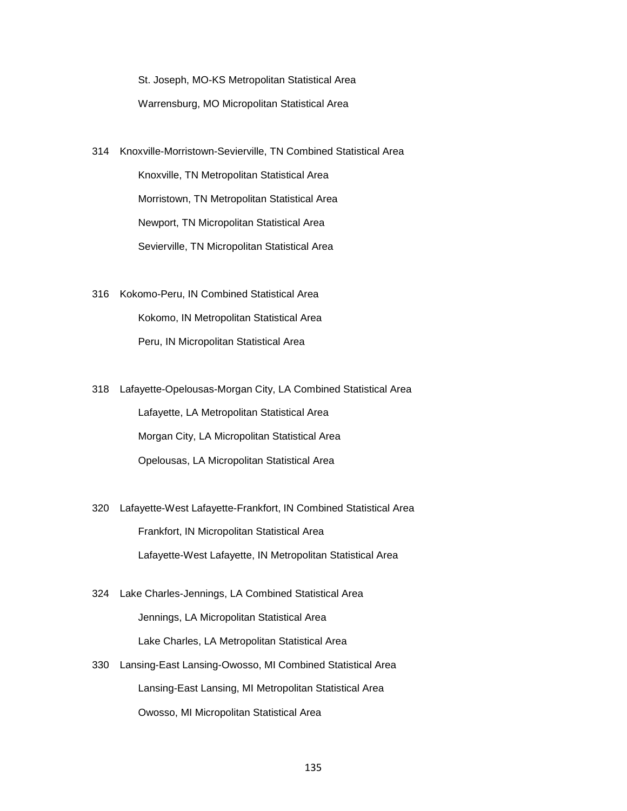St. Joseph, MO-KS Metropolitan Statistical Area Warrensburg, MO Micropolitan Statistical Area

- 314 Knoxville-Morristown-Sevierville, TN Combined Statistical Area Knoxville, TN Metropolitan Statistical Area Morristown, TN Metropolitan Statistical Area Newport, TN Micropolitan Statistical Area Sevierville, TN Micropolitan Statistical Area
- 316 Kokomo-Peru, IN Combined Statistical Area Kokomo, IN Metropolitan Statistical Area Peru, IN Micropolitan Statistical Area
- 318 Lafayette-Opelousas-Morgan City, LA Combined Statistical Area Lafayette, LA Metropolitan Statistical Area Morgan City, LA Micropolitan Statistical Area Opelousas, LA Micropolitan Statistical Area
- 320 Lafayette-West Lafayette-Frankfort, IN Combined Statistical Area Frankfort, IN Micropolitan Statistical Area Lafayette-West Lafayette, IN Metropolitan Statistical Area
- 324 Lake Charles-Jennings, LA Combined Statistical Area Jennings, LA Micropolitan Statistical Area Lake Charles, LA Metropolitan Statistical Area
- 330 Lansing-East Lansing-Owosso, MI Combined Statistical Area Lansing-East Lansing, MI Metropolitan Statistical Area Owosso, MI Micropolitan Statistical Area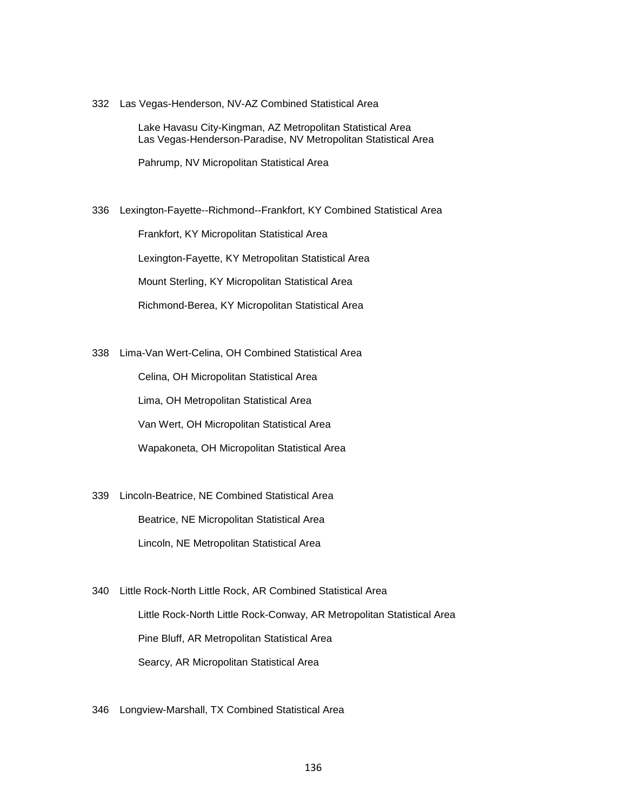332 Las Vegas-Henderson, NV-AZ Combined Statistical Area

 Lake Havasu City-Kingman, AZ Metropolitan Statistical Area Las Vegas-Henderson-Paradise, NV Metropolitan Statistical Area

Pahrump, NV Micropolitan Statistical Area

336 Lexington-Fayette--Richmond--Frankfort, KY Combined Statistical Area

Frankfort, KY Micropolitan Statistical Area

Lexington-Fayette, KY Metropolitan Statistical Area

Mount Sterling, KY Micropolitan Statistical Area

Richmond-Berea, KY Micropolitan Statistical Area

338 Lima-Van Wert-Celina, OH Combined Statistical Area

 Celina, OH Micropolitan Statistical Area Lima, OH Metropolitan Statistical Area Van Wert, OH Micropolitan Statistical Area Wapakoneta, OH Micropolitan Statistical Area

339 Lincoln-Beatrice, NE Combined Statistical Area Beatrice, NE Micropolitan Statistical Area Lincoln, NE Metropolitan Statistical Area

340 Little Rock-North Little Rock, AR Combined Statistical Area Little Rock-North Little Rock-Conway, AR Metropolitan Statistical Area Pine Bluff, AR Metropolitan Statistical Area Searcy, AR Micropolitan Statistical Area

346 Longview-Marshall, TX Combined Statistical Area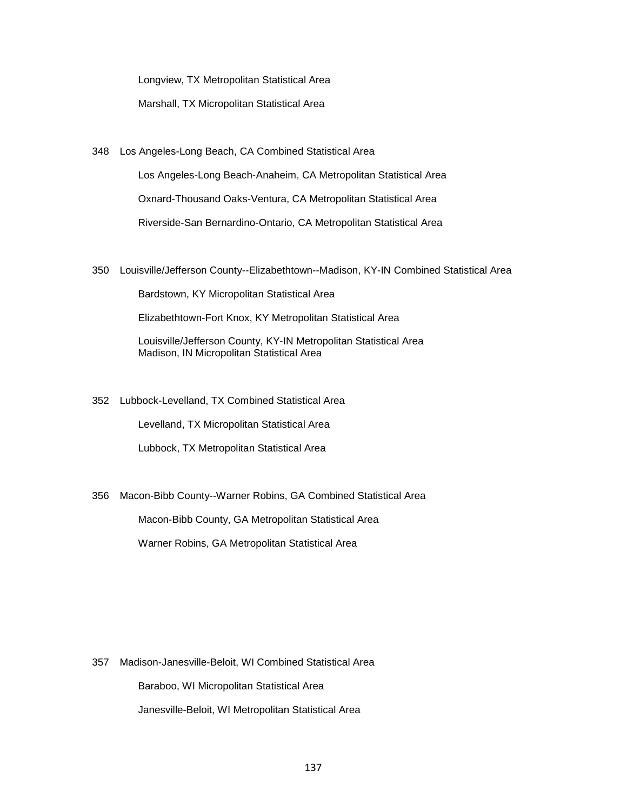Longview, TX Metropolitan Statistical Area

Marshall, TX Micropolitan Statistical Area

348 Los Angeles-Long Beach, CA Combined Statistical Area

 Los Angeles-Long Beach-Anaheim, CA Metropolitan Statistical Area Oxnard-Thousand Oaks-Ventura, CA Metropolitan Statistical Area Riverside-San Bernardino-Ontario, CA Metropolitan Statistical Area

350 Louisville/Jefferson County--Elizabethtown--Madison, KY-IN Combined Statistical Area

Bardstown, KY Micropolitan Statistical Area

Elizabethtown-Fort Knox, KY Metropolitan Statistical Area

 Louisville/Jefferson County, KY-IN Metropolitan Statistical Area Madison, IN Micropolitan Statistical Area

352 Lubbock-Levelland, TX Combined Statistical Area

Levelland, TX Micropolitan Statistical Area

Lubbock, TX Metropolitan Statistical Area

356 Macon-Bibb County--Warner Robins, GA Combined Statistical Area Macon-Bibb County, GA Metropolitan Statistical Area Warner Robins, GA Metropolitan Statistical Area

357 Madison-Janesville-Beloit, WI Combined Statistical Area Baraboo, WI Micropolitan Statistical Area Janesville-Beloit, WI Metropolitan Statistical Area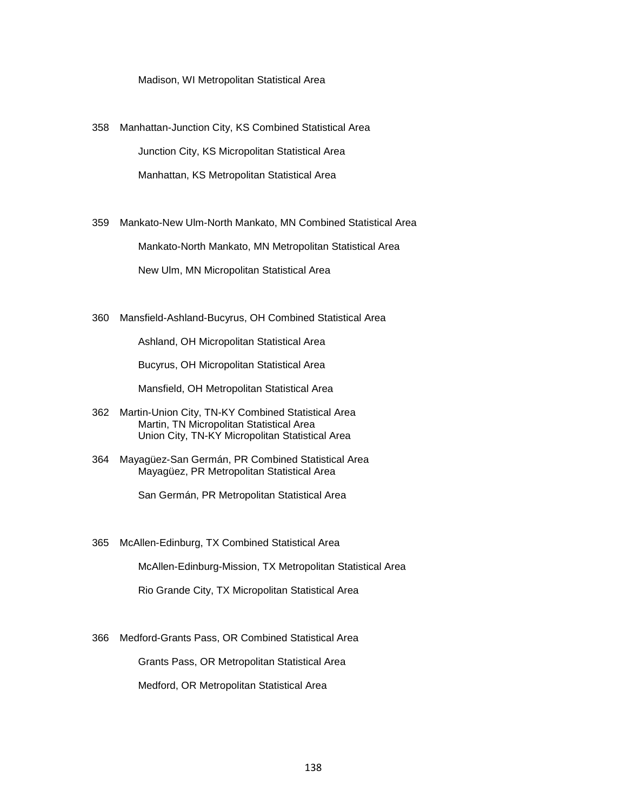Madison, WI Metropolitan Statistical Area

358 Manhattan-Junction City, KS Combined Statistical Area Junction City, KS Micropolitan Statistical Area Manhattan, KS Metropolitan Statistical Area

359 Mankato-New Ulm-North Mankato, MN Combined Statistical Area Mankato-North Mankato, MN Metropolitan Statistical Area New Ulm, MN Micropolitan Statistical Area

360 Mansfield-Ashland-Bucyrus, OH Combined Statistical Area

Ashland, OH Micropolitan Statistical Area

Bucyrus, OH Micropolitan Statistical Area

Mansfield, OH Metropolitan Statistical Area

364 Mayagüez-San Germán, PR Combined Statistical Area Mayagüez, PR Metropolitan Statistical Area

San Germán, PR Metropolitan Statistical Area

365 McAllen-Edinburg, TX Combined Statistical Area

McAllen-Edinburg-Mission, TX Metropolitan Statistical Area

Rio Grande City, TX Micropolitan Statistical Area

366 Medford-Grants Pass, OR Combined Statistical Area

Grants Pass, OR Metropolitan Statistical Area

Medford, OR Metropolitan Statistical Area

<sup>362</sup> Martin-Union City, TN-KY Combined Statistical Area Martin, TN Micropolitan Statistical Area Union City, TN-KY Micropolitan Statistical Area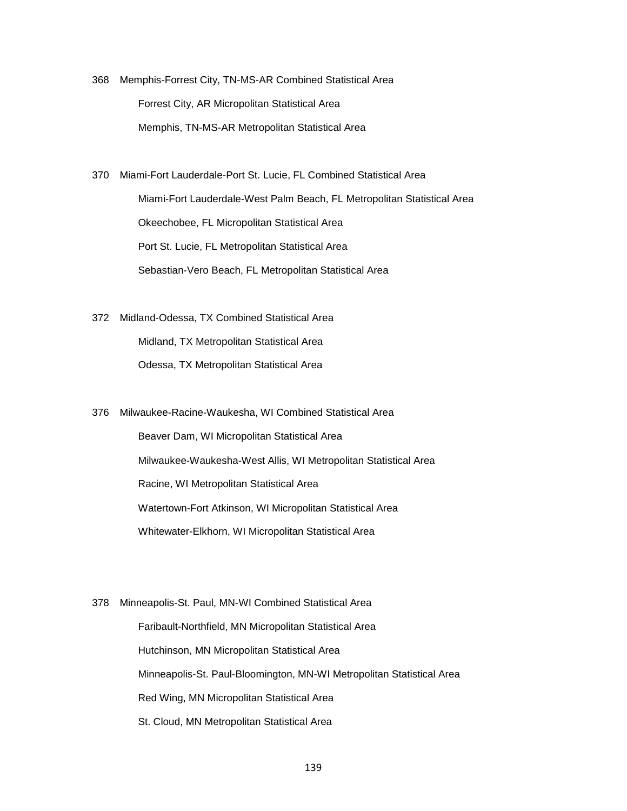- 368 Memphis-Forrest City, TN-MS-AR Combined Statistical Area Forrest City, AR Micropolitan Statistical Area Memphis, TN-MS-AR Metropolitan Statistical Area
- 370 Miami-Fort Lauderdale-Port St. Lucie, FL Combined Statistical Area Miami-Fort Lauderdale-West Palm Beach, FL Metropolitan Statistical Area Okeechobee, FL Micropolitan Statistical Area Port St. Lucie, FL Metropolitan Statistical Area Sebastian-Vero Beach, FL Metropolitan Statistical Area
- 372 Midland-Odessa, TX Combined Statistical Area Midland, TX Metropolitan Statistical Area Odessa, TX Metropolitan Statistical Area
- 376 Milwaukee-Racine-Waukesha, WI Combined Statistical Area Beaver Dam, WI Micropolitan Statistical Area Milwaukee-Waukesha-West Allis, WI Metropolitan Statistical Area Racine, WI Metropolitan Statistical Area Watertown-Fort Atkinson, WI Micropolitan Statistical Area Whitewater-Elkhorn, WI Micropolitan Statistical Area

378 Minneapolis-St. Paul, MN-WI Combined Statistical Area Faribault-Northfield, MN Micropolitan Statistical Area Hutchinson, MN Micropolitan Statistical Area Minneapolis-St. Paul-Bloomington, MN-WI Metropolitan Statistical Area Red Wing, MN Micropolitan Statistical Area St. Cloud, MN Metropolitan Statistical Area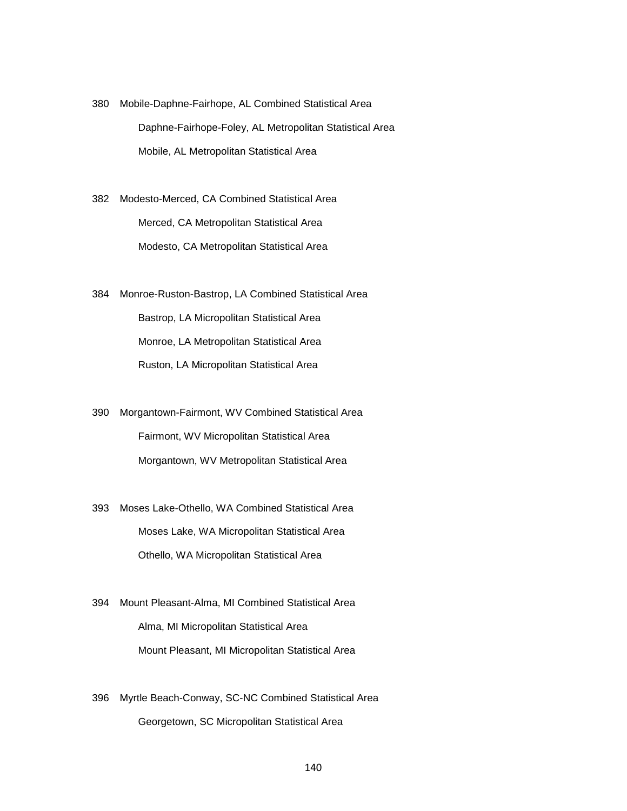- 380 Mobile-Daphne-Fairhope, AL Combined Statistical Area Daphne-Fairhope-Foley, AL Metropolitan Statistical Area Mobile, AL Metropolitan Statistical Area
- 382 Modesto-Merced, CA Combined Statistical Area Merced, CA Metropolitan Statistical Area Modesto, CA Metropolitan Statistical Area
- 384 Monroe-Ruston-Bastrop, LA Combined Statistical Area Bastrop, LA Micropolitan Statistical Area Monroe, LA Metropolitan Statistical Area Ruston, LA Micropolitan Statistical Area
- 390 Morgantown-Fairmont, WV Combined Statistical Area Fairmont, WV Micropolitan Statistical Area Morgantown, WV Metropolitan Statistical Area
- 393 Moses Lake-Othello, WA Combined Statistical Area Moses Lake, WA Micropolitan Statistical Area Othello, WA Micropolitan Statistical Area
- 394 Mount Pleasant-Alma, MI Combined Statistical Area Alma, MI Micropolitan Statistical Area Mount Pleasant, MI Micropolitan Statistical Area
- 396 Myrtle Beach-Conway, SC-NC Combined Statistical Area Georgetown, SC Micropolitan Statistical Area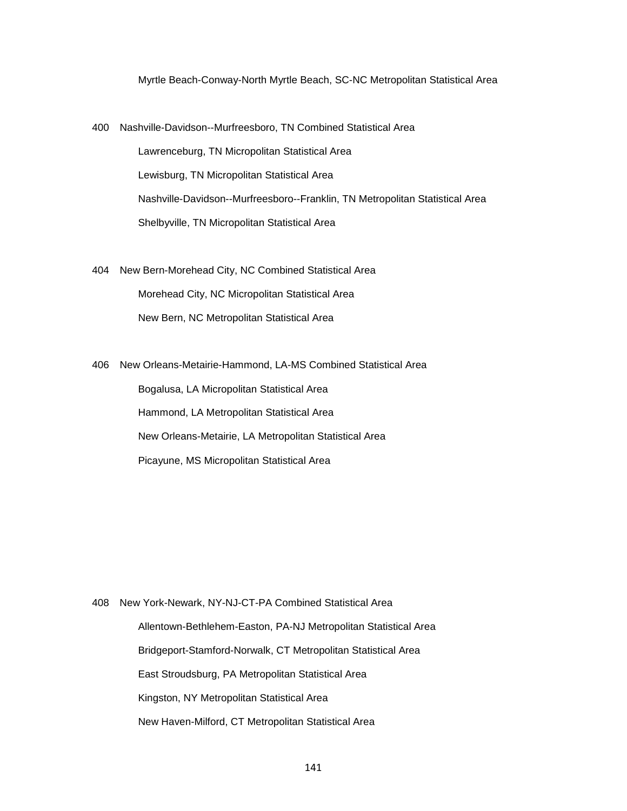Myrtle Beach-Conway-North Myrtle Beach, SC-NC Metropolitan Statistical Area

- 400 Nashville-Davidson--Murfreesboro, TN Combined Statistical Area Lawrenceburg, TN Micropolitan Statistical Area Lewisburg, TN Micropolitan Statistical Area Nashville-Davidson--Murfreesboro--Franklin, TN Metropolitan Statistical Area Shelbyville, TN Micropolitan Statistical Area
- 404 New Bern-Morehead City, NC Combined Statistical Area Morehead City, NC Micropolitan Statistical Area New Bern, NC Metropolitan Statistical Area

406 New Orleans-Metairie-Hammond, LA-MS Combined Statistical Area Bogalusa, LA Micropolitan Statistical Area Hammond, LA Metropolitan Statistical Area New Orleans-Metairie, LA Metropolitan Statistical Area Picayune, MS Micropolitan Statistical Area

408 New York-Newark, NY-NJ-CT-PA Combined Statistical Area Allentown-Bethlehem-Easton, PA-NJ Metropolitan Statistical Area Bridgeport-Stamford-Norwalk, CT Metropolitan Statistical Area East Stroudsburg, PA Metropolitan Statistical Area Kingston, NY Metropolitan Statistical Area New Haven-Milford, CT Metropolitan Statistical Area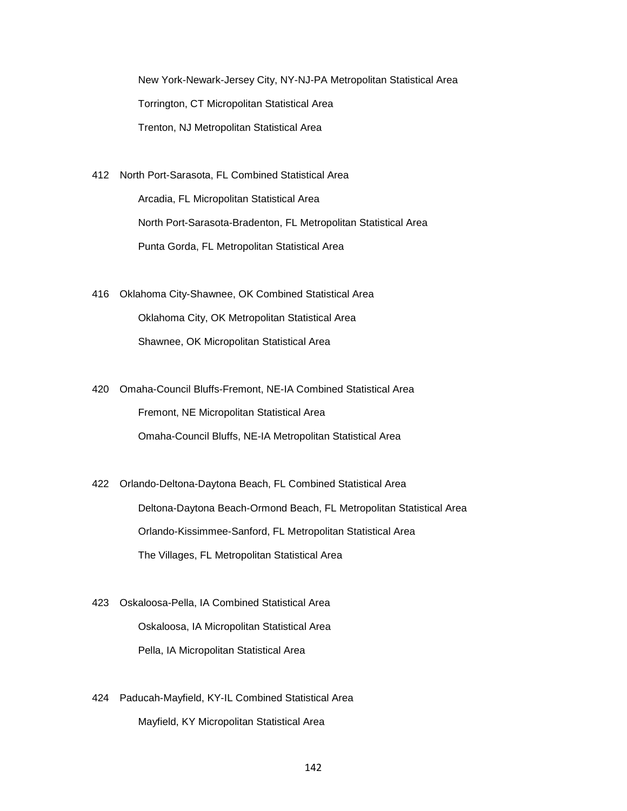New York-Newark-Jersey City, NY-NJ-PA Metropolitan Statistical Area Torrington, CT Micropolitan Statistical Area Trenton, NJ Metropolitan Statistical Area

- 412 North Port-Sarasota, FL Combined Statistical Area Arcadia, FL Micropolitan Statistical Area North Port-Sarasota-Bradenton, FL Metropolitan Statistical Area Punta Gorda, FL Metropolitan Statistical Area
- 416 Oklahoma City-Shawnee, OK Combined Statistical Area Oklahoma City, OK Metropolitan Statistical Area Shawnee, OK Micropolitan Statistical Area
- 420 Omaha-Council Bluffs-Fremont, NE-IA Combined Statistical Area Fremont, NE Micropolitan Statistical Area Omaha-Council Bluffs, NE-IA Metropolitan Statistical Area
- 422 Orlando-Deltona-Daytona Beach, FL Combined Statistical Area Deltona-Daytona Beach-Ormond Beach, FL Metropolitan Statistical Area Orlando-Kissimmee-Sanford, FL Metropolitan Statistical Area The Villages, FL Metropolitan Statistical Area
- 423 Oskaloosa-Pella, IA Combined Statistical Area Oskaloosa, IA Micropolitan Statistical Area Pella, IA Micropolitan Statistical Area
- 424 Paducah-Mayfield, KY-IL Combined Statistical Area Mayfield, KY Micropolitan Statistical Area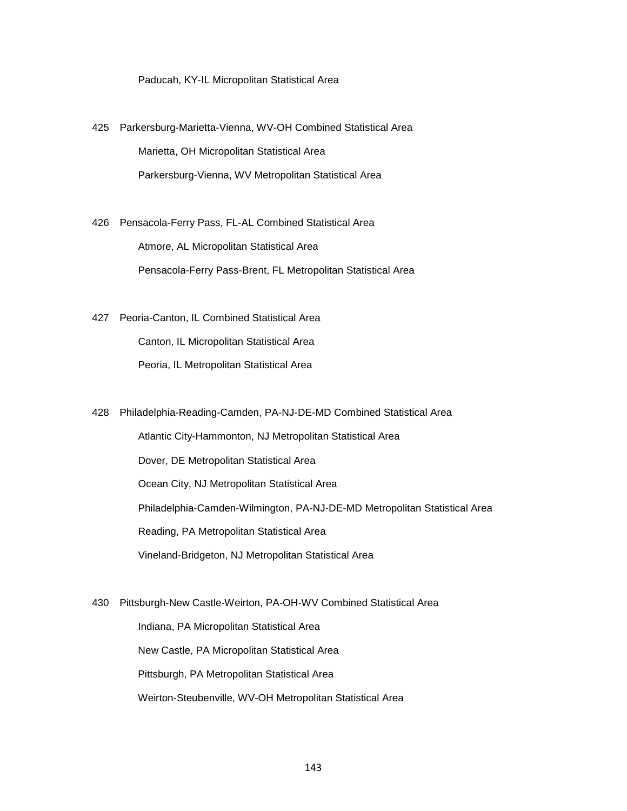Paducah, KY-IL Micropolitan Statistical Area

425 Parkersburg-Marietta-Vienna, WV-OH Combined Statistical Area Marietta, OH Micropolitan Statistical Area Parkersburg-Vienna, WV Metropolitan Statistical Area

426 Pensacola-Ferry Pass, FL-AL Combined Statistical Area Atmore, AL Micropolitan Statistical Area Pensacola-Ferry Pass-Brent, FL Metropolitan Statistical Area

427 Peoria-Canton, IL Combined Statistical Area Canton, IL Micropolitan Statistical Area Peoria, IL Metropolitan Statistical Area

428 Philadelphia-Reading-Camden, PA-NJ-DE-MD Combined Statistical Area

 Atlantic City-Hammonton, NJ Metropolitan Statistical Area Dover, DE Metropolitan Statistical Area Ocean City, NJ Metropolitan Statistical Area Philadelphia-Camden-Wilmington, PA-NJ-DE-MD Metropolitan Statistical Area Reading, PA Metropolitan Statistical Area Vineland-Bridgeton, NJ Metropolitan Statistical Area

430 Pittsburgh-New Castle-Weirton, PA-OH-WV Combined Statistical Area

Indiana, PA Micropolitan Statistical Area

New Castle, PA Micropolitan Statistical Area

Pittsburgh, PA Metropolitan Statistical Area

Weirton-Steubenville, WV-OH Metropolitan Statistical Area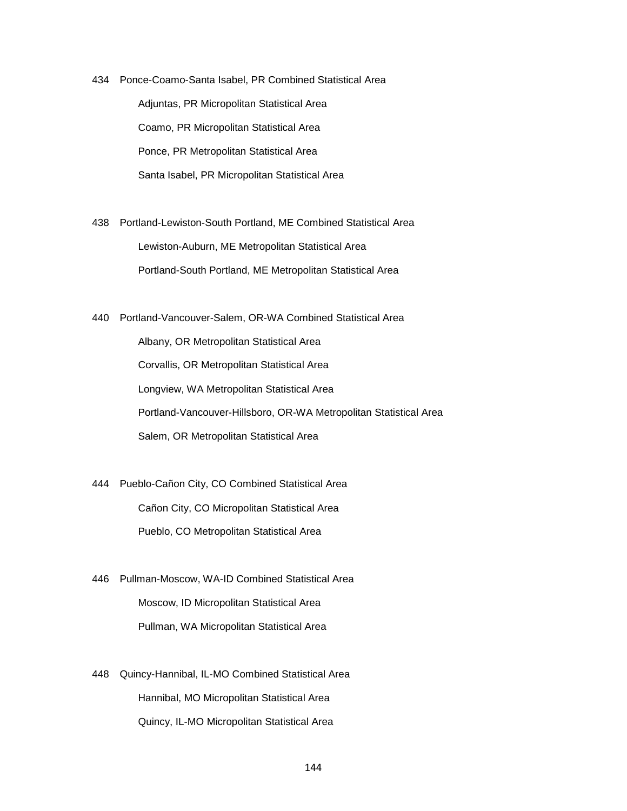434 Ponce-Coamo-Santa Isabel, PR Combined Statistical Area Adjuntas, PR Micropolitan Statistical Area Coamo, PR Micropolitan Statistical Area Ponce, PR Metropolitan Statistical Area Santa Isabel, PR Micropolitan Statistical Area

438 Portland-Lewiston-South Portland, ME Combined Statistical Area Lewiston-Auburn, ME Metropolitan Statistical Area Portland-South Portland, ME Metropolitan Statistical Area

440 Portland-Vancouver-Salem, OR-WA Combined Statistical Area Albany, OR Metropolitan Statistical Area Corvallis, OR Metropolitan Statistical Area Longview, WA Metropolitan Statistical Area Portland-Vancouver-Hillsboro, OR-WA Metropolitan Statistical Area Salem, OR Metropolitan Statistical Area

444 Pueblo-Cañon City, CO Combined Statistical Area Cañon City, CO Micropolitan Statistical Area Pueblo, CO Metropolitan Statistical Area

446 Pullman-Moscow, WA-ID Combined Statistical Area Moscow, ID Micropolitan Statistical Area Pullman, WA Micropolitan Statistical Area

448 Quincy-Hannibal, IL-MO Combined Statistical Area Hannibal, MO Micropolitan Statistical Area Quincy, IL-MO Micropolitan Statistical Area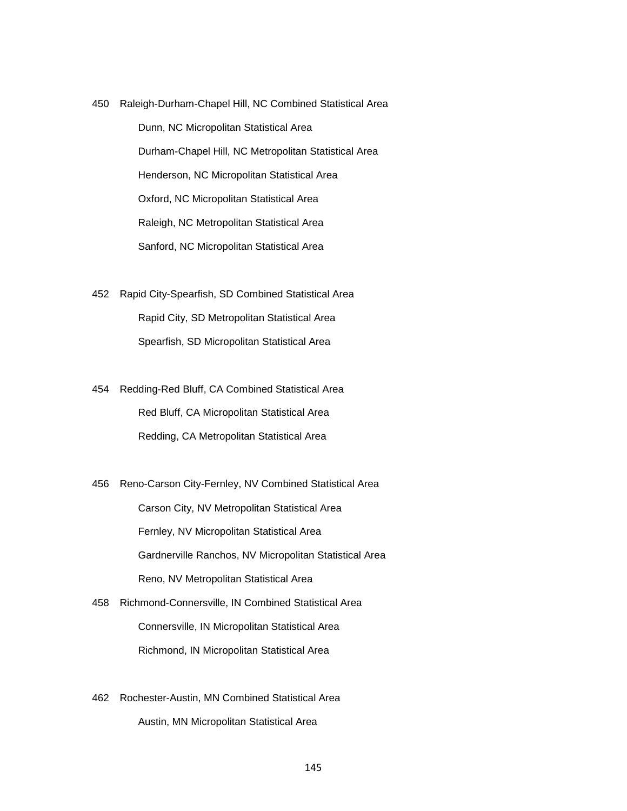450 Raleigh-Durham-Chapel Hill, NC Combined Statistical Area Dunn, NC Micropolitan Statistical Area Durham-Chapel Hill, NC Metropolitan Statistical Area Henderson, NC Micropolitan Statistical Area Oxford, NC Micropolitan Statistical Area Raleigh, NC Metropolitan Statistical Area Sanford, NC Micropolitan Statistical Area

452 Rapid City-Spearfish, SD Combined Statistical Area Rapid City, SD Metropolitan Statistical Area Spearfish, SD Micropolitan Statistical Area

454 Redding-Red Bluff, CA Combined Statistical Area Red Bluff, CA Micropolitan Statistical Area Redding, CA Metropolitan Statistical Area

456 Reno-Carson City-Fernley, NV Combined Statistical Area Carson City, NV Metropolitan Statistical Area Fernley, NV Micropolitan Statistical Area Gardnerville Ranchos, NV Micropolitan Statistical Area Reno, NV Metropolitan Statistical Area

458 Richmond-Connersville, IN Combined Statistical Area Connersville, IN Micropolitan Statistical Area Richmond, IN Micropolitan Statistical Area

462 Rochester-Austin, MN Combined Statistical Area Austin, MN Micropolitan Statistical Area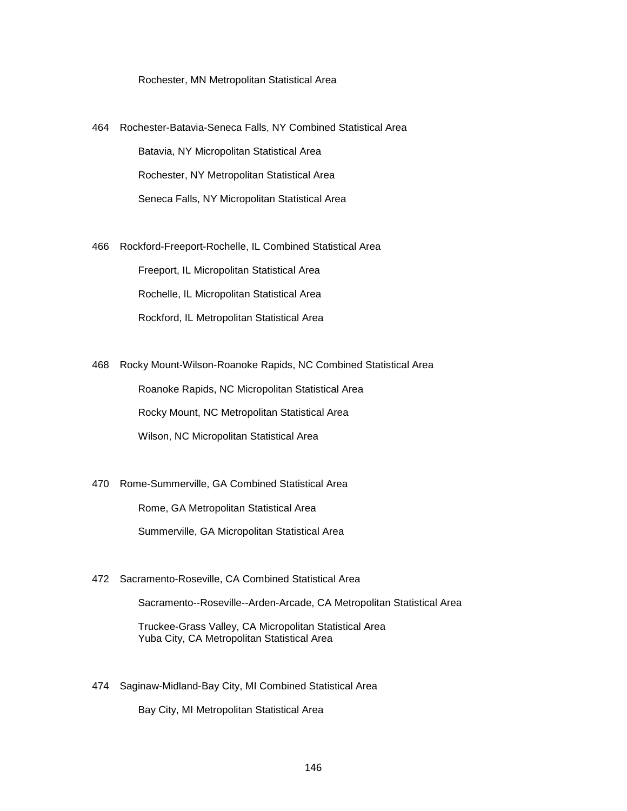#### Rochester, MN Metropolitan Statistical Area

- 464 Rochester-Batavia-Seneca Falls, NY Combined Statistical Area Batavia, NY Micropolitan Statistical Area Rochester, NY Metropolitan Statistical Area Seneca Falls, NY Micropolitan Statistical Area
- 466 Rockford-Freeport-Rochelle, IL Combined Statistical Area Freeport, IL Micropolitan Statistical Area Rochelle, IL Micropolitan Statistical Area Rockford, IL Metropolitan Statistical Area

468 Rocky Mount-Wilson-Roanoke Rapids, NC Combined Statistical Area Roanoke Rapids, NC Micropolitan Statistical Area Rocky Mount, NC Metropolitan Statistical Area Wilson, NC Micropolitan Statistical Area

470 Rome-Summerville, GA Combined Statistical Area

Rome, GA Metropolitan Statistical Area

Summerville, GA Micropolitan Statistical Area

472 Sacramento-Roseville, CA Combined Statistical Area

Sacramento--Roseville--Arden-Arcade, CA Metropolitan Statistical Area

 Truckee-Grass Valley, CA Micropolitan Statistical Area Yuba City, CA Metropolitan Statistical Area

474 Saginaw-Midland-Bay City, MI Combined Statistical Area

Bay City, MI Metropolitan Statistical Area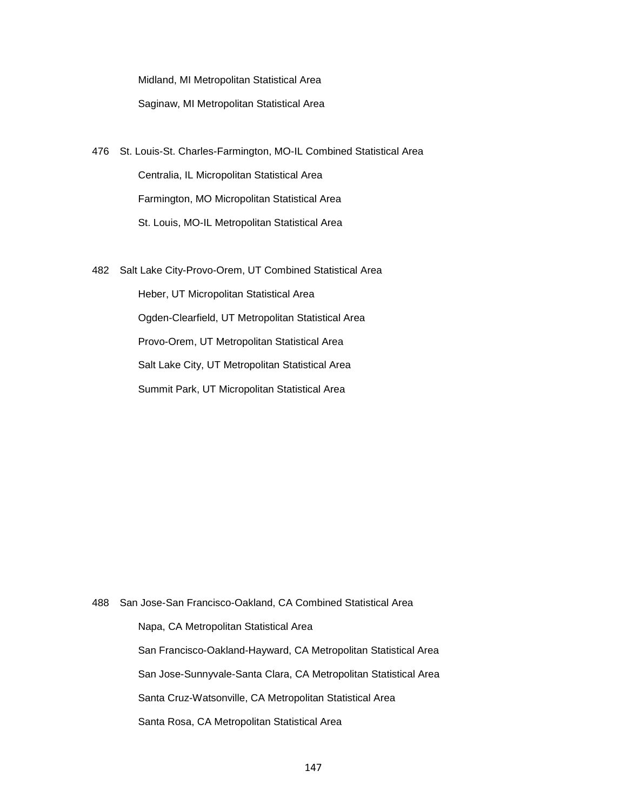Midland, MI Metropolitan Statistical Area Saginaw, MI Metropolitan Statistical Area

- 476 St. Louis-St. Charles-Farmington, MO-IL Combined Statistical Area Centralia, IL Micropolitan Statistical Area Farmington, MO Micropolitan Statistical Area St. Louis, MO-IL Metropolitan Statistical Area
- 482 Salt Lake City-Provo-Orem, UT Combined Statistical Area Heber, UT Micropolitan Statistical Area Ogden-Clearfield, UT Metropolitan Statistical Area Provo-Orem, UT Metropolitan Statistical Area Salt Lake City, UT Metropolitan Statistical Area

Summit Park, UT Micropolitan Statistical Area

488 San Jose-San Francisco-Oakland, CA Combined Statistical Area Napa, CA Metropolitan Statistical Area San Francisco-Oakland-Hayward, CA Metropolitan Statistical Area San Jose-Sunnyvale-Santa Clara, CA Metropolitan Statistical Area Santa Cruz-Watsonville, CA Metropolitan Statistical Area Santa Rosa, CA Metropolitan Statistical Area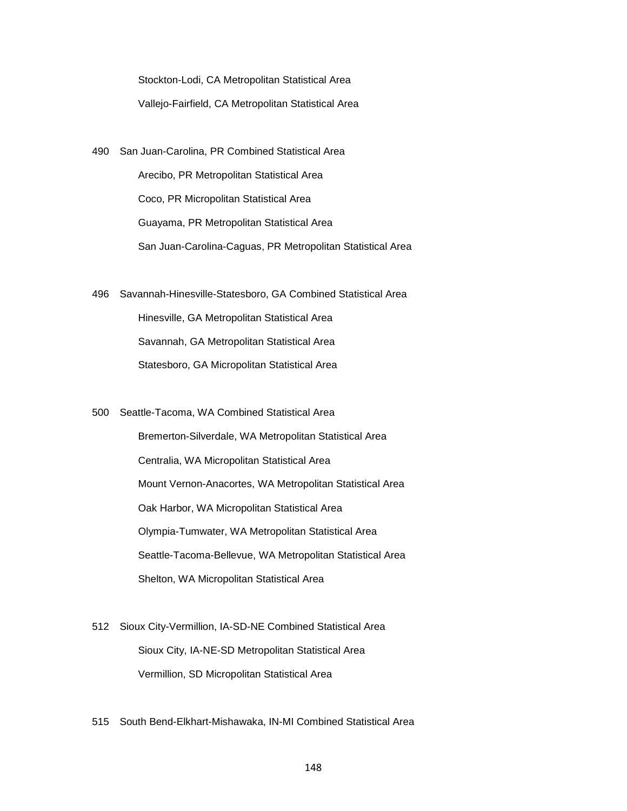Stockton-Lodi, CA Metropolitan Statistical Area Vallejo-Fairfield, CA Metropolitan Statistical Area

- 490 San Juan-Carolina, PR Combined Statistical Area Arecibo, PR Metropolitan Statistical Area Coco, PR Micropolitan Statistical Area Guayama, PR Metropolitan Statistical Area San Juan-Carolina-Caguas, PR Metropolitan Statistical Area
- 496 Savannah-Hinesville-Statesboro, GA Combined Statistical Area Hinesville, GA Metropolitan Statistical Area Savannah, GA Metropolitan Statistical Area Statesboro, GA Micropolitan Statistical Area
- 500 Seattle-Tacoma, WA Combined Statistical Area Bremerton-Silverdale, WA Metropolitan Statistical Area Centralia, WA Micropolitan Statistical Area Mount Vernon-Anacortes, WA Metropolitan Statistical Area Oak Harbor, WA Micropolitan Statistical Area Olympia-Tumwater, WA Metropolitan Statistical Area Seattle-Tacoma-Bellevue, WA Metropolitan Statistical Area Shelton, WA Micropolitan Statistical Area
- 512 Sioux City-Vermillion, IA-SD-NE Combined Statistical Area Sioux City, IA-NE-SD Metropolitan Statistical Area Vermillion, SD Micropolitan Statistical Area
- 515 South Bend-Elkhart-Mishawaka, IN-MI Combined Statistical Area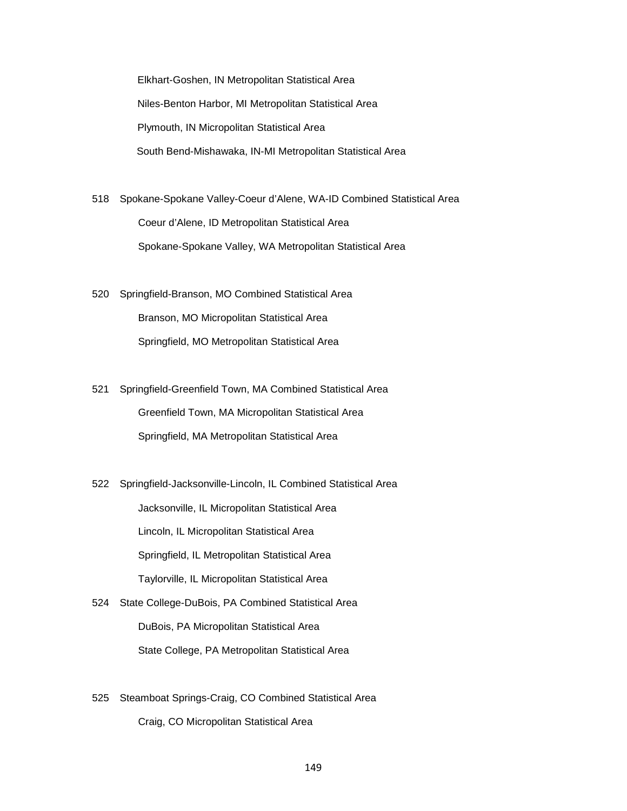Elkhart-Goshen, IN Metropolitan Statistical Area Niles-Benton Harbor, MI Metropolitan Statistical Area Plymouth, IN Micropolitan Statistical Area South Bend-Mishawaka, IN-MI Metropolitan Statistical Area

518 Spokane-Spokane Valley-Coeur d'Alene, WA-ID Combined Statistical Area Coeur d'Alene, ID Metropolitan Statistical Area Spokane-Spokane Valley, WA Metropolitan Statistical Area

520 Springfield-Branson, MO Combined Statistical Area Branson, MO Micropolitan Statistical Area Springfield, MO Metropolitan Statistical Area

521 Springfield-Greenfield Town, MA Combined Statistical Area Greenfield Town, MA Micropolitan Statistical Area Springfield, MA Metropolitan Statistical Area

522 Springfield-Jacksonville-Lincoln, IL Combined Statistical Area Jacksonville, IL Micropolitan Statistical Area Lincoln, IL Micropolitan Statistical Area Springfield, IL Metropolitan Statistical Area Taylorville, IL Micropolitan Statistical Area

524 State College-DuBois, PA Combined Statistical Area DuBois, PA Micropolitan Statistical Area State College, PA Metropolitan Statistical Area

525 Steamboat Springs-Craig, CO Combined Statistical Area Craig, CO Micropolitan Statistical Area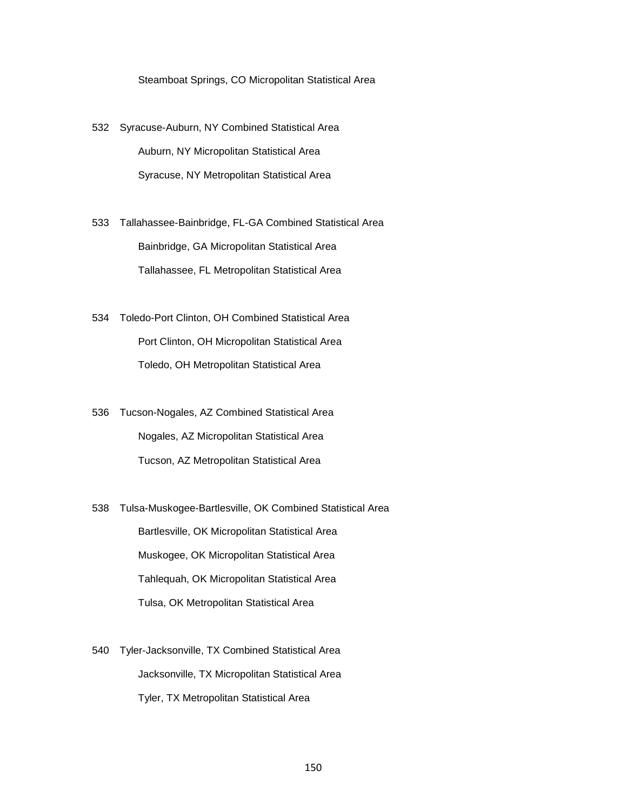Steamboat Springs, CO Micropolitan Statistical Area

532 Syracuse-Auburn, NY Combined Statistical Area Auburn, NY Micropolitan Statistical Area Syracuse, NY Metropolitan Statistical Area

533 Tallahassee-Bainbridge, FL-GA Combined Statistical Area Bainbridge, GA Micropolitan Statistical Area Tallahassee, FL Metropolitan Statistical Area

534 Toledo-Port Clinton, OH Combined Statistical Area Port Clinton, OH Micropolitan Statistical Area Toledo, OH Metropolitan Statistical Area

536 Tucson-Nogales, AZ Combined Statistical Area Nogales, AZ Micropolitan Statistical Area Tucson, AZ Metropolitan Statistical Area

538 Tulsa-Muskogee-Bartlesville, OK Combined Statistical Area Bartlesville, OK Micropolitan Statistical Area Muskogee, OK Micropolitan Statistical Area Tahlequah, OK Micropolitan Statistical Area Tulsa, OK Metropolitan Statistical Area

540 Tyler-Jacksonville, TX Combined Statistical Area Jacksonville, TX Micropolitan Statistical Area Tyler, TX Metropolitan Statistical Area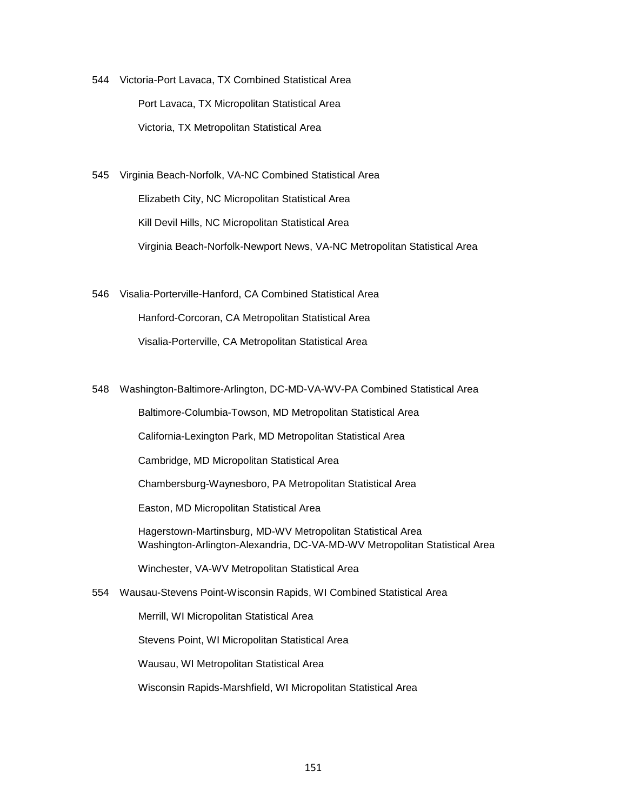544 Victoria-Port Lavaca, TX Combined Statistical Area Port Lavaca, TX Micropolitan Statistical Area Victoria, TX Metropolitan Statistical Area

545 Virginia Beach-Norfolk, VA-NC Combined Statistical Area Elizabeth City, NC Micropolitan Statistical Area Kill Devil Hills, NC Micropolitan Statistical Area Virginia Beach-Norfolk-Newport News, VA-NC Metropolitan Statistical Area

546 Visalia-Porterville-Hanford, CA Combined Statistical Area Hanford-Corcoran, CA Metropolitan Statistical Area Visalia-Porterville, CA Metropolitan Statistical Area

548 Washington-Baltimore-Arlington, DC-MD-VA-WV-PA Combined Statistical Area

Baltimore-Columbia-Towson, MD Metropolitan Statistical Area

California-Lexington Park, MD Metropolitan Statistical Area

Cambridge, MD Micropolitan Statistical Area

Chambersburg-Waynesboro, PA Metropolitan Statistical Area

Easton, MD Micropolitan Statistical Area

 Hagerstown-Martinsburg, MD-WV Metropolitan Statistical Area Washington-Arlington-Alexandria, DC-VA-MD-WV Metropolitan Statistical Area

Winchester, VA-WV Metropolitan Statistical Area

554 Wausau-Stevens Point-Wisconsin Rapids, WI Combined Statistical Area

Merrill, WI Micropolitan Statistical Area

Stevens Point, WI Micropolitan Statistical Area

Wausau, WI Metropolitan Statistical Area

Wisconsin Rapids-Marshfield, WI Micropolitan Statistical Area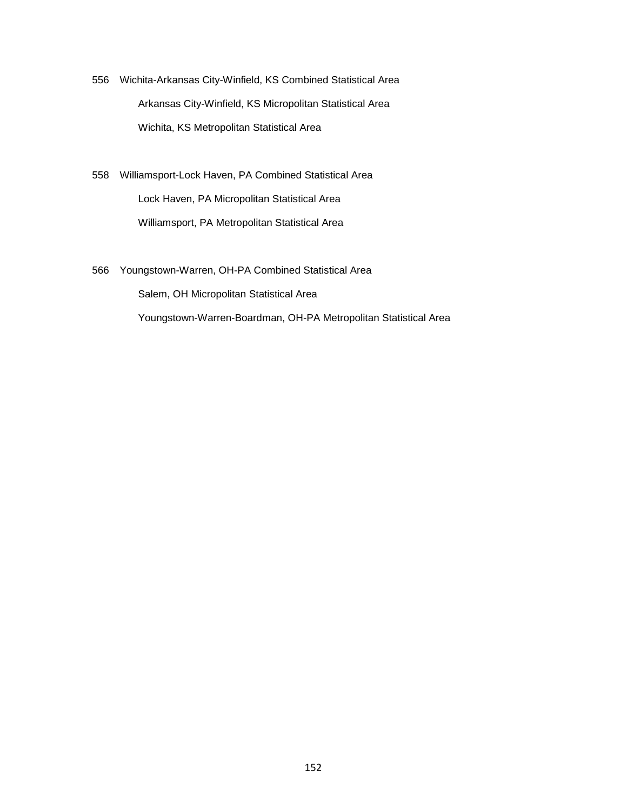556 Wichita-Arkansas City-Winfield, KS Combined Statistical Area Arkansas City-Winfield, KS Micropolitan Statistical Area Wichita, KS Metropolitan Statistical Area

558 Williamsport-Lock Haven, PA Combined Statistical Area Lock Haven, PA Micropolitan Statistical Area Williamsport, PA Metropolitan Statistical Area

566 Youngstown-Warren, OH-PA Combined Statistical Area Salem, OH Micropolitan Statistical Area Youngstown-Warren-Boardman, OH-PA Metropolitan Statistical Area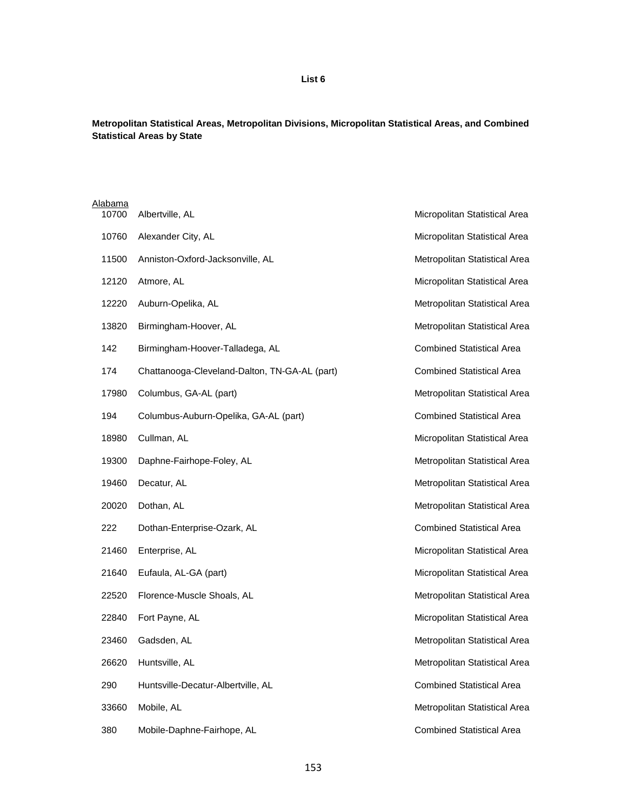## **List 6**

#### **Metropolitan Statistical Areas, Metropolitan Divisions, Micropolitan Statistical Areas, and Combined Statistical Areas by State**

| Alabama |                                               |                                  |
|---------|-----------------------------------------------|----------------------------------|
| 10700   | Albertville, AL                               | Micropolitan Statistical Area    |
| 10760   | Alexander City, AL                            | Micropolitan Statistical Area    |
| 11500   | Anniston-Oxford-Jacksonville, AL              | Metropolitan Statistical Area    |
| 12120   | Atmore, AL                                    | Micropolitan Statistical Area    |
| 12220   | Auburn-Opelika, AL                            | Metropolitan Statistical Area    |
| 13820   | Birmingham-Hoover, AL                         | Metropolitan Statistical Area    |
| 142     | Birmingham-Hoover-Talladega, AL               | <b>Combined Statistical Area</b> |
| 174     | Chattanooga-Cleveland-Dalton, TN-GA-AL (part) | <b>Combined Statistical Area</b> |
| 17980   | Columbus, GA-AL (part)                        | Metropolitan Statistical Area    |
| 194     | Columbus-Auburn-Opelika, GA-AL (part)         | <b>Combined Statistical Area</b> |
| 18980   | Cullman, AL                                   | Micropolitan Statistical Area    |
| 19300   | Daphne-Fairhope-Foley, AL                     | Metropolitan Statistical Area    |
| 19460   | Decatur, AL                                   | Metropolitan Statistical Area    |
| 20020   | Dothan, AL                                    | Metropolitan Statistical Area    |
| 222     | Dothan-Enterprise-Ozark, AL                   | <b>Combined Statistical Area</b> |
| 21460   | Enterprise, AL                                | Micropolitan Statistical Area    |
| 21640   | Eufaula, AL-GA (part)                         | Micropolitan Statistical Area    |
| 22520   | Florence-Muscle Shoals, AL                    | Metropolitan Statistical Area    |
| 22840   | Fort Payne, AL                                | Micropolitan Statistical Area    |
| 23460   | Gadsden, AL                                   | Metropolitan Statistical Area    |
| 26620   | Huntsville, AL                                | Metropolitan Statistical Area    |
| 290     | Huntsville-Decatur-Albertville, AL            | <b>Combined Statistical Area</b> |
| 33660   | Mobile, AL                                    | Metropolitan Statistical Area    |
| 380     | Mobile-Daphne-Fairhope, AL                    | <b>Combined Statistical Area</b> |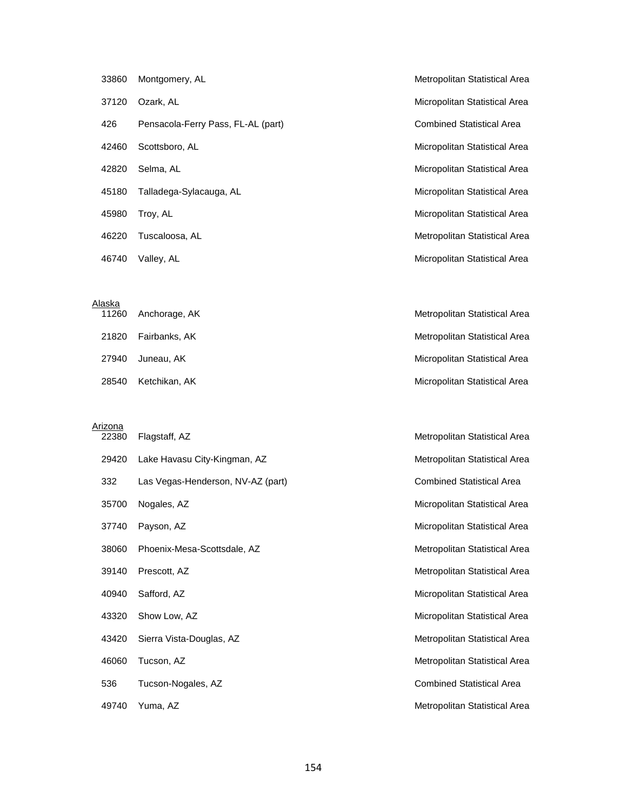| 33860 | Montgomery, AL                     | Metropolitan Statistical Area    |
|-------|------------------------------------|----------------------------------|
| 37120 | Ozark, AL                          | Micropolitan Statistical Area    |
| 426   | Pensacola-Ferry Pass, FL-AL (part) | <b>Combined Statistical Area</b> |
| 42460 | Scottsboro, AL                     | Micropolitan Statistical Area    |
| 42820 | Selma, AL                          | Micropolitan Statistical Area    |
| 45180 | Talladega-Sylacauga, AL            | Micropolitan Statistical Area    |
| 45980 | Troy, AL                           | Micropolitan Statistical Area    |
| 46220 | Tuscaloosa, AL                     | Metropolitan Statistical Area    |
| 46740 | Valley, AL                         | Micropolitan Statistical Area    |

#### Alaska

| 11260 | Anchorage, AK | Metropolitan Statistical Area |
|-------|---------------|-------------------------------|
| 21820 | Fairbanks, AK | Metropolitan Statistical Area |
| 27940 | Juneau. AK    | Micropolitan Statistical Area |
| 28540 | Ketchikan, AK | Micropolitan Statistical Area |

Arizona<br>22380

| 22380 | Flagstaff, AZ                     | Metropolitan Statistical Area    |
|-------|-----------------------------------|----------------------------------|
| 29420 | Lake Havasu City-Kingman, AZ      | Metropolitan Statistical Area    |
| 332   | Las Vegas-Henderson, NV-AZ (part) | <b>Combined Statistical Area</b> |
| 35700 | Nogales, AZ                       | Micropolitan Statistical Area    |
| 37740 | Payson, AZ                        | Micropolitan Statistical Area    |
| 38060 | Phoenix-Mesa-Scottsdale, AZ       | Metropolitan Statistical Area    |
| 39140 | Prescott, AZ                      | Metropolitan Statistical Area    |
| 40940 | Safford, AZ                       | Micropolitan Statistical Area    |
| 43320 | Show Low, AZ                      | Micropolitan Statistical Area    |
| 43420 | Sierra Vista-Douglas, AZ          | Metropolitan Statistical Area    |
| 46060 | Tucson, AZ                        | Metropolitan Statistical Area    |
| 536   | Tucson-Nogales, AZ                | <b>Combined Statistical Area</b> |
| 49740 | Yuma, AZ                          | Metropolitan Statistical Area    |
|       |                                   |                                  |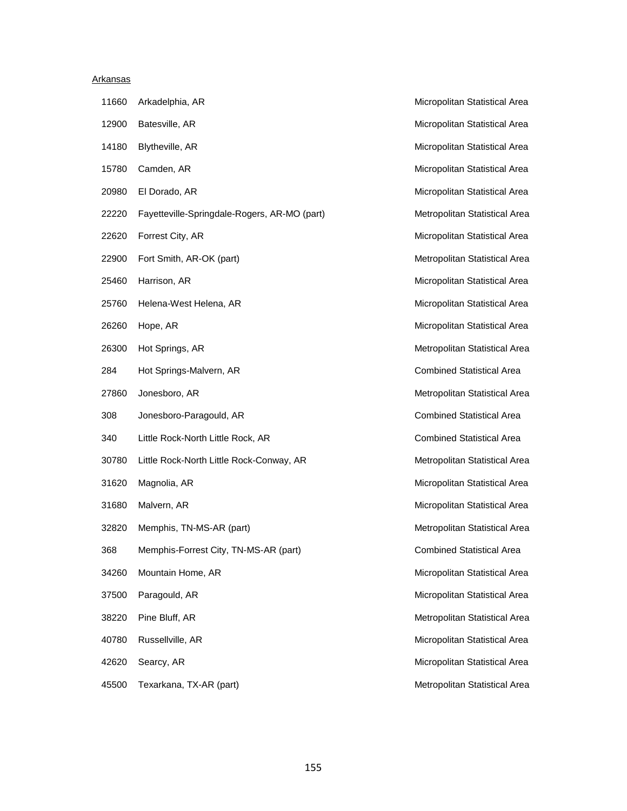#### Arkansas

| 11660 | Arkadelphia, AR                              |
|-------|----------------------------------------------|
| 12900 | Batesville, AR                               |
|       | 14180 Blytheville, AR                        |
| 15780 | Camden, AR                                   |
|       | 20980 El Dorado, AR                          |
| 22220 | Fayetteville-Springdale-Rogers, AR-MO (part) |
| 22620 | Forrest City, AR                             |
| 22900 | Fort Smith, AR-OK (part)                     |
| 25460 | Harrison, AR                                 |
| 25760 | Helena-West Helena, AR                       |
|       | 26260 Hope, AR                               |
|       | 26300 Hot Springs, AR                        |
| 284   | Hot Springs-Malvern, AR                      |
| 27860 | Jonesboro, AR                                |
| 308   | Jonesboro-Paragould, AR                      |
| 340   | Little Rock-North Little Rock, AR            |
| 30780 | Little Rock-North Little Rock-Conway, AR     |
| 31620 | Magnolia, AR                                 |
| 31680 | Malvern, AR                                  |
| 32820 | Memphis, TN-MS-AR (part)                     |
| 368   | Memphis-Forrest City, TN-MS-AR (part)        |
| 34260 | Mountain Home, AR                            |
| 37500 | Paragould, AR                                |
| 38220 | Pine Bluff, AR                               |
| 40780 | Russellville, AR                             |
| 42620 | Searcy, AR                                   |
|       |                                              |

Micropolitan Statistical Area Micropolitan Statistical Area Micropolitan Statistical Area Micropolitan Statistical Area Micropolitan Statistical Area Metropolitan Statistical Area Micropolitan Statistical Area Metropolitan Statistical Area Micropolitan Statistical Area Micropolitan Statistical Area Micropolitan Statistical Area Metropolitan Statistical Area Combined Statistical Area Metropolitan Statistical Area Combined Statistical Area Combined Statistical Area Metropolitan Statistical Area Micropolitan Statistical Area Micropolitan Statistical Area Metropolitan Statistical Area Combined Statistical Area Micropolitan Statistical Area Micropolitan Statistical Area Metropolitan Statistical Area Micropolitan Statistical Area Micropolitan Statistical Area 45500 Texarkana, TX-AR (part) Metropolitan Statistical Area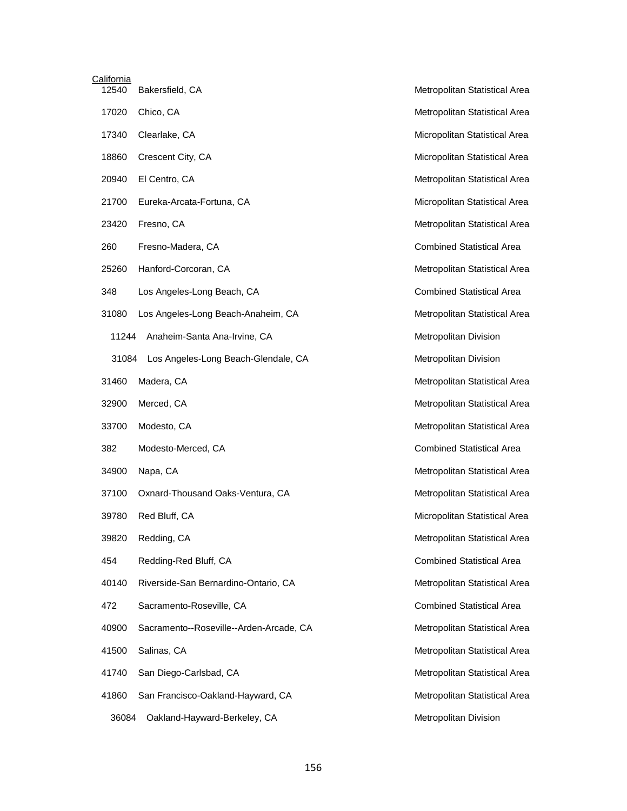| <b>California</b> |                                         |                               |
|-------------------|-----------------------------------------|-------------------------------|
| 12540             | Bakersfield, CA                         | Metropolitan Statistica       |
| 17020             | Chico, CA                               | Metropolitan Statistica       |
| 17340             | Clearlake, CA                           | Micropolitan Statistica       |
| 18860             | Crescent City, CA                       | Micropolitan Statistica       |
| 20940             | El Centro, CA                           | Metropolitan Statistica       |
| 21700             | Eureka-Arcata-Fortuna, CA               | Micropolitan Statistica       |
| 23420             | Fresno, CA                              | Metropolitan Statistica       |
| 260               | Fresno-Madera, CA                       | <b>Combined Statistical</b> . |
| 25260             | Hanford-Corcoran, CA                    | Metropolitan Statistica       |
| 348               | Los Angeles-Long Beach, CA              | <b>Combined Statistical</b>   |
| 31080             | Los Angeles-Long Beach-Anaheim, CA      | Metropolitan Statistica       |
| 11244             | Anaheim-Santa Ana-Irvine, CA            | <b>Metropolitan Division</b>  |
| 31084             | Los Angeles-Long Beach-Glendale, CA     | Metropolitan Division         |
| 31460             | Madera, CA                              | Metropolitan Statistica       |
| 32900             | Merced, CA                              | Metropolitan Statistica       |
| 33700             | Modesto, CA                             | Metropolitan Statistica       |
| 382               | Modesto-Merced, CA                      | <b>Combined Statistical</b>   |
| 34900             | Napa, CA                                | Metropolitan Statistica       |
| 37100             | Oxnard-Thousand Oaks-Ventura, CA        | Metropolitan Statistica       |
| 39780             | Red Bluff, CA                           | Micropolitan Statistica       |
| 39820             | Redding, CA                             | Metropolitan Statistica       |
| 454               | Redding-Red Bluff, CA                   | <b>Combined Statistical</b> . |
| 40140             | Riverside-San Bernardino-Ontario, CA    | Metropolitan Statistica       |
| 472               | Sacramento-Roseville, CA                | <b>Combined Statistical</b>   |
| 40900             | Sacramento--Roseville--Arden-Arcade, CA | Metropolitan Statistica       |
| 41500             | Salinas, CA                             | Metropolitan Statistica       |
| 41740             | San Diego-Carlsbad, CA                  | Metropolitan Statistica       |
| 41860             | San Francisco-Oakland-Hayward, CA       | Metropolitan Statistica       |
| 36084             | Oakland-Hayward-Berkeley, CA            | Metropolitan Division         |

Metropolitan Statistical Area Metropolitan Statistical Area Micropolitan Statistical Area Micropolitan Statistical Area Metropolitan Statistical Area Micropolitan Statistical Area Metropolitan Statistical Area Combined Statistical Area Metropolitan Statistical Area Combined Statistical Area Metropolitan Statistical Area Metropolitan Division Metropolitan Division Metropolitan Statistical Area Metropolitan Statistical Area Metropolitan Statistical Area Combined Statistical Area Metropolitan Statistical Area Metropolitan Statistical Area Micropolitan Statistical Area Metropolitan Statistical Area Combined Statistical Area Metropolitan Statistical Area Combined Statistical Area Metropolitan Statistical Area Metropolitan Statistical Area Metropolitan Statistical Area Metropolitan Statistical Area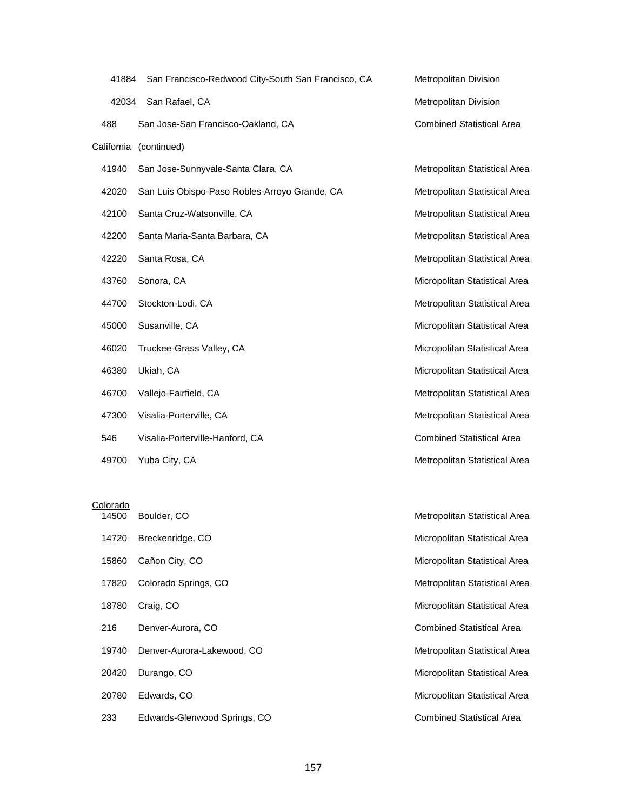| 41884             | San Francisco-Redwood City-South San Francisco, CA | <b>Metropolitan Division</b>     |
|-------------------|----------------------------------------------------|----------------------------------|
| 42034             | San Rafael, CA                                     | Metropolitan Division            |
| 488               | San Jose-San Francisco-Oakland, CA                 | <b>Combined Statistical Area</b> |
| <b>California</b> | (continued)                                        |                                  |
| 41940             | San Jose-Sunnyvale-Santa Clara, CA                 | Metropolitan Statistical Area    |
| 42020             | San Luis Obispo-Paso Robles-Arroyo Grande, CA      | Metropolitan Statistical Area    |
| 42100             | Santa Cruz-Watsonville, CA                         | Metropolitan Statistical Area    |
| 42200             | Santa Maria-Santa Barbara, CA                      | Metropolitan Statistical Area    |
| 42220             | Santa Rosa, CA                                     | Metropolitan Statistical Area    |
| 43760             | Sonora, CA                                         | Micropolitan Statistical Area    |
| 44700             | Stockton-Lodi, CA                                  | Metropolitan Statistical Area    |
| 45000             | Susanville, CA                                     | Micropolitan Statistical Area    |
| 46020             | Truckee-Grass Valley, CA                           | Micropolitan Statistical Area    |
| 46380             | Ukiah, CA                                          | Micropolitan Statistical Area    |
| 46700             | Vallejo-Fairfield, CA                              | Metropolitan Statistical Area    |
| 47300             | Visalia-Porterville, CA                            | Metropolitan Statistical Area    |
| 546               | Visalia-Porterville-Hanford, CA                    | <b>Combined Statistical Area</b> |
| 49700             | Yuba City, CA                                      | Metropolitan Statistical Area    |

## Colorado

| 14500 | Boulder, CO                  | Metropolitan Statistical Area    |
|-------|------------------------------|----------------------------------|
| 14720 | Breckenridge, CO             | Micropolitan Statistical Area    |
| 15860 | Cañon City, CO               | Micropolitan Statistical Area    |
| 17820 | Colorado Springs, CO         | Metropolitan Statistical Area    |
| 18780 | Craig, CO                    | Micropolitan Statistical Area    |
| 216   | Denver-Aurora, CO            | <b>Combined Statistical Area</b> |
| 19740 | Denver-Aurora-Lakewood, CO   | Metropolitan Statistical Area    |
| 20420 | Durango, CO                  | Micropolitan Statistical Area    |
| 20780 | Edwards, CO                  | Micropolitan Statistical Area    |
| 233   | Edwards-Glenwood Springs, CO | <b>Combined Statistical Area</b> |
|       |                              |                                  |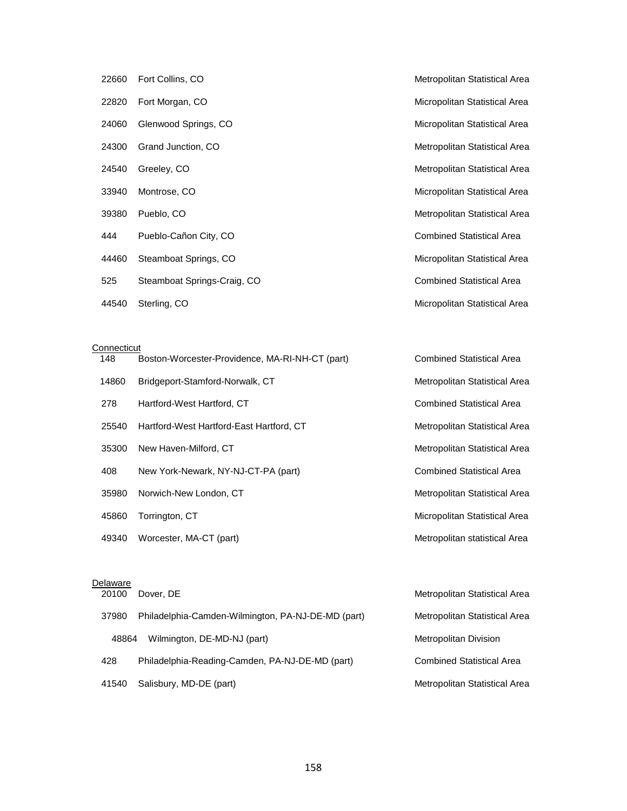|       | 22660 Fort Collins, CO      |
|-------|-----------------------------|
|       | 22820 Fort Morgan, CO       |
| 24060 | Glenwood Springs, CO        |
|       | 24300 Grand Junction, CO    |
| 24540 | Greeley, CO                 |
|       | 33940 Montrose, CO          |
|       | 39380 Pueblo, CO            |
| 444   | Pueblo-Cañon City, CO       |
| 44460 | Steamboat Springs, CO       |
| 525   | Steamboat Springs-Craig, CO |
| 44540 | Sterling, CO                |

**Connecticut** 

| 148   | Boston-Worcester-Providence, MA-RI-NH-CT (part) | <b>Combined Statistical Area</b>     |
|-------|-------------------------------------------------|--------------------------------------|
| 14860 | Bridgeport-Stamford-Norwalk, CT                 | <b>Metropolitan Statistical Area</b> |
| 278   | Hartford-West Hartford, CT                      | <b>Combined Statistical Area</b>     |
| 25540 | Hartford-West Hartford-East Hartford, CT        | <b>Metropolitan Statistical Area</b> |
| 35300 | New Haven-Milford, CT                           | Metropolitan Statistical Area        |
| 408   | New York-Newark, NY-NJ-CT-PA (part)             | <b>Combined Statistical Area</b>     |
| 35980 | Norwich-New London, CT                          | Metropolitan Statistical Area        |
| 45860 | Torrington, CT                                  | Micropolitan Statistical Area        |
| 49340 | Worcester, MA-CT (part)                         | Metropolitan statistical Area        |

Metropolitan Statistical Area

Micropolitan Statistical Area

Micropolitan Statistical Area

Metropolitan Statistical Area

Metropolitan Statistical Area

Micropolitan Statistical Area

Metropolitan Statistical Area

Combined Statistical Area

Micropolitan Statistical Area

Combined Statistical Area

Micropolitan Statistical Area

# Delaware

| 20100 | Dover, DE                                          | Metropolitan Statistical Area        |
|-------|----------------------------------------------------|--------------------------------------|
| 37980 | Philadelphia-Camden-Wilmington, PA-NJ-DE-MD (part) | <b>Metropolitan Statistical Area</b> |
| 48864 | Wilmington, DE-MD-NJ (part)                        | Metropolitan Division                |
| 428   | Philadelphia-Reading-Camden, PA-NJ-DE-MD (part)    | <b>Combined Statistical Area</b>     |
| 41540 | Salisbury, MD-DE (part)                            | <b>Metropolitan Statistical Area</b> |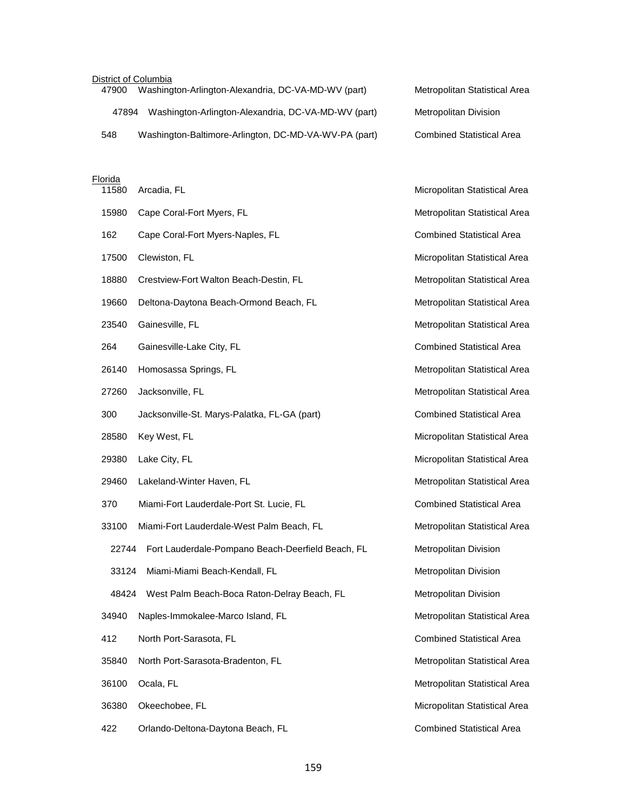### District of Columbia

| Washington-Arlington-Alexandria, DC-VA-MD-WV (part)<br>47900 | Metropolitan Statistical Area    |
|--------------------------------------------------------------|----------------------------------|
| Washington-Arlington-Alexandria, DC-VA-MD-WV (part)<br>47894 | Metropolitan Division            |
| Washington-Baltimore-Arlington, DC-MD-VA-WV-PA (part)<br>548 | <b>Combined Statistical Area</b> |

#### Florida

| 11580 | Arcadia, FL                                       | Micropolitan Statistical Area    |
|-------|---------------------------------------------------|----------------------------------|
| 15980 | Cape Coral-Fort Myers, FL                         | Metropolitan Statistical Area    |
| 162   | Cape Coral-Fort Myers-Naples, FL                  | <b>Combined Statistical Area</b> |
| 17500 | Clewiston, FL                                     | Micropolitan Statistical Area    |
| 18880 | Crestview-Fort Walton Beach-Destin, FL            | Metropolitan Statistical Area    |
| 19660 | Deltona-Daytona Beach-Ormond Beach, FL            | Metropolitan Statistical Area    |
| 23540 | Gainesville, FL                                   | Metropolitan Statistical Area    |
| 264   | Gainesville-Lake City, FL                         | <b>Combined Statistical Area</b> |
| 26140 | Homosassa Springs, FL                             | Metropolitan Statistical Area    |
| 27260 | Jacksonville, FL                                  | Metropolitan Statistical Area    |
| 300   | Jacksonville-St. Marys-Palatka, FL-GA (part)      | <b>Combined Statistical Area</b> |
| 28580 | Key West, FL                                      | Micropolitan Statistical Area    |
| 29380 | Lake City, FL                                     | Micropolitan Statistical Area    |
| 29460 | Lakeland-Winter Haven, FL                         | Metropolitan Statistical Area    |
| 370   | Miami-Fort Lauderdale-Port St. Lucie, FL          | <b>Combined Statistical Area</b> |
| 33100 | Miami-Fort Lauderdale-West Palm Beach, FL         | Metropolitan Statistical Area    |
| 22744 | Fort Lauderdale-Pompano Beach-Deerfield Beach, FL | Metropolitan Division            |
| 33124 | Miami-Miami Beach-Kendall, FL                     | Metropolitan Division            |
| 48424 | West Palm Beach-Boca Raton-Delray Beach, FL       | Metropolitan Division            |
| 34940 | Naples-Immokalee-Marco Island, FL                 | Metropolitan Statistical Area    |
| 412   | North Port-Sarasota, FL                           | <b>Combined Statistical Area</b> |
| 35840 | North Port-Sarasota-Bradenton, FL                 | Metropolitan Statistical Area    |
| 36100 | Ocala, FL                                         | Metropolitan Statistical Area    |
| 36380 | Okeechobee, FL                                    | Micropolitan Statistical Area    |
| 422   | Orlando-Deltona-Daytona Beach, FL                 | <b>Combined Statistical Area</b> |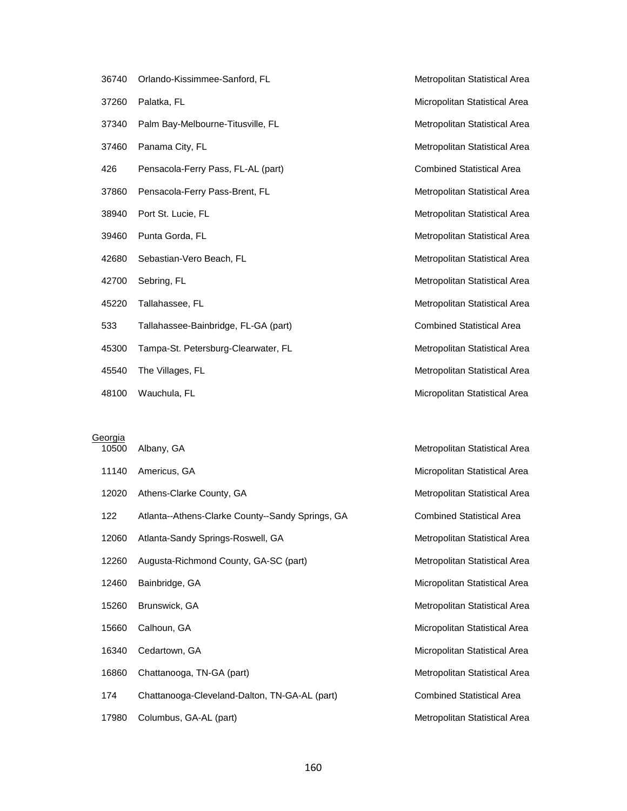| 36740 | Orlando-Kissimmee-Sanford, FL        | Metropolitan Statistical Area    |
|-------|--------------------------------------|----------------------------------|
| 37260 | Palatka, FL                          | Micropolitan Statistical Area    |
| 37340 | Palm Bay-Melbourne-Titusville, FL    | Metropolitan Statistical Area    |
| 37460 | Panama City, FL                      | Metropolitan Statistical Area    |
| 426   | Pensacola-Ferry Pass, FL-AL (part)   | <b>Combined Statistical Area</b> |
| 37860 | Pensacola-Ferry Pass-Brent, FL       | Metropolitan Statistical Area    |
| 38940 | Port St. Lucie, FL                   | Metropolitan Statistical Area    |
| 39460 | Punta Gorda, FL                      | Metropolitan Statistical Area    |
| 42680 | Sebastian-Vero Beach, FL             | Metropolitan Statistical Area    |
| 42700 | Sebring, FL                          | Metropolitan Statistical Area    |
| 45220 | Tallahassee, FL                      | Metropolitan Statistical Area    |
| 533   | Tallahassee-Bainbridge, FL-GA (part) | <b>Combined Statistical Area</b> |
| 45300 | Tampa-St. Petersburg-Clearwater, FL  | Metropolitan Statistical Area    |
| 45540 | The Villages, FL                     | Metropolitan Statistical Area    |
|       |                                      |                                  |

48100 Wauchula, FL **Micropolitan Statistical Area** 

## **Georgia**

| 10500 | Albany, GA                                       | Metropolitan Statistical Area        |
|-------|--------------------------------------------------|--------------------------------------|
| 11140 | Americus, GA                                     | Micropolitan Statistical Area        |
| 12020 | Athens-Clarke County, GA                         | <b>Metropolitan Statistical Area</b> |
| 122   | Atlanta--Athens-Clarke County--Sandy Springs, GA | <b>Combined Statistical Area</b>     |
| 12060 | Atlanta-Sandy Springs-Roswell, GA                | <b>Metropolitan Statistical Area</b> |
| 12260 | Augusta-Richmond County, GA-SC (part)            | Metropolitan Statistical Area        |
| 12460 | Bainbridge, GA                                   | Micropolitan Statistical Area        |
| 15260 | Brunswick, GA                                    | Metropolitan Statistical Area        |
| 15660 | Calhoun, GA                                      | Micropolitan Statistical Area        |
| 16340 | Cedartown, GA                                    | Micropolitan Statistical Area        |
| 16860 | Chattanooga, TN-GA (part)                        | Metropolitan Statistical Area        |
| 174   | Chattanooga-Cleveland-Dalton, TN-GA-AL (part)    | <b>Combined Statistical Area</b>     |
| 17980 | Columbus, GA-AL (part)                           | Metropolitan Statistical Area        |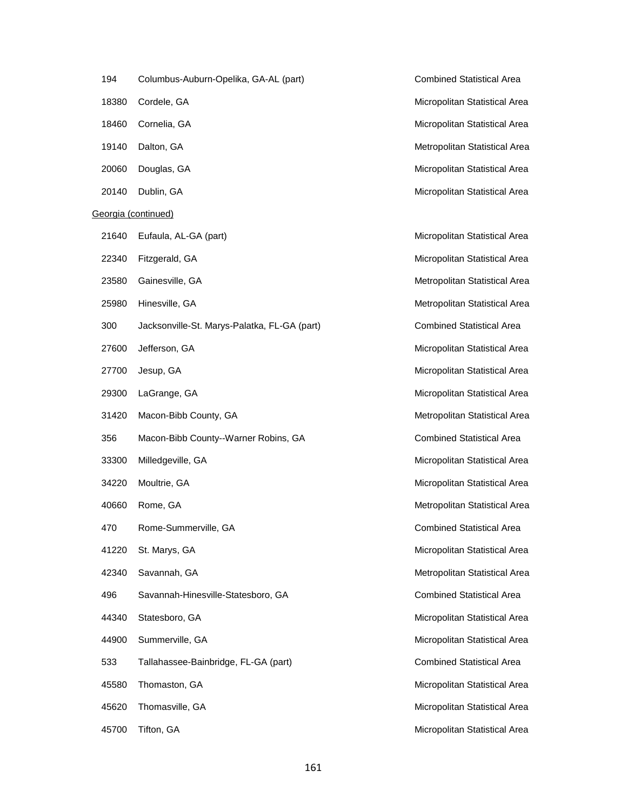| 194   | Columbus-Auburn-Opelika, GA-AL (     |
|-------|--------------------------------------|
| 18380 | Cordele, GA                          |
|       | 18460 Cornelia, GA                   |
|       | 19140 Dalton, GA                     |
| 20060 | Douglas, GA                          |
|       | 20140 Dublin, GA                     |
|       | Georgia (continued)                  |
| 21640 | Eufaula, AL-GA (part)                |
|       | 22340 Fitzgerald, GA                 |
| 23580 | Gainesville, GA                      |
| 25980 | Hinesville, GA                       |
| 300   | Jacksonville-St. Marys-Palatka, FL-C |
|       | 27600 Jefferson, GA                  |
|       | 27700 Jesup, GA                      |
|       | 29300 LaGrange, GA                   |
| 31420 | Macon-Bibb County, GA                |
| 356   | Macon-Bibb County--Warner Robins     |
| 33300 | Milledgeville, GA                    |
| 34220 | Moultrie, GA                         |
| 40660 | Rome, GA                             |
| 470   | Rome-Summerville, GA                 |
|       | 41220 St. Marys, GA                  |
|       | 42340 Savannah, GA                   |
| 496   | Savannah-Hinesville-Statesboro, GA   |
|       | 44340 Statesboro, GA                 |
|       | 44900 Summerville, GA                |
| 533   | Tallahassee-Bainbridge, FL-GA (par   |
| 45580 | Thomaston, GA                        |
|       | 45620 Thomasville, GA                |
| 45700 | Tifton, GA                           |
|       |                                      |

194 part) Combined Statistical Area Micropolitan Statistical Area Micropolitan Statistical Area Metropolitan Statistical Area Micropolitan Statistical Area Micropolitan Statistical Area

Micropolitan Statistical Area Micropolitan Statistical Area Metropolitan Statistical Area Metropolitan Statistical Area 300 Gart) **Combined Statistical Area** Micropolitan Statistical Area Micropolitan Statistical Area Micropolitan Statistical Area Metropolitan Statistical Area 356 S. GA Combined Statistical Area Micropolitan Statistical Area Micropolitan Statistical Area Metropolitan Statistical Area Combined Statistical Area Micropolitan Statistical Area Metropolitan Statistical Area Combined Statistical Area Micropolitan Statistical Area Micropolitan Statistical Area 533 Tallahasseed-Bainbridge, FL-Gainbridge, FL-Gainbridge, FL-Gainbridge, FL-Gainbridge, FL-Gainbridge, FL-Gainbridge, FL-Gainbridge, FL-Gainbridge, FL-Gainbridge, FL-Gainbridge, FL-Gainbridge, FL-Gainbridge, FL-Gainbridge Micropolitan Statistical Area Micropolitan Statistical Area Micropolitan Statistical Area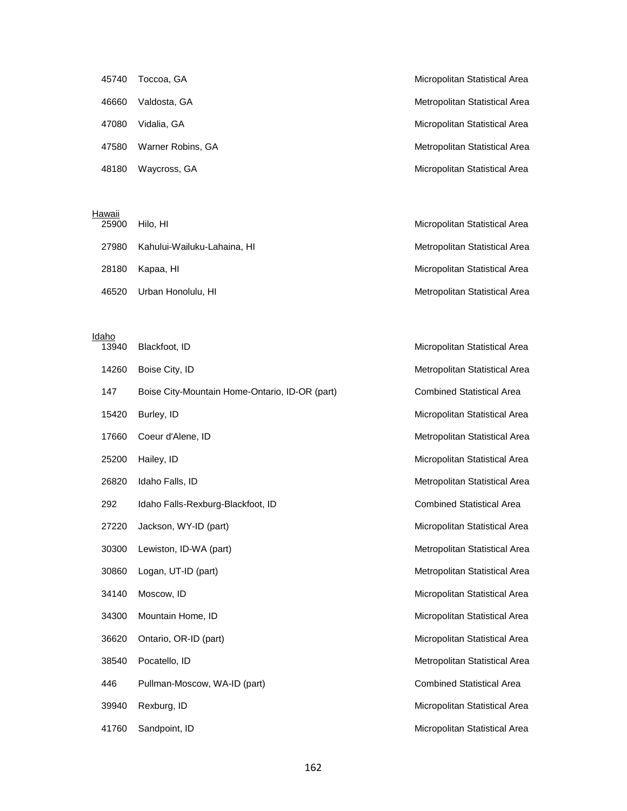| 45740 | Toccoa, GA        | Micropolitan Statistical Area |
|-------|-------------------|-------------------------------|
| 46660 | Valdosta, GA      | Metropolitan Statistical Area |
| 47080 | Vidalia, GA       | Micropolitan Statistical Area |
| 47580 | Warner Robins, GA | Metropolitan Statistical Area |
| 48180 | Waycross, GA      | Micropolitan Statistical Area |

#### **Hawaii**

| 25900 | Hilo. HI                    | Micropolitan Statistical Area |
|-------|-----------------------------|-------------------------------|
| 27980 | Kahului-Wailuku-Lahaina, HI | Metropolitan Statistical Area |
| 28180 | Kapaa. HI                   | Micropolitan Statistical Area |
| 46520 | Urban Honolulu, HI          | Metropolitan Statistical Area |

#### Idaho

| 13940 | Blackfoot, ID                                  | Micropolitan Statistical Area    |
|-------|------------------------------------------------|----------------------------------|
| 14260 | Boise City, ID                                 | Metropolitan Statistical Area    |
| 147   | Boise City-Mountain Home-Ontario, ID-OR (part) | <b>Combined Statistical Area</b> |
| 15420 | Burley, ID                                     | Micropolitan Statistical Area    |
| 17660 | Coeur d'Alene, ID                              | Metropolitan Statistical Area    |
| 25200 | Hailey, ID                                     | Micropolitan Statistical Area    |
| 26820 | Idaho Falls, ID                                | Metropolitan Statistical Area    |
| 292   | Idaho Falls-Rexburg-Blackfoot, ID              | <b>Combined Statistical Area</b> |
| 27220 | Jackson, WY-ID (part)                          | Micropolitan Statistical Area    |
| 30300 | Lewiston, ID-WA (part)                         | Metropolitan Statistical Area    |
| 30860 | Logan, UT-ID (part)                            | Metropolitan Statistical Area    |
| 34140 | Moscow, ID                                     | Micropolitan Statistical Area    |
| 34300 | Mountain Home, ID                              | Micropolitan Statistical Area    |
| 36620 | Ontario, OR-ID (part)                          | Micropolitan Statistical Area    |
| 38540 | Pocatello, ID                                  | Metropolitan Statistical Area    |
| 446   | Pullman-Moscow, WA-ID (part)                   | <b>Combined Statistical Area</b> |
| 39940 | Rexburg, ID                                    | Micropolitan Statistical Area    |
| 41760 | Sandpoint, ID                                  | Micropolitan Statistical Area    |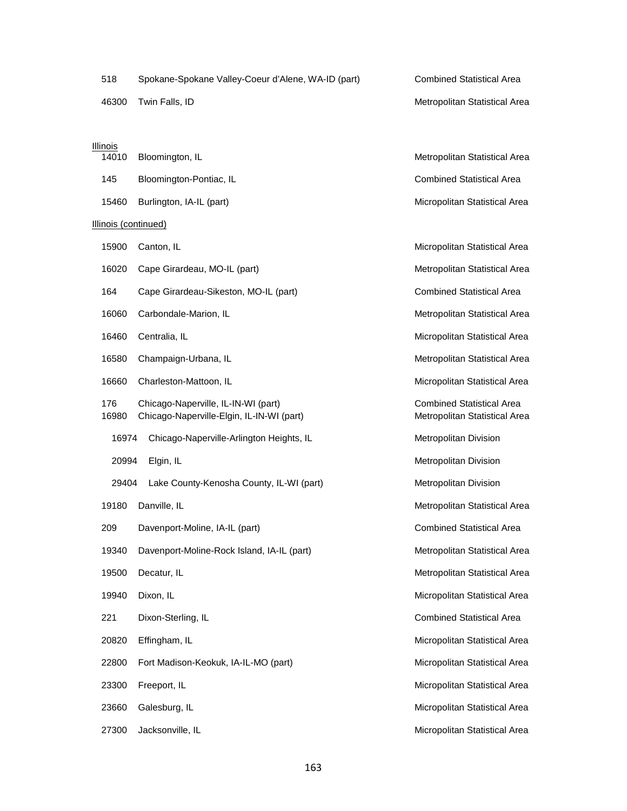| 518                  | Spokane-Spokane Valley-Coeur d'Alene, WA-ID (part)                               | <b>Combined Statistical Area</b>                                  |
|----------------------|----------------------------------------------------------------------------------|-------------------------------------------------------------------|
| 46300                | Twin Falls, ID                                                                   | Metropolitan Statistical Area                                     |
|                      |                                                                                  |                                                                   |
| Illinois<br>14010    | Bloomington, IL                                                                  | Metropolitan Statistical Area                                     |
| 145                  | Bloomington-Pontiac, IL                                                          | <b>Combined Statistical Area</b>                                  |
| 15460                | Burlington, IA-IL (part)                                                         | Micropolitan Statistical Area                                     |
| Illinois (continued) |                                                                                  |                                                                   |
| 15900                | Canton, IL                                                                       | Micropolitan Statistical Area                                     |
| 16020                | Cape Girardeau, MO-IL (part)                                                     | Metropolitan Statistical Area                                     |
| 164                  | Cape Girardeau-Sikeston, MO-IL (part)                                            | <b>Combined Statistical Area</b>                                  |
| 16060                | Carbondale-Marion, IL                                                            | Metropolitan Statistical Area                                     |
| 16460                | Centralia, IL                                                                    | Micropolitan Statistical Area                                     |
| 16580                | Champaign-Urbana, IL                                                             | Metropolitan Statistical Area                                     |
| 16660                | Charleston-Mattoon, IL                                                           | Micropolitan Statistical Area                                     |
| 176<br>16980         | Chicago-Naperville, IL-IN-WI (part)<br>Chicago-Naperville-Elgin, IL-IN-WI (part) | <b>Combined Statistical Area</b><br>Metropolitan Statistical Area |
| 16974                | Chicago-Naperville-Arlington Heights, IL                                         | Metropolitan Division                                             |
| 20994                | Elgin, IL                                                                        | Metropolitan Division                                             |
| 29404                | Lake County-Kenosha County, IL-WI (part)                                         | Metropolitan Division                                             |
| 19180                | Danville, IL                                                                     | Metropolitan Statistical Area                                     |
| 209                  | Davenport-Moline, IA-IL (part)                                                   | <b>Combined Statistical Area</b>                                  |
| 19340                | Davenport-Moline-Rock Island, IA-IL (part)                                       | Metropolitan Statistical Area                                     |
| 19500                | Decatur, IL                                                                      | Metropolitan Statistical Area                                     |
| 19940                | Dixon, IL                                                                        | Micropolitan Statistical Area                                     |
| 221                  | Dixon-Sterling, IL                                                               | <b>Combined Statistical Area</b>                                  |
| 20820                | Effingham, IL                                                                    | Micropolitan Statistical Area                                     |
| 22800                | Fort Madison-Keokuk, IA-IL-MO (part)                                             | Micropolitan Statistical Area                                     |
| 23300                | Freeport, IL                                                                     | Micropolitan Statistical Area                                     |
| 23660                | Galesburg, IL                                                                    | Micropolitan Statistical Area                                     |
| 27300                | Jacksonville, IL                                                                 | Micropolitan Statistical Area                                     |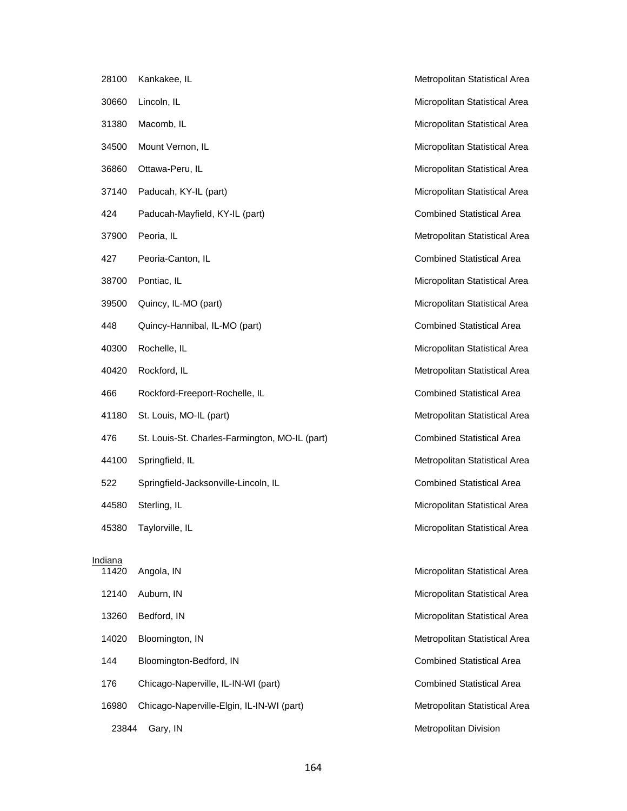| 28100            | Kankakee, IL                                   | Metropolitan Statistical Area    |
|------------------|------------------------------------------------|----------------------------------|
| 30660            | Lincoln, IL                                    | Micropolitan Statistical Area    |
| 31380            | Macomb, IL                                     | Micropolitan Statistical Area    |
| 34500            | Mount Vernon, IL                               | Micropolitan Statistical Area    |
| 36860            | Ottawa-Peru, IL                                | Micropolitan Statistical Area    |
| 37140            | Paducah, KY-IL (part)                          | Micropolitan Statistical Area    |
| 424              | Paducah-Mayfield, KY-IL (part)                 | <b>Combined Statistical Area</b> |
| 37900            | Peoria, IL                                     | Metropolitan Statistical Area    |
| 427              | Peoria-Canton, IL                              | <b>Combined Statistical Area</b> |
| 38700            | Pontiac, IL                                    | Micropolitan Statistical Area    |
| 39500            | Quincy, IL-MO (part)                           | Micropolitan Statistical Area    |
| 448              | Quincy-Hannibal, IL-MO (part)                  | <b>Combined Statistical Area</b> |
| 40300            | Rochelle, IL                                   | Micropolitan Statistical Area    |
| 40420            | Rockford, IL                                   | Metropolitan Statistical Area    |
| 466              | Rockford-Freeport-Rochelle, IL                 | <b>Combined Statistical Area</b> |
| 41180            | St. Louis, MO-IL (part)                        | Metropolitan Statistical Area    |
| 476              | St. Louis-St. Charles-Farmington, MO-IL (part) | <b>Combined Statistical Area</b> |
| 44100            | Springfield, IL                                | Metropolitan Statistical Area    |
| 522              | Springfield-Jacksonville-Lincoln, IL           | <b>Combined Statistical Area</b> |
| 44580            | Sterling, IL                                   | Micropolitan Statistical Area    |
| 45380            | Taylorville, IL                                | Micropolitan Statistical Area    |
|                  |                                                |                                  |
| Indiana<br>11420 | Angola, IN                                     | Micropolitan Statistical Area    |
| 12140            | Auburn, IN                                     | Micropolitan Statistical Area    |
| 13260            | Bedford, IN                                    | Micropolitan Statistical Area    |
| 14020            | Bloomington, IN                                | Metropolitan Statistical Area    |
| 144              | Bloomington-Bedford, IN                        | <b>Combined Statistical Area</b> |
| 176              | Chicago-Naperville, IL-IN-WI (part)            | <b>Combined Statistical Area</b> |
| 16980            | Chicago-Naperville-Elgin, IL-IN-WI (part)      | Metropolitan Statistical Area    |
| 23844            | Gary, IN                                       | Metropolitan Division            |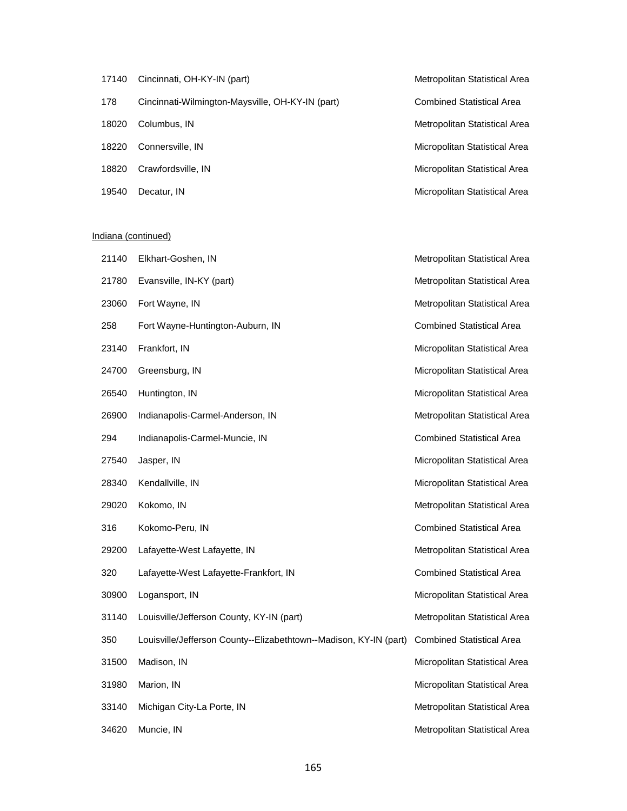| 17140 | Cincinnati, OH-KY-IN (part)                      | Metropolitan Statistical Area    |
|-------|--------------------------------------------------|----------------------------------|
| 178   | Cincinnati-Wilmington-Maysville, OH-KY-IN (part) | <b>Combined Statistical Area</b> |
| 18020 | Columbus, IN                                     | Metropolitan Statistical Area    |
| 18220 | Connersville, IN                                 | Micropolitan Statistical Area    |
| 18820 | Crawfordsville, IN                               | Micropolitan Statistical Area    |
| 19540 | Decatur, IN                                      | Micropolitan Statistical Area    |

### Indiana (continued)

| 21140 | Elkhart-Goshen, IN                                                | Metropolitan Statistical Area    |
|-------|-------------------------------------------------------------------|----------------------------------|
| 21780 | Evansville, IN-KY (part)                                          | Metropolitan Statistical Area    |
| 23060 | Fort Wayne, IN                                                    | Metropolitan Statistical Area    |
| 258   | Fort Wayne-Huntington-Auburn, IN                                  | <b>Combined Statistical Area</b> |
| 23140 | Frankfort, IN                                                     | Micropolitan Statistical Area    |
| 24700 | Greensburg, IN                                                    | Micropolitan Statistical Area    |
| 26540 | Huntington, IN                                                    | Micropolitan Statistical Area    |
| 26900 | Indianapolis-Carmel-Anderson, IN                                  | Metropolitan Statistical Area    |
| 294   | Indianapolis-Carmel-Muncie, IN                                    | <b>Combined Statistical Area</b> |
| 27540 | Jasper, IN                                                        | Micropolitan Statistical Area    |
| 28340 | Kendallville, IN                                                  | Micropolitan Statistical Area    |
| 29020 | Kokomo, IN                                                        | Metropolitan Statistical Area    |
| 316   | Kokomo-Peru, IN                                                   | <b>Combined Statistical Area</b> |
| 29200 | Lafayette-West Lafayette, IN                                      | Metropolitan Statistical Area    |
| 320   | Lafayette-West Lafayette-Frankfort, IN                            | <b>Combined Statistical Area</b> |
| 30900 | Logansport, IN                                                    | Micropolitan Statistical Area    |
| 31140 | Louisville/Jefferson County, KY-IN (part)                         | Metropolitan Statistical Area    |
| 350   | Louisville/Jefferson County--Elizabethtown--Madison, KY-IN (part) | <b>Combined Statistical Area</b> |
| 31500 | Madison, IN                                                       | Micropolitan Statistical Area    |
| 31980 | Marion, IN                                                        | Micropolitan Statistical Area    |
| 33140 | Michigan City-La Porte, IN                                        | Metropolitan Statistical Area    |
| 34620 | Muncie, IN                                                        | Metropolitan Statistical Area    |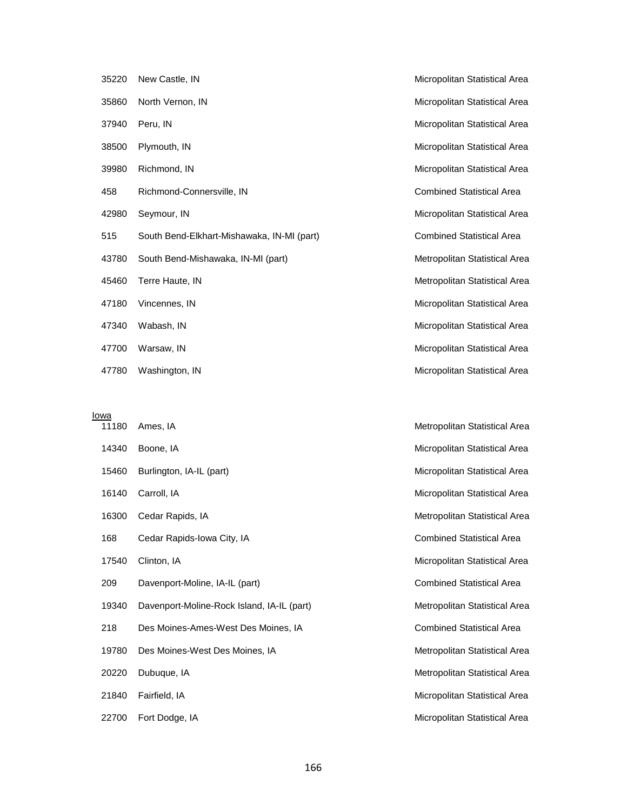| 35220 | New Castle, IN                             | Micropolitan Statistical Area    |
|-------|--------------------------------------------|----------------------------------|
| 35860 | North Vernon, IN                           | Micropolitan Statistical Area    |
| 37940 | Peru, IN                                   | Micropolitan Statistical Area    |
| 38500 | Plymouth, IN                               | Micropolitan Statistical Area    |
| 39980 | Richmond, IN                               | Micropolitan Statistical Area    |
| 458   | Richmond-Connersville, IN                  | <b>Combined Statistical Area</b> |
| 42980 | Seymour, IN                                | Micropolitan Statistical Area    |
| 515   | South Bend-Elkhart-Mishawaka, IN-MI (part) | <b>Combined Statistical Area</b> |
| 43780 | South Bend-Mishawaka, IN-MI (part)         | Metropolitan Statistical Area    |
| 45460 | Terre Haute, IN                            | Metropolitan Statistical Area    |
| 47180 | Vincennes, IN                              | Micropolitan Statistical Area    |
| 47340 | Wabash, IN                                 | Micropolitan Statistical Area    |
| 47700 | Warsaw, IN                                 | Micropolitan Statistical Area    |
| 47780 | Washington, IN                             | Micropolitan Statistical Area    |

Iowa

|       | 11180 Ames, IA                             |
|-------|--------------------------------------------|
| 14340 | Boone, IA                                  |
| 15460 | Burlington, IA-IL (part)                   |
|       | 16140 Carroll, IA                          |
| 16300 | Cedar Rapids, IA                           |
| 168   | Cedar Rapids-Iowa City, IA                 |
| 17540 | Clinton, IA                                |
| 209   | Davenport-Moline, IA-IL (part)             |
| 19340 | Davenport-Moline-Rock Island, IA-IL (part) |
| 218   | Des Moines-Ames-West Des Moines, IA        |
| 19780 | Des Moines-West Des Moines, IA             |
| 20220 | Dubuque, IA                                |
|       | 21840 Fairfield, IA                        |
| 22700 | Fort Dodge, IA                             |

Metropolitan Statistical Area Micropolitan Statistical Area Micropolitan Statistical Area Micropolitan Statistical Area Metropolitan Statistical Area Combined Statistical Area Micropolitan Statistical Area Combined Statistical Area Metropolitan Statistical Area **Combined Statistical Area** Metropolitan Statistical Area Metropolitan Statistical Area Micropolitan Statistical Area Micropolitan Statistical Area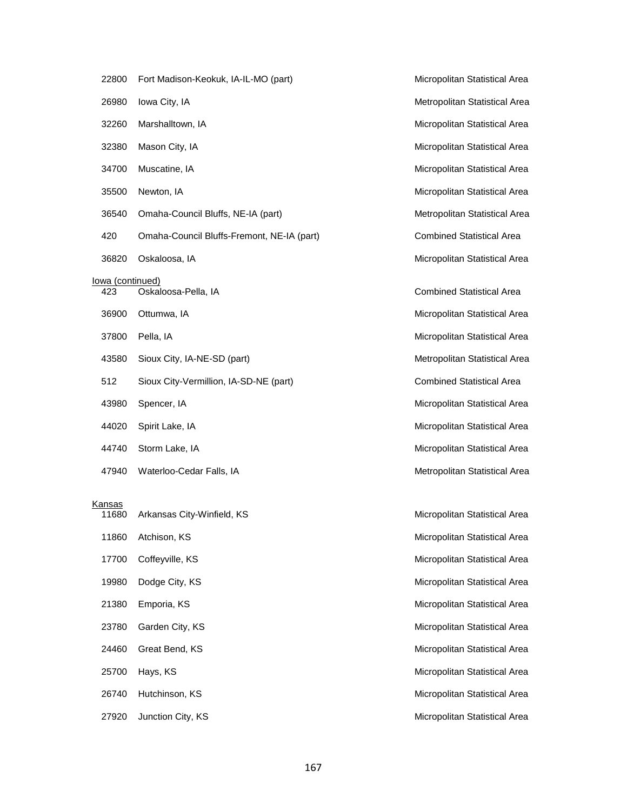| 22800                          | Fort Madison-Keokuk, IA-IL-MO (part)       | Micropolitan Statistical Area    |
|--------------------------------|--------------------------------------------|----------------------------------|
| 26980                          | Iowa City, IA                              | Metropolitan Statistical Area    |
| 32260                          | Marshalltown, IA                           | Micropolitan Statistical Area    |
| 32380                          | Mason City, IA                             | Micropolitan Statistical Area    |
| 34700                          | Muscatine, IA                              | Micropolitan Statistical Area    |
| 35500                          | Newton, IA                                 | Micropolitan Statistical Area    |
| 36540                          | Omaha-Council Bluffs, NE-IA (part)         | Metropolitan Statistical Area    |
| 420                            | Omaha-Council Bluffs-Fremont, NE-IA (part) | <b>Combined Statistical Area</b> |
| 36820                          | Oskaloosa, IA                              | Micropolitan Statistical Area    |
| <u>lowa (continued)</u><br>423 | Oskaloosa-Pella, IA                        | <b>Combined Statistical Area</b> |
|                                |                                            |                                  |
| 36900                          | Ottumwa, IA                                | Micropolitan Statistical Area    |
| 37800                          | Pella, IA                                  | Micropolitan Statistical Area    |
| 43580                          | Sioux City, IA-NE-SD (part)                | Metropolitan Statistical Area    |
| 512                            | Sioux City-Vermillion, IA-SD-NE (part)     | <b>Combined Statistical Area</b> |
| 43980                          | Spencer, IA                                | Micropolitan Statistical Area    |
| 44020                          | Spirit Lake, IA                            | Micropolitan Statistical Area    |
| 44740                          | Storm Lake, IA                             | Micropolitan Statistical Area    |
| 47940                          | Waterloo-Cedar Falls, IA                   | Metropolitan Statistical Area    |
|                                |                                            |                                  |
| <u>Kansas</u><br>11680         | Arkansas City-Winfield, KS                 | Micropolitan Statistical Area    |
| 11860                          | Atchison, KS                               | Micropolitan Statistical Area    |
| 17700                          | Coffeyville, KS                            | Micropolitan Statistical Area    |
| 19980                          | Dodge City, KS                             | Micropolitan Statistical Area    |
| 21380                          | Emporia, KS                                | Micropolitan Statistical Area    |
| 23780                          | Garden City, KS                            | Micropolitan Statistical Area    |
| 24460                          | Great Bend, KS                             | Micropolitan Statistical Area    |
| 25700                          | Hays, KS                                   | Micropolitan Statistical Area    |
| 26740                          | Hutchinson, KS                             | Micropolitan Statistical Area    |
|                                |                                            |                                  |

27920 Junction City, KS **Micropolitan Statistical Area** Micropolitan Statistical Area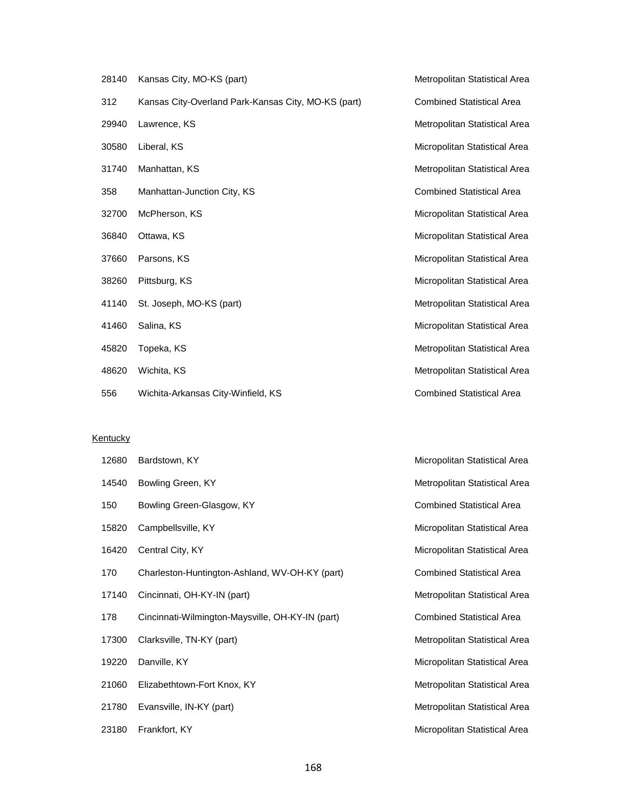| 28140 | Kansas City, MO-KS (part)                           | Metropolitan Statistical Area    |
|-------|-----------------------------------------------------|----------------------------------|
| 312   | Kansas City-Overland Park-Kansas City, MO-KS (part) | <b>Combined Statistical Area</b> |
| 29940 | Lawrence, KS                                        | Metropolitan Statistical Area    |
| 30580 | Liberal, KS                                         | Micropolitan Statistical Area    |
| 31740 | Manhattan, KS                                       | Metropolitan Statistical Area    |
| 358   | Manhattan-Junction City, KS                         | <b>Combined Statistical Area</b> |
| 32700 | McPherson, KS                                       | Micropolitan Statistical Area    |
| 36840 | Ottawa, KS                                          | Micropolitan Statistical Area    |
| 37660 | Parsons, KS                                         | Micropolitan Statistical Area    |
| 38260 | Pittsburg, KS                                       | Micropolitan Statistical Area    |
| 41140 | St. Joseph, MO-KS (part)                            | Metropolitan Statistical Area    |
| 41460 | Salina, KS                                          | Micropolitan Statistical Area    |
| 45820 | Topeka, KS                                          | Metropolitan Statistical Area    |
| 48620 | Wichita, KS                                         | Metropolitan Statistical Area    |
| 556   | Wichita-Arkansas City-Winfield, KS                  | <b>Combined Statistical Area</b> |

#### **Kentucky**

| 12680 | Bardstown, KY                                    | Micropolitan Statistical Area    |
|-------|--------------------------------------------------|----------------------------------|
| 14540 | Bowling Green, KY                                | Metropolitan Statistical Area    |
| 150   | Bowling Green-Glasgow, KY                        | <b>Combined Statistical Area</b> |
| 15820 | Campbellsville, KY                               | Micropolitan Statistical Area    |
| 16420 | Central City, KY                                 | Micropolitan Statistical Area    |
| 170   | Charleston-Huntington-Ashland, WV-OH-KY (part)   | <b>Combined Statistical Area</b> |
| 17140 | Cincinnati, OH-KY-IN (part)                      | Metropolitan Statistical Area    |
| 178   | Cincinnati-Wilmington-Maysville, OH-KY-IN (part) | <b>Combined Statistical Area</b> |
| 17300 | Clarksville, TN-KY (part)                        | Metropolitan Statistical Area    |
| 19220 | Danville, KY                                     | Micropolitan Statistical Area    |
| 21060 | Elizabethtown-Fort Knox, KY                      | Metropolitan Statistical Area    |
| 21780 | Evansville, IN-KY (part)                         | Metropolitan Statistical Area    |
| 23180 | Frankfort, KY                                    | Micropolitan Statistical Area    |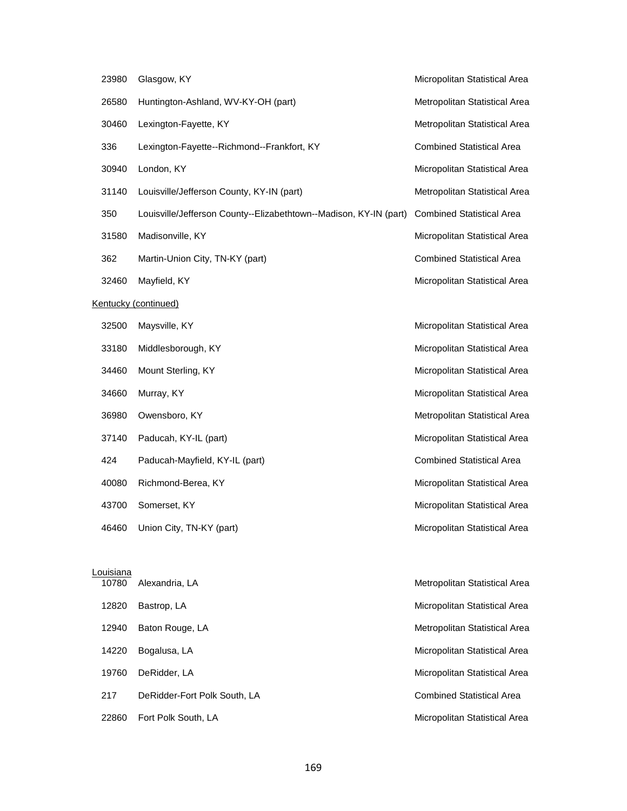| 23980              | Glasgow, KY                                                       | Micropolitan Statistical Area    |
|--------------------|-------------------------------------------------------------------|----------------------------------|
| 26580              | Huntington-Ashland, WV-KY-OH (part)                               | Metropolitan Statistical Area    |
| 30460              | Lexington-Fayette, KY                                             | Metropolitan Statistical Area    |
| 336                | Lexington-Fayette--Richmond--Frankfort, KY                        | <b>Combined Statistical Area</b> |
| 30940              | London, KY                                                        | Micropolitan Statistical Area    |
| 31140              | Louisville/Jefferson County, KY-IN (part)                         | Metropolitan Statistical Area    |
| 350                | Louisville/Jefferson County--Elizabethtown--Madison, KY-IN (part) | <b>Combined Statistical Area</b> |
| 31580              | Madisonville, KY                                                  | Micropolitan Statistical Area    |
| 362                | Martin-Union City, TN-KY (part)                                   | <b>Combined Statistical Area</b> |
| 32460              | Mayfield, KY                                                      | Micropolitan Statistical Area    |
|                    | Kentucky (continued)                                              |                                  |
| 32500              | Maysville, KY                                                     | Micropolitan Statistical Area    |
| 33180              | Middlesborough, KY                                                | Micropolitan Statistical Area    |
| 34460              | Mount Sterling, KY                                                | Micropolitan Statistical Area    |
| 34660              | Murray, KY                                                        | Micropolitan Statistical Area    |
| 36980              | Owensboro, KY                                                     | Metropolitan Statistical Area    |
| 37140              | Paducah, KY-IL (part)                                             | Micropolitan Statistical Area    |
| 424                | Paducah-Mayfield, KY-IL (part)                                    | <b>Combined Statistical Area</b> |
| 40080              | Richmond-Berea, KY                                                | Micropolitan Statistical Area    |
| 43700              | Somerset, KY                                                      | Micropolitan Statistical Area    |
|                    | 46460 Union City, TN-KY (part)                                    | Micropolitan Statistical Area    |
|                    |                                                                   |                                  |
| Louisiana<br>10780 | Alexandria, LA                                                    | Metropolitan Statistical Area    |
| 12820              | Bastrop, LA                                                       | Micropolitan Statistical Area    |
| 12940              | Baton Rouge, LA                                                   | Metropolitan Statistical Area    |
| 14220              | Bogalusa, LA                                                      | Micropolitan Statistical Area    |
|                    |                                                                   |                                  |
| 19760              | DeRidder, LA                                                      | Micropolitan Statistical Area    |

- 217 DeRidder-Fort Polk South, LA Combined Statistical Area
- 22860 Fort Polk South, LA **Micropolitan Statistical Area** Micropolitan Statistical Area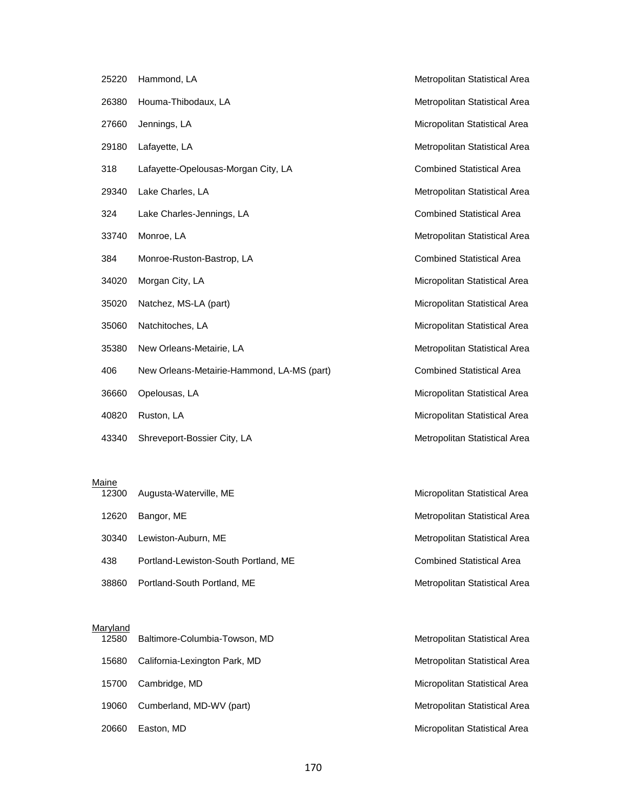| 25220 | Hammond, LA                                | Metropolitan Statistical Area        |
|-------|--------------------------------------------|--------------------------------------|
| 26380 | Houma-Thibodaux, LA                        | Metropolitan Statistical Area        |
| 27660 | Jennings, LA                               | Micropolitan Statistical Area        |
| 29180 | Lafayette, LA                              | Metropolitan Statistical Area        |
| 318   | Lafayette-Opelousas-Morgan City, LA        | <b>Combined Statistical Area</b>     |
| 29340 | Lake Charles, LA                           | Metropolitan Statistical Area        |
| 324   | Lake Charles-Jennings, LA                  | <b>Combined Statistical Area</b>     |
| 33740 | Monroe, LA                                 | Metropolitan Statistical Area        |
| 384   | Monroe-Ruston-Bastrop, LA                  | <b>Combined Statistical Area</b>     |
| 34020 | Morgan City, LA                            | Micropolitan Statistical Area        |
| 35020 | Natchez, MS-LA (part)                      | Micropolitan Statistical Area        |
| 35060 | Natchitoches, LA                           | Micropolitan Statistical Area        |
| 35380 | New Orleans-Metairie, LA                   | <b>Metropolitan Statistical Area</b> |
| 406   | New Orleans-Metairie-Hammond, LA-MS (part) | <b>Combined Statistical Area</b>     |
| 36660 | Opelousas, LA                              | Micropolitan Statistical Area        |
| 40820 | Ruston, LA                                 | Micropolitan Statistical Area        |
| 43340 | Shreveport-Bossier City, LA                | Metropolitan Statistical Area        |

#### <u>Maine</u>

| 12300 | Augusta-Waterville, ME               | Micropolitan Statistical Area    |
|-------|--------------------------------------|----------------------------------|
| 12620 | Bangor, ME                           | Metropolitan Statistical Area    |
| 30340 | Lewiston-Auburn, ME                  | Metropolitan Statistical Area    |
| 438   | Portland-Lewiston-South Portland, ME | <b>Combined Statistical Area</b> |
| 38860 | Portland-South Portland, ME          | Metropolitan Statistical Area    |

#### **Maryland**

| 12580 | Baltimore-Columbia-Towson, MD | Metropolitan Statistical Area |
|-------|-------------------------------|-------------------------------|
| 15680 | California-Lexington Park, MD | Metropolitan Statistical Area |
| 15700 | Cambridge, MD                 | Micropolitan Statistical Area |
| 19060 | Cumberland, MD-WV (part)      | Metropolitan Statistical Area |
| 20660 | Easton, MD                    | Micropolitan Statistical Area |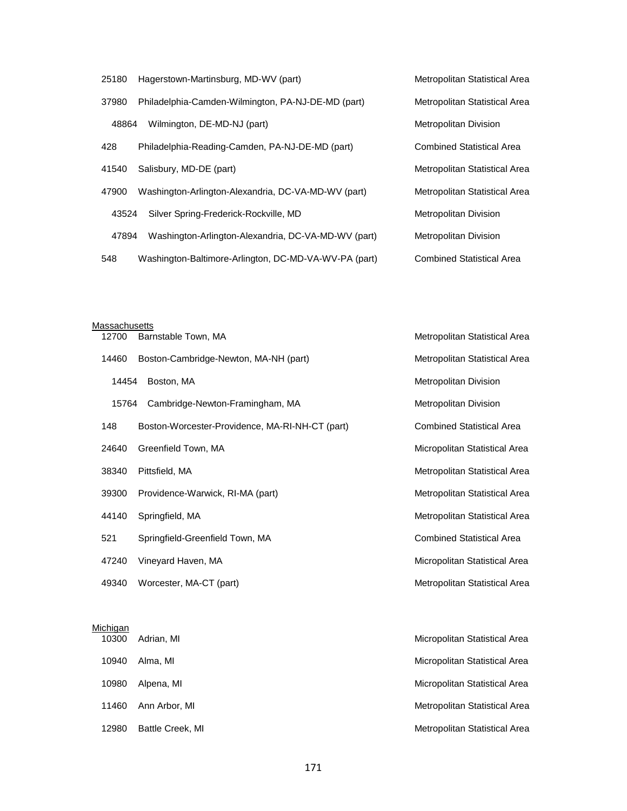| 25180 | Hagerstown-Martinsburg, MD-WV (part)                  | Metropolitan Statistical Area    |
|-------|-------------------------------------------------------|----------------------------------|
| 37980 | Philadelphia-Camden-Wilmington, PA-NJ-DE-MD (part)    | Metropolitan Statistical Area    |
| 48864 | Wilmington, DE-MD-NJ (part)                           | <b>Metropolitan Division</b>     |
| 428   | Philadelphia-Reading-Camden, PA-NJ-DE-MD (part)       | <b>Combined Statistical Area</b> |
| 41540 | Salisbury, MD-DE (part)                               | Metropolitan Statistical Area    |
| 47900 | Washington-Arlington-Alexandria, DC-VA-MD-WV (part)   | Metropolitan Statistical Area    |
| 43524 | Silver Spring-Frederick-Rockville, MD                 | Metropolitan Division            |
| 47894 | Washington-Arlington-Alexandria, DC-VA-MD-WV (part)   | Metropolitan Division            |
| 548   | Washington-Baltimore-Arlington, DC-MD-VA-WV-PA (part) | <b>Combined Statistical Area</b> |

|       | <b>Massachusetts</b>                            |                                  |  |  |
|-------|-------------------------------------------------|----------------------------------|--|--|
| 12700 | Barnstable Town, MA                             | Metropolitan Statistical Area    |  |  |
| 14460 | Boston-Cambridge-Newton, MA-NH (part)           | Metropolitan Statistical Area    |  |  |
| 14454 | Boston, MA                                      | Metropolitan Division            |  |  |
| 15764 | Cambridge-Newton-Framingham, MA                 | Metropolitan Division            |  |  |
| 148   | Boston-Worcester-Providence, MA-RI-NH-CT (part) | <b>Combined Statistical Area</b> |  |  |
| 24640 | Greenfield Town, MA                             | Micropolitan Statistical Area    |  |  |
| 38340 | Pittsfield, MA                                  | Metropolitan Statistical Area    |  |  |
| 39300 | Providence-Warwick, RI-MA (part)                | Metropolitan Statistical Area    |  |  |
| 44140 | Springfield, MA                                 | Metropolitan Statistical Area    |  |  |
| 521   | Springfield-Greenfield Town, MA                 | <b>Combined Statistical Area</b> |  |  |
| 47240 | Vineyard Haven, MA                              | Micropolitan Statistical Area    |  |  |
| 49340 | Worcester, MA-CT (part)                         | Metropolitan Statistical Area    |  |  |

#### **Michigan**

| 10300 | Adrian, MI       | Micropolitan Statistical Area |
|-------|------------------|-------------------------------|
| 10940 | Alma. MI         | Micropolitan Statistical Area |
| 10980 | Alpena, MI       | Micropolitan Statistical Area |
| 11460 | Ann Arbor, MI    | Metropolitan Statistical Area |
| 12980 | Battle Creek, MI | Metropolitan Statistical Area |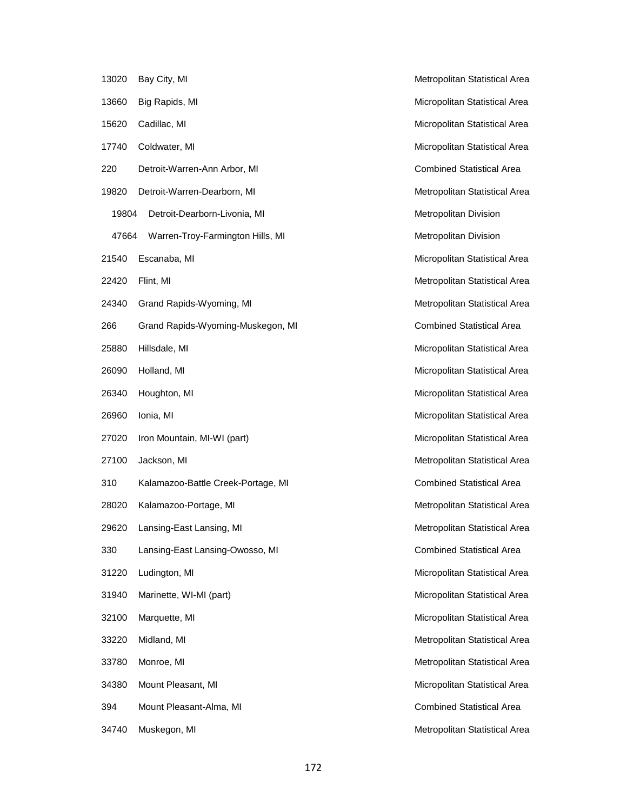| 13020 | Bay City, MI                       | Metropolitan Statistical Area    |
|-------|------------------------------------|----------------------------------|
| 13660 | Big Rapids, MI                     | Micropolitan Statistical Area    |
| 15620 | Cadillac, MI                       | Micropolitan Statistical Area    |
| 17740 | Coldwater, MI                      | Micropolitan Statistical Area    |
| 220   | Detroit-Warren-Ann Arbor, MI       | <b>Combined Statistical Area</b> |
| 19820 | Detroit-Warren-Dearborn, MI        | Metropolitan Statistical Area    |
| 19804 | Detroit-Dearborn-Livonia, MI       | Metropolitan Division            |
| 47664 | Warren-Troy-Farmington Hills, MI   | Metropolitan Division            |
| 21540 | Escanaba, MI                       | Micropolitan Statistical Area    |
| 22420 | Flint, MI                          | Metropolitan Statistical Area    |
| 24340 | Grand Rapids-Wyoming, MI           | Metropolitan Statistical Area    |
| 266   | Grand Rapids-Wyoming-Muskegon, MI  | <b>Combined Statistical Area</b> |
| 25880 | Hillsdale, MI                      | Micropolitan Statistical Area    |
| 26090 | Holland, MI                        | Micropolitan Statistical Area    |
| 26340 | Houghton, MI                       | Micropolitan Statistical Area    |
| 26960 | Ionia, MI                          | Micropolitan Statistical Area    |
| 27020 | Iron Mountain, MI-WI (part)        | Micropolitan Statistical Area    |
| 27100 | Jackson, MI                        | Metropolitan Statistical Area    |
| 310   | Kalamazoo-Battle Creek-Portage, MI | <b>Combined Statistical Area</b> |
| 28020 | Kalamazoo-Portage, MI              | Metropolitan Statistical Area    |
| 29620 | Lansing-East Lansing, MI           | Metropolitan Statistical Area    |
| 330   | Lansing-East Lansing-Owosso, MI    | <b>Combined Statistical Area</b> |
| 31220 | Ludington, MI                      | Micropolitan Statistical Area    |
| 31940 | Marinette, WI-MI (part)            | Micropolitan Statistical Area    |
| 32100 | Marquette, MI                      | Micropolitan Statistical Area    |
| 33220 | Midland, MI                        | Metropolitan Statistical Area    |
| 33780 | Monroe, MI                         | Metropolitan Statistical Area    |
| 34380 | Mount Pleasant, MI                 | Micropolitan Statistical Area    |
| 394   | Mount Pleasant-Alma, MI            | <b>Combined Statistical Area</b> |
| 34740 | Muskegon, MI                       | Metropolitan Statistical Area    |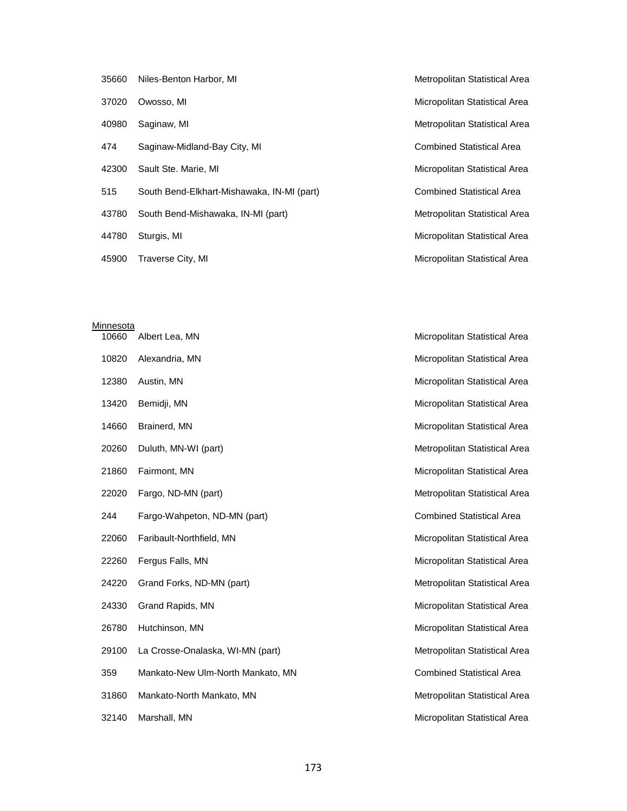| 35660 | Niles-Benton Harbor, MI                    | Metropolitan Statistical Area    |
|-------|--------------------------------------------|----------------------------------|
| 37020 | Owosso, MI                                 | Micropolitan Statistical Area    |
| 40980 | Saginaw, MI                                | Metropolitan Statistical Area    |
| 474   | Saginaw-Midland-Bay City, MI               | <b>Combined Statistical Area</b> |
| 42300 | Sault Ste. Marie, MI                       | Micropolitan Statistical Area    |
| 515   | South Bend-Elkhart-Mishawaka, IN-MI (part) | <b>Combined Statistical Area</b> |
| 43780 | South Bend-Mishawaka, IN-MI (part)         | Metropolitan Statistical Area    |
| 44780 | Sturgis, MI                                | Micropolitan Statistical Area    |
| 45900 | Traverse City, MI                          | Micropolitan Statistical Area    |

| Minnesota |                                   |                                  |
|-----------|-----------------------------------|----------------------------------|
| 10660     | Albert Lea, MN                    | Micropolitan Statistical Area    |
| 10820     | Alexandria, MN                    | Micropolitan Statistical Area    |
| 12380     | Austin, MN                        | Micropolitan Statistical Area    |
| 13420     | Bemidji, MN                       | Micropolitan Statistical Area    |
| 14660     | Brainerd, MN                      | Micropolitan Statistical Area    |
| 20260     | Duluth, MN-WI (part)              | Metropolitan Statistical Area    |
| 21860     | Fairmont, MN                      | Micropolitan Statistical Area    |
| 22020     | Fargo, ND-MN (part)               | Metropolitan Statistical Area    |
| 244       | Fargo-Wahpeton, ND-MN (part)      | <b>Combined Statistical Area</b> |
| 22060     | Faribault-Northfield, MN          | Micropolitan Statistical Area    |
| 22260     | Fergus Falls, MN                  | Micropolitan Statistical Area    |
| 24220     | Grand Forks, ND-MN (part)         | Metropolitan Statistical Area    |
| 24330     | Grand Rapids, MN                  | Micropolitan Statistical Area    |
| 26780     | Hutchinson, MN                    | Micropolitan Statistical Area    |
| 29100     | La Crosse-Onalaska, WI-MN (part)  | Metropolitan Statistical Area    |
| 359       | Mankato-New Ulm-North Mankato, MN | <b>Combined Statistical Area</b> |
| 31860     | Mankato-North Mankato, MN         | Metropolitan Statistical Area    |
|           |                                   |                                  |

32140 Marshall, MN Micropolitan Statistical Area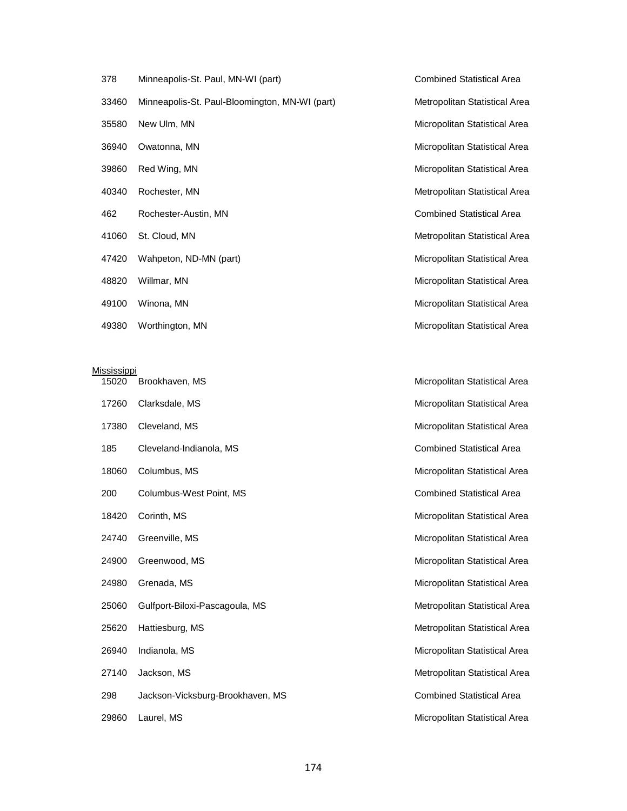| 378   | Minneapolis-St. Paul, MN-WI (part)             |
|-------|------------------------------------------------|
| 33460 | Minneapolis-St. Paul-Bloomington, MN-WI (part) |
| 35580 | New Ulm, MN                                    |
| 36940 | Owatonna, MN                                   |
| 39860 | Red Wing, MN                                   |
| 40340 | Rochester, MN                                  |
| 462   | Rochester-Austin, MN                           |
| 41060 | St. Cloud, MN                                  |
| 47420 | Wahpeton, ND-MN (part)                         |
| 48820 | Willmar, MN                                    |
| 49100 | Winona, MN                                     |
|       |                                                |

**Mississippi** 

Combined Statistical Area Metropolitan Statistical Area Micropolitan Statistical Area Micropolitan Statistical Area Micropolitan Statistical Area Metropolitan Statistical Area Combined Statistical Area Metropolitan Statistical Area Micropolitan Statistical Area Micropolitan Statistical Area Micropolitan Statistical Area

# 15020 Brookhaven, MS **Micropolitan Statistical Area** Micropolitan Statistical Area 17260 Clarksdale, MS **Micropolitan Statistical Area** Micropolitan Statistical Area 17380 Cleveland, MS **Micropolitan Statistical Area** Micropolitan Statistical Area 185 Cleveland-Indianola, MS Combined Statistical Area 18060 Columbus, MS **Micropolitan Statistical Area** Micropolitan Statistical Area 200 Columbus-West Point, MS Combined Statistical Area 18420 Corinth, MS **Micropolitan Statistical Area** Micropolitan Statistical Area 24740 Greenville, MS **Micropolitan Statistical Area** Micropolitan Statistical Area 24900 Greenwood, MS and Statistical Area and Statistical Area and Statistical Area and Micropolitan Statistical Area 24980 Grenada, MS **Micropolitan Statistical Area** 25060 Gulfport-Biloxi-Pascagoula, MS Metropolitan Statistical Area 25620 Hattiesburg, MS **Metropolitan Statistical Area** Metropolitan Statistical Area 26940 Indianola, MS **Micropolitan Statistical Area** Micropolitan Statistical Area 27140 Jackson, MS **Metropolitan Statistical Area** 298 Jackson-Vicksburg-Brookhaven, MS Combined Statistical Area 29860 Laurel, MS **Micropolitan Statistical Area**

49380 Worthington, MN Micropolitan Statistical Area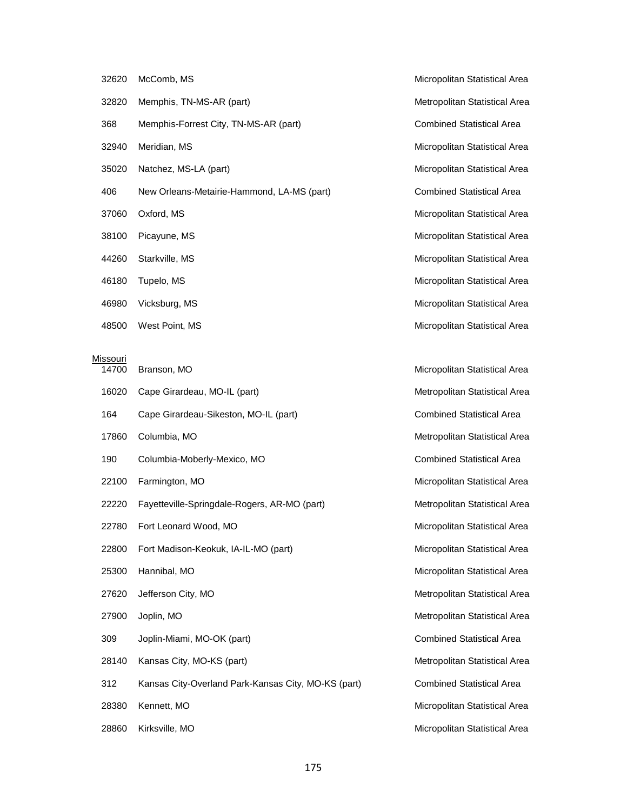- 32620 McComb, MS **Micropolitan Statistical Area** 32820 Memphis, TN-MS-AR (part) Metropolitan Statistical Area 368 Memphis-Forrest City, TN-MS-AR (part) Combined Statistical Area 32940 Meridian, MS **Micropolitan Statistical Area** Micropolitan Statistical Area 35020 Natchez, MS-LA (part) Micropolitan Statistical Area New Orleans-Metairie-Hammond, LA-MS (part) Combined Statistical Area 37060 Oxford, MS and Statistical Area and Statistical Area and Statistical Area and Micropolitan Statistical Area 38100 Picayune, MS **Micropolitan Statistical Area**  Starkville, MS Micropolitan Statistical Area Tupelo, MS Micropolitan Statistical Area 46980 Vicksburg, MS **Micropolitan Statistical Area** Micropolitan Statistical Area
- 

| Missouri<br>14700 | Branson, MO                                         | Micropolitan Statistical Area    |
|-------------------|-----------------------------------------------------|----------------------------------|
|                   |                                                     |                                  |
| 16020             | Cape Girardeau, MO-IL (part)                        | Metropolitan Statistical Area    |
| 164               | Cape Girardeau-Sikeston, MO-IL (part)               | <b>Combined Statistical Area</b> |
| 17860             | Columbia, MO                                        | Metropolitan Statistical Area    |
| 190               | Columbia-Moberly-Mexico, MO                         | <b>Combined Statistical Area</b> |
| 22100             | Farmington, MO                                      | Micropolitan Statistical Area    |
| 22220             | Fayetteville-Springdale-Rogers, AR-MO (part)        | Metropolitan Statistical Area    |
| 22780             | Fort Leonard Wood, MO                               | Micropolitan Statistical Area    |
| 22800             | Fort Madison-Keokuk, IA-IL-MO (part)                | Micropolitan Statistical Area    |
| 25300             | Hannibal, MO                                        | Micropolitan Statistical Area    |
| 27620             | Jefferson City, MO                                  | Metropolitan Statistical Area    |
| 27900             | Joplin, MO                                          | Metropolitan Statistical Area    |
| 309               | Joplin-Miami, MO-OK (part)                          | <b>Combined Statistical Area</b> |
| 28140             | Kansas City, MO-KS (part)                           | Metropolitan Statistical Area    |
| 312               | Kansas City-Overland Park-Kansas City, MO-KS (part) | <b>Combined Statistical Area</b> |
| 28380             | Kennett, MO                                         | Micropolitan Statistical Area    |
| 28860             | Kirksville, MO                                      | Micropolitan Statistical Area    |

48500 West Point, MS **Micropolitan Statistical Area** Micropolitan Statistical Area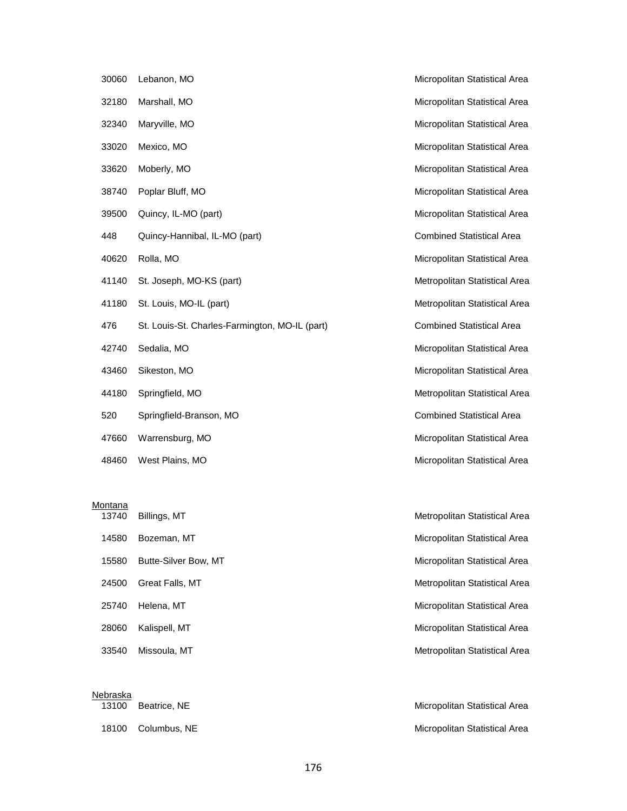| 30060 | Lebanon, MO                                    |
|-------|------------------------------------------------|
| 32180 | Marshall, MO                                   |
| 32340 | Maryville, MO                                  |
| 33020 | Mexico, MO                                     |
| 33620 | Moberly, MO                                    |
| 38740 | Poplar Bluff, MO                               |
| 39500 | Quincy, IL-MO (part)                           |
| 448   | Quincy-Hannibal, IL-MO (part)                  |
| 40620 | Rolla, MO                                      |
| 41140 | St. Joseph, MO-KS (part)                       |
| 41180 | St. Louis, MO-IL (part)                        |
| 476   | St. Louis-St. Charles-Farmington, MO-IL (part) |
| 42740 | Sedalia, MO                                    |
| 43460 | Sikeston, MO                                   |
| 44180 | Springfield, MO                                |
| 520   | Springfield-Branson, MO                        |
| 47660 | Warrensburg, MO                                |

48460 West Plains, MO Micropolitan Statistical Area

# Montana

|       | 1 <i>31</i> 40 DIIIIIQS,IVII |
|-------|------------------------------|
| 14580 | Bozeman, MT                  |
| 15580 | Butte-Silver Bow, M          |
| 24500 | Great Falls, MT              |
| 25740 | Helena, MT                   |
| 28060 | Kalispell, MT                |
| 3354∩ | Missoula MT                  |

| Nebraska<br>13100 | Beatrice, NE |
|-------------------|--------------|
| 18100             | Columbus, N  |

Micropolitan Statistical Area Micropolitan Statistical Area Micropolitan Statistical Area Micropolitan Statistical Area Micropolitan Statistical Area Micropolitan Statistical Area Micropolitan Statistical Area Combined Statistical Area Micropolitan Statistical Area Metropolitan Statistical Area Metropolitan Statistical Area Combined Statistical Area Micropolitan Statistical Area Micropolitan Statistical Area Metropolitan Statistical Area Combined Statistical Area Micropolitan Statistical Area

**13741** Billings, MT Micropolitan Statistical Area 15580 Butter Bow, Micropolitan Statistical Area Metropolitan Statistical Area Micropolitan Statistical Area Micropolitan Statistical Area 33540 Missoula, MT **Metropolitan Statistical Area** Metropolitan Statistical Area

> Micropolitan Statistical Area 1810 E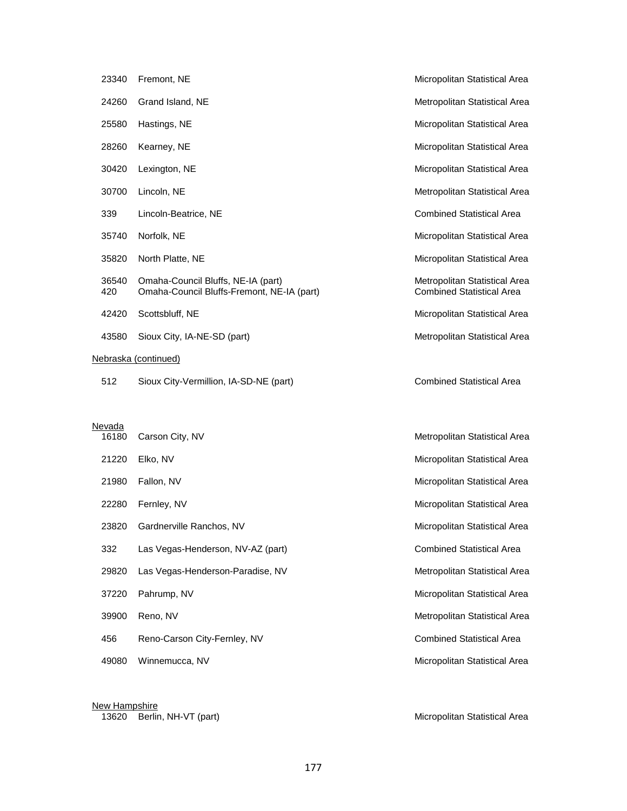| 23340        | Fremont, NE                                                                      | Micropolitan Statistical Area                                     |
|--------------|----------------------------------------------------------------------------------|-------------------------------------------------------------------|
| 24260        | Grand Island, NE                                                                 | Metropolitan Statistical Area                                     |
| 25580        | Hastings, NE                                                                     | Micropolitan Statistical Area                                     |
| 28260        | Kearney, NE                                                                      | Micropolitan Statistical Area                                     |
| 30420        | Lexington, NE                                                                    | Micropolitan Statistical Area                                     |
| 30700        | Lincoln, NE                                                                      | Metropolitan Statistical Area                                     |
| 339          | Lincoln-Beatrice, NE                                                             | <b>Combined Statistical Area</b>                                  |
| 35740        | Norfolk, NE                                                                      | Micropolitan Statistical Area                                     |
| 35820        | North Platte, NE                                                                 | Micropolitan Statistical Area                                     |
| 36540<br>420 | Omaha-Council Bluffs, NE-IA (part)<br>Omaha-Council Bluffs-Fremont, NE-IA (part) | Metropolitan Statistical Area<br><b>Combined Statistical Area</b> |
| 42420        | Scottsbluff, NE                                                                  | Micropolitan Statistical Area                                     |
| 43580        | Sioux City, IA-NE-SD (part)                                                      | Metropolitan Statistical Area                                     |
|              | Nebraska (continued)                                                             |                                                                   |
| 512          | Sioux City-Vermillion, IA-SD-NE (part)                                           | <b>Combined Statistical Area</b>                                  |

### **Nevada**

| 16180 | Carson City, NV                   | Metropolitan Statistical Area    |
|-------|-----------------------------------|----------------------------------|
| 21220 | Elko, NV                          | Micropolitan Statistical Area    |
| 21980 | Fallon, NV                        | Micropolitan Statistical Area    |
| 22280 | Fernley, NV                       | Micropolitan Statistical Area    |
| 23820 | Gardnerville Ranchos, NV          | Micropolitan Statistical Area    |
| 332   | Las Vegas-Henderson, NV-AZ (part) | <b>Combined Statistical Area</b> |
| 29820 | Las Vegas-Henderson-Paradise, NV  | Metropolitan Statistical Area    |
| 37220 | Pahrump, NV                       | Micropolitan Statistical Area    |
| 39900 | Reno, NV                          | Metropolitan Statistical Area    |
| 456   | Reno-Carson City-Fernley, NV      | <b>Combined Statistical Area</b> |
| 49080 | Winnemucca, NV                    | Micropolitan Statistical Area    |
|       |                                   |                                  |
|       |                                   |                                  |

<u>New Hampshire</u>

13620 Berlin, NH-VT (part) Micropolitan Statistical Area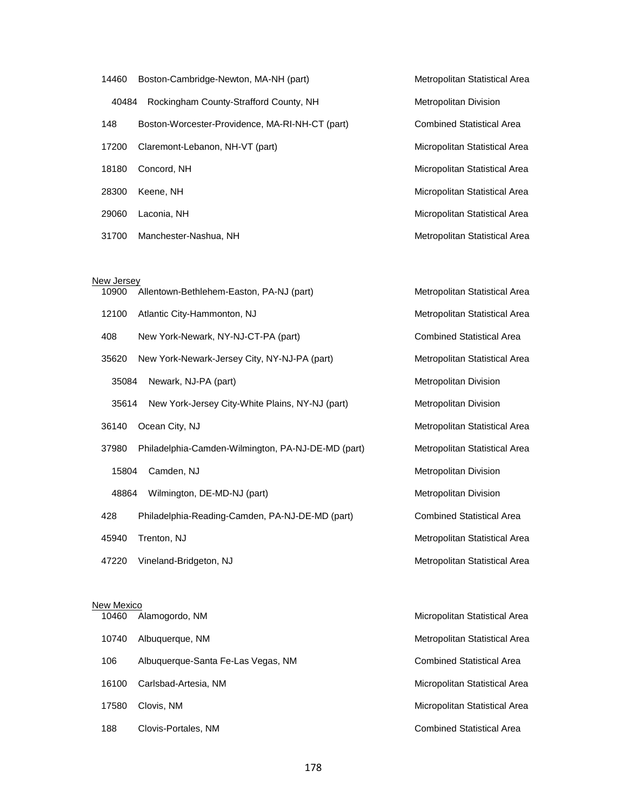| 14460 | Boston-Cambridge-Newton, MA-NH (part)           | Metropolitan Statistical Area    |
|-------|-------------------------------------------------|----------------------------------|
| 40484 | Rockingham County-Strafford County, NH          | <b>Metropolitan Division</b>     |
| 148   | Boston-Worcester-Providence, MA-RI-NH-CT (part) | <b>Combined Statistical Area</b> |
| 17200 | Claremont-Lebanon, NH-VT (part)                 | Micropolitan Statistical Area    |
| 18180 | Concord, NH                                     | Micropolitan Statistical Area    |
| 28300 | Keene, NH                                       | Micropolitan Statistical Area    |
| 29060 | Laconia, NH                                     | Micropolitan Statistical Area    |
| 31700 | Manchester-Nashua, NH                           | Metropolitan Statistical Area    |

#### New Jersey

| 10900 | Allentown-Bethlehem-Easton, PA-NJ (part)           | Metropolitan Statistical Area    |
|-------|----------------------------------------------------|----------------------------------|
| 12100 | Atlantic City-Hammonton, NJ                        | Metropolitan Statistical Area    |
| 408   | New York-Newark, NY-NJ-CT-PA (part)                | <b>Combined Statistical Area</b> |
| 35620 | New York-Newark-Jersey City, NY-NJ-PA (part)       | Metropolitan Statistical Area    |
| 35084 | Newark, NJ-PA (part)                               | Metropolitan Division            |
| 35614 | New York-Jersey City-White Plains, NY-NJ (part)    | <b>Metropolitan Division</b>     |
| 36140 | Ocean City, NJ                                     | Metropolitan Statistical Area    |
| 37980 | Philadelphia-Camden-Wilmington, PA-NJ-DE-MD (part) | Metropolitan Statistical Area    |
| 15804 | Camden, NJ                                         | Metropolitan Division            |
| 48864 | Wilmington, DE-MD-NJ (part)                        | Metropolitan Division            |
| 428   | Philadelphia-Reading-Camden, PA-NJ-DE-MD (part)    | <b>Combined Statistical Area</b> |
| 45940 | Trenton, NJ                                        | Metropolitan Statistical Area    |
| 47220 | Vineland-Bridgeton, NJ                             | Metropolitan Statistical Area    |
|       |                                                    |                                  |

Metropolitan Statistical Area

#### New Mexico

| 10460 | Alamogordo, NM                     | Micropolitan Statistical Area    |
|-------|------------------------------------|----------------------------------|
| 10740 | Albuguergue, NM                    | Metropolitan Statistical Area    |
| 106   | Albuguerque-Santa Fe-Las Vegas, NM | <b>Combined Statistical Area</b> |
| 16100 | Carlsbad-Artesia, NM               | Micropolitan Statistical Area    |
| 17580 | Clovis, NM                         | Micropolitan Statistical Area    |
| 188   | Clovis-Portales, NM                | <b>Combined Statistical Area</b> |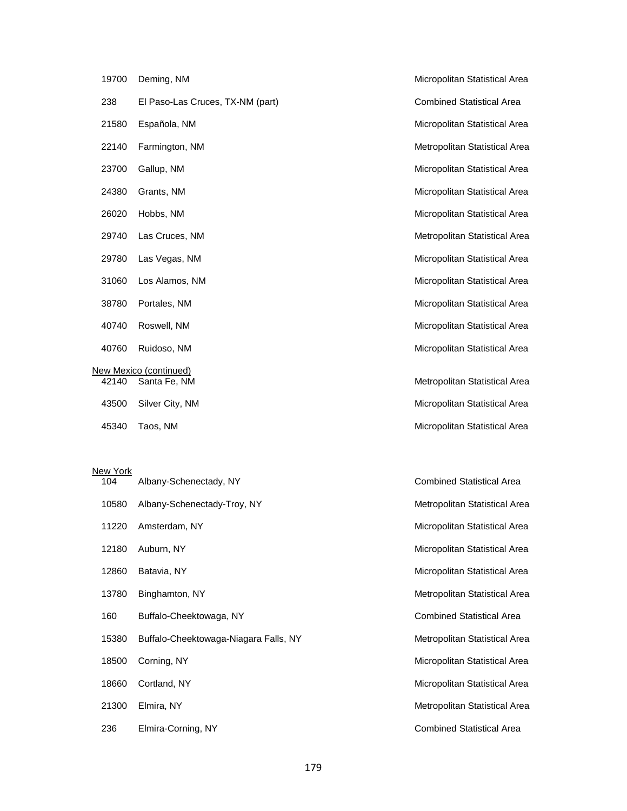|                        | 19700 | Deming, NM                       |  |  |  |
|------------------------|-------|----------------------------------|--|--|--|
|                        | 238   | El Paso-Las Cruces, TX-NM (part) |  |  |  |
|                        | 21580 | Española, NM                     |  |  |  |
|                        | 22140 | Farmington, NM                   |  |  |  |
|                        | 23700 | Gallup, NM                       |  |  |  |
|                        | 24380 | Grants, NM                       |  |  |  |
|                        | 26020 | Hobbs, NM                        |  |  |  |
|                        | 29740 | Las Cruces, NM                   |  |  |  |
|                        |       | 29780 Las Vegas, NM              |  |  |  |
|                        |       | 31060 Los Alamos, NM             |  |  |  |
|                        |       | 38780 Portales, NM               |  |  |  |
|                        | 40740 | Roswell, NM                      |  |  |  |
|                        |       | 40760 Ruidoso, NM                |  |  |  |
| New Mexico (continued) |       |                                  |  |  |  |
|                        | 42140 | Santa Fe, NM                     |  |  |  |
|                        | 43500 | Silver City, NM                  |  |  |  |
|                        | 45340 | Taos, NM                         |  |  |  |
|                        |       |                                  |  |  |  |

# New York<br>104 Alb

| ew York |                                       |                                  |
|---------|---------------------------------------|----------------------------------|
| 104     | Albany-Schenectady, NY                | <b>Combined Statistical Area</b> |
| 10580   | Albany-Schenectady-Troy, NY           | Metropolitan Statistical Area    |
| 11220   | Amsterdam, NY                         | Micropolitan Statistical Area    |
| 12180   | Auburn, NY                            | Micropolitan Statistical Area    |
| 12860   | Batavia, NY                           | Micropolitan Statistical Area    |
| 13780   | Binghamton, NY                        | Metropolitan Statistical Area    |
| 160     | Buffalo-Cheektowaga, NY               | <b>Combined Statistical Area</b> |
| 15380   | Buffalo-Cheektowaga-Niagara Falls, NY | Metropolitan Statistical Area    |
| 18500   | Corning, NY                           | Micropolitan Statistical Area    |
| 18660   | Cortland, NY                          | Micropolitan Statistical Area    |
| 21300   | Elmira, NY                            | Metropolitan Statistical Area    |
| 236     | Elmira-Corning, NY                    | <b>Combined Statistical Area</b> |

Micropolitan Statistical Area Combined Statistical Area Micropolitan Statistical Area Metropolitan Statistical Area Micropolitan Statistical Area Micropolitan Statistical Area Micropolitan Statistical Area Metropolitan Statistical Area Micropolitan Statistical Area Micropolitan Statistical Area Micropolitan Statistical Area Micropolitan Statistical Area Micropolitan Statistical Area Metropolitan Statistical Area Micropolitan Statistical Area

Micropolitan Statistical Area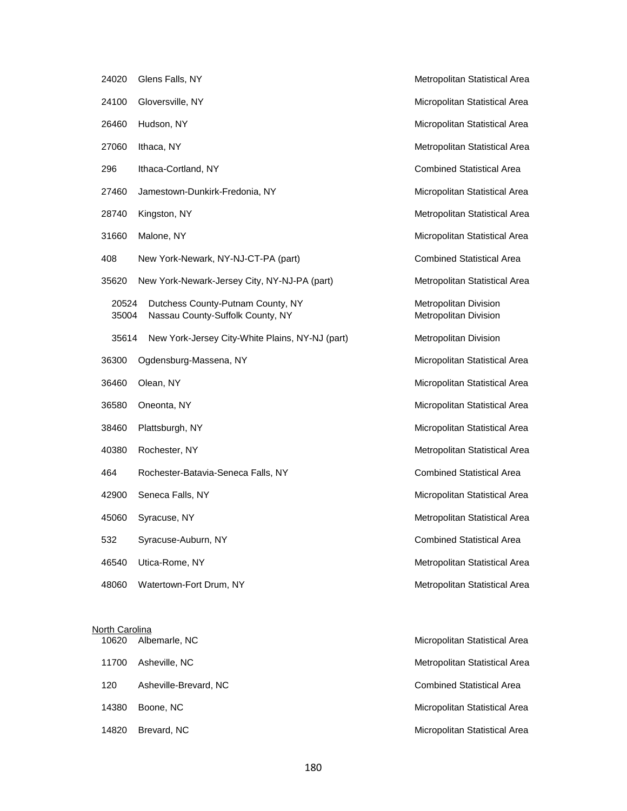| 24020          | Glens Falls, NY                                                       |  |  |  |
|----------------|-----------------------------------------------------------------------|--|--|--|
| 24100          | Gloversville, NY                                                      |  |  |  |
| 26460          | Hudson, NY                                                            |  |  |  |
| 27060          | Ithaca, NY                                                            |  |  |  |
| 296            | Ithaca-Cortland, NY                                                   |  |  |  |
| 27460          | Jamestown-Dunkirk-Fredonia, NY                                        |  |  |  |
| 28740          | Kingston, NY                                                          |  |  |  |
| 31660          | Malone, NY                                                            |  |  |  |
| 408            | New York-Newark, NY-NJ-CT-PA (part)                                   |  |  |  |
| 35620          | New York-Newark-Jersey City, NY-NJ-PA (part)                          |  |  |  |
| 20524<br>35004 | Dutchess County-Putnam County, NY<br>Nassau County-Suffolk County, NY |  |  |  |
| 35614          | New York-Jersey City-White Plains, NY-NJ (part)                       |  |  |  |
| 36300          | Ogdensburg-Massena, NY                                                |  |  |  |
| 36460          | Olean, NY                                                             |  |  |  |
| 36580          | Oneonta, NY                                                           |  |  |  |
| 38460          | Plattsburgh, NY                                                       |  |  |  |
| 40380          | Rochester, NY                                                         |  |  |  |
| 464            | Rochester-Batavia-Seneca Falls, NY                                    |  |  |  |
| 42900          | Seneca Falls, NY                                                      |  |  |  |
| 45060          | Syracuse, NY                                                          |  |  |  |
| 532            | Syracuse-Auburn, NY                                                   |  |  |  |
| 46540          | Utica-Rome, NY                                                        |  |  |  |
| 48060          | Watertown-Fort Drum, NY                                               |  |  |  |

# North Carolina

| TU620 Albernafie, NC      |
|---------------------------|
| 11700 Asheville, NC       |
| 120 Asheville-Brevard, NC |
| 14380 Boone, NC           |
| $1/1820$ Rrovard NC       |

Metropolitan Statistical Area Micropolitan Statistical Area Micropolitan Statistical Area Metropolitan Statistical Area Combined Statistical Area Micropolitan Statistical Area Metropolitan Statistical Area Micropolitan Statistical Area Combined Statistical Area Metropolitan Statistical Area Metropolitan Division Metropolitan Division Metropolitan Division Micropolitan Statistical Area Micropolitan Statistical Area Micropolitan Statistical Area Micropolitan Statistical Area Metropolitan Statistical Area Combined Statistical Area Micropolitan Statistical Area Metropolitan Statistical Area Combined Statistical Area Metropolitan Statistical Area Metropolitan Statistical Area

arle, NC<br>
10620 Micropolitan Statistical Area Metropolitan Statistical Area Combined Statistical Area Micropolitan Statistical Area 14820 Brevard, NC Micropolitan Statistical Area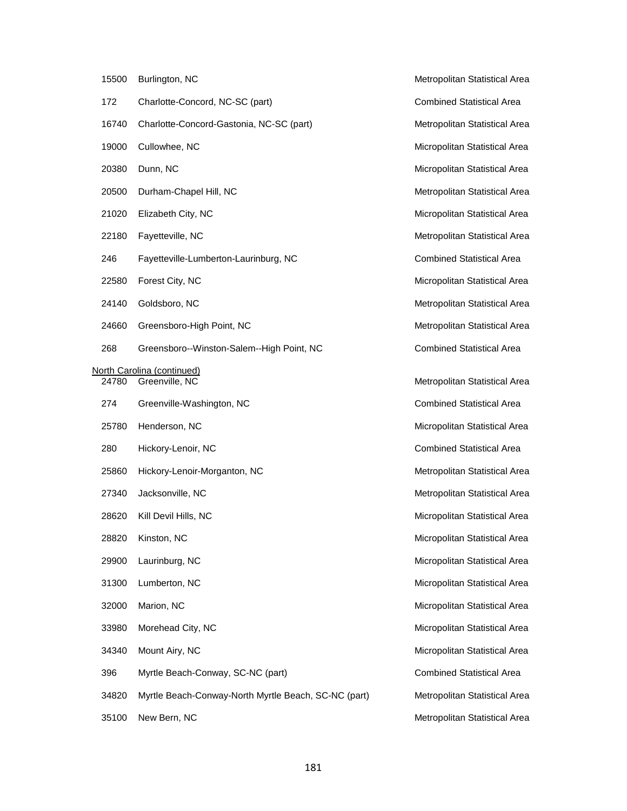| 15500 | Burlington, NC                                       | Metropolitan Statistical Area    |
|-------|------------------------------------------------------|----------------------------------|
| 172   | Charlotte-Concord, NC-SC (part)                      | <b>Combined Statistical Area</b> |
| 16740 | Charlotte-Concord-Gastonia, NC-SC (part)             | Metropolitan Statistical Area    |
| 19000 | Cullowhee, NC                                        | Micropolitan Statistical Area    |
| 20380 | Dunn, NC                                             | Micropolitan Statistical Area    |
| 20500 | Durham-Chapel Hill, NC                               | Metropolitan Statistical Area    |
| 21020 | Elizabeth City, NC                                   | Micropolitan Statistical Area    |
| 22180 | Fayetteville, NC                                     | Metropolitan Statistical Area    |
| 246   | Fayetteville-Lumberton-Laurinburg, NC                | <b>Combined Statistical Area</b> |
| 22580 | Forest City, NC                                      | Micropolitan Statistical Area    |
| 24140 | Goldsboro, NC                                        | Metropolitan Statistical Area    |
| 24660 | Greensboro-High Point, NC                            | Metropolitan Statistical Area    |
| 268   | Greensboro--Winston-Salem--High Point, NC            | <b>Combined Statistical Area</b> |
| 24780 | North Carolina (continued)<br>Greenville, NC         | Metropolitan Statistical Area    |
| 274   | Greenville-Washington, NC                            | <b>Combined Statistical Area</b> |
| 25780 | Henderson, NC                                        | Micropolitan Statistical Area    |
| 280   | Hickory-Lenoir, NC                                   | <b>Combined Statistical Area</b> |
| 25860 | Hickory-Lenoir-Morganton, NC                         | Metropolitan Statistical Area    |
| 27340 | Jacksonville, NC                                     | Metropolitan Statistical Area    |
| 28620 | Kill Devil Hills, NC                                 | Micropolitan Statistical Area    |
| 28820 | Kinston, NC                                          | Micropolitan Statistical Area    |
| 29900 | Laurinburg, NC                                       | Micropolitan Statistical Area    |
| 31300 | Lumberton, NC                                        | Micropolitan Statistical Area    |
| 32000 | Marion, NC                                           | Micropolitan Statistical Area    |
| 33980 | Morehead City, NC                                    | Micropolitan Statistical Area    |
| 34340 | Mount Airy, NC                                       | Micropolitan Statistical Area    |
| 396   | Myrtle Beach-Conway, SC-NC (part)                    | <b>Combined Statistical Area</b> |
| 34820 | Myrtle Beach-Conway-North Myrtle Beach, SC-NC (part) | Metropolitan Statistical Area    |
| 35100 | New Bern, NC                                         | Metropolitan Statistical Area    |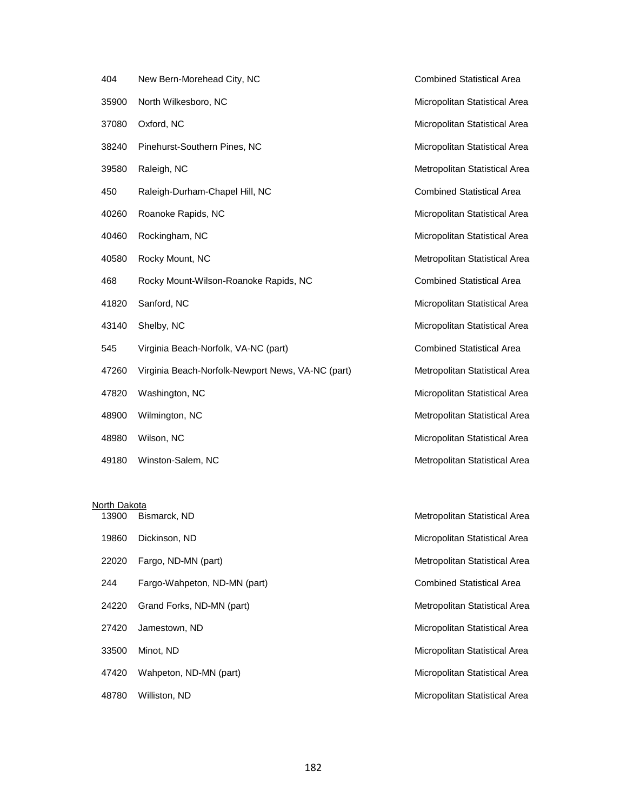| 404   | New Bern-Morehead City, NC                        | <b>Combined Statistical Area</b> |
|-------|---------------------------------------------------|----------------------------------|
| 35900 | North Wilkesboro, NC                              | Micropolitan Statistical Area    |
| 37080 | Oxford, NC                                        | Micropolitan Statistical Area    |
| 38240 | Pinehurst-Southern Pines, NC                      | Micropolitan Statistical Area    |
| 39580 | Raleigh, NC                                       | Metropolitan Statistical Area    |
| 450   | Raleigh-Durham-Chapel Hill, NC                    | <b>Combined Statistical Area</b> |
| 40260 | Roanoke Rapids, NC                                | Micropolitan Statistical Area    |
| 40460 | Rockingham, NC                                    | Micropolitan Statistical Area    |
| 40580 | Rocky Mount, NC                                   | Metropolitan Statistical Area    |
| 468   | Rocky Mount-Wilson-Roanoke Rapids, NC             | <b>Combined Statistical Area</b> |
| 41820 | Sanford, NC                                       | Micropolitan Statistical Area    |
| 43140 | Shelby, NC                                        | Micropolitan Statistical Area    |
| 545   | Virginia Beach-Norfolk, VA-NC (part)              | <b>Combined Statistical Area</b> |
| 47260 | Virginia Beach-Norfolk-Newport News, VA-NC (part) | Metropolitan Statistical Area    |
| 47820 | Washington, NC                                    | Micropolitan Statistical Area    |
| 48900 | Wilmington, NC                                    | Metropolitan Statistical Area    |
| 48980 | Wilson, NC                                        | Micropolitan Statistical Area    |
| 49180 | Winston-Salem, NC                                 | Metropolitan Statistical Area    |

#### North Dakota

| 13900 | Bismarck, ND                 | Metropolitan Statistical Area    |
|-------|------------------------------|----------------------------------|
| 19860 | Dickinson, ND                | Micropolitan Statistical Area    |
| 22020 | Fargo, ND-MN (part)          | Metropolitan Statistical Area    |
| 244   | Fargo-Wahpeton, ND-MN (part) | <b>Combined Statistical Area</b> |
| 24220 | Grand Forks, ND-MN (part)    | Metropolitan Statistical Area    |
| 27420 | Jamestown, ND                | Micropolitan Statistical Area    |
| 33500 | Minot, ND                    | Micropolitan Statistical Area    |
| 47420 | Wahpeton, ND-MN (part)       | Micropolitan Statistical Area    |
| 48780 | Williston, ND                | Micropolitan Statistical Area    |

Combined Statistical Area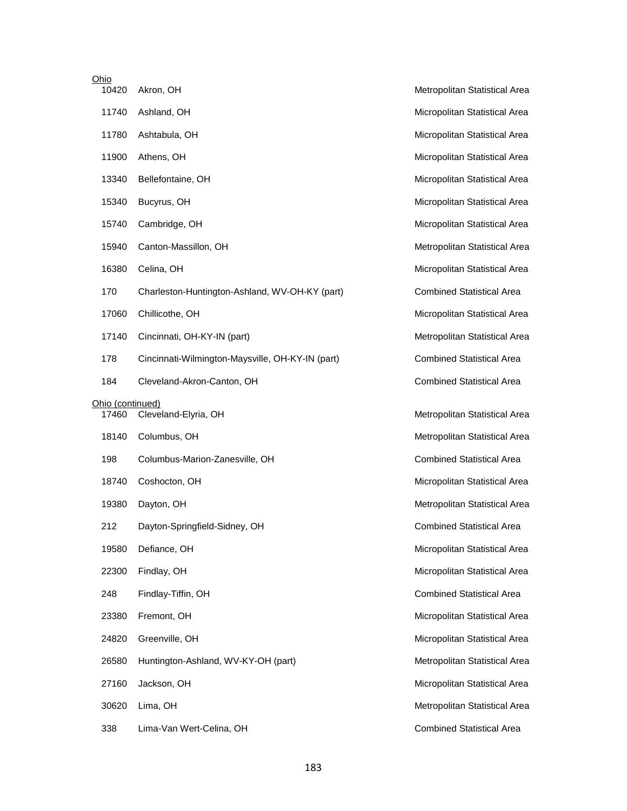| Ohio<br>10420             | Akron, OH                                        |
|---------------------------|--------------------------------------------------|
| 11740                     | Ashland, OH                                      |
| 11780                     | Ashtabula, OH                                    |
| 11900                     | Athens, OH                                       |
| 13340                     | Bellefontaine, OH                                |
| 15340                     | Bucyrus, OH                                      |
| 15740                     | Cambridge, OH                                    |
| 15940                     | Canton-Massillon, OH                             |
| 16380                     | Celina, OH                                       |
| 170                       | Charleston-Huntington-Ashland, WV-OH-KY (part)   |
| 17060                     | Chillicothe, OH                                  |
| 17140                     | Cincinnati, OH-KY-IN (part)                      |
| 178                       | Cincinnati-Wilmington-Maysville, OH-KY-IN (part) |
| 184                       | Cleveland-Akron-Canton, OH                       |
|                           |                                                  |
| Ohio (continued)<br>17460 | Cleveland-Elyria, OH                             |
| 18140                     | Columbus, OH                                     |
| 198                       | Columbus-Marion-Zanesville, OH                   |
| 18740                     | Coshocton, OH                                    |
| 19380                     | Dayton, OH                                       |
| 212                       | Dayton-Springfield-Sidney, OH                    |
| 19580                     | Defiance, OH                                     |
| 22300                     | Findlay, OH                                      |
| 248                       | Findlay-Tiffin, OH                               |
| 23380                     | Fremont, OH                                      |
| 24820                     | Greenville, OH                                   |
| 26580                     | Huntington-Ashland, WV-KY-OH (part)              |
| 27160                     | Jackson, OH                                      |

338 Lima-Van Wert-Celina, OH Combined Statistical Area

Metropolitan Statistical Area Micropolitan Statistical Area Micropolitan Statistical Area Micropolitan Statistical Area Micropolitan Statistical Area Micropolitan Statistical Area Micropolitan Statistical Area Metropolitan Statistical Area Micropolitan Statistical Area Combined Statistical Area Micropolitan Statistical Area Metropolitan Statistical Area Combined Statistical Area Combined Statistical Area

Metropolitan Statistical Area Metropolitan Statistical Area Combined Statistical Area Micropolitan Statistical Area Metropolitan Statistical Area Combined Statistical Area Micropolitan Statistical Area Micropolitan Statistical Area Combined Statistical Area Micropolitan Statistical Area Micropolitan Statistical Area Metropolitan Statistical Area Micropolitan Statistical Area Metropolitan Statistical Area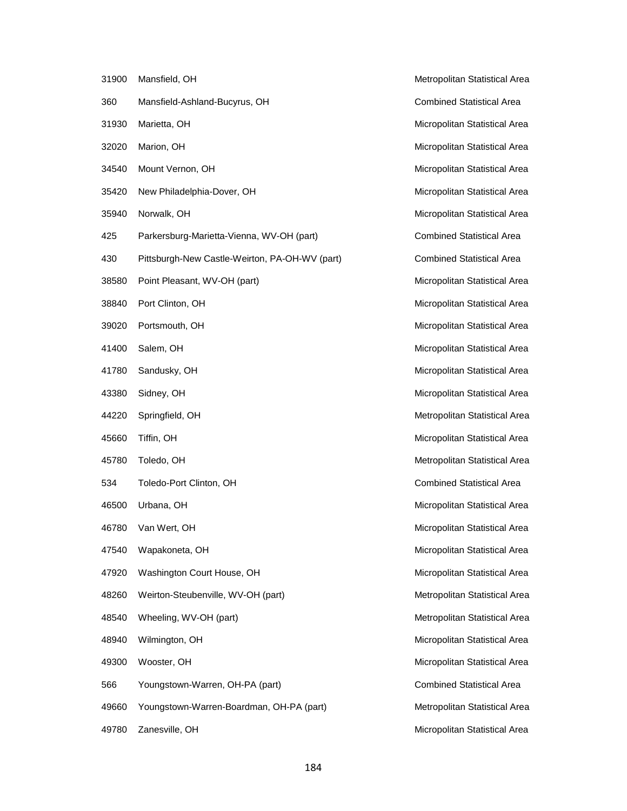| 31900 | Mansfield, OH                                  |
|-------|------------------------------------------------|
| 360   | Mansfield-Ashland-Bucyrus, OH                  |
| 31930 | Marietta, OH                                   |
| 32020 | Marion, OH                                     |
| 34540 | Mount Vernon, OH                               |
| 35420 | New Philadelphia-Dover, OH                     |
| 35940 | Norwalk, OH                                    |
| 425   | Parkersburg-Marietta-Vienna, WV-OH (part)      |
| 430   | Pittsburgh-New Castle-Weirton, PA-OH-WV (part) |
| 38580 | Point Pleasant, WV-OH (part)                   |
| 38840 | Port Clinton, OH                               |
| 39020 | Portsmouth, OH                                 |
| 41400 | Salem, OH                                      |
| 41780 | Sandusky, OH                                   |
| 43380 | Sidney, OH                                     |
| 44220 | Springfield, OH                                |
| 45660 | Tiffin, OH                                     |
| 45780 | Toledo, OH                                     |
| 534   | Toledo-Port Clinton, OH                        |
| 46500 | Urbana, OH                                     |
| 46780 | Van Wert, OH                                   |
| 47540 | Wapakoneta, OH                                 |
| 47920 | Washington Court House, OH                     |
| 48260 | Weirton-Steubenville, WV-OH (part)             |
| 48540 | Wheeling, WV-OH (part)                         |
| 48940 | Wilmington, OH                                 |
| 49300 | Wooster, OH                                    |
| 566   | Youngstown-Warren, OH-PA (part)                |
| 49660 | Youngstown-Warren-Boardman, OH-PA (part)       |
| 49780 | Zanesville, OH                                 |

Metropolitan Statistical Area Combined Statistical Area Micropolitan Statistical Area Micropolitan Statistical Area Micropolitan Statistical Area Micropolitan Statistical Area Micropolitan Statistical Area Combined Statistical Area Combined Statistical Area Micropolitan Statistical Area Micropolitan Statistical Area Micropolitan Statistical Area Micropolitan Statistical Area Micropolitan Statistical Area Micropolitan Statistical Area Metropolitan Statistical Area Micropolitan Statistical Area Metropolitan Statistical Area Combined Statistical Area Micropolitan Statistical Area Micropolitan Statistical Area Micropolitan Statistical Area Micropolitan Statistical Area Metropolitan Statistical Area Metropolitan Statistical Area Micropolitan Statistical Area Micropolitan Statistical Area Combined Statistical Area Metropolitan Statistical Area Micropolitan Statistical Area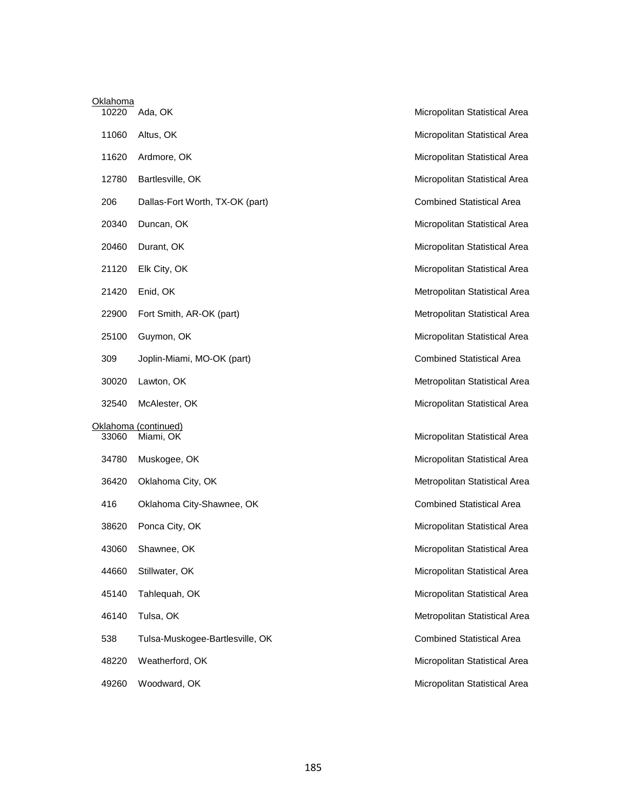| Oklahoma |                                   |   |
|----------|-----------------------------------|---|
| 10220    | Ada, OK                           | N |
| 11060    | Altus, OK                         | N |
| 11620    | Ardmore, OK                       | N |
| 12780    | Bartlesville, OK                  | N |
| 206      | Dallas-Fort Worth, TX-OK (part)   | C |
| 20340    | Duncan, OK                        | N |
| 20460    | Durant, OK                        | N |
| 21120    | Elk City, OK                      | N |
| 21420    | Enid, OK                          | N |
| 22900    | Fort Smith, AR-OK (part)          | N |
| 25100    | Guymon, OK                        | N |
| 309      | Joplin-Miami, MO-OK (part)        | C |
| 30020    | Lawton, OK                        | N |
| 32540    | McAlester, OK                     | N |
| 33060    | Oklahoma (continued)<br>Miami, OK | N |
| 34780    | Muskogee, OK                      | N |
| 36420    | Oklahoma City, OK                 | N |
| 416      | Oklahoma City-Shawnee, OK         | C |
| 38620    | Ponca City, OK                    | N |
| 43060    | Shawnee, OK                       | N |
| 44660    | Stillwater, OK                    | N |
| 45140    | Tahlequah, OK                     | N |
| 46140    | Tulsa, OK                         | N |
| 538      | Tulsa-Muskogee-Bartlesville, OK   | C |
| 48220    | Weatherford, OK                   | M |
| 49260    | Woodward, OK                      | N |

licropolitan Statistical Area licropolitan Statistical Area licropolitan Statistical Area licropolitan Statistical Area **Combined Statistical Area** licropolitan Statistical Area licropolitan Statistical Area licropolitan Statistical Area letropolitan Statistical Area letropolitan Statistical Area licropolitan Statistical Area 30 Statistical Area letropolitan Statistical Area licropolitan Statistical Area licropolitan Statistical Area licropolitan Statistical Area letropolitan Statistical Area ombined Statistical Area licropolitan Statistical Area licropolitan Statistical Area licropolitan Statistical Area licropolitan Statistical Area letropolitan Statistical Area **Combined Statistical Area** licropolitan Statistical Area licropolitan Statistical Area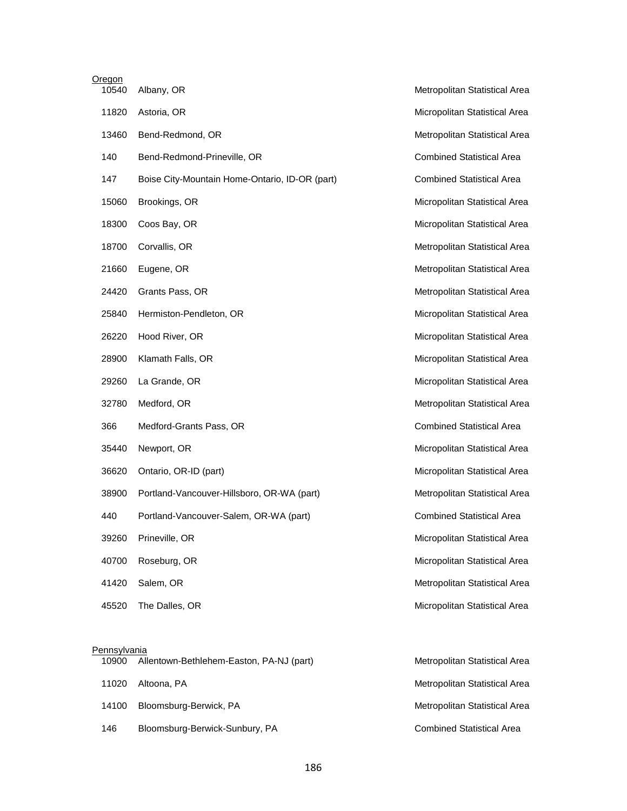| <b>Oregon</b><br>10540 | Albany, OR                                     | Metropolitan Statistical Area    |
|------------------------|------------------------------------------------|----------------------------------|
| 11820                  | Astoria, OR                                    | Micropolitan Statistical Area    |
| 13460                  | Bend-Redmond, OR                               | Metropolitan Statistical Area    |
| 140                    | Bend-Redmond-Prineville, OR                    | <b>Combined Statistical Area</b> |
| 147                    | Boise City-Mountain Home-Ontario, ID-OR (part) | <b>Combined Statistical Area</b> |
| 15060                  | Brookings, OR                                  | Micropolitan Statistical Area    |
| 18300                  | Coos Bay, OR                                   | Micropolitan Statistical Area    |
| 18700                  | Corvallis, OR                                  | Metropolitan Statistical Area    |
| 21660                  | Eugene, OR                                     | Metropolitan Statistical Area    |
| 24420                  | Grants Pass, OR                                | Metropolitan Statistical Area    |
| 25840                  | Hermiston-Pendleton, OR                        | Micropolitan Statistical Area    |
| 26220                  | Hood River, OR                                 | Micropolitan Statistical Area    |
| 28900                  | Klamath Falls, OR                              | Micropolitan Statistical Area    |
| 29260                  | La Grande, OR                                  | Micropolitan Statistical Area    |
| 32780                  | Medford, OR                                    | Metropolitan Statistical Area    |
| 366                    | Medford-Grants Pass, OR                        | <b>Combined Statistical Area</b> |
| 35440                  | Newport, OR                                    | Micropolitan Statistical Area    |
| 36620                  | Ontario, OR-ID (part)                          | Micropolitan Statistical Area    |
| 38900                  | Portland-Vancouver-Hillsboro, OR-WA (part)     | Metropolitan Statistical Area    |
| 440                    | Portland-Vancouver-Salem, OR-WA (part)         | <b>Combined Statistical Area</b> |
| 39260                  | Prineville, OR                                 | Micropolitan Statistical Area    |
| 40700                  | Roseburg, OR                                   | Micropolitan Statistical Area    |
| 41420                  | Salem, OR                                      | Metropolitan Statistical Area    |
| 45520                  | The Dalles, OR                                 | Micropolitan Statistical Area    |
|                        |                                                |                                  |

# **Pennsylvania**

| 10900 | Allentown-Bethlehem-Easton, PA-NJ (part) | Metropolitan Statistical Area    |
|-------|------------------------------------------|----------------------------------|
| 11020 | Altoona. PA                              | Metropolitan Statistical Area    |
| 14100 | Bloomsburg-Berwick, PA                   | Metropolitan Statistical Area    |
| 146   | Bloomsburg-Berwick-Sunbury, PA           | <b>Combined Statistical Area</b> |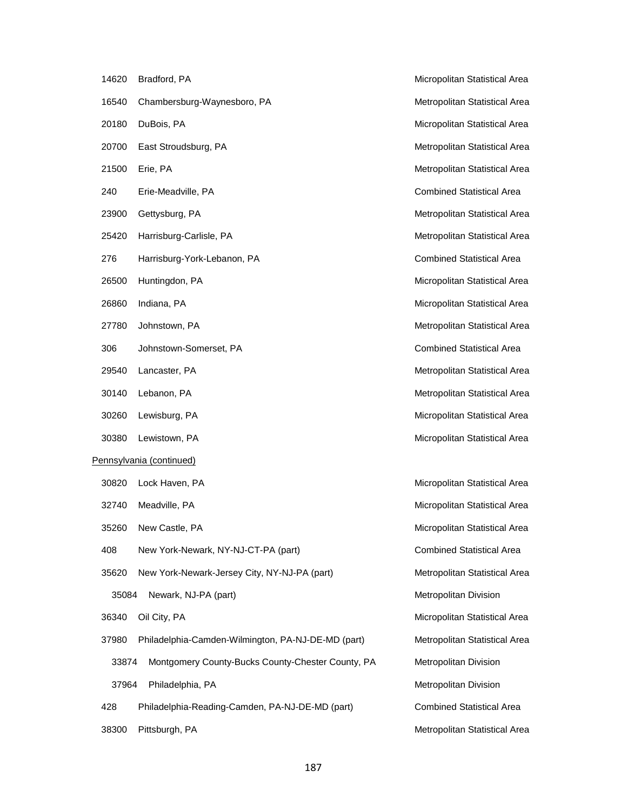| 14620 | Bradford, PA                                       | Micropolitan Statistical Area    |
|-------|----------------------------------------------------|----------------------------------|
| 16540 | Chambersburg-Waynesboro, PA                        | Metropolitan Statistical Area    |
| 20180 | DuBois, PA                                         | Micropolitan Statistical Area    |
| 20700 | East Stroudsburg, PA                               | Metropolitan Statistical Area    |
| 21500 | Erie, PA                                           | Metropolitan Statistical Area    |
| 240   | Erie-Meadville, PA                                 | <b>Combined Statistical Area</b> |
| 23900 | Gettysburg, PA                                     | Metropolitan Statistical Area    |
| 25420 | Harrisburg-Carlisle, PA                            | Metropolitan Statistical Area    |
| 276   | Harrisburg-York-Lebanon, PA                        | <b>Combined Statistical Area</b> |
| 26500 | Huntingdon, PA                                     | Micropolitan Statistical Area    |
| 26860 | Indiana, PA                                        | Micropolitan Statistical Area    |
| 27780 | Johnstown, PA                                      | Metropolitan Statistical Area    |
| 306   | Johnstown-Somerset, PA                             | <b>Combined Statistical Area</b> |
| 29540 | Lancaster, PA                                      | Metropolitan Statistical Area    |
| 30140 | Lebanon, PA                                        | Metropolitan Statistical Area    |
| 30260 | Lewisburg, PA                                      | Micropolitan Statistical Area    |
| 30380 | Lewistown, PA                                      | Micropolitan Statistical Area    |
|       | Pennsylvania (continued)                           |                                  |
| 30820 | Lock Haven, PA                                     | Micropolitan Statistical Area    |
| 32740 | Meadville, PA                                      | Micropolitan Statistical Area    |
|       | 35260 New Castle, PA                               | Micropolitan Statistical Area    |
| 408   | New York-Newark, NY-NJ-CT-PA (part)                | <b>Combined Statistical Area</b> |
| 35620 | New York-Newark-Jersey City, NY-NJ-PA (part)       | Metropolitan Statistical Area    |
| 35084 | Newark, NJ-PA (part)                               | Metropolitan Division            |
| 36340 | Oil City, PA                                       | Micropolitan Statistical Area    |
| 37980 | Philadelphia-Camden-Wilmington, PA-NJ-DE-MD (part) | Metropolitan Statistical Area    |
| 33874 | Montgomery County-Bucks County-Chester County, PA  | Metropolitan Division            |
| 37964 | Philadelphia, PA                                   | Metropolitan Division            |
| 428   | Philadelphia-Reading-Camden, PA-NJ-DE-MD (part)    | <b>Combined Statistical Area</b> |
| 38300 | Pittsburgh, PA                                     | Metropolitan Statistical Area    |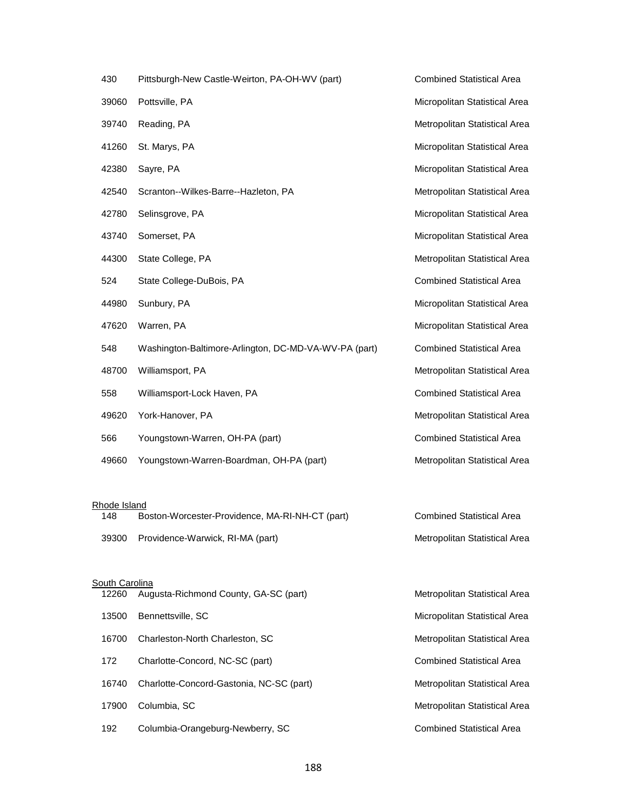| 430   | Pittsburgh-New Castle-Weirton, PA-OH-WV (part)        | <b>Combined Statistical Area</b> |
|-------|-------------------------------------------------------|----------------------------------|
| 39060 | Pottsville, PA                                        | Micropolitan Statistical Area    |
| 39740 | Reading, PA                                           | Metropolitan Statistical Area    |
| 41260 | St. Marys, PA                                         | Micropolitan Statistical Area    |
| 42380 | Sayre, PA                                             | Micropolitan Statistical Area    |
| 42540 | Scranton--Wilkes-Barre--Hazleton, PA                  | Metropolitan Statistical Area    |
| 42780 | Selinsgrove, PA                                       | Micropolitan Statistical Area    |
| 43740 | Somerset, PA                                          | Micropolitan Statistical Area    |
| 44300 | State College, PA                                     | Metropolitan Statistical Area    |
| 524   | State College-DuBois, PA                              | <b>Combined Statistical Area</b> |
| 44980 | Sunbury, PA                                           | Micropolitan Statistical Area    |
| 47620 | Warren, PA                                            | Micropolitan Statistical Area    |
| 548   | Washington-Baltimore-Arlington, DC-MD-VA-WV-PA (part) | <b>Combined Statistical Area</b> |
| 48700 | Williamsport, PA                                      | Metropolitan Statistical Area    |
| 558   | Williamsport-Lock Haven, PA                           | <b>Combined Statistical Area</b> |
| 49620 | York-Hanover, PA                                      | Metropolitan Statistical Area    |
| 566   | Youngstown-Warren, OH-PA (part)                       | <b>Combined Statistical Area</b> |
| 49660 | Youngstown-Warren-Boardman, OH-PA (part)              | Metropolitan Statistical Area    |

#### Rhode Island

| 148   | Boston-Worcester-Providence, MA-RI-NH-CT (part) | <b>Combined Statistical Area</b> |
|-------|-------------------------------------------------|----------------------------------|
| 39300 | Providence-Warwick, RI-MA (part)                | Metropolitan Statistical Area    |

# <u>South Carolina</u> 12260 Augusta-Richmond County, GA-SC (part) Metropolitan Statistical Area 13500 Bennettsville, SC **Micropolitan Statistical Area** Micropolitan Statistical Area 16700 Charleston-North Charleston, SC Metropolitan Statistical Area 172 Charlotte-Concord, NC-SC (part) Combined Statistical Area 16740 Charlotte-Concord-Gastonia, NC-SC (part) Metropolitan Statistical Area 17900 Columbia, SC **Metropolitan Statistical Area** Metropolitan Statistical Area 192 Columbia-Orangeburg-Newberry, SC Combined Statistical Area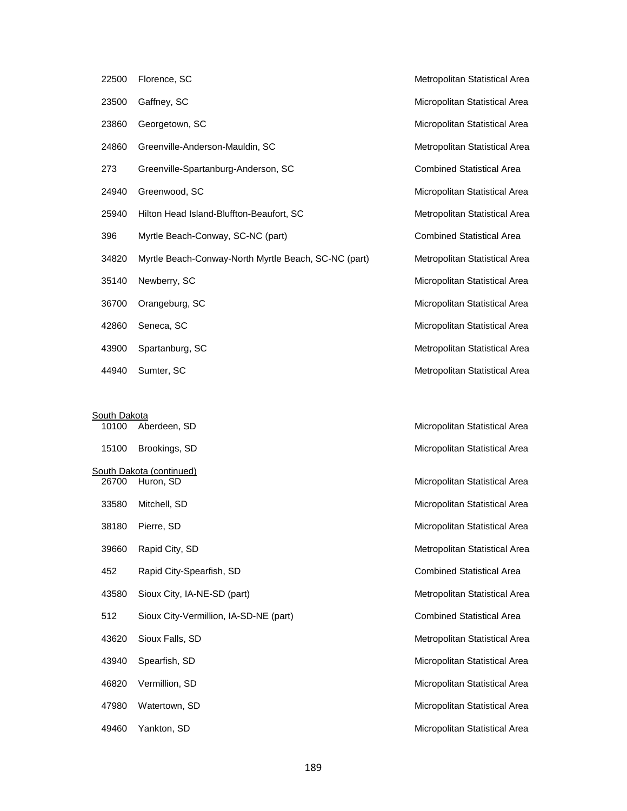| 22500 | Florence, SC                                         |
|-------|------------------------------------------------------|
| 23500 | Gaffney, SC                                          |
| 23860 | Georgetown, SC                                       |
| 24860 | Greenville-Anderson-Mauldin, SC                      |
| 273   | Greenville-Spartanburg-Anderson, SC                  |
| 24940 | Greenwood, SC                                        |
| 25940 | Hilton Head Island-Bluffton-Beaufort, SC             |
| 396   | Myrtle Beach-Conway, SC-NC (part)                    |
| 34820 | Myrtle Beach-Conway-North Myrtle Beach, SC-NC (part) |
| 35140 | Newberry, SC                                         |
| 36700 | Orangeburg, SC                                       |
| 42860 | Seneca, SC                                           |
| 43900 | Spartanburg, SC                                      |
|       |                                                      |

South Dakota

| 10100 | Aberdeen, SD                           | Micropolitan Statistical Area    |
|-------|----------------------------------------|----------------------------------|
| 15100 | Brookings, SD                          | Micropolitan Statistical Area    |
|       | South Dakota (continued)               |                                  |
| 26700 | Huron, SD                              | Micropolitan Statistical Area    |
| 33580 | Mitchell, SD                           | Micropolitan Statistical Area    |
| 38180 | Pierre, SD                             | Micropolitan Statistical Area    |
| 39660 | Rapid City, SD                         | Metropolitan Statistical Area    |
| 452   | Rapid City-Spearfish, SD               | <b>Combined Statistical Area</b> |
| 43580 | Sioux City, IA-NE-SD (part)            | Metropolitan Statistical Area    |
| 512   | Sioux City-Vermillion, IA-SD-NE (part) | <b>Combined Statistical Area</b> |
| 43620 | Sioux Falls, SD                        | Metropolitan Statistical Area    |
| 43940 | Spearfish, SD                          | Micropolitan Statistical Area    |
| 46820 | Vermillion, SD                         | Micropolitan Statistical Area    |
| 47980 | Watertown, SD                          | Micropolitan Statistical Area    |
| 49460 | Yankton, SD                            | Micropolitan Statistical Area    |

Micropolitan Statistical Area Micropolitan Statistical Area Metropolitan Statistical Area Combined Statistical Area Micropolitan Statistical Area Metropolitan Statistical Area Combined Statistical Area Metropolitan Statistical Area Micropolitan Statistical Area Micropolitan Statistical Area Micropolitan Statistical Area Metropolitan Statistical Area 44940 Sumter, SC **Metropolitan Statistical Area** Metropolitan Statistical Area

Metropolitan Statistical Area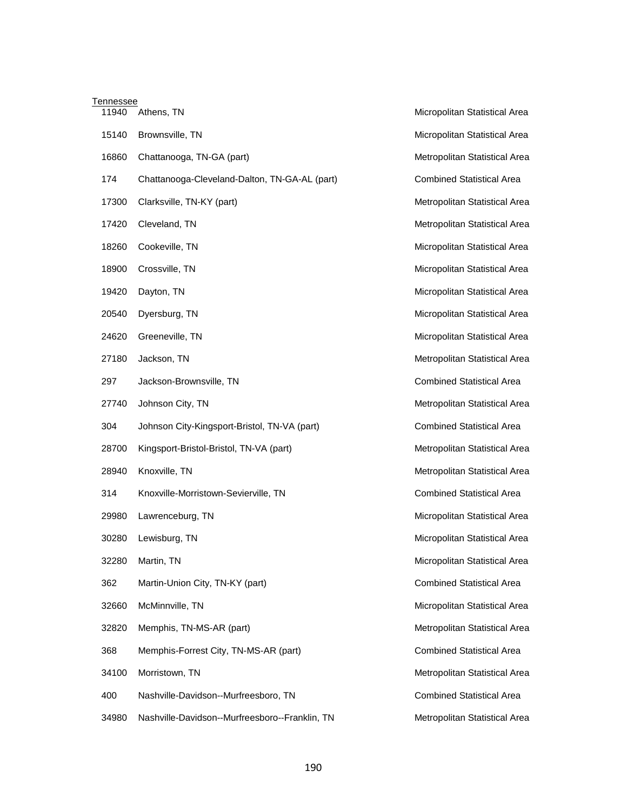| Tennessee |                                                |                                  |  |  |
|-----------|------------------------------------------------|----------------------------------|--|--|
| 11940     | Athens, TN                                     | Micropolitan Statistical Area    |  |  |
| 15140     | Brownsville, TN                                | Micropolitan Statistical Area    |  |  |
| 16860     | Chattanooga, TN-GA (part)                      | Metropolitan Statistical Area    |  |  |
| 174       | Chattanooga-Cleveland-Dalton, TN-GA-AL (part)  | <b>Combined Statistical Area</b> |  |  |
| 17300     | Clarksville, TN-KY (part)                      | Metropolitan Statistical Area    |  |  |
| 17420     | Cleveland, TN                                  | Metropolitan Statistical Area    |  |  |
| 18260     | Cookeville, TN                                 | Micropolitan Statistical Area    |  |  |
| 18900     | Crossville, TN                                 | Micropolitan Statistical Area    |  |  |
| 19420     | Dayton, TN                                     | Micropolitan Statistical Area    |  |  |
| 20540     | Dyersburg, TN                                  | Micropolitan Statistical Area    |  |  |
| 24620     | Greeneville, TN                                | Micropolitan Statistical Area    |  |  |
| 27180     | Jackson, TN                                    | Metropolitan Statistical Area    |  |  |
| 297       | Jackson-Brownsville, TN                        | <b>Combined Statistical Area</b> |  |  |
| 27740     | Johnson City, TN                               | Metropolitan Statistical Area    |  |  |
| 304       | Johnson City-Kingsport-Bristol, TN-VA (part)   | <b>Combined Statistical Area</b> |  |  |
| 28700     | Kingsport-Bristol-Bristol, TN-VA (part)        | Metropolitan Statistical Area    |  |  |
| 28940     | Knoxville, TN                                  | Metropolitan Statistical Area    |  |  |
| 314       | Knoxville-Morristown-Sevierville, TN           | <b>Combined Statistical Area</b> |  |  |
| 29980     | Lawrenceburg, TN                               | Micropolitan Statistical Area    |  |  |
| 30280     | Lewisburg, TN                                  | Micropolitan Statistical Area    |  |  |
| 32280     | Martin, TN                                     | Micropolitan Statistical Area    |  |  |
| 362       | Martin-Union City, TN-KY (part)                | <b>Combined Statistical Area</b> |  |  |
| 32660     | McMinnville, TN                                | Micropolitan Statistical Area    |  |  |
| 32820     | Memphis, TN-MS-AR (part)                       | Metropolitan Statistical Area    |  |  |
| 368       | Memphis-Forrest City, TN-MS-AR (part)          | <b>Combined Statistical Area</b> |  |  |
| 34100     | Morristown, TN                                 | Metropolitan Statistical Area    |  |  |
| 400       | Nashville-Davidson--Murfreesboro, TN           | <b>Combined Statistical Area</b> |  |  |
| 34980     | Nashville-Davidson--Murfreesboro--Franklin, TN | Metropolitan Statistical Area    |  |  |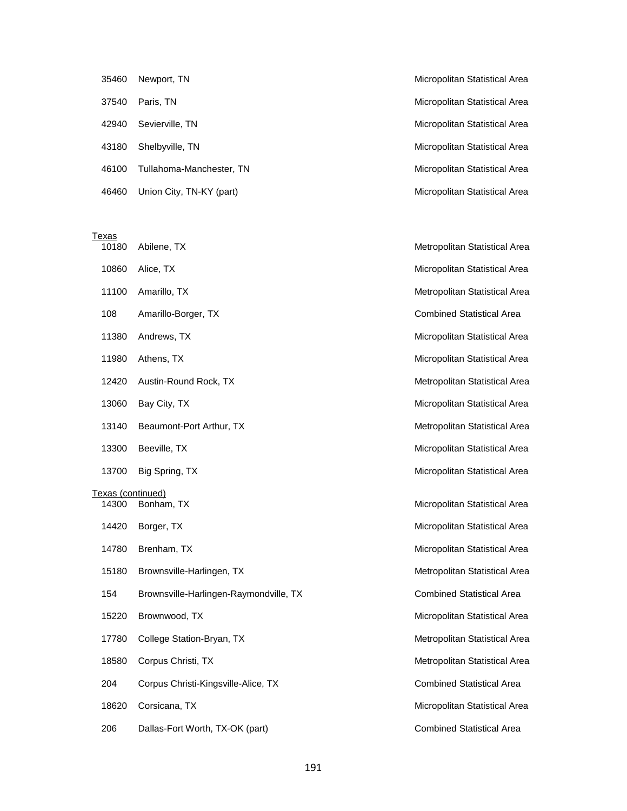| 35460 | Newport, TN              | Micropolitan Statistical Area |
|-------|--------------------------|-------------------------------|
| 37540 | Paris, TN                | Micropolitan Statistical Area |
| 42940 | Sevierville, TN          | Micropolitan Statistical Area |
| 43180 | Shelbyville, TN          | Micropolitan Statistical Area |
| 46100 | Tullahoma-Manchester, TN | Micropolitan Statistical Area |
| 46460 | Union City, TN-KY (part) | Micropolitan Statistical Area |

| Texas             |                                        |                                  |
|-------------------|----------------------------------------|----------------------------------|
| 10180             | Abilene, TX                            | Metropolitan Statistical Area    |
| 10860             | Alice, TX                              | Micropolitan Statistical Area    |
| 11100             | Amarillo, TX                           | Metropolitan Statistical Area    |
| 108               | Amarillo-Borger, TX                    | <b>Combined Statistical Area</b> |
| 11380             | Andrews, TX                            | Micropolitan Statistical Area    |
| 11980             | Athens, TX                             | Micropolitan Statistical Area    |
| 12420             | Austin-Round Rock, TX                  | Metropolitan Statistical Area    |
| 13060             | Bay City, TX                           | Micropolitan Statistical Area    |
| 13140             | Beaumont-Port Arthur, TX               | Metropolitan Statistical Area    |
| 13300             | Beeville, TX                           | Micropolitan Statistical Area    |
| 13700             | Big Spring, TX                         | Micropolitan Statistical Area    |
| Texas (continued) |                                        |                                  |
| 14300             | Bonham, TX                             | Micropolitan Statistical Area    |
| 14420             | Borger, TX                             | Micropolitan Statistical Area    |
| 14780             | Brenham, TX                            | Micropolitan Statistical Area    |
| 15180             | Brownsville-Harlingen, TX              | Metropolitan Statistical Area    |
| 154               | Brownsville-Harlingen-Raymondville, TX | <b>Combined Statistical Area</b> |
| 15220             | Brownwood, TX                          | Micropolitan Statistical Area    |
| 17780             | College Station-Bryan, TX              | Metropolitan Statistical Area    |
| 18580             | Corpus Christi, TX                     | Metropolitan Statistical Area    |
| 204               | Corpus Christi-Kingsville-Alice, TX    | <b>Combined Statistical Area</b> |
| 18620             | Corsicana, TX                          | Micropolitan Statistical Area    |
| 206               | Dallas-Fort Worth, TX-OK (part)        | <b>Combined Statistical Area</b> |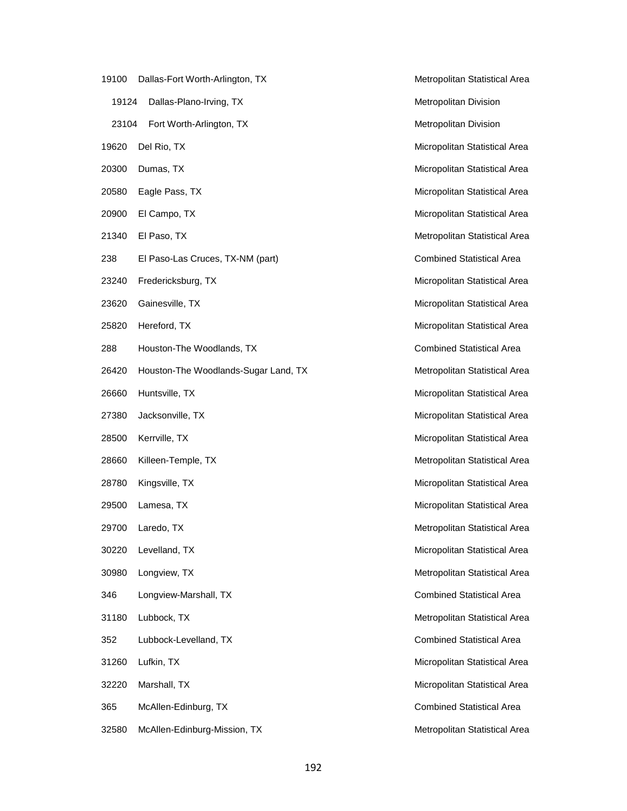- 19100 Dallas-Fort Worth-Arlington, TX Metropolitan Statistical Area 19124 Dallas-Plano-Irving, TX and the state of the Metropolitan Division 23104 Fort Worth-Arlington, TX **Metropolitan Division** Metropolitan Division 19620 Del Rio, TX and Table 19620 Del Rio, TX and Table 19620 Del Rio TX and Table 19620 Del Rio TX 20300 Dumas, TX and TV and TV and TV and TV and TV and TV and TV and TV and TV and TV and TV and TV and TV and TV and TV and TV and TV and TV and TV and TV and TV and TV and TV and TV and TV and TV and TV and TV and TV and 20580 Eagle Pass, TX Micropolitan Statistical Area 20900 El Campo, TX and TX and TX and TX and TX and TX and TX and TX and TX and TX and TX and TX and TX and TX and TX and TX and TX and TX and TX and TX and TX and TX and TX and TX and TX and TX and TX and TX and TX and TX 21340 El Paso, TX and TX and TX and TX and TX and TX and TX and TX and TX and TX and TX and TX and TX and TX and TX and TX and TX and TX and TX and TX and TX and TX and TX and TX and TX and TX and TX and TX and TX and TX a 238 El Paso-Las Cruces, TX-NM (part) Combined Statistical Area 23240 Fredericksburg, TX **Micropolitan Statistical Area** Micropolitan Statistical Area 23620 Gainesville, TX and the Control of the Micropolitan Statistical Area 25820 Hereford, TX and TX and TX and TX and TX and TX and TX and TX and TX and TX and TX and TX and TX and TX and TX and TX and TX and TX and TX and TX and TX and TX and TX and TX and TX and TX and TX and TX and TX and TX 288 Houston-The Woodlands, TX Combined Statistical Area 26420 Houston-The Woodlands-Sugar Land, TX Metropolitan Statistical Area 26660 Huntsville, TX **Micropolitan Statistical Area** Micropolitan Statistical Area 27380 Jacksonville, TX **Micropolitan Statistical Area** Micropolitan Statistical Area 28500 Kerrville, TX and TX and TX Micropolitan Statistical Area 28660 Killeen-Temple, TX Metropolitan Statistical Area 28780 Kingsville, TX **Micropolitan Statistical Area** Micropolitan Statistical Area 29500 Lamesa, TX and TX and TX and TX and TX and TX and TX and TX and TX and TX and TX and TX and TX and TX and TX and TX and TX and TX and TX and TX and TX and TX and TX and TX and TX and TX and TX and TX and TX and TX an 29700 Laredo, TX and TX Metropolitan Statistical Area 30220 Levelland, TX Micropolitan Statistical Area 30980 Longview, TX and the statistical Area and the Metropolitan Statistical Area 346 Longview-Marshall, TX Combined Statistical Area 31180 Lubbock, TX **Metropolitan Statistical Area** Metropolitan Statistical Area 352 Lubbock-Levelland, TX Combined Statistical Area 31260 Lufkin, TX and the statistical Area and the Micropolitan Statistical Area and the Micropolitan Statistical Area 32220 Marshall, TX **Micropolitan Statistical Area** Micropolitan Statistical Area 365 McAllen-Edinburg, TX 365 McAllen-Edinburg, TX
	- 32580 McAllen-Edinburg-Mission, TX Metropolitan Statistical Area

192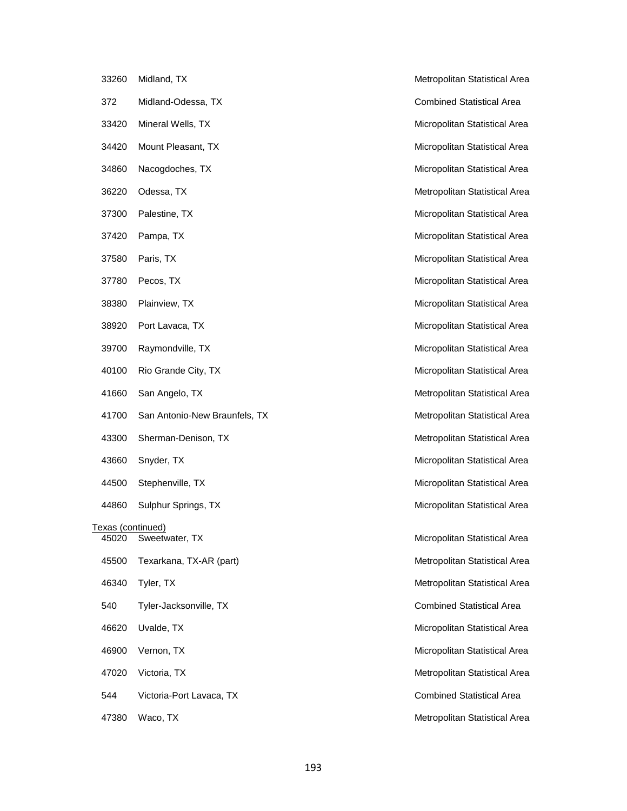|                            | 33260 Midland, TX                |
|----------------------------|----------------------------------|
| 372                        | Midland-Odessa, TX               |
|                            | 33420 Mineral Wells, TX          |
|                            | 34420 Mount Pleasant, TX         |
| 34860                      | Nacogdoches, TX                  |
| 36220                      | Odessa, TX                       |
|                            | 37300 Palestine, TX              |
|                            | 37420 Pampa, TX                  |
| 37580                      | Paris, TX                        |
| 37780                      | Pecos, TX                        |
| 38380                      | Plainview, TX                    |
| 38920                      | Port Lavaca, TX                  |
| 39700                      | Raymondville, TX                 |
| 40100                      | Rio Grande City, TX              |
|                            | 41660 San Angelo, TX             |
|                            | 41700 San Antonio-New Braunfels, |
| 43300                      | Sherman-Denison, TX              |
|                            | 43660 Snyder, TX                 |
|                            | 44500 Stephenville, TX           |
|                            | 44860 Sulphur Springs, TX        |
| Texas (continued)<br>45020 | Sweetwater, TX                   |
| 45500                      | Texarkana, TX-AR (part)          |
|                            | 46340 Tyler, TX                  |
| 540                        | Tyler-Jacksonville, TX           |
| 46620                      | Uvalde, TX                       |
|                            | 46900 Vernon, TX                 |
|                            | 47020 Victoria, TX               |
| 544                        | Victoria-Port Lavaca, TX         |
|                            |                                  |

Metropolitan Statistical Area Combined Statistical Area Micropolitan Statistical Area Micropolitan Statistical Area Micropolitan Statistical Area Metropolitan Statistical Area Micropolitan Statistical Area Micropolitan Statistical Area Micropolitan Statistical Area Micropolitan Statistical Area Micropolitan Statistical Area Micropolitan Statistical Area Micropolitan Statistical Area Micropolitan Statistical Area Metropolitan Statistical Area TX **Antonio-New Braunfels** Metropolitan Statistical Area Metropolitan Statistical Area Micropolitan Statistical Area Micropolitan Statistical Area Micropolitan Statistical Area Micropolitan Statistical Area Metropolitan Statistical Area Metropolitan Statistical Area Combined Statistical Area Micropolitan Statistical Area Micropolitan Statistical Area Metropolitan Statistical Area Combined Statistical Area 47380 Waco, TX **Metropolitan Statistical Area** Metropolitan Statistical Area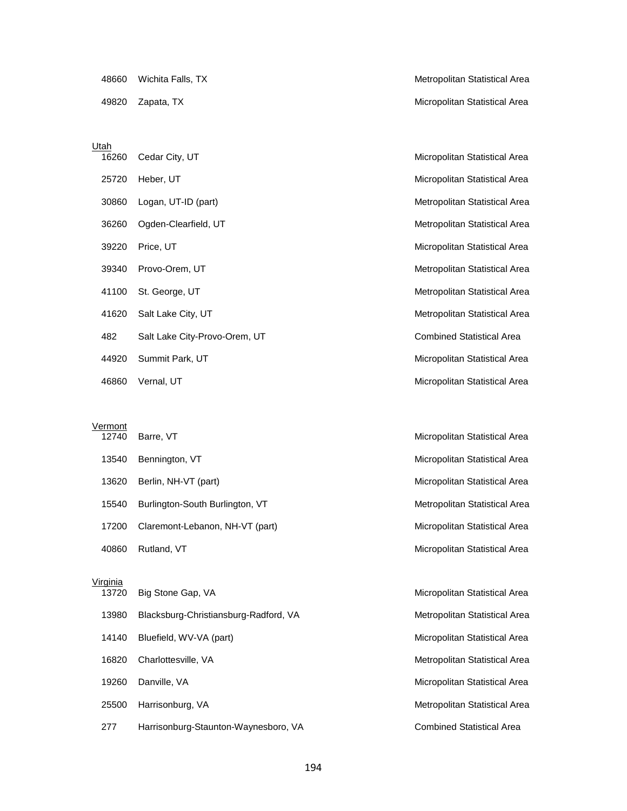#### Utah

|       | 16260 Cedar City, UT          |
|-------|-------------------------------|
|       | 25720 Heber, UT               |
|       | 30860 Logan, UT-ID (part)     |
|       | 36260 Ogden-Clearfield, UT    |
|       | 39220 Price, UT               |
|       | 39340 Provo-Orem, UT          |
|       | 41100 St. George, UT          |
|       | 41620 Salt Lake City, UT      |
| 482 — | Salt Lake City-Provo-Orem, UT |
|       | 44920 Summit Park, UT         |
|       |                               |

Vermont<br>12740 Barre, VT

| 13540  | Bennington, VT                  |
|--------|---------------------------------|
| 13620  | Berlin, NH-VT (part)            |
| 15540  | Burlington-South Burlington, VT |
| 17200  | Claremont-Lebanon, NH-VT (part) |
| ANRAN. | Rutland VT                      |

#### Virginia

| $\sim$ $\sim$ $\sim$<br>13720 | Big Stone Gap, VA                     |
|-------------------------------|---------------------------------------|
| 13980                         | Blacksburg-Christiansburg-Radford, VA |
|                               | 14140 Bluefield, WV-VA (part)         |
|                               | 16820 Charlottesville, VA             |
| 19260                         | Danville, VA                          |
| 25500                         | Harrisonburg, VA                      |
| 277                           | Harrisonburg-Staunton-Waynesboro, VA  |

48660 Wichita Falls, TX and the Controller of the Metropolitan Statistical Area 49820 Zapata, TX Micropolitan Statistical Area

Micropolitan Statistical Area Micropolitan Statistical Area Metropolitan Statistical Area Metropolitan Statistical Area Micropolitan Statistical Area Metropolitan Statistical Area Metropolitan Statistical Area Metropolitan Statistical Area Combined Statistical Area Micropolitan Statistical Area 46860 Vernal, UT **Micropolitan Statistical Area** Area **Micropolitan Statistical Area** 

Micropolitan Statistical Area Micropolitan Statistical Area Micropolitan Statistical Area Metropolitan Statistical Area Micropolitan Statistical Area 40860 Rutland, VT **Micropolitan Statistical Area** 

> Micropolitan Statistical Area Metropolitan Statistical Area Micropolitan Statistical Area Metropolitan Statistical Area Micropolitan Statistical Area Metropolitan Statistical Area Combined Statistical Area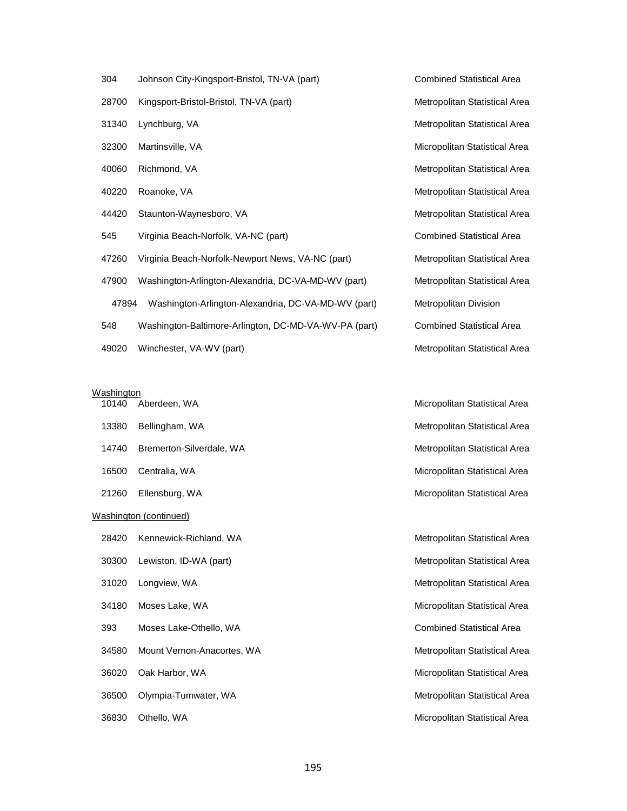- 304 Johnson City-Kingsport-Bristol, TN-VA (part) Combined Statistical Area
- 28700 Kingsport-Bristol-Bristol, TN-VA (part) Metropolitan Statistical Area
- 
- 
- 
- 
- 
- 545 Virginia Beach-Norfolk, VA-NC (part) Combined Statistical Area
- 47260 Virginia Beach-Norfolk-Newport News, VA-NC (part) Metropolitan Statistical Area
- 47900 Washington-Arlington-Alexandria, DC-VA-MD-WV (part) Metropolitan Statistical Area 47894 Washington-Arlington-Alexandria, DC-VA-MD-WV (part) Metropolitan Division 548 Washington-Baltimore-Arlington, DC-MD-VA-WV-PA (part) Combined Statistical Area
- 49020 Winchester, VA-WV (part) Metropolitan Statistical Area

# Washington<br>10140 A

13380 Bellingham, WA **Metropolitan Statistical Area** Metropolitan Statistical Area 14740 Bremerton-Silverdale, WA Metropolitan Statistical Area 16500 Centralia, WA Micropolitan Statistical Area 21260 Ellensburg, WA Micropolitan Statistical Area

#### Washington (continued)

- 28420 Kennewick-Richland, WA Metropolitan Statistical Area
- 30300 Lewiston, ID-WA (part) Metropolitan Statistical Area
- 
- 
- 393 Moses Lake-Othello, WA Combined Statistical Area
- 34580 Mount Vernon-Anacortes, WA Metropolitan Statistical Area
- 
- 
- 

31340 Lynchburg, VA **Metropolitan Statistical Area** Metropolitan Statistical Area 32300 Martinsville, VA **Micropolitan Statistical Area** Micropolitan Statistical Area 40060 Richmond, VA **Metropolitan Statistical Area** 40220 Roanoke, VA Metropolitan Statistical Area 44420 Staunton-Waynesboro, VA Metropolitan Statistical Area

10140 Aberdeen, WA Micropolitan Statistical Area

31020 Longview, WA Metropolitan Statistical Area 34180 Moses Lake, WA Micropolitan Statistical Area 36020 Oak Harbor, WA Micropolitan Statistical Area 36500 Olympia-Tumwater, WA Metropolitan Statistical Area 36830 Othello, WA **Micropolitan Statistical Area**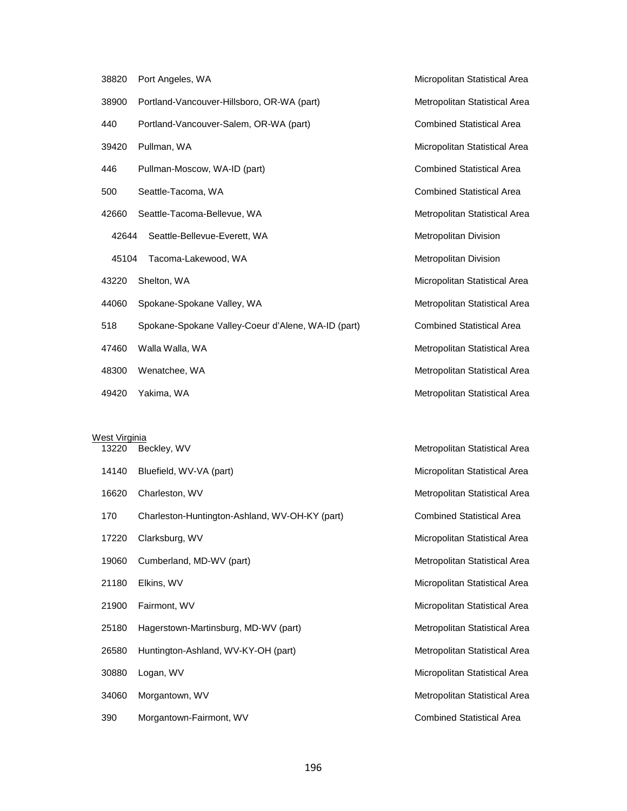| 38820 | Port Angeles, WA                                   | Micropolitan Statistical Area    |
|-------|----------------------------------------------------|----------------------------------|
| 38900 | Portland-Vancouver-Hillsboro, OR-WA (part)         | Metropolitan Statistical Area    |
| 440   | Portland-Vancouver-Salem, OR-WA (part)             | <b>Combined Statistical Area</b> |
| 39420 | Pullman, WA                                        | Micropolitan Statistical Area    |
| 446   | Pullman-Moscow, WA-ID (part)                       | <b>Combined Statistical Area</b> |
| 500   | Seattle-Tacoma, WA                                 | <b>Combined Statistical Area</b> |
| 42660 | Seattle-Tacoma-Bellevue, WA                        | Metropolitan Statistical Area    |
| 42644 | Seattle-Bellevue-Everett, WA                       | Metropolitan Division            |
| 45104 | Tacoma-Lakewood, WA                                | Metropolitan Division            |
| 43220 | Shelton, WA                                        | Micropolitan Statistical Area    |
| 44060 | Spokane-Spokane Valley, WA                         | Metropolitan Statistical Area    |
| 518   | Spokane-Spokane Valley-Coeur d'Alene, WA-ID (part) | <b>Combined Statistical Area</b> |
| 47460 | Walla Walla, WA                                    | Metropolitan Statistical Area    |
| 48300 | Wenatchee, WA                                      | Metropolitan Statistical Area    |
| 49420 | Yakima, WA                                         | Metropolitan Statistical Area    |

# West Virginia

| 13220 | Beckley, WV                                    | Metropolitan Statistical Area    |
|-------|------------------------------------------------|----------------------------------|
| 14140 | Bluefield, WV-VA (part)                        | Micropolitan Statistical Area    |
| 16620 | Charleston, WV                                 | Metropolitan Statistical Area    |
| 170   | Charleston-Huntington-Ashland, WV-OH-KY (part) | <b>Combined Statistical Area</b> |
| 17220 | Clarksburg, WV                                 | Micropolitan Statistical Area    |
| 19060 | Cumberland, MD-WV (part)                       | Metropolitan Statistical Area    |
| 21180 | Elkins, WV                                     | Micropolitan Statistical Area    |
| 21900 | Fairmont, WV                                   | Micropolitan Statistical Area    |
| 25180 | Hagerstown-Martinsburg, MD-WV (part)           | Metropolitan Statistical Area    |
| 26580 | Huntington-Ashland, WV-KY-OH (part)            | Metropolitan Statistical Area    |
| 30880 | Logan, WV                                      | Micropolitan Statistical Area    |
| 34060 | Morgantown, WV                                 | Metropolitan Statistical Area    |
| 390   | Morgantown-Fairmont, WV                        | <b>Combined Statistical Area</b> |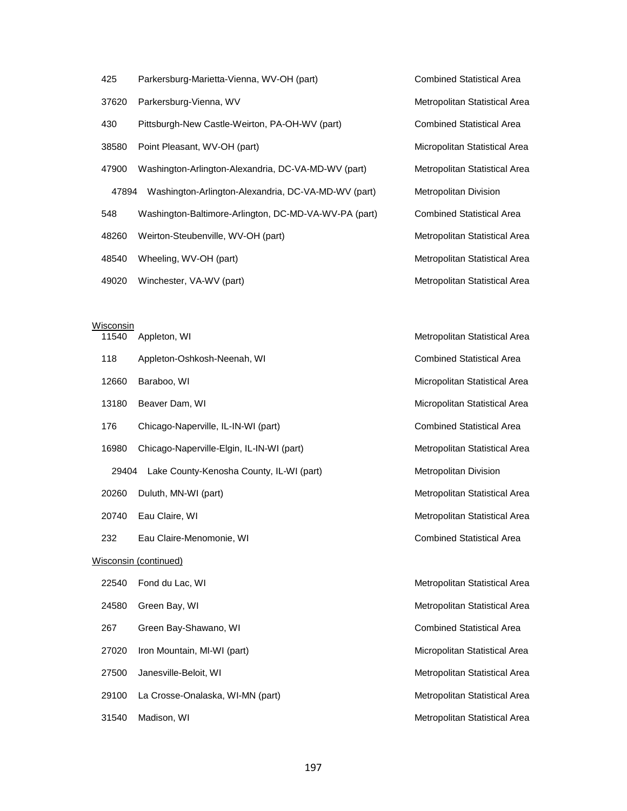- 425 Parkersburg-Marietta-Vienna, WV-OH (part) Combined Statistical Area
- 37620 Parkersburg-Vienna, WV Metropolitan Statistical Area
- 430 Pittsburgh-New Castle-Weirton, PA-OH-WV (part) Combined Statistical Area
- 38580 Point Pleasant, WV-OH (part) Micropolitan Statistical Area
- 47900 Washington-Arlington-Alexandria, DC-VA-MD-WV (part) Metropolitan Statistical Area 47894 Washington-Arlington-Alexandria, DC-VA-MD-WV (part) Metropolitan Division 548 Washington-Baltimore-Arlington, DC-MD-VA-WV-PA (part) Combined Statistical Area
- 
- 
- 

# **Wisconsin**

|                       | 11540 | Appleton, WI                              | Metropolitan Statistical Area    |
|-----------------------|-------|-------------------------------------------|----------------------------------|
|                       | 118   | Appleton-Oshkosh-Neenah, WI               | <b>Combined Statistical Area</b> |
|                       | 12660 | Baraboo, WI                               | Micropolitan Statistical Area    |
|                       | 13180 | Beaver Dam, WI                            | Micropolitan Statistical Area    |
|                       | 176   | Chicago-Naperville, IL-IN-WI (part)       | <b>Combined Statistical Area</b> |
|                       | 16980 | Chicago-Naperville-Elgin, IL-IN-WI (part) | Metropolitan Statistical Area    |
|                       | 29404 | Lake County-Kenosha County, IL-WI (part)  | Metropolitan Division            |
|                       | 20260 | Duluth, MN-WI (part)                      | Metropolitan Statistical Area    |
|                       | 20740 | Eau Claire, WI                            | Metropolitan Statistical Area    |
|                       | 232   | Eau Claire-Menomonie, WI                  | <b>Combined Statistical Area</b> |
| Wisconsin (continued) |       |                                           |                                  |
|                       | 22540 | Fond du Lac, WI                           | Metropolitan Statistical Area    |
|                       | 24580 | Green Bay, WI                             | Metropolitan Statistical Area    |
|                       | 267   | Green Bay-Shawano, WI                     | <b>Combined Statistical Area</b> |
|                       | 27020 | Iron Mountain, MI-WI (part)               | Micropolitan Statistical Area    |
|                       | 27500 | Janesville-Beloit, WI                     | Metropolitan Statistical Area    |
|                       | 29100 | La Crosse-Onalaska, WI-MN (part)          | Metropolitan Statistical Area    |
|                       | 31540 | Madison, WI                               | Metropolitan Statistical Area    |

48260 Weirton-Steubenville, WV-OH (part) Metropolitan Statistical Area 48540 Wheeling, WV-OH (part) Metropolitan Statistical Area 49020 Winchester, VA-WV (part) Metropolitan Statistical Area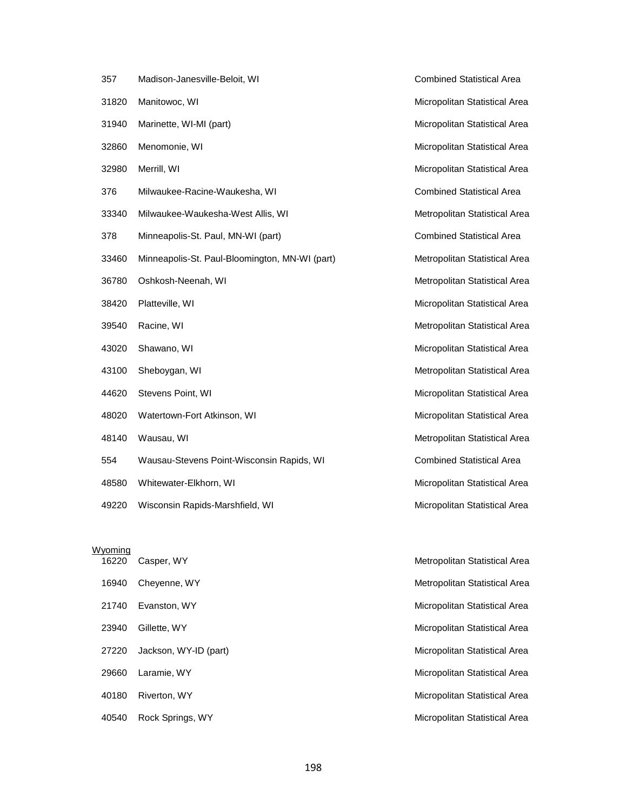| 357   | Madison-Janesville-Beloit, WI                  |
|-------|------------------------------------------------|
| 31820 | Manitowoc, WI                                  |
| 31940 | Marinette, WI-MI (part)                        |
| 32860 | Menomonie, WI                                  |
| 32980 | Merrill, WI                                    |
| 376   | Milwaukee-Racine-Waukesha, WI                  |
| 33340 | Milwaukee-Waukesha-West Allis, WI              |
| 378   | Minneapolis-St. Paul, MN-WI (part)             |
| 33460 | Minneapolis-St. Paul-Bloomington, MN-WI (part) |
| 36780 | Oshkosh-Neenah, WI                             |
| 38420 | Platteville, WI                                |
| 39540 | Racine, WI                                     |
| 43020 | Shawano, WI                                    |
| 43100 | Sheboygan, WI                                  |
| 44620 | Stevens Point, WI                              |
| 48020 | Watertown-Fort Atkinson, WI                    |
| 48140 | Wausau, WI                                     |
| 554   | Wausau-Stevens Point-Wisconsin Rapids, WI      |
| 48580 | Whitewater-Elkhorn, WI                         |

49220 Wisconsin Rapids-Marshfield, WI Micropolitan Statistical Area

Wyoming<br>16220

Combined Statistical Area Micropolitan Statistical Area Micropolitan Statistical Area Micropolitan Statistical Area Micropolitan Statistical Area Combined Statistical Area Metropolitan Statistical Area Combined Statistical Area Metropolitan Statistical Area Metropolitan Statistical Area Micropolitan Statistical Area Metropolitan Statistical Area Micropolitan Statistical Area Metropolitan Statistical Area Micropolitan Statistical Area Micropolitan Statistical Area Metropolitan Statistical Area Combined Statistical Area Micropolitan Statistical Area

**1622** Casper, WY **Casper, WY** Metropolitan Statistical Area 16940 Cheyenne, WY **Metropolitan Statistical Area** Metropolitan Statistical Area 21740 Evanston, WY **Micropolitan Statistical Area** 23940 Gillette, WY **Micropolitan Statistical Area** 27220 Jackson, WY-ID (part) Micropolitan Statistical Area 29660 Laramie, WY **Micropolitan Statistical Area** 40180 Riverton, WY Micropolitan Statistical Area 40540 Rock Springs, WY Micropolitan Statistical Area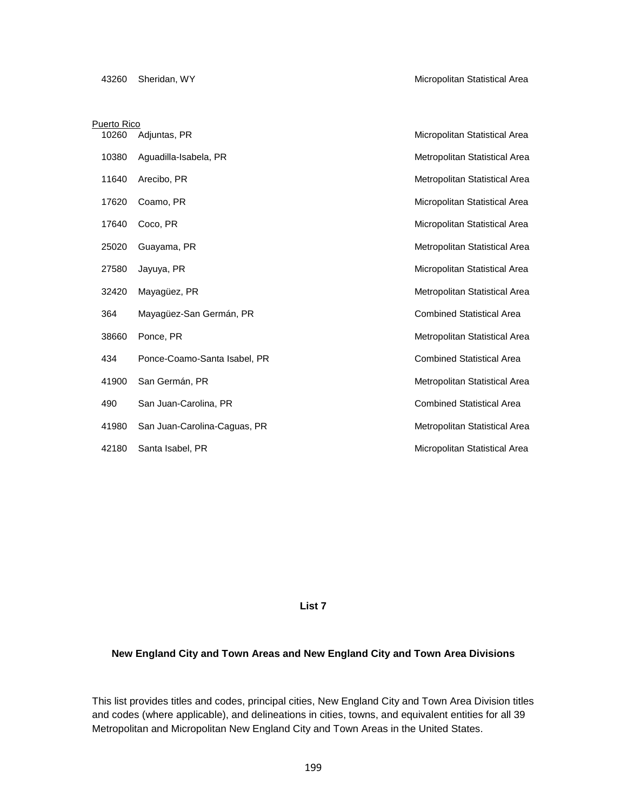| <b>Puerto Rico</b> |       |                              |                                  |
|--------------------|-------|------------------------------|----------------------------------|
|                    | 10260 | Adjuntas, PR                 | Micropolitan Statistical Area    |
|                    | 10380 | Aguadilla-Isabela, PR        | Metropolitan Statistical Area    |
|                    | 11640 | Arecibo, PR                  | Metropolitan Statistical Area    |
|                    | 17620 | Coamo, PR                    | Micropolitan Statistical Area    |
|                    | 17640 | Coco, PR                     | Micropolitan Statistical Area    |
|                    | 25020 | Guayama, PR                  | Metropolitan Statistical Area    |
|                    | 27580 | Jayuya, PR                   | Micropolitan Statistical Area    |
|                    | 32420 | Mayagüez, PR                 | Metropolitan Statistical Area    |
|                    | 364   | Mayagüez-San Germán, PR      | <b>Combined Statistical Area</b> |
|                    | 38660 | Ponce, PR                    | Metropolitan Statistical Area    |
|                    | 434   | Ponce-Coamo-Santa Isabel, PR | <b>Combined Statistical Area</b> |
|                    | 41900 | San Germán, PR               | Metropolitan Statistical Area    |
|                    | 490   | San Juan-Carolina, PR        | <b>Combined Statistical Area</b> |
|                    | 41980 | San Juan-Carolina-Caguas, PR | Metropolitan Statistical Area    |
|                    | 42180 | Santa Isabel, PR             | Micropolitan Statistical Area    |

**List 7**

# **New England City and Town Areas and New England City and Town Area Divisions**

This list provides titles and codes, principal cities, New England City and Town Area Division titles and codes (where applicable), and delineations in cities, towns, and equivalent entities for all 39 Metropolitan and Micropolitan New England City and Town Areas in the United States.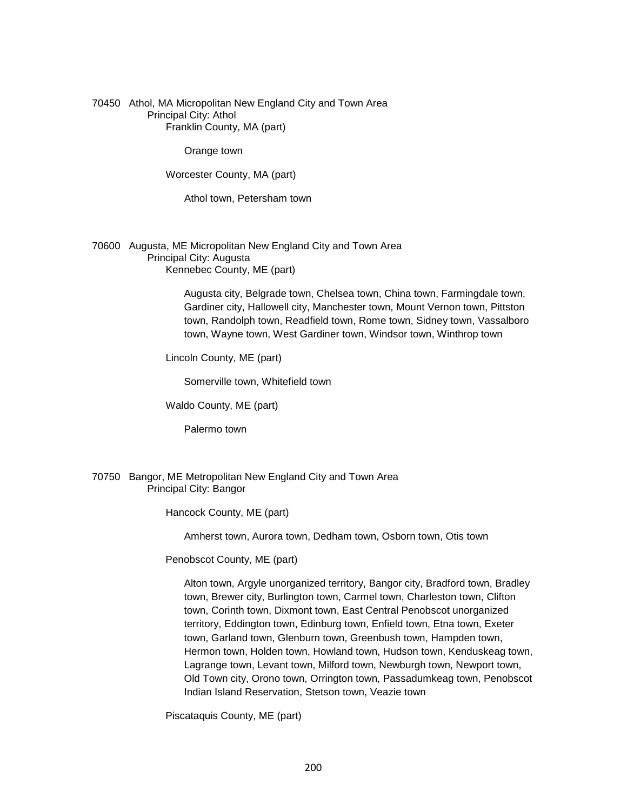70450 Athol, MA Micropolitan New England City and Town Area Principal City: Athol Franklin County, MA (part)

Orange town

Worcester County, MA (part)

Athol town, Petersham town

70600 Augusta, ME Micropolitan New England City and Town Area Principal City: Augusta Kennebec County, ME (part)

> Augusta city, Belgrade town, Chelsea town, China town, Farmingdale town, Gardiner city, Hallowell city, Manchester town, Mount Vernon town, Pittston town, Randolph town, Readfield town, Rome town, Sidney town, Vassalboro town, Wayne town, West Gardiner town, Windsor town, Winthrop town

Lincoln County, ME (part)

Somerville town, Whitefield town

Waldo County, ME (part)

Palermo town

#### 70750 Bangor, ME Metropolitan New England City and Town Area Principal City: Bangor

Hancock County, ME (part)

Amherst town, Aurora town, Dedham town, Osborn town, Otis town

Penobscot County, ME (part)

 Alton town, Argyle unorganized territory, Bangor city, Bradford town, Bradley town, Brewer city, Burlington town, Carmel town, Charleston town, Clifton town, Corinth town, Dixmont town, East Central Penobscot unorganized territory, Eddington town, Edinburg town, Enfield town, Etna town, Exeter town, Garland town, Glenburn town, Greenbush town, Hampden town, Hermon town, Holden town, Howland town, Hudson town, Kenduskeag town, Lagrange town, Levant town, Milford town, Newburgh town, Newport town, Old Town city, Orono town, Orrington town, Passadumkeag town, Penobscot Indian Island Reservation, Stetson town, Veazie town

Piscataquis County, ME (part)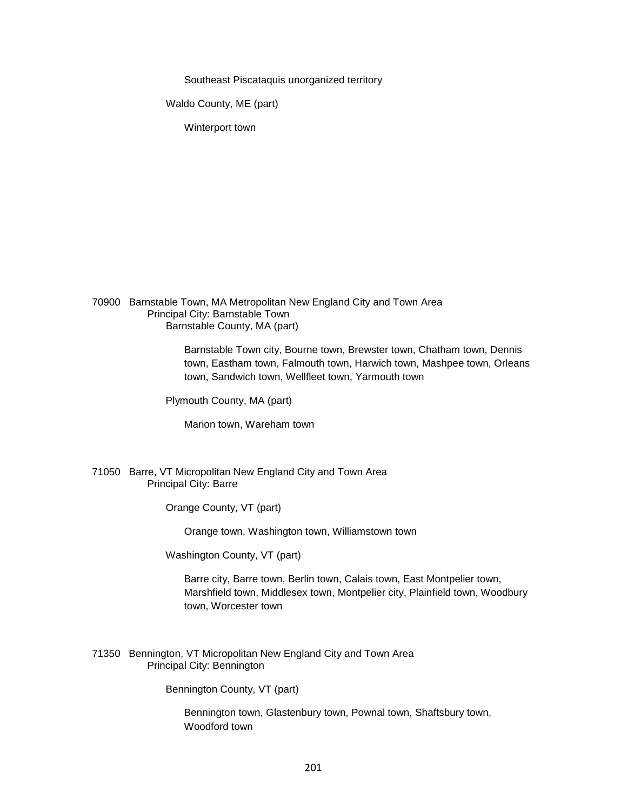Southeast Piscataquis unorganized territory

Waldo County, ME (part)

Winterport town

70900 Barnstable Town, MA Metropolitan New England City and Town Area Principal City: Barnstable Town Barnstable County, MA (part)

> Barnstable Town city, Bourne town, Brewster town, Chatham town, Dennis town, Eastham town, Falmouth town, Harwich town, Mashpee town, Orleans town, Sandwich town, Wellfleet town, Yarmouth town

Plymouth County, MA (part)

Marion town, Wareham town

### 71050 Barre, VT Micropolitan New England City and Town Area Principal City: Barre

Orange County, VT (part)

Orange town, Washington town, Williamstown town

Washington County, VT (part)

 Barre city, Barre town, Berlin town, Calais town, East Montpelier town, Marshfield town, Middlesex town, Montpelier city, Plainfield town, Woodbury town, Worcester town

71350 Bennington, VT Micropolitan New England City and Town Area Principal City: Bennington

Bennington County, VT (part)

 Bennington town, Glastenbury town, Pownal town, Shaftsbury town, Woodford town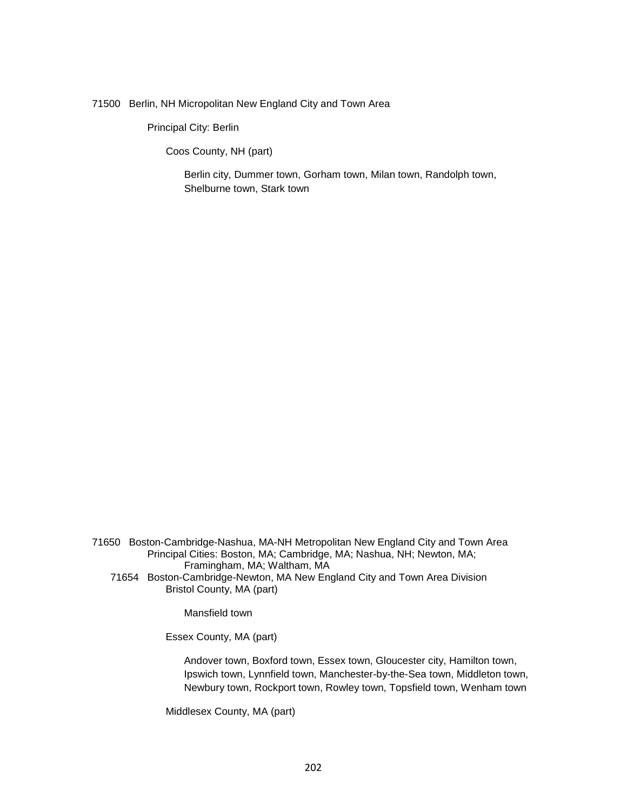71500 Berlin, NH Micropolitan New England City and Town Area

Principal City: Berlin

Coos County, NH (part)

 Berlin city, Dummer town, Gorham town, Milan town, Randolph town, Shelburne town, Stark town

71650 Boston-Cambridge-Nashua, MA-NH Metropolitan New England City and Town Area Principal Cities: Boston, MA; Cambridge, MA; Nashua, NH; Newton, MA; Framingham, MA; Waltham, MA

71654 Boston-Cambridge-Newton, MA New England City and Town Area Division Bristol County, MA (part)

Mansfield town

Essex County, MA (part)

 Andover town, Boxford town, Essex town, Gloucester city, Hamilton town, Ipswich town, Lynnfield town, Manchester-by-the-Sea town, Middleton town, Newbury town, Rockport town, Rowley town, Topsfield town, Wenham town

Middlesex County, MA (part)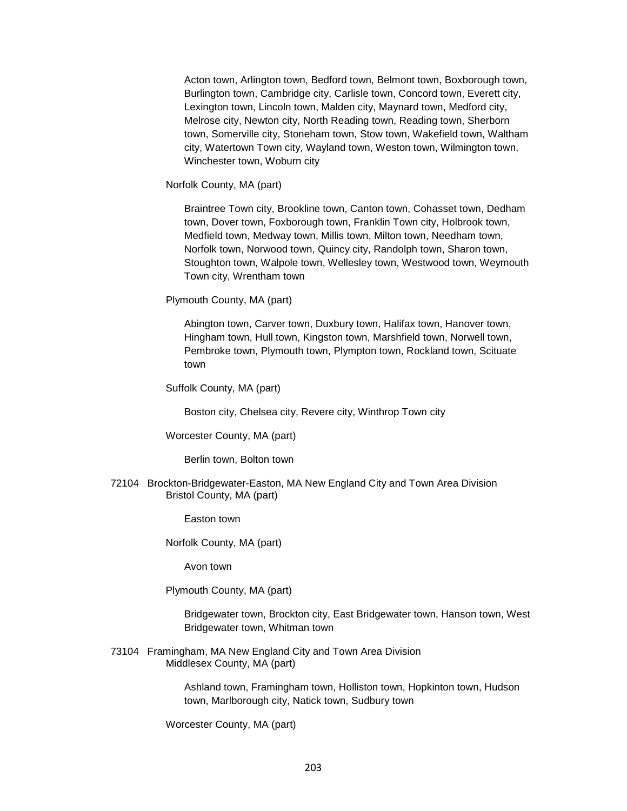Acton town, Arlington town, Bedford town, Belmont town, Boxborough town, Burlington town, Cambridge city, Carlisle town, Concord town, Everett city, Lexington town, Lincoln town, Malden city, Maynard town, Medford city, Melrose city, Newton city, North Reading town, Reading town, Sherborn town, Somerville city, Stoneham town, Stow town, Wakefield town, Waltham city, Watertown Town city, Wayland town, Weston town, Wilmington town, Winchester town, Woburn city

Norfolk County, MA (part)

 Braintree Town city, Brookline town, Canton town, Cohasset town, Dedham town, Dover town, Foxborough town, Franklin Town city, Holbrook town, Medfield town, Medway town, Millis town, Milton town, Needham town, Norfolk town, Norwood town, Quincy city, Randolph town, Sharon town, Stoughton town, Walpole town, Wellesley town, Westwood town, Weymouth Town city, Wrentham town

Plymouth County, MA (part)

 Abington town, Carver town, Duxbury town, Halifax town, Hanover town, Hingham town, Hull town, Kingston town, Marshfield town, Norwell town, Pembroke town, Plymouth town, Plympton town, Rockland town, Scituate town

Suffolk County, MA (part)

Boston city, Chelsea city, Revere city, Winthrop Town city

Worcester County, MA (part)

Berlin town, Bolton town

72104 Brockton-Bridgewater-Easton, MA New England City and Town Area Division Bristol County, MA (part)

Easton town

Norfolk County, MA (part)

Avon town

Plymouth County, MA (part)

 Bridgewater town, Brockton city, East Bridgewater town, Hanson town, West Bridgewater town, Whitman town

73104 Framingham, MA New England City and Town Area Division Middlesex County, MA (part)

> Ashland town, Framingham town, Holliston town, Hopkinton town, Hudson town, Marlborough city, Natick town, Sudbury town

Worcester County, MA (part)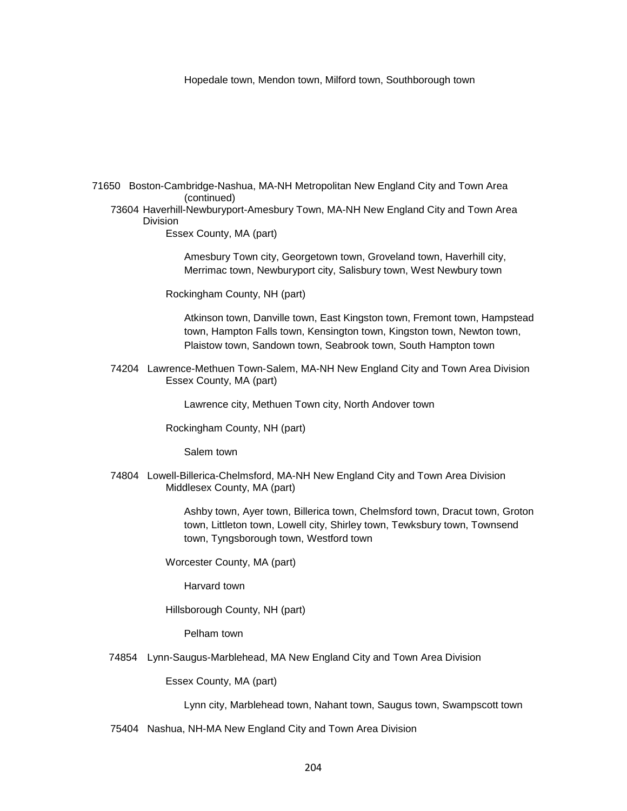Hopedale town, Mendon town, Milford town, Southborough town

71650 Boston-Cambridge-Nashua, MA-NH Metropolitan New England City and Town Area (continued)

73604 Haverhill-Newburyport-Amesbury Town, MA-NH New England City and Town Area Division

Essex County, MA (part)

 Amesbury Town city, Georgetown town, Groveland town, Haverhill city, Merrimac town, Newburyport city, Salisbury town, West Newbury town

Rockingham County, NH (part)

 Atkinson town, Danville town, East Kingston town, Fremont town, Hampstead town, Hampton Falls town, Kensington town, Kingston town, Newton town, Plaistow town, Sandown town, Seabrook town, South Hampton town

74204 Lawrence-Methuen Town-Salem, MA-NH New England City and Town Area Division Essex County, MA (part)

Lawrence city, Methuen Town city, North Andover town

Rockingham County, NH (part)

Salem town

74804 Lowell-Billerica-Chelmsford, MA-NH New England City and Town Area Division Middlesex County, MA (part)

> Ashby town, Ayer town, Billerica town, Chelmsford town, Dracut town, Groton town, Littleton town, Lowell city, Shirley town, Tewksbury town, Townsend town, Tyngsborough town, Westford town

Worcester County, MA (part)

Harvard town

Hillsborough County, NH (part)

Pelham town

74854 Lynn-Saugus-Marblehead, MA New England City and Town Area Division

Essex County, MA (part)

Lynn city, Marblehead town, Nahant town, Saugus town, Swampscott town

75404 Nashua, NH-MA New England City and Town Area Division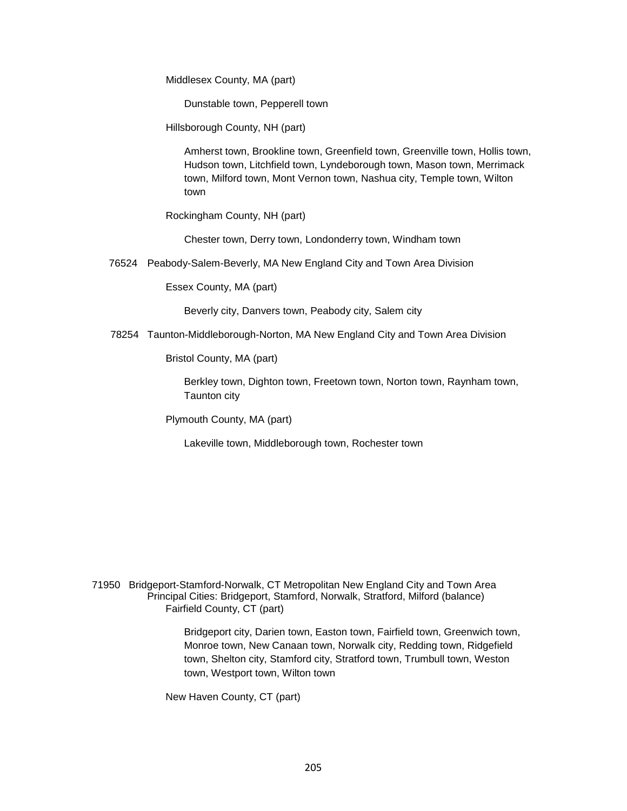Middlesex County, MA (part)

Dunstable town, Pepperell town

Hillsborough County, NH (part)

 Amherst town, Brookline town, Greenfield town, Greenville town, Hollis town, Hudson town, Litchfield town, Lyndeborough town, Mason town, Merrimack town, Milford town, Mont Vernon town, Nashua city, Temple town, Wilton town

Rockingham County, NH (part)

Chester town, Derry town, Londonderry town, Windham town

76524 Peabody-Salem-Beverly, MA New England City and Town Area Division

Essex County, MA (part)

Beverly city, Danvers town, Peabody city, Salem city

78254 Taunton-Middleborough-Norton, MA New England City and Town Area Division

Bristol County, MA (part)

 Berkley town, Dighton town, Freetown town, Norton town, Raynham town, Taunton city

Plymouth County, MA (part)

Lakeville town, Middleborough town, Rochester town

71950 Bridgeport-Stamford-Norwalk, CT Metropolitan New England City and Town Area Principal Cities: Bridgeport, Stamford, Norwalk, Stratford, Milford (balance) Fairfield County, CT (part)

> Bridgeport city, Darien town, Easton town, Fairfield town, Greenwich town, Monroe town, New Canaan town, Norwalk city, Redding town, Ridgefield town, Shelton city, Stamford city, Stratford town, Trumbull town, Weston town, Westport town, Wilton town

New Haven County, CT (part)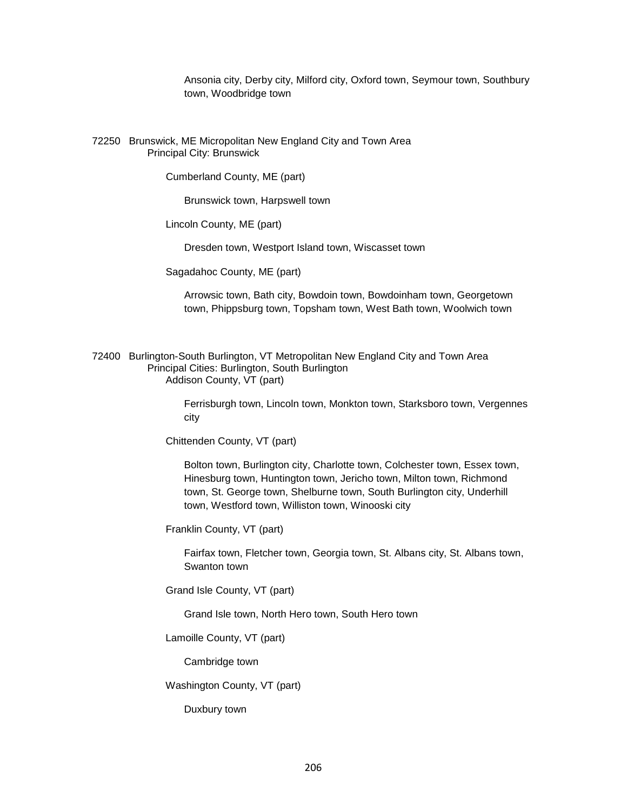Ansonia city, Derby city, Milford city, Oxford town, Seymour town, Southbury town, Woodbridge town

72250 Brunswick, ME Micropolitan New England City and Town Area Principal City: Brunswick

Cumberland County, ME (part)

Brunswick town, Harpswell town

Lincoln County, ME (part)

Dresden town, Westport Island town, Wiscasset town

Sagadahoc County, ME (part)

 Arrowsic town, Bath city, Bowdoin town, Bowdoinham town, Georgetown town, Phippsburg town, Topsham town, West Bath town, Woolwich town

72400 Burlington-South Burlington, VT Metropolitan New England City and Town Area Principal Cities: Burlington, South Burlington Addison County, VT (part)

> Ferrisburgh town, Lincoln town, Monkton town, Starksboro town, Vergennes city

Chittenden County, VT (part)

 Bolton town, Burlington city, Charlotte town, Colchester town, Essex town, Hinesburg town, Huntington town, Jericho town, Milton town, Richmond town, St. George town, Shelburne town, South Burlington city, Underhill town, Westford town, Williston town, Winooski city

Franklin County, VT (part)

 Fairfax town, Fletcher town, Georgia town, St. Albans city, St. Albans town, Swanton town

Grand Isle County, VT (part)

Grand Isle town, North Hero town, South Hero town

Lamoille County, VT (part)

Cambridge town

Washington County, VT (part)

Duxbury town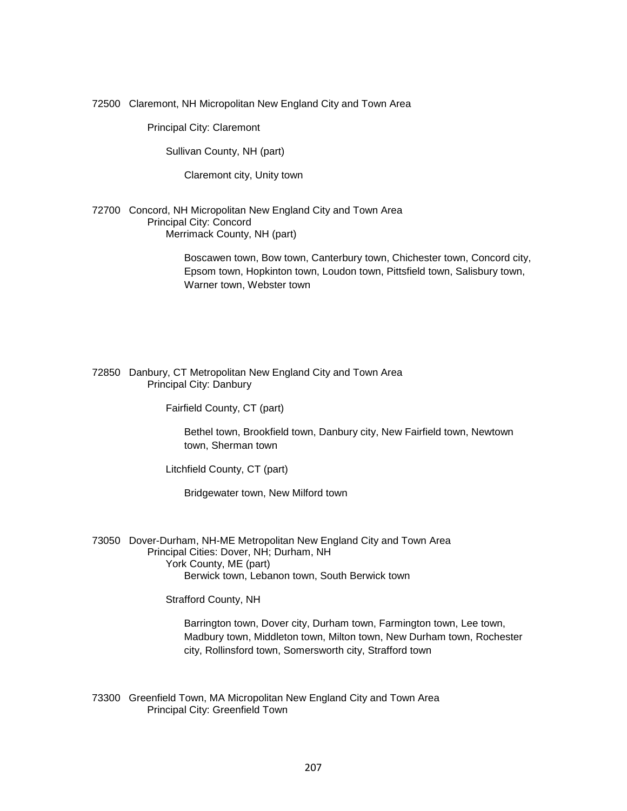72500 Claremont, NH Micropolitan New England City and Town Area

Principal City: Claremont

Sullivan County, NH (part)

Claremont city, Unity town

72700 Concord, NH Micropolitan New England City and Town Area Principal City: Concord Merrimack County, NH (part)

> Boscawen town, Bow town, Canterbury town, Chichester town, Concord city, Epsom town, Hopkinton town, Loudon town, Pittsfield town, Salisbury town, Warner town, Webster town

72850 Danbury, CT Metropolitan New England City and Town Area Principal City: Danbury

Fairfield County, CT (part)

 Bethel town, Brookfield town, Danbury city, New Fairfield town, Newtown town, Sherman town

Litchfield County, CT (part)

Bridgewater town, New Milford town

73050 Dover-Durham, NH-ME Metropolitan New England City and Town Area Principal Cities: Dover, NH; Durham, NH York County, ME (part) Berwick town, Lebanon town, South Berwick town

Strafford County, NH

 Barrington town, Dover city, Durham town, Farmington town, Lee town, Madbury town, Middleton town, Milton town, New Durham town, Rochester city, Rollinsford town, Somersworth city, Strafford town

73300 Greenfield Town, MA Micropolitan New England City and Town Area Principal City: Greenfield Town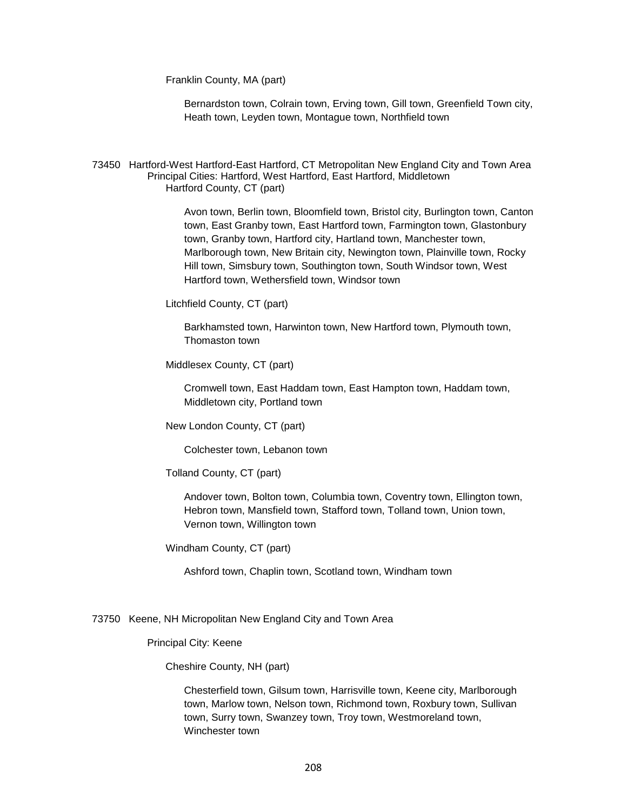Franklin County, MA (part)

 Bernardston town, Colrain town, Erving town, Gill town, Greenfield Town city, Heath town, Leyden town, Montague town, Northfield town

73450 Hartford-West Hartford-East Hartford, CT Metropolitan New England City and Town Area Principal Cities: Hartford, West Hartford, East Hartford, Middletown Hartford County, CT (part)

> Avon town, Berlin town, Bloomfield town, Bristol city, Burlington town, Canton town, East Granby town, East Hartford town, Farmington town, Glastonbury town, Granby town, Hartford city, Hartland town, Manchester town, Marlborough town, New Britain city, Newington town, Plainville town, Rocky Hill town, Simsbury town, Southington town, South Windsor town, West Hartford town, Wethersfield town, Windsor town

Litchfield County, CT (part)

 Barkhamsted town, Harwinton town, New Hartford town, Plymouth town, Thomaston town

Middlesex County, CT (part)

 Cromwell town, East Haddam town, East Hampton town, Haddam town, Middletown city, Portland town

New London County, CT (part)

Colchester town, Lebanon town

Tolland County, CT (part)

 Andover town, Bolton town, Columbia town, Coventry town, Ellington town, Hebron town, Mansfield town, Stafford town, Tolland town, Union town, Vernon town, Willington town

Windham County, CT (part)

Ashford town, Chaplin town, Scotland town, Windham town

#### 73750 Keene, NH Micropolitan New England City and Town Area

#### Principal City: Keene

Cheshire County, NH (part)

 Chesterfield town, Gilsum town, Harrisville town, Keene city, Marlborough town, Marlow town, Nelson town, Richmond town, Roxbury town, Sullivan town, Surry town, Swanzey town, Troy town, Westmoreland town, Winchester town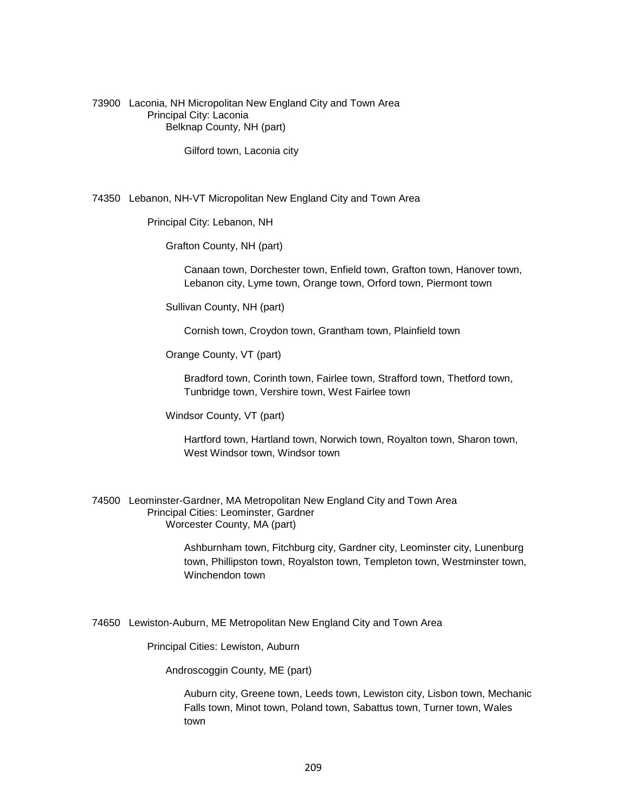73900 Laconia, NH Micropolitan New England City and Town Area Principal City: Laconia Belknap County, NH (part)

Gilford town, Laconia city

74350 Lebanon, NH-VT Micropolitan New England City and Town Area

Principal City: Lebanon, NH

Grafton County, NH (part)

 Canaan town, Dorchester town, Enfield town, Grafton town, Hanover town, Lebanon city, Lyme town, Orange town, Orford town, Piermont town

Sullivan County, NH (part)

Cornish town, Croydon town, Grantham town, Plainfield town

Orange County, VT (part)

 Bradford town, Corinth town, Fairlee town, Strafford town, Thetford town, Tunbridge town, Vershire town, West Fairlee town

Windsor County, VT (part)

 Hartford town, Hartland town, Norwich town, Royalton town, Sharon town, West Windsor town, Windsor town

74500 Leominster-Gardner, MA Metropolitan New England City and Town Area Principal Cities: Leominster, Gardner Worcester County, MA (part)

> Ashburnham town, Fitchburg city, Gardner city, Leominster city, Lunenburg town, Phillipston town, Royalston town, Templeton town, Westminster town, Winchendon town

74650 Lewiston-Auburn, ME Metropolitan New England City and Town Area

Principal Cities: Lewiston, Auburn

Androscoggin County, ME (part)

 Auburn city, Greene town, Leeds town, Lewiston city, Lisbon town, Mechanic Falls town, Minot town, Poland town, Sabattus town, Turner town, Wales town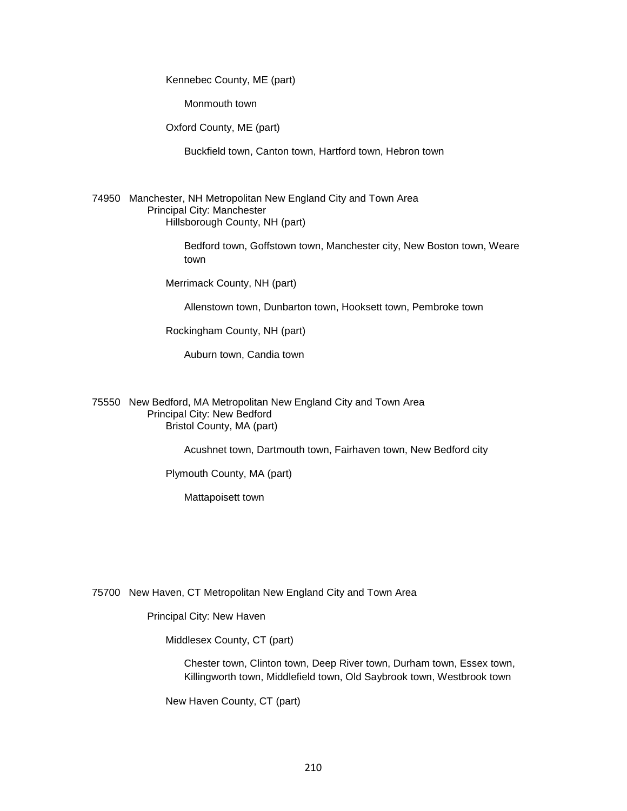Kennebec County, ME (part)

Monmouth town

Oxford County, ME (part)

Buckfield town, Canton town, Hartford town, Hebron town

74950 Manchester, NH Metropolitan New England City and Town Area Principal City: Manchester Hillsborough County, NH (part)

> Bedford town, Goffstown town, Manchester city, New Boston town, Weare town

Merrimack County, NH (part)

Allenstown town, Dunbarton town, Hooksett town, Pembroke town

Rockingham County, NH (part)

Auburn town, Candia town

75550 New Bedford, MA Metropolitan New England City and Town Area Principal City: New Bedford Bristol County, MA (part)

Acushnet town, Dartmouth town, Fairhaven town, New Bedford city

Plymouth County, MA (part)

Mattapoisett town

75700 New Haven, CT Metropolitan New England City and Town Area

Principal City: New Haven

Middlesex County, CT (part)

 Chester town, Clinton town, Deep River town, Durham town, Essex town, Killingworth town, Middlefield town, Old Saybrook town, Westbrook town

New Haven County, CT (part)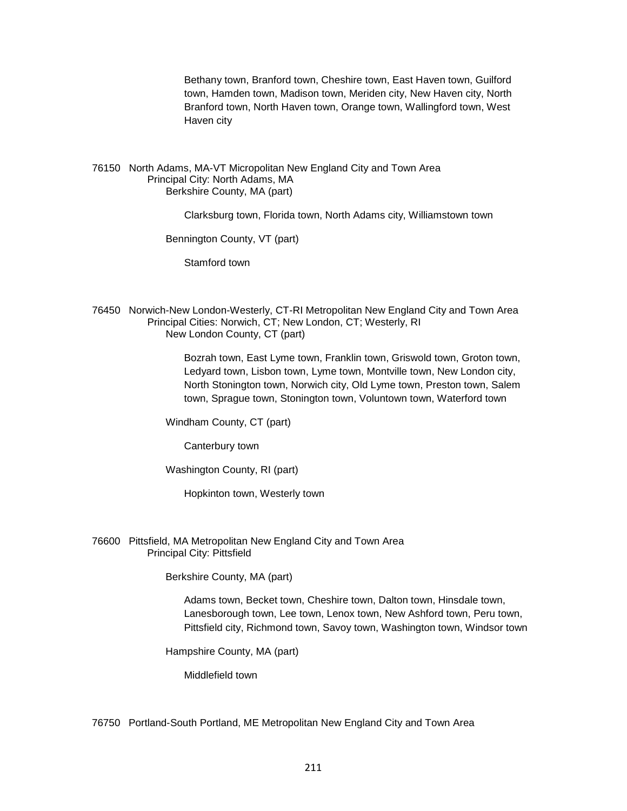Bethany town, Branford town, Cheshire town, East Haven town, Guilford town, Hamden town, Madison town, Meriden city, New Haven city, North Branford town, North Haven town, Orange town, Wallingford town, West Haven city

#### 76150 North Adams, MA-VT Micropolitan New England City and Town Area Principal City: North Adams, MA Berkshire County, MA (part)

Clarksburg town, Florida town, North Adams city, Williamstown town

Bennington County, VT (part)

Stamford town

76450 Norwich-New London-Westerly, CT-RI Metropolitan New England City and Town Area Principal Cities: Norwich, CT; New London, CT; Westerly, RI New London County, CT (part)

> Bozrah town, East Lyme town, Franklin town, Griswold town, Groton town, Ledyard town, Lisbon town, Lyme town, Montville town, New London city, North Stonington town, Norwich city, Old Lyme town, Preston town, Salem town, Sprague town, Stonington town, Voluntown town, Waterford town

Windham County, CT (part)

Canterbury town

Washington County, RI (part)

Hopkinton town, Westerly town

76600 Pittsfield, MA Metropolitan New England City and Town Area Principal City: Pittsfield

Berkshire County, MA (part)

 Adams town, Becket town, Cheshire town, Dalton town, Hinsdale town, Lanesborough town, Lee town, Lenox town, New Ashford town, Peru town, Pittsfield city, Richmond town, Savoy town, Washington town, Windsor town

Hampshire County, MA (part)

Middlefield town

76750 Portland-South Portland, ME Metropolitan New England City and Town Area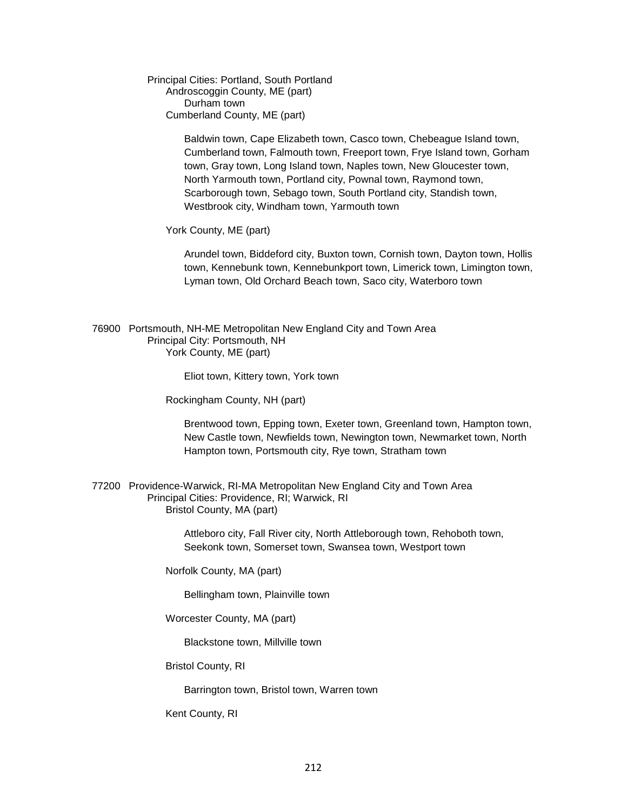Principal Cities: Portland, South Portland Androscoggin County, ME (part) Durham town Cumberland County, ME (part)

> Baldwin town, Cape Elizabeth town, Casco town, Chebeague Island town, Cumberland town, Falmouth town, Freeport town, Frye Island town, Gorham town, Gray town, Long Island town, Naples town, New Gloucester town, North Yarmouth town, Portland city, Pownal town, Raymond town, Scarborough town, Sebago town, South Portland city, Standish town, Westbrook city, Windham town, Yarmouth town

York County, ME (part)

 Arundel town, Biddeford city, Buxton town, Cornish town, Dayton town, Hollis town, Kennebunk town, Kennebunkport town, Limerick town, Limington town, Lyman town, Old Orchard Beach town, Saco city, Waterboro town

76900 Portsmouth, NH-ME Metropolitan New England City and Town Area Principal City: Portsmouth, NH York County, ME (part)

Eliot town, Kittery town, York town

Rockingham County, NH (part)

 Brentwood town, Epping town, Exeter town, Greenland town, Hampton town, New Castle town, Newfields town, Newington town, Newmarket town, North Hampton town, Portsmouth city, Rye town, Stratham town

77200 Providence-Warwick, RI-MA Metropolitan New England City and Town Area Principal Cities: Providence, RI; Warwick, RI Bristol County, MA (part)

> Attleboro city, Fall River city, North Attleborough town, Rehoboth town, Seekonk town, Somerset town, Swansea town, Westport town

Norfolk County, MA (part)

Bellingham town, Plainville town

Worcester County, MA (part)

Blackstone town, Millville town

Bristol County, RI

Barrington town, Bristol town, Warren town

Kent County, RI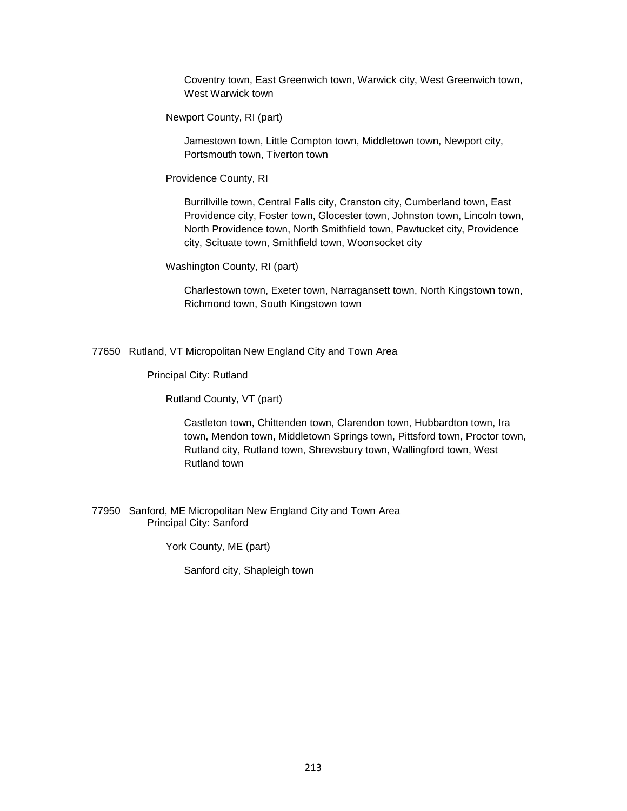Coventry town, East Greenwich town, Warwick city, West Greenwich town, West Warwick town

Newport County, RI (part)

 Jamestown town, Little Compton town, Middletown town, Newport city, Portsmouth town, Tiverton town

Providence County, RI

 Burrillville town, Central Falls city, Cranston city, Cumberland town, East Providence city, Foster town, Glocester town, Johnston town, Lincoln town, North Providence town, North Smithfield town, Pawtucket city, Providence city, Scituate town, Smithfield town, Woonsocket city

Washington County, RI (part)

 Charlestown town, Exeter town, Narragansett town, North Kingstown town, Richmond town, South Kingstown town

77650 Rutland, VT Micropolitan New England City and Town Area

Principal City: Rutland

Rutland County, VT (part)

 Castleton town, Chittenden town, Clarendon town, Hubbardton town, Ira town, Mendon town, Middletown Springs town, Pittsford town, Proctor town, Rutland city, Rutland town, Shrewsbury town, Wallingford town, West Rutland town

77950 Sanford, ME Micropolitan New England City and Town Area Principal City: Sanford

York County, ME (part)

Sanford city, Shapleigh town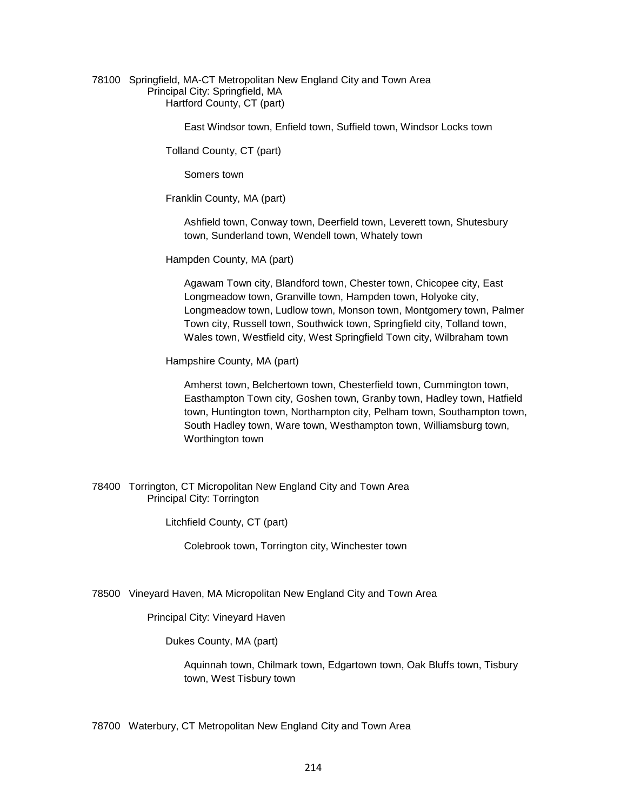#### 78100 Springfield, MA-CT Metropolitan New England City and Town Area Principal City: Springfield, MA Hartford County, CT (part)

East Windsor town, Enfield town, Suffield town, Windsor Locks town

Tolland County, CT (part)

Somers town

Franklin County, MA (part)

 Ashfield town, Conway town, Deerfield town, Leverett town, Shutesbury town, Sunderland town, Wendell town, Whately town

Hampden County, MA (part)

 Agawam Town city, Blandford town, Chester town, Chicopee city, East Longmeadow town, Granville town, Hampden town, Holyoke city, Longmeadow town, Ludlow town, Monson town, Montgomery town, Palmer Town city, Russell town, Southwick town, Springfield city, Tolland town, Wales town, Westfield city, West Springfield Town city, Wilbraham town

Hampshire County, MA (part)

 Amherst town, Belchertown town, Chesterfield town, Cummington town, Easthampton Town city, Goshen town, Granby town, Hadley town, Hatfield town, Huntington town, Northampton city, Pelham town, Southampton town, South Hadley town, Ware town, Westhampton town, Williamsburg town, Worthington town

#### 78400 Torrington, CT Micropolitan New England City and Town Area Principal City: Torrington

Litchfield County, CT (part)

Colebrook town, Torrington city, Winchester town

78500 Vineyard Haven, MA Micropolitan New England City and Town Area

Principal City: Vineyard Haven

Dukes County, MA (part)

 Aquinnah town, Chilmark town, Edgartown town, Oak Bluffs town, Tisbury town, West Tisbury town

78700 Waterbury, CT Metropolitan New England City and Town Area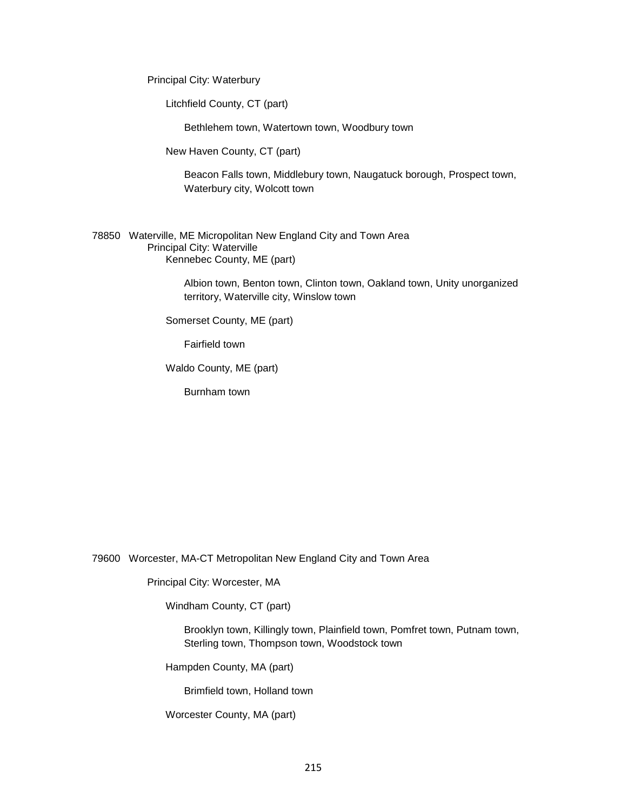Principal City: Waterbury

Litchfield County, CT (part)

Bethlehem town, Watertown town, Woodbury town

New Haven County, CT (part)

 Beacon Falls town, Middlebury town, Naugatuck borough, Prospect town, Waterbury city, Wolcott town

78850 Waterville, ME Micropolitan New England City and Town Area Principal City: Waterville Kennebec County, ME (part)

> Albion town, Benton town, Clinton town, Oakland town, Unity unorganized territory, Waterville city, Winslow town

Somerset County, ME (part)

Fairfield town

Waldo County, ME (part)

Burnham town

79600 Worcester, MA-CT Metropolitan New England City and Town Area

Principal City: Worcester, MA

Windham County, CT (part)

 Brooklyn town, Killingly town, Plainfield town, Pomfret town, Putnam town, Sterling town, Thompson town, Woodstock town

Hampden County, MA (part)

Brimfield town, Holland town

Worcester County, MA (part)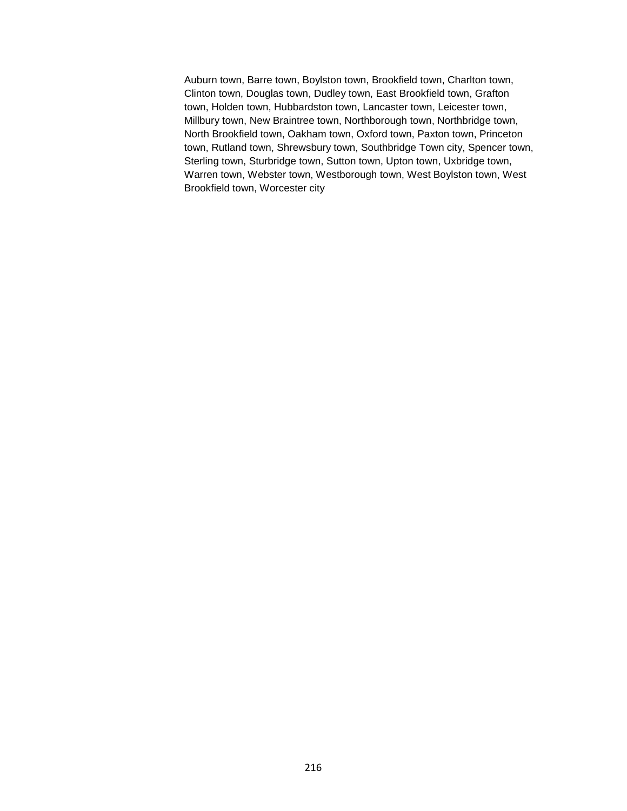Auburn town, Barre town, Boylston town, Brookfield town, Charlton town, Clinton town, Douglas town, Dudley town, East Brookfield town, Grafton town, Holden town, Hubbardston town, Lancaster town, Leicester town, Millbury town, New Braintree town, Northborough town, Northbridge town, North Brookfield town, Oakham town, Oxford town, Paxton town, Princeton town, Rutland town, Shrewsbury town, Southbridge Town city, Spencer town, Sterling town, Sturbridge town, Sutton town, Upton town, Uxbridge town, Warren town, Webster town, Westborough town, West Boylston town, West Brookfield town, Worcester city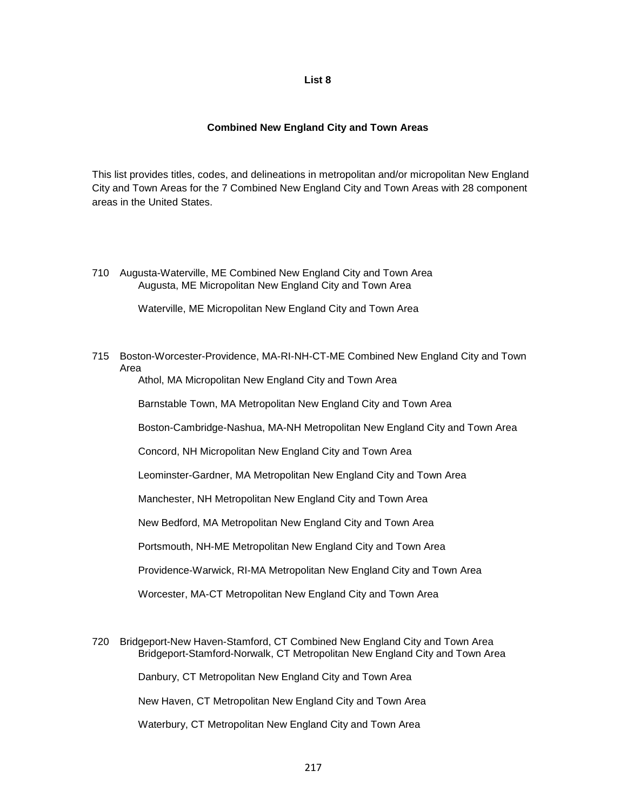### **List 8**

# **Combined New England City and Town Areas**

This list provides titles, codes, and delineations in metropolitan and/or micropolitan New England City and Town Areas for the 7 Combined New England City and Town Areas with 28 component areas in the United States.

710 Augusta-Waterville, ME Combined New England City and Town Area Augusta, ME Micropolitan New England City and Town Area

Waterville, ME Micropolitan New England City and Town Area

715 Boston-Worcester-Providence, MA-RI-NH-CT-ME Combined New England City and Town Area

Athol, MA Micropolitan New England City and Town Area

Barnstable Town, MA Metropolitan New England City and Town Area

Boston-Cambridge-Nashua, MA-NH Metropolitan New England City and Town Area

Concord, NH Micropolitan New England City and Town Area

Leominster-Gardner, MA Metropolitan New England City and Town Area

Manchester, NH Metropolitan New England City and Town Area

New Bedford, MA Metropolitan New England City and Town Area

Portsmouth, NH-ME Metropolitan New England City and Town Area

Providence-Warwick, RI-MA Metropolitan New England City and Town Area

Worcester, MA-CT Metropolitan New England City and Town Area

720 Bridgeport-New Haven-Stamford, CT Combined New England City and Town Area Bridgeport-Stamford-Norwalk, CT Metropolitan New England City and Town Area

Danbury, CT Metropolitan New England City and Town Area

New Haven, CT Metropolitan New England City and Town Area

Waterbury, CT Metropolitan New England City and Town Area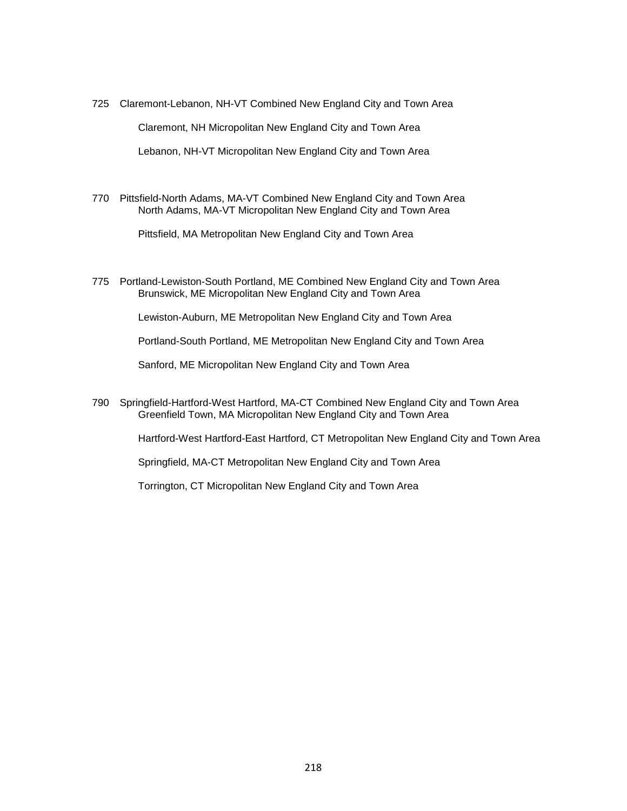725 Claremont-Lebanon, NH-VT Combined New England City and Town Area

Claremont, NH Micropolitan New England City and Town Area

Lebanon, NH-VT Micropolitan New England City and Town Area

770 Pittsfield-North Adams, MA-VT Combined New England City and Town Area North Adams, MA-VT Micropolitan New England City and Town Area

Pittsfield, MA Metropolitan New England City and Town Area

775 Portland-Lewiston-South Portland, ME Combined New England City and Town Area Brunswick, ME Micropolitan New England City and Town Area

Lewiston-Auburn, ME Metropolitan New England City and Town Area

Portland-South Portland, ME Metropolitan New England City and Town Area

Sanford, ME Micropolitan New England City and Town Area

790 Springfield-Hartford-West Hartford, MA-CT Combined New England City and Town Area Greenfield Town, MA Micropolitan New England City and Town Area

Hartford-West Hartford-East Hartford, CT Metropolitan New England City and Town Area

Springfield, MA-CT Metropolitan New England City and Town Area

Torrington, CT Micropolitan New England City and Town Area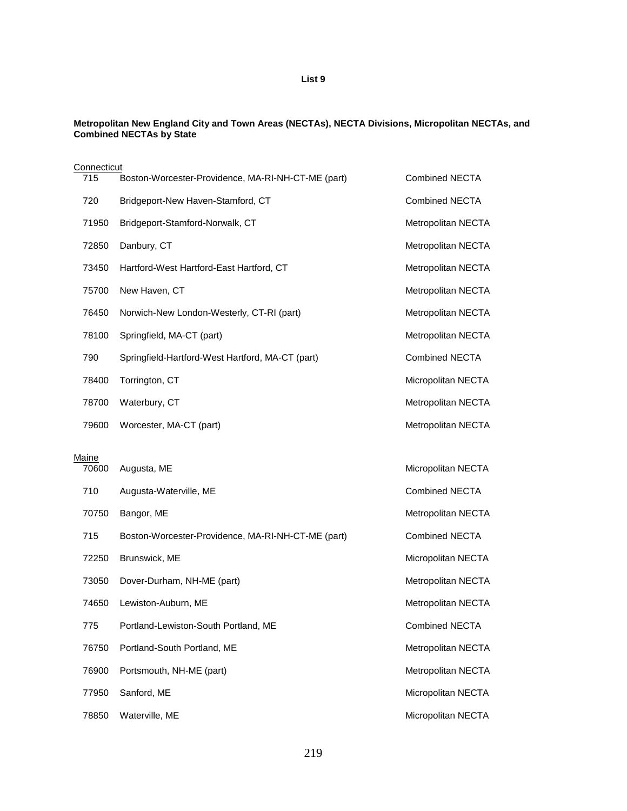# **List 9**

#### **Metropolitan New England City and Town Areas (NECTAs), NECTA Divisions, Micropolitan NECTAs, and Combined NECTAs by State**

| Connecticut  |                                                    |                       |
|--------------|----------------------------------------------------|-----------------------|
| 715          | Boston-Worcester-Providence, MA-RI-NH-CT-ME (part) | <b>Combined NECTA</b> |
| 720          | Bridgeport-New Haven-Stamford, CT                  | <b>Combined NECTA</b> |
| 71950        | Bridgeport-Stamford-Norwalk, CT                    | Metropolitan NECTA    |
| 72850        | Danbury, CT                                        | Metropolitan NECTA    |
| 73450        | Hartford-West Hartford-East Hartford, CT           | Metropolitan NECTA    |
| 75700        | New Haven, CT                                      | Metropolitan NECTA    |
| 76450        | Norwich-New London-Westerly, CT-RI (part)          | Metropolitan NECTA    |
| 78100        | Springfield, MA-CT (part)                          | Metropolitan NECTA    |
| 790          | Springfield-Hartford-West Hartford, MA-CT (part)   | <b>Combined NECTA</b> |
| 78400        | Torrington, CT                                     | Micropolitan NECTA    |
| 78700        | Waterbury, CT                                      | Metropolitan NECTA    |
| 79600        | Worcester, MA-CT (part)                            | Metropolitan NECTA    |
| <u>Maine</u> |                                                    |                       |
| 70600        | Augusta, ME                                        | Micropolitan NECTA    |
| 710          | Augusta-Waterville, ME                             | <b>Combined NECTA</b> |
| 70750        | Bangor, ME                                         | Metropolitan NECTA    |
| 715          | Boston-Worcester-Providence, MA-RI-NH-CT-ME (part) | <b>Combined NECTA</b> |
| 72250        | Brunswick, ME                                      | Micropolitan NECTA    |
| 73050        | Dover-Durham, NH-ME (part)                         | Metropolitan NECTA    |
| 74650        | Lewiston-Auburn, ME                                | Metropolitan NECTA    |
| 775          | Portland-Lewiston-South Portland, ME               | <b>Combined NECTA</b> |
| 76750        | Portland-South Portland, ME                        | Metropolitan NECTA    |
| 76900        | Portsmouth, NH-ME (part)                           | Metropolitan NECTA    |
| 77950        | Sanford, ME                                        | Micropolitan NECTA    |
| 78850        | Waterville, ME                                     | Micropolitan NECTA    |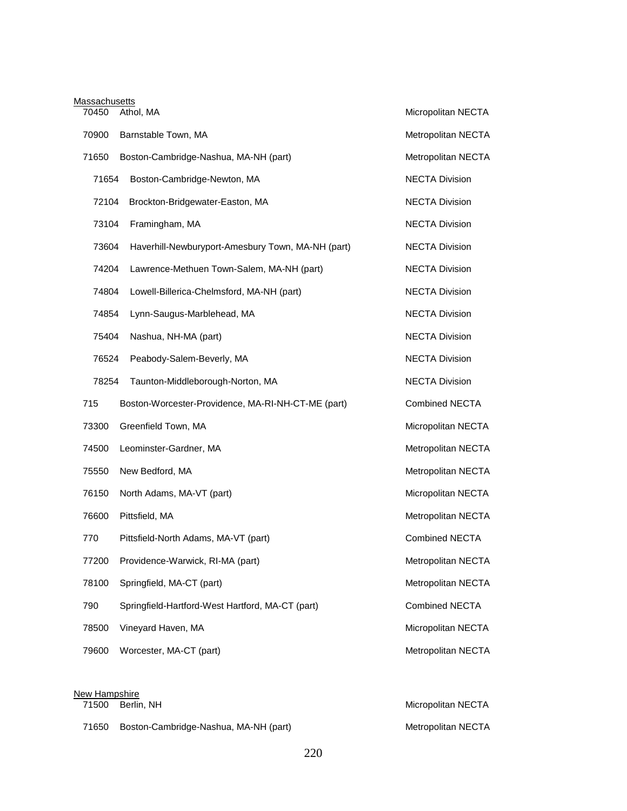| <b>Massachusetts</b> |                                                    |                       |
|----------------------|----------------------------------------------------|-----------------------|
| 70450                | Athol, MA                                          | Micropolitan NECTA    |
| 70900                | Barnstable Town, MA                                | Metropolitan NECTA    |
| 71650                | Boston-Cambridge-Nashua, MA-NH (part)              | Metropolitan NECTA    |
| 71654                | Boston-Cambridge-Newton, MA                        | <b>NECTA Division</b> |
| 72104                | Brockton-Bridgewater-Easton, MA                    | <b>NECTA Division</b> |
| 73104                | Framingham, MA                                     | <b>NECTA Division</b> |
| 73604                | Haverhill-Newburyport-Amesbury Town, MA-NH (part)  | <b>NECTA Division</b> |
| 74204                | Lawrence-Methuen Town-Salem, MA-NH (part)          | <b>NECTA Division</b> |
| 74804                | Lowell-Billerica-Chelmsford, MA-NH (part)          | <b>NECTA Division</b> |
| 74854                | Lynn-Saugus-Marblehead, MA                         | <b>NECTA Division</b> |
| 75404                | Nashua, NH-MA (part)                               | <b>NECTA Division</b> |
| 76524                | Peabody-Salem-Beverly, MA                          | <b>NECTA Division</b> |
| 78254                | Taunton-Middleborough-Norton, MA                   | <b>NECTA Division</b> |
| 715                  | Boston-Worcester-Providence, MA-RI-NH-CT-ME (part) | <b>Combined NECTA</b> |
| 73300                | Greenfield Town, MA                                | Micropolitan NECTA    |
| 74500                | Leominster-Gardner, MA                             | Metropolitan NECTA    |
| 75550                | New Bedford, MA                                    | Metropolitan NECTA    |
| 76150                | North Adams, MA-VT (part)                          | Micropolitan NECTA    |
| 76600                | Pittsfield, MA                                     | Metropolitan NECTA    |
| 770                  | Pittsfield-North Adams, MA-VT (part)               | <b>Combined NECTA</b> |
| 77200                | Providence-Warwick, RI-MA (part)                   | Metropolitan NECTA    |
| 78100                | Springfield, MA-CT (part)                          | Metropolitan NECTA    |
| 790                  | Springfield-Hartford-West Hartford, MA-CT (part)   | Combined NECTA        |
| 78500                | Vineyard Haven, MA                                 | Micropolitan NECTA    |
| 79600                | Worcester, MA-CT (part)                            | Metropolitan NECTA    |
|                      |                                                    |                       |

| New Hampshire |                                       |                    |  |
|---------------|---------------------------------------|--------------------|--|
|               | 71500 Berlin, NH                      | Micropolitan NECTA |  |
| 71650         | Boston-Cambridge-Nashua, MA-NH (part) | Metropolitan NECTA |  |